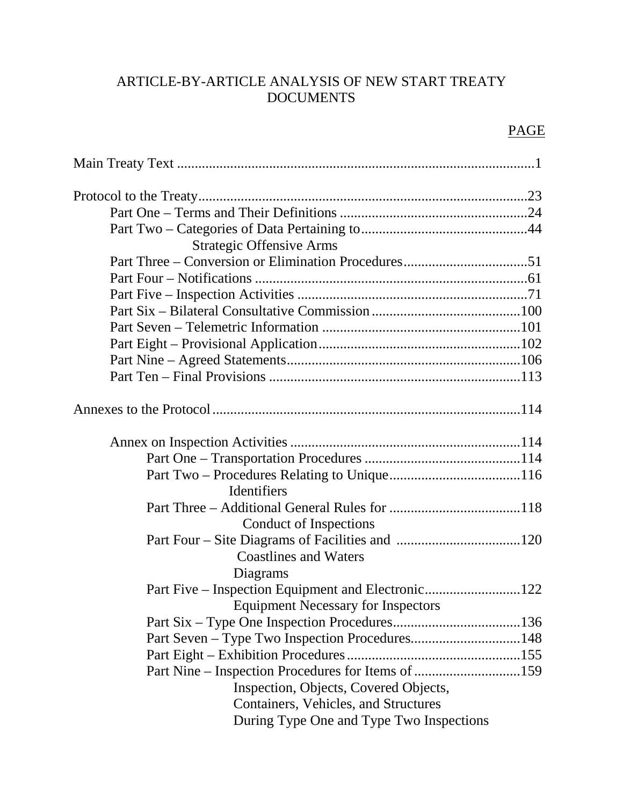# ARTICLE-BY-ARTICLE ANALYSIS OF NEW START TREATY DOCUMENTS

# PAGE

| <b>Strategic Offensive Arms</b>                    |
|----------------------------------------------------|
|                                                    |
|                                                    |
|                                                    |
|                                                    |
|                                                    |
|                                                    |
|                                                    |
|                                                    |
|                                                    |
|                                                    |
|                                                    |
|                                                    |
| Identifiers                                        |
|                                                    |
| Conduct of Inspections                             |
|                                                    |
| <b>Coastlines and Waters</b>                       |
| Diagrams                                           |
|                                                    |
| <b>Equipment Necessary for Inspectors</b>          |
|                                                    |
|                                                    |
|                                                    |
| Part Nine – Inspection Procedures for Items of 159 |
| Inspection, Objects, Covered Objects,              |
| Containers, Vehicles, and Structures               |
| During Type One and Type Two Inspections           |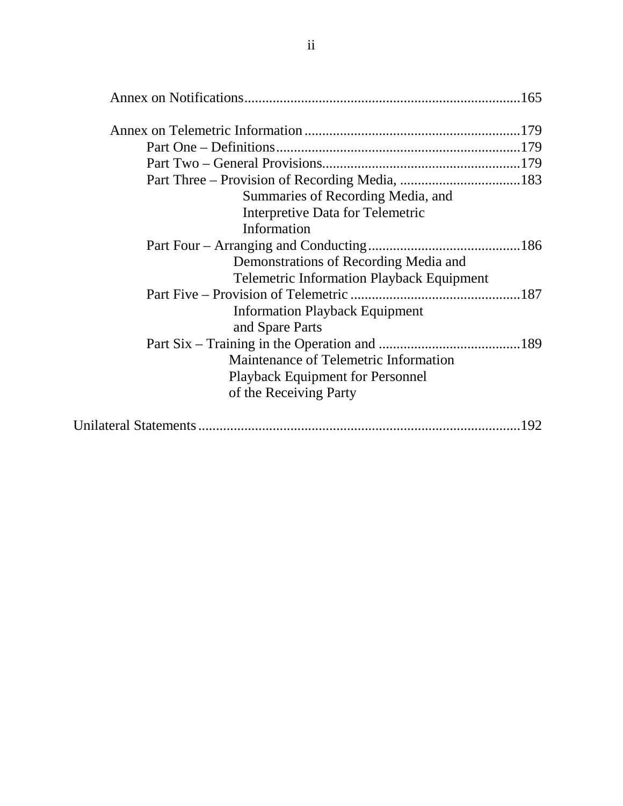| Summaries of Recording Media, and                |     |
|--------------------------------------------------|-----|
| Interpretive Data for Telemetric                 |     |
| Information                                      |     |
|                                                  |     |
| Demonstrations of Recording Media and            |     |
| <b>Telemetric Information Playback Equipment</b> |     |
|                                                  |     |
| <b>Information Playback Equipment</b>            |     |
| and Spare Parts                                  |     |
|                                                  |     |
| Maintenance of Telemetric Information            |     |
| <b>Playback Equipment for Personnel</b>          |     |
| of the Receiving Party                           |     |
|                                                  | 192 |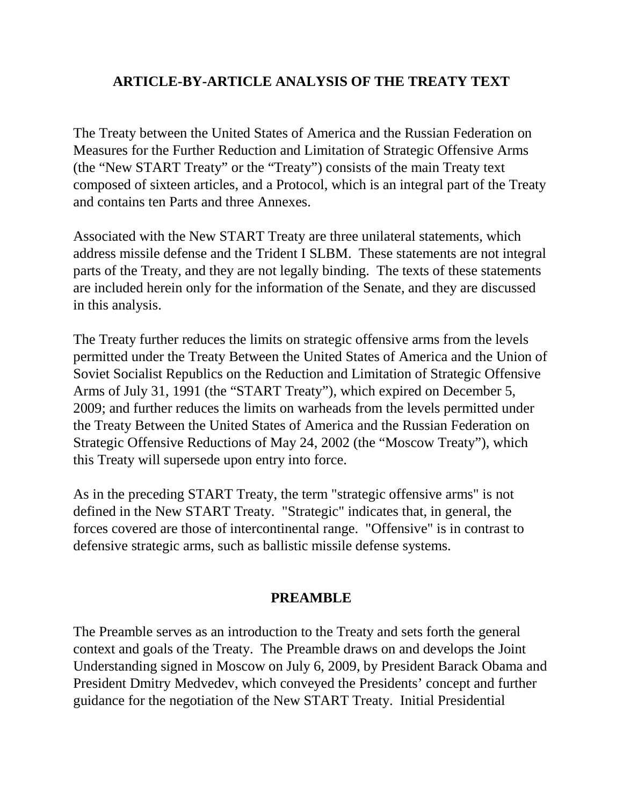## **ARTICLE-BY-ARTICLE ANALYSIS OF THE TREATY TEXT**

The Treaty between the United States of America and the Russian Federation on Measures for the Further Reduction and Limitation of Strategic Offensive Arms (the "New START Treaty" or the "Treaty") consists of the main Treaty text composed of sixteen articles, and a Protocol, which is an integral part of the Treaty and contains ten Parts and three Annexes.

Associated with the New START Treaty are three unilateral statements, which address missile defense and the Trident I SLBM. These statements are not integral parts of the Treaty, and they are not legally binding. The texts of these statements are included herein only for the information of the Senate, and they are discussed in this analysis.

The Treaty further reduces the limits on strategic offensive arms from the levels permitted under the Treaty Between the United States of America and the Union of Soviet Socialist Republics on the Reduction and Limitation of Strategic Offensive Arms of July 31, 1991 (the "START Treaty"), which expired on December 5, 2009; and further reduces the limits on warheads from the levels permitted under the Treaty Between the United States of America and the Russian Federation on Strategic Offensive Reductions of May 24, 2002 (the "Moscow Treaty"), which this Treaty will supersede upon entry into force.

As in the preceding START Treaty, the term "strategic offensive arms" is not defined in the New START Treaty. "Strategic" indicates that, in general, the forces covered are those of intercontinental range. "Offensive" is in contrast to defensive strategic arms, such as ballistic missile defense systems.

### **PREAMBLE**

The Preamble serves as an introduction to the Treaty and sets forth the general context and goals of the Treaty. The Preamble draws on and develops the Joint Understanding signed in Moscow on July 6, 2009, by President Barack Obama and President Dmitry Medvedev, which conveyed the Presidents' concept and further guidance for the negotiation of the New START Treaty. Initial Presidential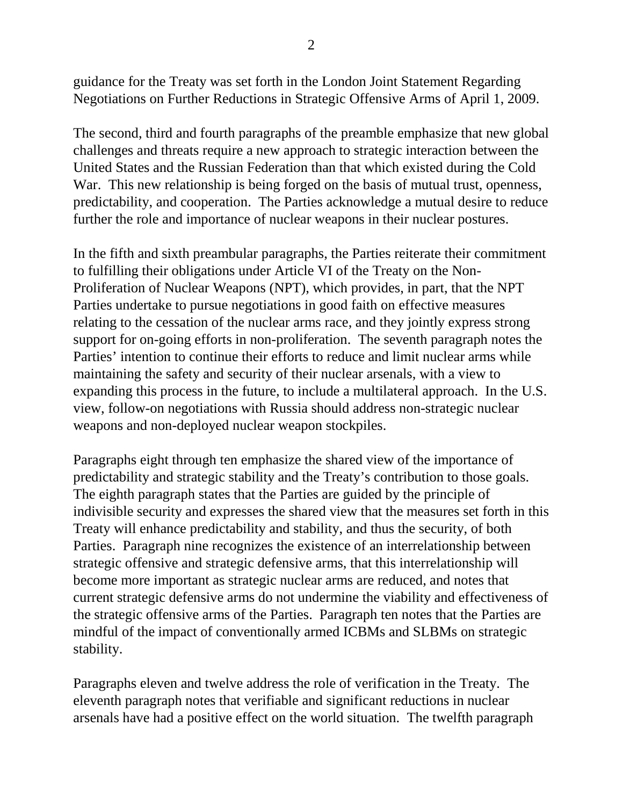guidance for the Treaty was set forth in the London Joint Statement Regarding Negotiations on Further Reductions in Strategic Offensive Arms of April 1, 2009.

The second, third and fourth paragraphs of the preamble emphasize that new global challenges and threats require a new approach to strategic interaction between the United States and the Russian Federation than that which existed during the Cold War. This new relationship is being forged on the basis of mutual trust, openness, predictability, and cooperation. The Parties acknowledge a mutual desire to reduce further the role and importance of nuclear weapons in their nuclear postures.

In the fifth and sixth preambular paragraphs, the Parties reiterate their commitment to fulfilling their obligations under Article VI of the Treaty on the Non-Proliferation of Nuclear Weapons (NPT), which provides, in part, that the NPT Parties undertake to pursue negotiations in good faith on effective measures relating to the cessation of the nuclear arms race, and they jointly express strong support for on-going efforts in non-proliferation. The seventh paragraph notes the Parties' intention to continue their efforts to reduce and limit nuclear arms while maintaining the safety and security of their nuclear arsenals, with a view to expanding this process in the future, to include a multilateral approach. In the U.S. view, follow-on negotiations with Russia should address non-strategic nuclear weapons and non-deployed nuclear weapon stockpiles.

Paragraphs eight through ten emphasize the shared view of the importance of predictability and strategic stability and the Treaty's contribution to those goals. The eighth paragraph states that the Parties are guided by the principle of indivisible security and expresses the shared view that the measures set forth in this Treaty will enhance predictability and stability, and thus the security, of both Parties. Paragraph nine recognizes the existence of an interrelationship between strategic offensive and strategic defensive arms, that this interrelationship will become more important as strategic nuclear arms are reduced, and notes that current strategic defensive arms do not undermine the viability and effectiveness of the strategic offensive arms of the Parties. Paragraph ten notes that the Parties are mindful of the impact of conventionally armed ICBMs and SLBMs on strategic stability.

Paragraphs eleven and twelve address the role of verification in the Treaty. The eleventh paragraph notes that verifiable and significant reductions in nuclear arsenals have had a positive effect on the world situation. The twelfth paragraph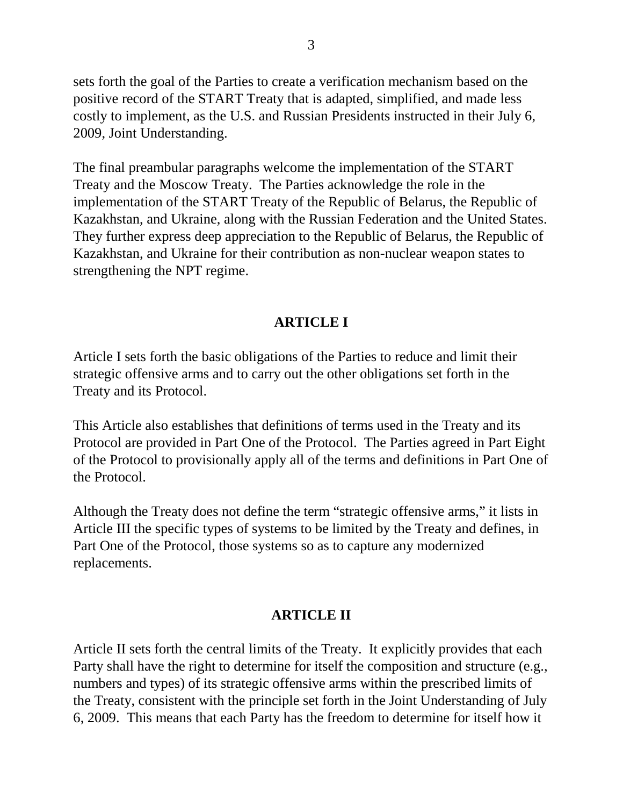sets forth the goal of the Parties to create a verification mechanism based on the positive record of the START Treaty that is adapted, simplified, and made less costly to implement, as the U.S. and Russian Presidents instructed in their July 6, 2009, Joint Understanding.

The final preambular paragraphs welcome the implementation of the START Treaty and the Moscow Treaty. The Parties acknowledge the role in the implementation of the START Treaty of the Republic of Belarus, the Republic of Kazakhstan, and Ukraine, along with the Russian Federation and the United States. They further express deep appreciation to the Republic of Belarus, the Republic of Kazakhstan, and Ukraine for their contribution as non-nuclear weapon states to strengthening the NPT regime.

## **ARTICLE I**

Article I sets forth the basic obligations of the Parties to reduce and limit their strategic offensive arms and to carry out the other obligations set forth in the Treaty and its Protocol.

This Article also establishes that definitions of terms used in the Treaty and its Protocol are provided in Part One of the Protocol. The Parties agreed in Part Eight of the Protocol to provisionally apply all of the terms and definitions in Part One of the Protocol.

Although the Treaty does not define the term "strategic offensive arms," it lists in Article III the specific types of systems to be limited by the Treaty and defines, in Part One of the Protocol, those systems so as to capture any modernized replacements.

# **ARTICLE II**

Article II sets forth the central limits of the Treaty. It explicitly provides that each Party shall have the right to determine for itself the composition and structure (e.g., numbers and types) of its strategic offensive arms within the prescribed limits of the Treaty, consistent with the principle set forth in the Joint Understanding of July 6, 2009. This means that each Party has the freedom to determine for itself how it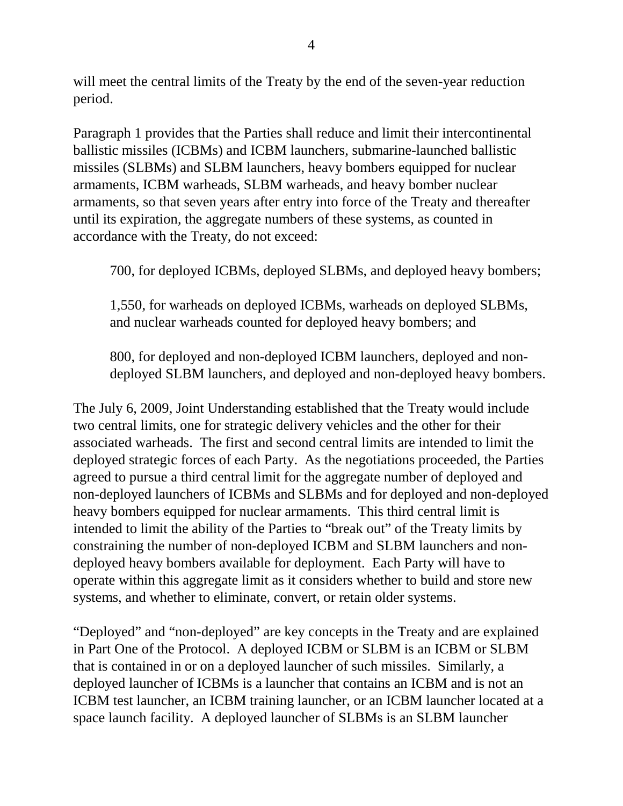will meet the central limits of the Treaty by the end of the seven-year reduction period.

Paragraph 1 provides that the Parties shall reduce and limit their intercontinental ballistic missiles (ICBMs) and ICBM launchers, submarine-launched ballistic missiles (SLBMs) and SLBM launchers, heavy bombers equipped for nuclear armaments, ICBM warheads, SLBM warheads, and heavy bomber nuclear armaments, so that seven years after entry into force of the Treaty and thereafter until its expiration, the aggregate numbers of these systems, as counted in accordance with the Treaty, do not exceed:

700, for deployed ICBMs, deployed SLBMs, and deployed heavy bombers;

1,550, for warheads on deployed ICBMs, warheads on deployed SLBMs, and nuclear warheads counted for deployed heavy bombers; and

800, for deployed and non-deployed ICBM launchers, deployed and nondeployed SLBM launchers, and deployed and non-deployed heavy bombers.

The July 6, 2009, Joint Understanding established that the Treaty would include two central limits, one for strategic delivery vehicles and the other for their associated warheads. The first and second central limits are intended to limit the deployed strategic forces of each Party. As the negotiations proceeded, the Parties agreed to pursue a third central limit for the aggregate number of deployed and non-deployed launchers of ICBMs and SLBMs and for deployed and non-deployed heavy bombers equipped for nuclear armaments. This third central limit is intended to limit the ability of the Parties to "break out" of the Treaty limits by constraining the number of non-deployed ICBM and SLBM launchers and nondeployed heavy bombers available for deployment. Each Party will have to operate within this aggregate limit as it considers whether to build and store new systems, and whether to eliminate, convert, or retain older systems.

"Deployed" and "non-deployed" are key concepts in the Treaty and are explained in Part One of the Protocol. A deployed ICBM or SLBM is an ICBM or SLBM that is contained in or on a deployed launcher of such missiles. Similarly, a deployed launcher of ICBMs is a launcher that contains an ICBM and is not an ICBM test launcher, an ICBM training launcher, or an ICBM launcher located at a space launch facility. A deployed launcher of SLBMs is an SLBM launcher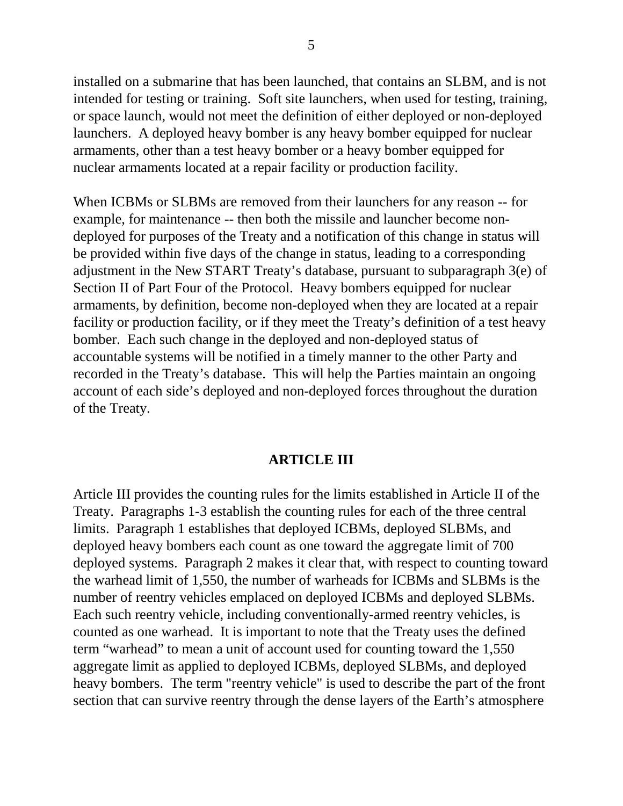installed on a submarine that has been launched, that contains an SLBM, and is not intended for testing or training. Soft site launchers, when used for testing, training, or space launch, would not meet the definition of either deployed or non-deployed launchers. A deployed heavy bomber is any heavy bomber equipped for nuclear armaments, other than a test heavy bomber or a heavy bomber equipped for nuclear armaments located at a repair facility or production facility.

When ICBMs or SLBMs are removed from their launchers for any reason -- for example, for maintenance -- then both the missile and launcher become nondeployed for purposes of the Treaty and a notification of this change in status will be provided within five days of the change in status, leading to a corresponding adjustment in the New START Treaty's database, pursuant to subparagraph 3(e) of Section II of Part Four of the Protocol. Heavy bombers equipped for nuclear armaments, by definition, become non-deployed when they are located at a repair facility or production facility, or if they meet the Treaty's definition of a test heavy bomber. Each such change in the deployed and non-deployed status of accountable systems will be notified in a timely manner to the other Party and recorded in the Treaty's database. This will help the Parties maintain an ongoing account of each side's deployed and non-deployed forces throughout the duration of the Treaty.

#### **ARTICLE III**

Article III provides the counting rules for the limits established in Article II of the Treaty. Paragraphs 1-3 establish the counting rules for each of the three central limits. Paragraph 1 establishes that deployed ICBMs, deployed SLBMs, and deployed heavy bombers each count as one toward the aggregate limit of 700 deployed systems. Paragraph 2 makes it clear that, with respect to counting toward the warhead limit of 1,550, the number of warheads for ICBMs and SLBMs is the number of reentry vehicles emplaced on deployed ICBMs and deployed SLBMs. Each such reentry vehicle, including conventionally-armed reentry vehicles, is counted as one warhead. It is important to note that the Treaty uses the defined term "warhead" to mean a unit of account used for counting toward the 1,550 aggregate limit as applied to deployed ICBMs, deployed SLBMs, and deployed heavy bombers. The term "reentry vehicle" is used to describe the part of the front section that can survive reentry through the dense layers of the Earth's atmosphere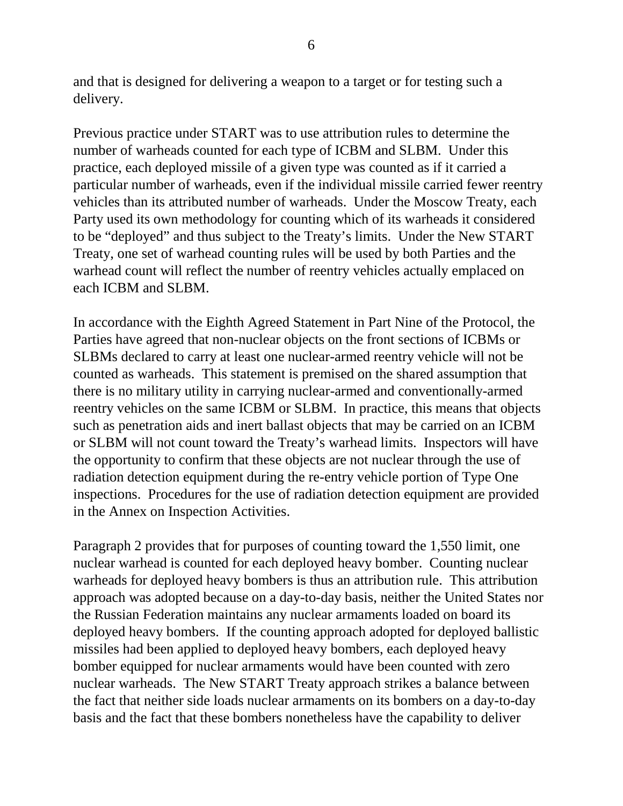and that is designed for delivering a weapon to a target or for testing such a delivery.

Previous practice under START was to use attribution rules to determine the number of warheads counted for each type of ICBM and SLBM. Under this practice, each deployed missile of a given type was counted as if it carried a particular number of warheads, even if the individual missile carried fewer reentry vehicles than its attributed number of warheads. Under the Moscow Treaty, each Party used its own methodology for counting which of its warheads it considered to be "deployed" and thus subject to the Treaty's limits. Under the New START Treaty, one set of warhead counting rules will be used by both Parties and the warhead count will reflect the number of reentry vehicles actually emplaced on each ICBM and SLBM.

In accordance with the Eighth Agreed Statement in Part Nine of the Protocol, the Parties have agreed that non-nuclear objects on the front sections of ICBMs or SLBMs declared to carry at least one nuclear-armed reentry vehicle will not be counted as warheads. This statement is premised on the shared assumption that there is no military utility in carrying nuclear-armed and conventionally-armed reentry vehicles on the same ICBM or SLBM. In practice, this means that objects such as penetration aids and inert ballast objects that may be carried on an ICBM or SLBM will not count toward the Treaty's warhead limits. Inspectors will have the opportunity to confirm that these objects are not nuclear through the use of radiation detection equipment during the re-entry vehicle portion of Type One inspections. Procedures for the use of radiation detection equipment are provided in the Annex on Inspection Activities.

Paragraph 2 provides that for purposes of counting toward the 1,550 limit, one nuclear warhead is counted for each deployed heavy bomber. Counting nuclear warheads for deployed heavy bombers is thus an attribution rule. This attribution approach was adopted because on a day-to-day basis, neither the United States nor the Russian Federation maintains any nuclear armaments loaded on board its deployed heavy bombers. If the counting approach adopted for deployed ballistic missiles had been applied to deployed heavy bombers, each deployed heavy bomber equipped for nuclear armaments would have been counted with zero nuclear warheads. The New START Treaty approach strikes a balance between the fact that neither side loads nuclear armaments on its bombers on a day-to-day basis and the fact that these bombers nonetheless have the capability to deliver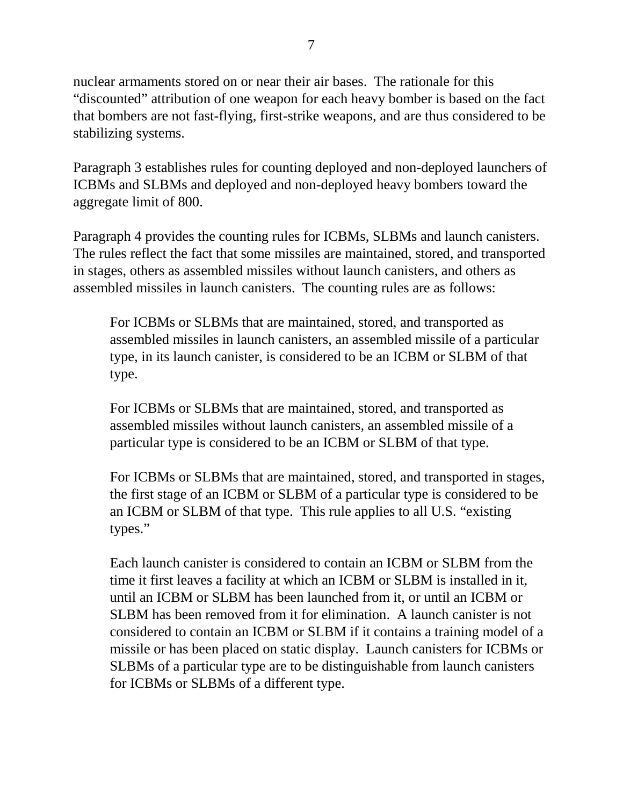nuclear armaments stored on or near their air bases. The rationale for this "discounted" attribution of one weapon for each heavy bomber is based on the fact that bombers are not fast-flying, first-strike weapons, and are thus considered to be stabilizing systems.

Paragraph 3 establishes rules for counting deployed and non-deployed launchers of ICBMs and SLBMs and deployed and non-deployed heavy bombers toward the aggregate limit of 800.

Paragraph 4 provides the counting rules for ICBMs, SLBMs and launch canisters. The rules reflect the fact that some missiles are maintained, stored, and transported in stages, others as assembled missiles without launch canisters, and others as assembled missiles in launch canisters. The counting rules are as follows:

For ICBMs or SLBMs that are maintained, stored, and transported as assembled missiles in launch canisters, an assembled missile of a particular type, in its launch canister, is considered to be an ICBM or SLBM of that type.

For ICBMs or SLBMs that are maintained, stored, and transported as assembled missiles without launch canisters, an assembled missile of a particular type is considered to be an ICBM or SLBM of that type.

For ICBMs or SLBMs that are maintained, stored, and transported in stages, the first stage of an ICBM or SLBM of a particular type is considered to be an ICBM or SLBM of that type. This rule applies to all U.S. "existing types."

Each launch canister is considered to contain an ICBM or SLBM from the time it first leaves a facility at which an ICBM or SLBM is installed in it, until an ICBM or SLBM has been launched from it, or until an ICBM or SLBM has been removed from it for elimination. A launch canister is not considered to contain an ICBM or SLBM if it contains a training model of a missile or has been placed on static display. Launch canisters for ICBMs or SLBMs of a particular type are to be distinguishable from launch canisters for ICBMs or SLBMs of a different type.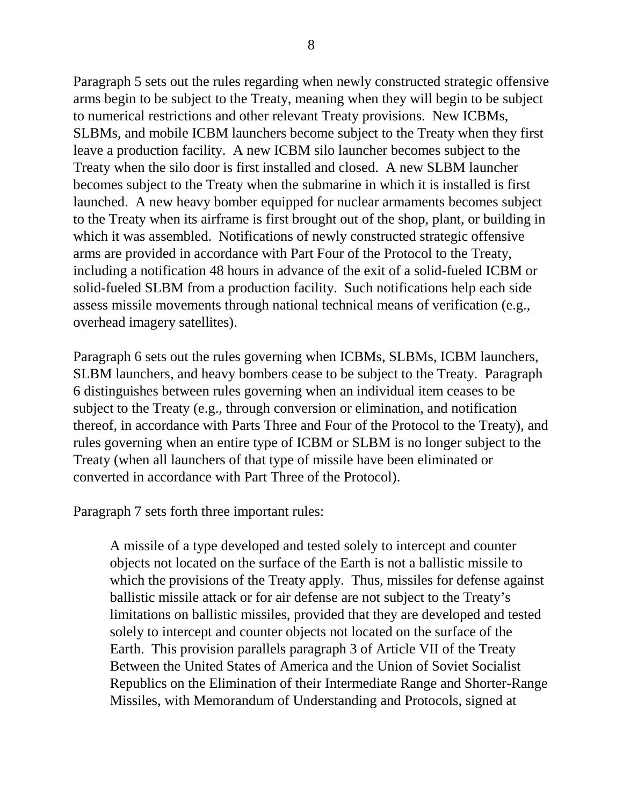Paragraph 5 sets out the rules regarding when newly constructed strategic offensive arms begin to be subject to the Treaty, meaning when they will begin to be subject to numerical restrictions and other relevant Treaty provisions. New ICBMs, SLBMs, and mobile ICBM launchers become subject to the Treaty when they first leave a production facility. A new ICBM silo launcher becomes subject to the Treaty when the silo door is first installed and closed. A new SLBM launcher becomes subject to the Treaty when the submarine in which it is installed is first launched. A new heavy bomber equipped for nuclear armaments becomes subject to the Treaty when its airframe is first brought out of the shop, plant, or building in which it was assembled. Notifications of newly constructed strategic offensive arms are provided in accordance with Part Four of the Protocol to the Treaty, including a notification 48 hours in advance of the exit of a solid-fueled ICBM or solid-fueled SLBM from a production facility. Such notifications help each side assess missile movements through national technical means of verification (e.g., overhead imagery satellites).

Paragraph 6 sets out the rules governing when ICBMs, SLBMs, ICBM launchers, SLBM launchers, and heavy bombers cease to be subject to the Treaty. Paragraph 6 distinguishes between rules governing when an individual item ceases to be subject to the Treaty (e.g., through conversion or elimination, and notification thereof, in accordance with Parts Three and Four of the Protocol to the Treaty), and rules governing when an entire type of ICBM or SLBM is no longer subject to the Treaty (when all launchers of that type of missile have been eliminated or converted in accordance with Part Three of the Protocol).

Paragraph 7 sets forth three important rules:

A missile of a type developed and tested solely to intercept and counter objects not located on the surface of the Earth is not a ballistic missile to which the provisions of the Treaty apply. Thus, missiles for defense against ballistic missile attack or for air defense are not subject to the Treaty's limitations on ballistic missiles, provided that they are developed and tested solely to intercept and counter objects not located on the surface of the Earth. This provision parallels paragraph 3 of Article VII of the Treaty Between the United States of America and the Union of Soviet Socialist Republics on the Elimination of their Intermediate Range and Shorter-Range Missiles, with Memorandum of Understanding and Protocols, signed at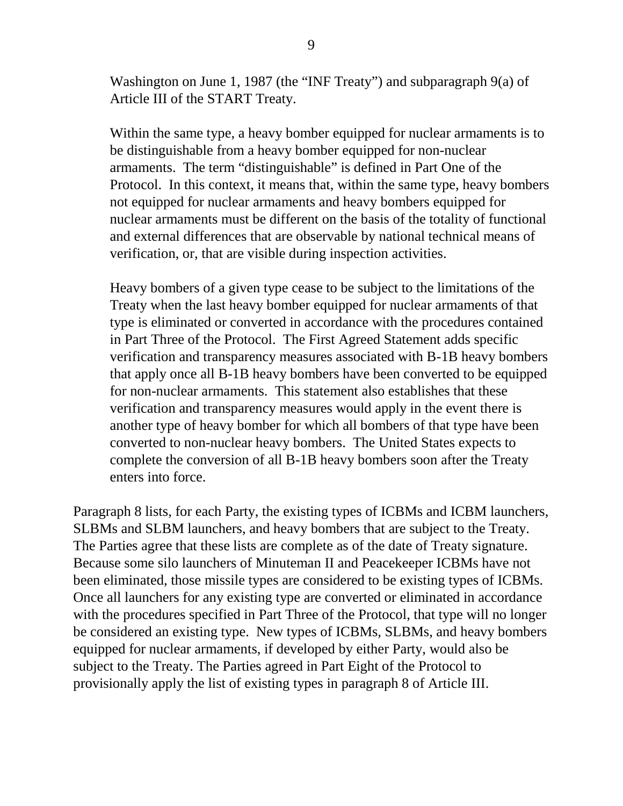Washington on June 1, 1987 (the "INF Treaty") and subparagraph 9(a) of Article III of the START Treaty.

Within the same type, a heavy bomber equipped for nuclear armaments is to be distinguishable from a heavy bomber equipped for non-nuclear armaments. The term "distinguishable" is defined in Part One of the Protocol. In this context, it means that, within the same type, heavy bombers not equipped for nuclear armaments and heavy bombers equipped for nuclear armaments must be different on the basis of the totality of functional and external differences that are observable by national technical means of verification, or, that are visible during inspection activities.

Heavy bombers of a given type cease to be subject to the limitations of the Treaty when the last heavy bomber equipped for nuclear armaments of that type is eliminated or converted in accordance with the procedures contained in Part Three of the Protocol. The First Agreed Statement adds specific verification and transparency measures associated with B-1B heavy bombers that apply once all B-1B heavy bombers have been converted to be equipped for non-nuclear armaments. This statement also establishes that these verification and transparency measures would apply in the event there is another type of heavy bomber for which all bombers of that type have been converted to non-nuclear heavy bombers. The United States expects to complete the conversion of all B-1B heavy bombers soon after the Treaty enters into force.

Paragraph 8 lists, for each Party, the existing types of ICBMs and ICBM launchers, SLBMs and SLBM launchers, and heavy bombers that are subject to the Treaty. The Parties agree that these lists are complete as of the date of Treaty signature. Because some silo launchers of Minuteman II and Peacekeeper ICBMs have not been eliminated, those missile types are considered to be existing types of ICBMs. Once all launchers for any existing type are converted or eliminated in accordance with the procedures specified in Part Three of the Protocol, that type will no longer be considered an existing type. New types of ICBMs, SLBMs, and heavy bombers equipped for nuclear armaments, if developed by either Party, would also be subject to the Treaty. The Parties agreed in Part Eight of the Protocol to provisionally apply the list of existing types in paragraph 8 of Article III.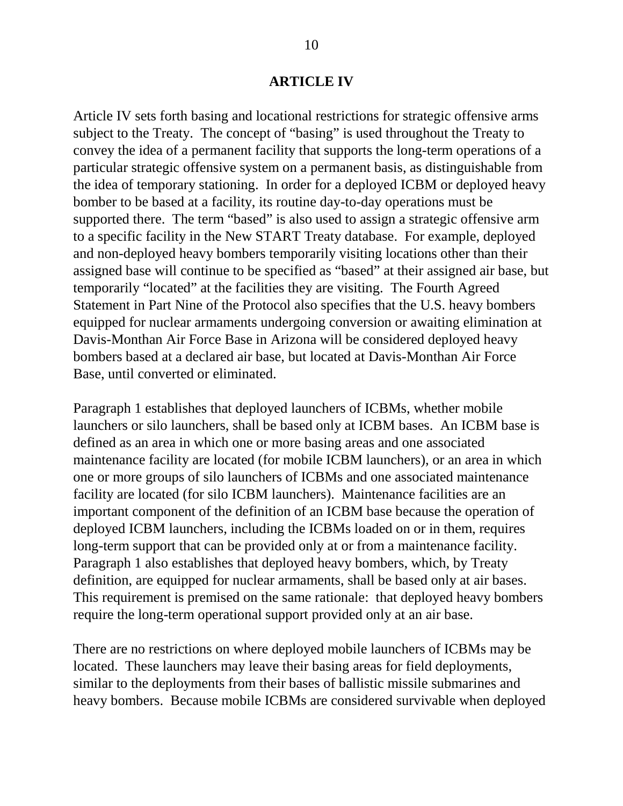#### **ARTICLE IV**

Article IV sets forth basing and locational restrictions for strategic offensive arms subject to the Treaty. The concept of "basing" is used throughout the Treaty to convey the idea of a permanent facility that supports the long-term operations of a particular strategic offensive system on a permanent basis, as distinguishable from the idea of temporary stationing. In order for a deployed ICBM or deployed heavy bomber to be based at a facility, its routine day-to-day operations must be supported there. The term "based" is also used to assign a strategic offensive arm to a specific facility in the New START Treaty database. For example, deployed and non-deployed heavy bombers temporarily visiting locations other than their assigned base will continue to be specified as "based" at their assigned air base, but temporarily "located" at the facilities they are visiting. The Fourth Agreed Statement in Part Nine of the Protocol also specifies that the U.S. heavy bombers equipped for nuclear armaments undergoing conversion or awaiting elimination at Davis-Monthan Air Force Base in Arizona will be considered deployed heavy bombers based at a declared air base, but located at Davis-Monthan Air Force Base, until converted or eliminated.

Paragraph 1 establishes that deployed launchers of ICBMs, whether mobile launchers or silo launchers, shall be based only at ICBM bases. An ICBM base is defined as an area in which one or more basing areas and one associated maintenance facility are located (for mobile ICBM launchers), or an area in which one or more groups of silo launchers of ICBMs and one associated maintenance facility are located (for silo ICBM launchers). Maintenance facilities are an important component of the definition of an ICBM base because the operation of deployed ICBM launchers, including the ICBMs loaded on or in them, requires long-term support that can be provided only at or from a maintenance facility. Paragraph 1 also establishes that deployed heavy bombers, which, by Treaty definition, are equipped for nuclear armaments, shall be based only at air bases. This requirement is premised on the same rationale: that deployed heavy bombers require the long-term operational support provided only at an air base.

There are no restrictions on where deployed mobile launchers of ICBMs may be located. These launchers may leave their basing areas for field deployments, similar to the deployments from their bases of ballistic missile submarines and heavy bombers. Because mobile ICBMs are considered survivable when deployed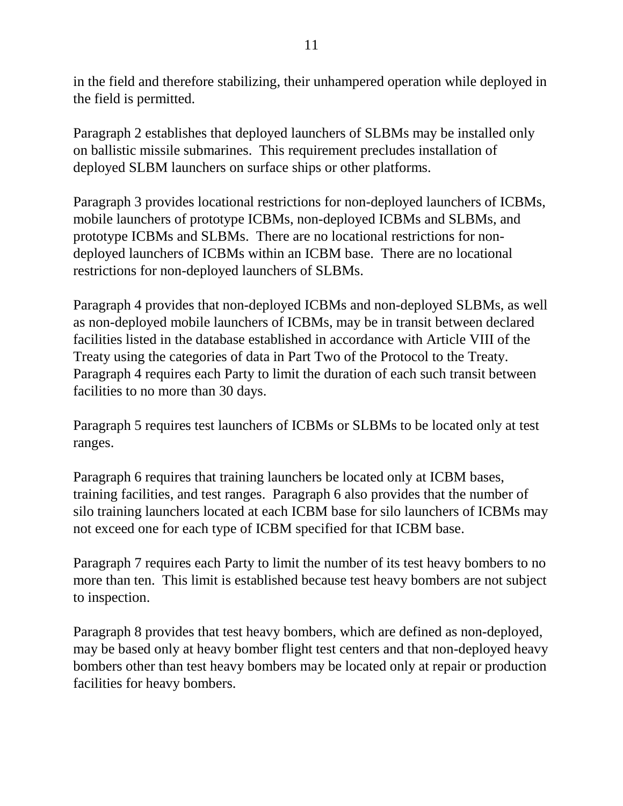in the field and therefore stabilizing, their unhampered operation while deployed in the field is permitted.

Paragraph 2 establishes that deployed launchers of SLBMs may be installed only on ballistic missile submarines. This requirement precludes installation of deployed SLBM launchers on surface ships or other platforms.

Paragraph 3 provides locational restrictions for non-deployed launchers of ICBMs, mobile launchers of prototype ICBMs, non-deployed ICBMs and SLBMs, and prototype ICBMs and SLBMs. There are no locational restrictions for nondeployed launchers of ICBMs within an ICBM base. There are no locational restrictions for non-deployed launchers of SLBMs.

Paragraph 4 provides that non-deployed ICBMs and non-deployed SLBMs, as well as non-deployed mobile launchers of ICBMs, may be in transit between declared facilities listed in the database established in accordance with Article VIII of the Treaty using the categories of data in Part Two of the Protocol to the Treaty. Paragraph 4 requires each Party to limit the duration of each such transit between facilities to no more than 30 days.

Paragraph 5 requires test launchers of ICBMs or SLBMs to be located only at test ranges.

Paragraph 6 requires that training launchers be located only at ICBM bases, training facilities, and test ranges. Paragraph 6 also provides that the number of silo training launchers located at each ICBM base for silo launchers of ICBMs may not exceed one for each type of ICBM specified for that ICBM base.

Paragraph 7 requires each Party to limit the number of its test heavy bombers to no more than ten. This limit is established because test heavy bombers are not subject to inspection.

Paragraph 8 provides that test heavy bombers, which are defined as non-deployed, may be based only at heavy bomber flight test centers and that non-deployed heavy bombers other than test heavy bombers may be located only at repair or production facilities for heavy bombers.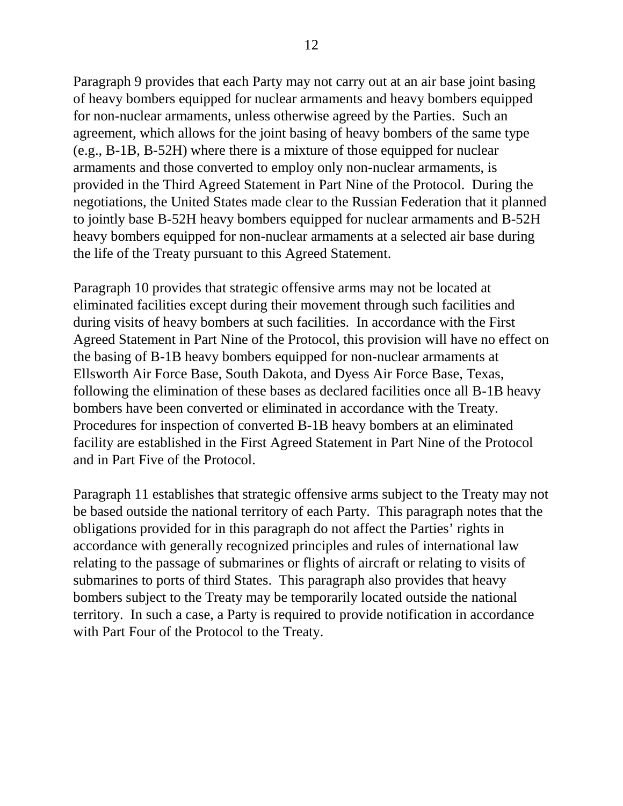Paragraph 9 provides that each Party may not carry out at an air base joint basing of heavy bombers equipped for nuclear armaments and heavy bombers equipped for non-nuclear armaments, unless otherwise agreed by the Parties. Such an agreement, which allows for the joint basing of heavy bombers of the same type (e.g., B-1B, B-52H) where there is a mixture of those equipped for nuclear armaments and those converted to employ only non-nuclear armaments, is provided in the Third Agreed Statement in Part Nine of the Protocol. During the negotiations, the United States made clear to the Russian Federation that it planned to jointly base B-52H heavy bombers equipped for nuclear armaments and B-52H heavy bombers equipped for non-nuclear armaments at a selected air base during the life of the Treaty pursuant to this Agreed Statement.

Paragraph 10 provides that strategic offensive arms may not be located at eliminated facilities except during their movement through such facilities and during visits of heavy bombers at such facilities. In accordance with the First Agreed Statement in Part Nine of the Protocol, this provision will have no effect on the basing of B-1B heavy bombers equipped for non-nuclear armaments at Ellsworth Air Force Base, South Dakota, and Dyess Air Force Base, Texas, following the elimination of these bases as declared facilities once all B-1B heavy bombers have been converted or eliminated in accordance with the Treaty. Procedures for inspection of converted B-1B heavy bombers at an eliminated facility are established in the First Agreed Statement in Part Nine of the Protocol and in Part Five of the Protocol.

Paragraph 11 establishes that strategic offensive arms subject to the Treaty may not be based outside the national territory of each Party. This paragraph notes that the obligations provided for in this paragraph do not affect the Parties' rights in accordance with generally recognized principles and rules of international law relating to the passage of submarines or flights of aircraft or relating to visits of submarines to ports of third States. This paragraph also provides that heavy bombers subject to the Treaty may be temporarily located outside the national territory. In such a case, a Party is required to provide notification in accordance with Part Four of the Protocol to the Treaty.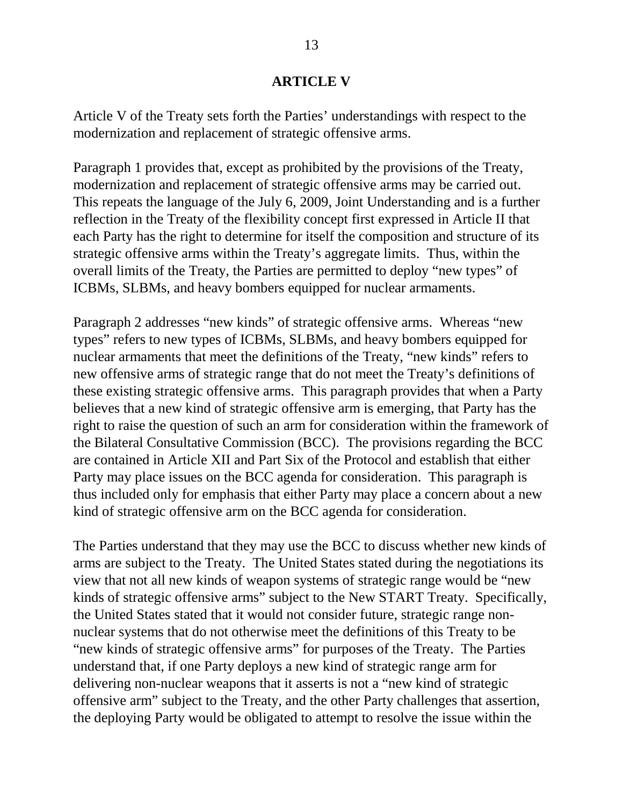### **ARTICLE V**

Article V of the Treaty sets forth the Parties' understandings with respect to the modernization and replacement of strategic offensive arms.

Paragraph 1 provides that, except as prohibited by the provisions of the Treaty, modernization and replacement of strategic offensive arms may be carried out. This repeats the language of the July 6, 2009, Joint Understanding and is a further reflection in the Treaty of the flexibility concept first expressed in Article II that each Party has the right to determine for itself the composition and structure of its strategic offensive arms within the Treaty's aggregate limits. Thus, within the overall limits of the Treaty, the Parties are permitted to deploy "new types" of ICBMs, SLBMs, and heavy bombers equipped for nuclear armaments.

Paragraph 2 addresses "new kinds" of strategic offensive arms. Whereas "new types" refers to new types of ICBMs, SLBMs, and heavy bombers equipped for nuclear armaments that meet the definitions of the Treaty, "new kinds" refers to new offensive arms of strategic range that do not meet the Treaty's definitions of these existing strategic offensive arms. This paragraph provides that when a Party believes that a new kind of strategic offensive arm is emerging, that Party has the right to raise the question of such an arm for consideration within the framework of the Bilateral Consultative Commission (BCC). The provisions regarding the BCC are contained in Article XII and Part Six of the Protocol and establish that either Party may place issues on the BCC agenda for consideration. This paragraph is thus included only for emphasis that either Party may place a concern about a new kind of strategic offensive arm on the BCC agenda for consideration.

The Parties understand that they may use the BCC to discuss whether new kinds of arms are subject to the Treaty. The United States stated during the negotiations its view that not all new kinds of weapon systems of strategic range would be "new kinds of strategic offensive arms" subject to the New START Treaty. Specifically, the United States stated that it would not consider future, strategic range nonnuclear systems that do not otherwise meet the definitions of this Treaty to be "new kinds of strategic offensive arms" for purposes of the Treaty. The Parties understand that, if one Party deploys a new kind of strategic range arm for delivering non-nuclear weapons that it asserts is not a "new kind of strategic offensive arm" subject to the Treaty, and the other Party challenges that assertion, the deploying Party would be obligated to attempt to resolve the issue within the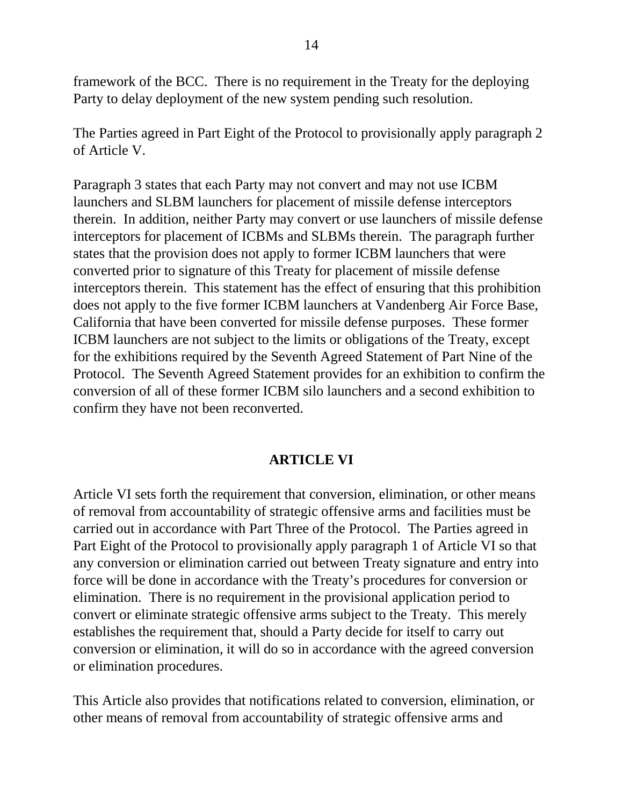framework of the BCC. There is no requirement in the Treaty for the deploying Party to delay deployment of the new system pending such resolution.

The Parties agreed in Part Eight of the Protocol to provisionally apply paragraph 2 of Article V.

Paragraph 3 states that each Party may not convert and may not use ICBM launchers and SLBM launchers for placement of missile defense interceptors therein. In addition, neither Party may convert or use launchers of missile defense interceptors for placement of ICBMs and SLBMs therein. The paragraph further states that the provision does not apply to former ICBM launchers that were converted prior to signature of this Treaty for placement of missile defense interceptors therein. This statement has the effect of ensuring that this prohibition does not apply to the five former ICBM launchers at Vandenberg Air Force Base, California that have been converted for missile defense purposes. These former ICBM launchers are not subject to the limits or obligations of the Treaty, except for the exhibitions required by the Seventh Agreed Statement of Part Nine of the Protocol. The Seventh Agreed Statement provides for an exhibition to confirm the conversion of all of these former ICBM silo launchers and a second exhibition to confirm they have not been reconverted.

## **ARTICLE VI**

Article VI sets forth the requirement that conversion, elimination, or other means of removal from accountability of strategic offensive arms and facilities must be carried out in accordance with Part Three of the Protocol. The Parties agreed in Part Eight of the Protocol to provisionally apply paragraph 1 of Article VI so that any conversion or elimination carried out between Treaty signature and entry into force will be done in accordance with the Treaty's procedures for conversion or elimination. There is no requirement in the provisional application period to convert or eliminate strategic offensive arms subject to the Treaty. This merely establishes the requirement that, should a Party decide for itself to carry out conversion or elimination, it will do so in accordance with the agreed conversion or elimination procedures.

This Article also provides that notifications related to conversion, elimination, or other means of removal from accountability of strategic offensive arms and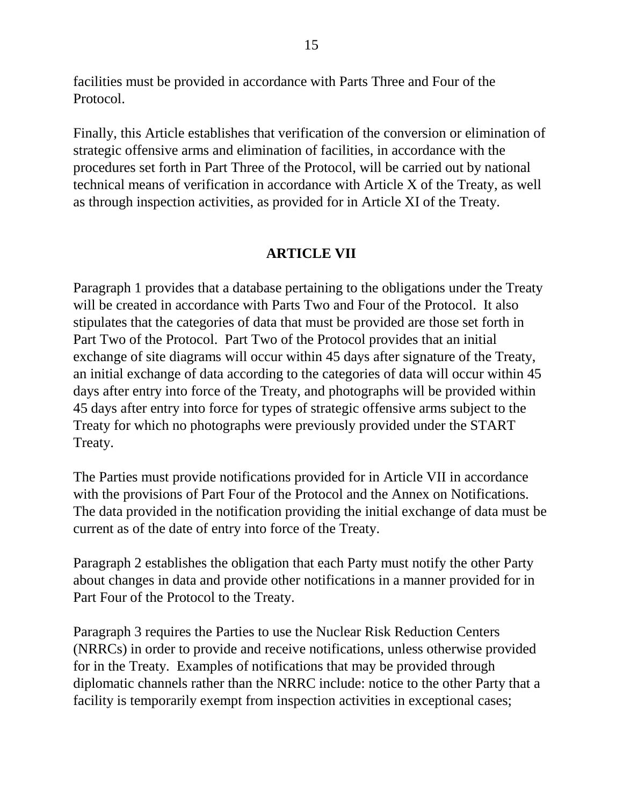facilities must be provided in accordance with Parts Three and Four of the Protocol.

Finally, this Article establishes that verification of the conversion or elimination of strategic offensive arms and elimination of facilities, in accordance with the procedures set forth in Part Three of the Protocol, will be carried out by national technical means of verification in accordance with Article X of the Treaty, as well as through inspection activities, as provided for in Article XI of the Treaty.

## **ARTICLE VII**

Paragraph 1 provides that a database pertaining to the obligations under the Treaty will be created in accordance with Parts Two and Four of the Protocol. It also stipulates that the categories of data that must be provided are those set forth in Part Two of the Protocol. Part Two of the Protocol provides that an initial exchange of site diagrams will occur within 45 days after signature of the Treaty, an initial exchange of data according to the categories of data will occur within 45 days after entry into force of the Treaty, and photographs will be provided within 45 days after entry into force for types of strategic offensive arms subject to the Treaty for which no photographs were previously provided under the START Treaty.

The Parties must provide notifications provided for in Article VII in accordance with the provisions of Part Four of the Protocol and the Annex on Notifications. The data provided in the notification providing the initial exchange of data must be current as of the date of entry into force of the Treaty.

Paragraph 2 establishes the obligation that each Party must notify the other Party about changes in data and provide other notifications in a manner provided for in Part Four of the Protocol to the Treaty.

Paragraph 3 requires the Parties to use the Nuclear Risk Reduction Centers (NRRCs) in order to provide and receive notifications, unless otherwise provided for in the Treaty. Examples of notifications that may be provided through diplomatic channels rather than the NRRC include: notice to the other Party that a facility is temporarily exempt from inspection activities in exceptional cases;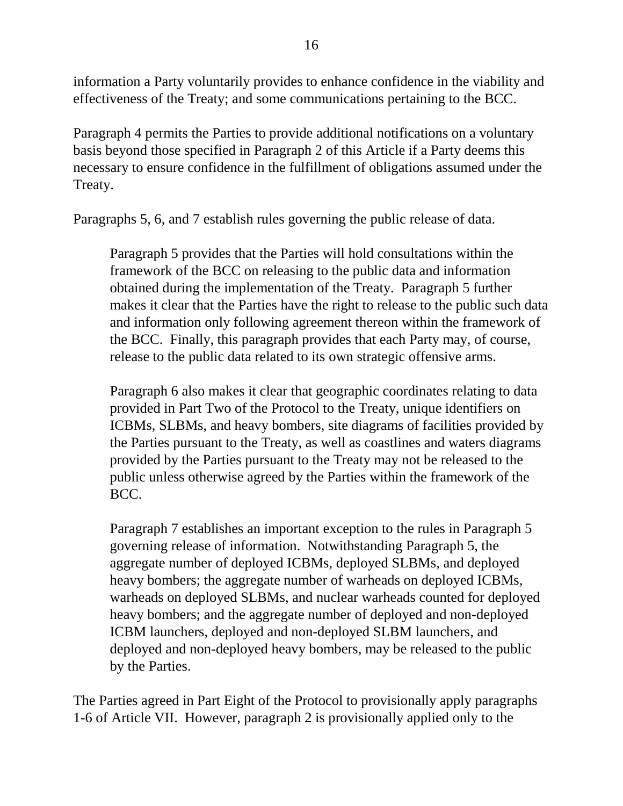information a Party voluntarily provides to enhance confidence in the viability and effectiveness of the Treaty; and some communications pertaining to the BCC.

Paragraph 4 permits the Parties to provide additional notifications on a voluntary basis beyond those specified in Paragraph 2 of this Article if a Party deems this necessary to ensure confidence in the fulfillment of obligations assumed under the Treaty.

Paragraphs 5, 6, and 7 establish rules governing the public release of data.

Paragraph 5 provides that the Parties will hold consultations within the framework of the BCC on releasing to the public data and information obtained during the implementation of the Treaty. Paragraph 5 further makes it clear that the Parties have the right to release to the public such data and information only following agreement thereon within the framework of the BCC. Finally, this paragraph provides that each Party may, of course, release to the public data related to its own strategic offensive arms.

Paragraph 6 also makes it clear that geographic coordinates relating to data provided in Part Two of the Protocol to the Treaty, unique identifiers on ICBMs, SLBMs, and heavy bombers, site diagrams of facilities provided by the Parties pursuant to the Treaty, as well as coastlines and waters diagrams provided by the Parties pursuant to the Treaty may not be released to the public unless otherwise agreed by the Parties within the framework of the BCC.

Paragraph 7 establishes an important exception to the rules in Paragraph 5 governing release of information. Notwithstanding Paragraph 5, the aggregate number of deployed ICBMs, deployed SLBMs, and deployed heavy bombers; the aggregate number of warheads on deployed ICBMs, warheads on deployed SLBMs, and nuclear warheads counted for deployed heavy bombers; and the aggregate number of deployed and non-deployed ICBM launchers, deployed and non-deployed SLBM launchers, and deployed and non-deployed heavy bombers, may be released to the public by the Parties.

The Parties agreed in Part Eight of the Protocol to provisionally apply paragraphs 1-6 of Article VII. However, paragraph 2 is provisionally applied only to the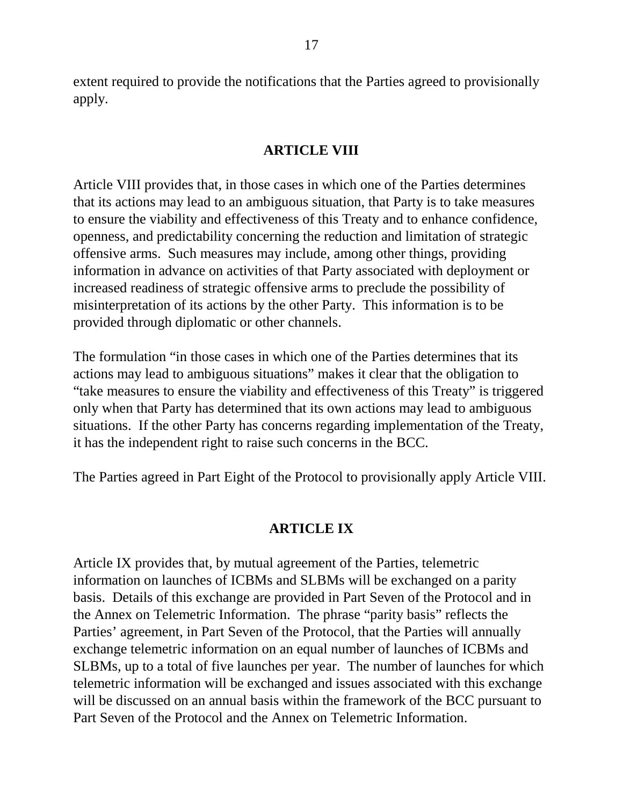extent required to provide the notifications that the Parties agreed to provisionally apply.

### **ARTICLE VIII**

Article VIII provides that, in those cases in which one of the Parties determines that its actions may lead to an ambiguous situation, that Party is to take measures to ensure the viability and effectiveness of this Treaty and to enhance confidence, openness, and predictability concerning the reduction and limitation of strategic offensive arms. Such measures may include, among other things, providing information in advance on activities of that Party associated with deployment or increased readiness of strategic offensive arms to preclude the possibility of misinterpretation of its actions by the other Party. This information is to be provided through diplomatic or other channels.

The formulation "in those cases in which one of the Parties determines that its actions may lead to ambiguous situations" makes it clear that the obligation to "take measures to ensure the viability and effectiveness of this Treaty" is triggered only when that Party has determined that its own actions may lead to ambiguous situations. If the other Party has concerns regarding implementation of the Treaty, it has the independent right to raise such concerns in the BCC.

The Parties agreed in Part Eight of the Protocol to provisionally apply Article VIII.

#### **ARTICLE IX**

Article IX provides that, by mutual agreement of the Parties, telemetric information on launches of ICBMs and SLBMs will be exchanged on a parity basis. Details of this exchange are provided in Part Seven of the Protocol and in the Annex on Telemetric Information. The phrase "parity basis" reflects the Parties' agreement, in Part Seven of the Protocol, that the Parties will annually exchange telemetric information on an equal number of launches of ICBMs and SLBMs, up to a total of five launches per year. The number of launches for which telemetric information will be exchanged and issues associated with this exchange will be discussed on an annual basis within the framework of the BCC pursuant to Part Seven of the Protocol and the Annex on Telemetric Information.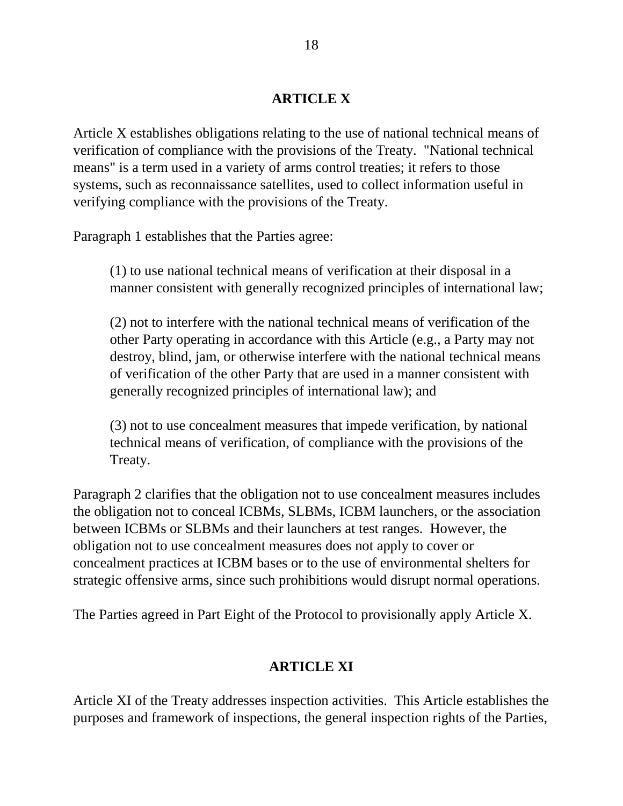### **ARTICLE X**

Article X establishes obligations relating to the use of national technical means of verification of compliance with the provisions of the Treaty. "National technical means" is a term used in a variety of arms control treaties; it refers to those systems, such as reconnaissance satellites, used to collect information useful in verifying compliance with the provisions of the Treaty.

Paragraph 1 establishes that the Parties agree:

(1) to use national technical means of verification at their disposal in a manner consistent with generally recognized principles of international law;

(2) not to interfere with the national technical means of verification of the other Party operating in accordance with this Article (e.g., a Party may not destroy, blind, jam, or otherwise interfere with the national technical means of verification of the other Party that are used in a manner consistent with generally recognized principles of international law); and

(3) not to use concealment measures that impede verification, by national technical means of verification, of compliance with the provisions of the Treaty.

Paragraph 2 clarifies that the obligation not to use concealment measures includes the obligation not to conceal ICBMs, SLBMs, ICBM launchers, or the association between ICBMs or SLBMs and their launchers at test ranges. However, the obligation not to use concealment measures does not apply to cover or concealment practices at ICBM bases or to the use of environmental shelters for strategic offensive arms, since such prohibitions would disrupt normal operations.

The Parties agreed in Part Eight of the Protocol to provisionally apply Article X.

### **ARTICLE XI**

Article XI of the Treaty addresses inspection activities. This Article establishes the purposes and framework of inspections, the general inspection rights of the Parties,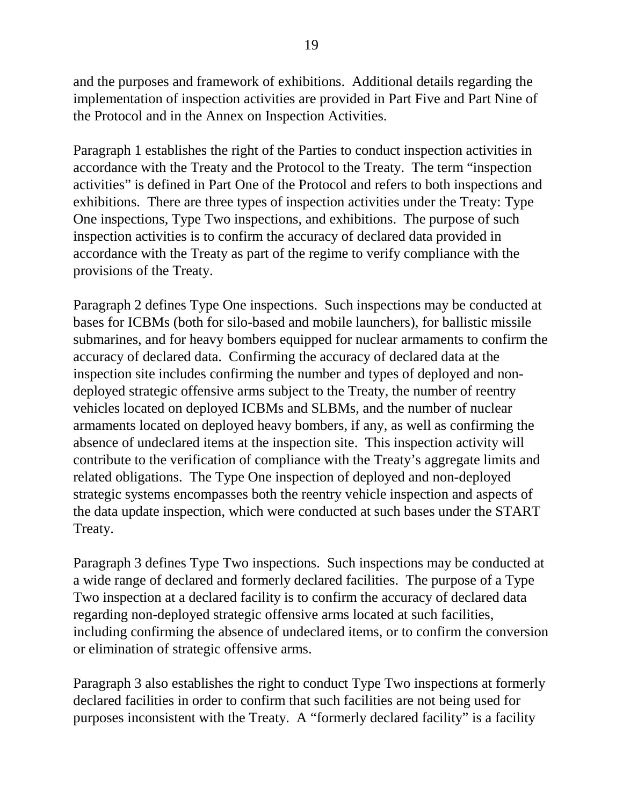and the purposes and framework of exhibitions. Additional details regarding the implementation of inspection activities are provided in Part Five and Part Nine of the Protocol and in the Annex on Inspection Activities.

Paragraph 1 establishes the right of the Parties to conduct inspection activities in accordance with the Treaty and the Protocol to the Treaty. The term "inspection activities" is defined in Part One of the Protocol and refers to both inspections and exhibitions. There are three types of inspection activities under the Treaty: Type One inspections, Type Two inspections, and exhibitions. The purpose of such inspection activities is to confirm the accuracy of declared data provided in accordance with the Treaty as part of the regime to verify compliance with the provisions of the Treaty.

Paragraph 2 defines Type One inspections. Such inspections may be conducted at bases for ICBMs (both for silo-based and mobile launchers), for ballistic missile submarines, and for heavy bombers equipped for nuclear armaments to confirm the accuracy of declared data. Confirming the accuracy of declared data at the inspection site includes confirming the number and types of deployed and nondeployed strategic offensive arms subject to the Treaty, the number of reentry vehicles located on deployed ICBMs and SLBMs, and the number of nuclear armaments located on deployed heavy bombers, if any, as well as confirming the absence of undeclared items at the inspection site. This inspection activity will contribute to the verification of compliance with the Treaty's aggregate limits and related obligations. The Type One inspection of deployed and non-deployed strategic systems encompasses both the reentry vehicle inspection and aspects of the data update inspection, which were conducted at such bases under the START Treaty.

Paragraph 3 defines Type Two inspections. Such inspections may be conducted at a wide range of declared and formerly declared facilities. The purpose of a Type Two inspection at a declared facility is to confirm the accuracy of declared data regarding non-deployed strategic offensive arms located at such facilities, including confirming the absence of undeclared items, or to confirm the conversion or elimination of strategic offensive arms.

Paragraph 3 also establishes the right to conduct Type Two inspections at formerly declared facilities in order to confirm that such facilities are not being used for purposes inconsistent with the Treaty. A "formerly declared facility" is a facility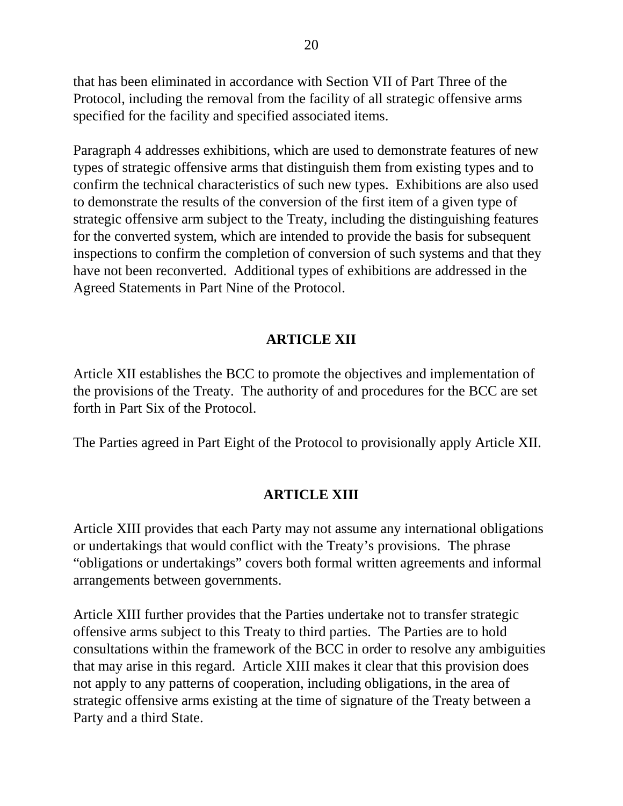that has been eliminated in accordance with Section VII of Part Three of the Protocol, including the removal from the facility of all strategic offensive arms specified for the facility and specified associated items.

Paragraph 4 addresses exhibitions, which are used to demonstrate features of new types of strategic offensive arms that distinguish them from existing types and to confirm the technical characteristics of such new types. Exhibitions are also used to demonstrate the results of the conversion of the first item of a given type of strategic offensive arm subject to the Treaty, including the distinguishing features for the converted system, which are intended to provide the basis for subsequent inspections to confirm the completion of conversion of such systems and that they have not been reconverted. Additional types of exhibitions are addressed in the Agreed Statements in Part Nine of the Protocol.

## **ARTICLE XII**

Article XII establishes the BCC to promote the objectives and implementation of the provisions of the Treaty. The authority of and procedures for the BCC are set forth in Part Six of the Protocol.

The Parties agreed in Part Eight of the Protocol to provisionally apply Article XII.

### **ARTICLE XIII**

Article XIII provides that each Party may not assume any international obligations or undertakings that would conflict with the Treaty's provisions. The phrase "obligations or undertakings" covers both formal written agreements and informal arrangements between governments.

Article XIII further provides that the Parties undertake not to transfer strategic offensive arms subject to this Treaty to third parties. The Parties are to hold consultations within the framework of the BCC in order to resolve any ambiguities that may arise in this regard. Article XIII makes it clear that this provision does not apply to any patterns of cooperation, including obligations, in the area of strategic offensive arms existing at the time of signature of the Treaty between a Party and a third State.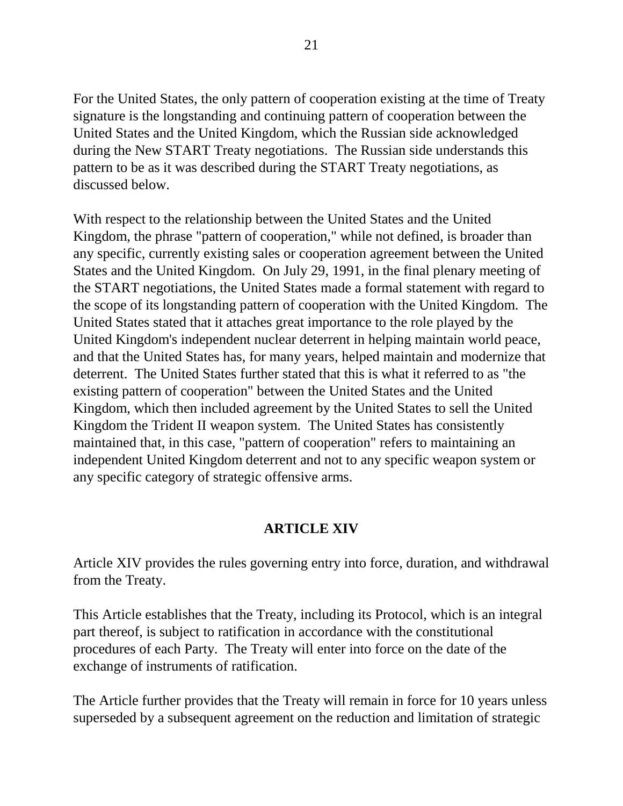For the United States, the only pattern of cooperation existing at the time of Treaty signature is the longstanding and continuing pattern of cooperation between the United States and the United Kingdom, which the Russian side acknowledged during the New START Treaty negotiations. The Russian side understands this pattern to be as it was described during the START Treaty negotiations, as discussed below.

With respect to the relationship between the United States and the United Kingdom, the phrase "pattern of cooperation," while not defined, is broader than any specific, currently existing sales or cooperation agreement between the United States and the United Kingdom. On July 29, 1991, in the final plenary meeting of the START negotiations, the United States made a formal statement with regard to the scope of its longstanding pattern of cooperation with the United Kingdom. The United States stated that it attaches great importance to the role played by the United Kingdom's independent nuclear deterrent in helping maintain world peace, and that the United States has, for many years, helped maintain and modernize that deterrent. The United States further stated that this is what it referred to as "the existing pattern of cooperation" between the United States and the United Kingdom, which then included agreement by the United States to sell the United Kingdom the Trident II weapon system. The United States has consistently maintained that, in this case, "pattern of cooperation" refers to maintaining an independent United Kingdom deterrent and not to any specific weapon system or any specific category of strategic offensive arms.

### **ARTICLE XIV**

Article XIV provides the rules governing entry into force, duration, and withdrawal from the Treaty.

This Article establishes that the Treaty, including its Protocol, which is an integral part thereof, is subject to ratification in accordance with the constitutional procedures of each Party. The Treaty will enter into force on the date of the exchange of instruments of ratification.

The Article further provides that the Treaty will remain in force for 10 years unless superseded by a subsequent agreement on the reduction and limitation of strategic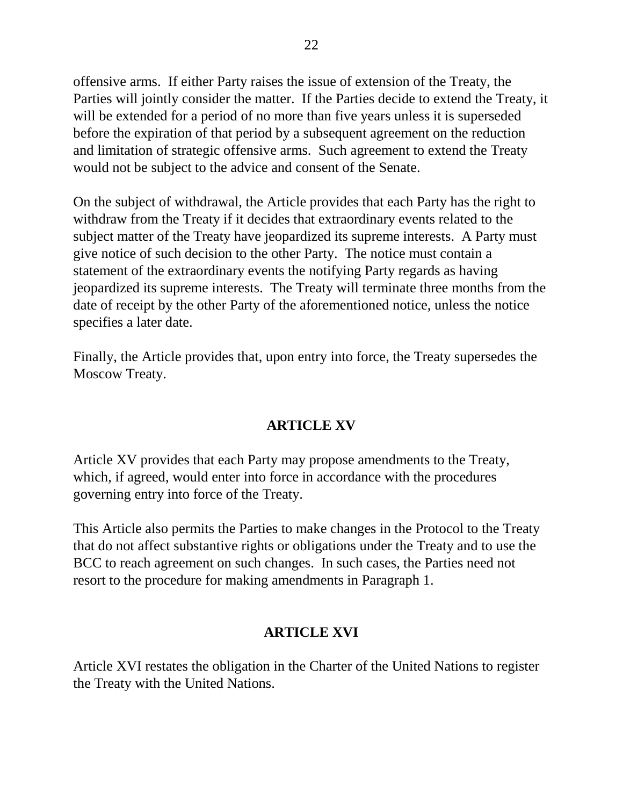offensive arms. If either Party raises the issue of extension of the Treaty, the Parties will jointly consider the matter. If the Parties decide to extend the Treaty, it will be extended for a period of no more than five years unless it is superseded before the expiration of that period by a subsequent agreement on the reduction and limitation of strategic offensive arms. Such agreement to extend the Treaty would not be subject to the advice and consent of the Senate.

On the subject of withdrawal, the Article provides that each Party has the right to withdraw from the Treaty if it decides that extraordinary events related to the subject matter of the Treaty have jeopardized its supreme interests. A Party must give notice of such decision to the other Party. The notice must contain a statement of the extraordinary events the notifying Party regards as having jeopardized its supreme interests. The Treaty will terminate three months from the date of receipt by the other Party of the aforementioned notice, unless the notice specifies a later date.

Finally, the Article provides that, upon entry into force, the Treaty supersedes the Moscow Treaty.

## **ARTICLE XV**

Article XV provides that each Party may propose amendments to the Treaty, which, if agreed, would enter into force in accordance with the procedures governing entry into force of the Treaty.

This Article also permits the Parties to make changes in the Protocol to the Treaty that do not affect substantive rights or obligations under the Treaty and to use the BCC to reach agreement on such changes. In such cases, the Parties need not resort to the procedure for making amendments in Paragraph 1.

## **ARTICLE XVI**

Article XVI restates the obligation in the Charter of the United Nations to register the Treaty with the United Nations.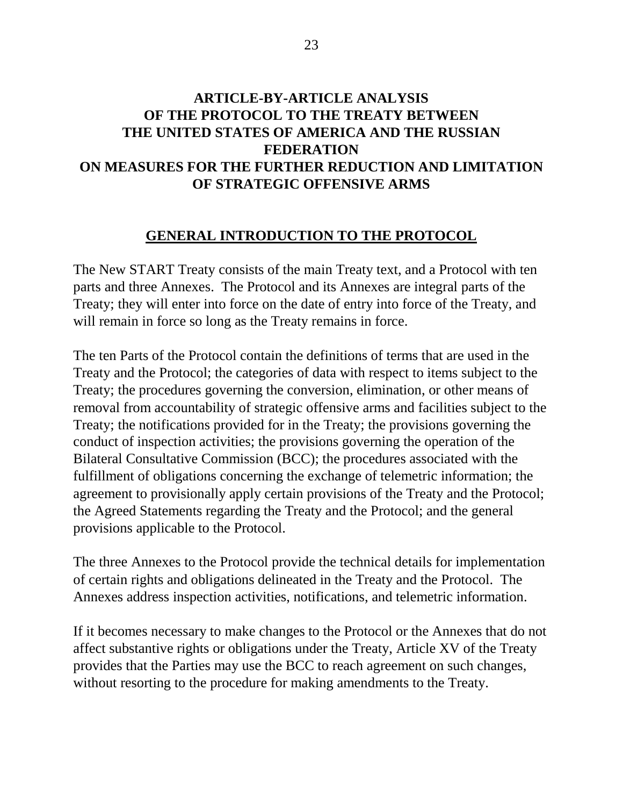# **ARTICLE-BY-ARTICLE ANALYSIS OF THE PROTOCOL TO THE TREATY BETWEEN THE UNITED STATES OF AMERICA AND THE RUSSIAN FEDERATION ON MEASURES FOR THE FURTHER REDUCTION AND LIMITATION OF STRATEGIC OFFENSIVE ARMS**

### **GENERAL INTRODUCTION TO THE PROTOCOL**

The New START Treaty consists of the main Treaty text, and a Protocol with ten parts and three Annexes. The Protocol and its Annexes are integral parts of the Treaty; they will enter into force on the date of entry into force of the Treaty, and will remain in force so long as the Treaty remains in force.

The ten Parts of the Protocol contain the definitions of terms that are used in the Treaty and the Protocol; the categories of data with respect to items subject to the Treaty; the procedures governing the conversion, elimination, or other means of removal from accountability of strategic offensive arms and facilities subject to the Treaty; the notifications provided for in the Treaty; the provisions governing the conduct of inspection activities; the provisions governing the operation of the Bilateral Consultative Commission (BCC); the procedures associated with the fulfillment of obligations concerning the exchange of telemetric information; the agreement to provisionally apply certain provisions of the Treaty and the Protocol; the Agreed Statements regarding the Treaty and the Protocol; and the general provisions applicable to the Protocol.

The three Annexes to the Protocol provide the technical details for implementation of certain rights and obligations delineated in the Treaty and the Protocol. The Annexes address inspection activities, notifications, and telemetric information.

If it becomes necessary to make changes to the Protocol or the Annexes that do not affect substantive rights or obligations under the Treaty, Article XV of the Treaty provides that the Parties may use the BCC to reach agreement on such changes, without resorting to the procedure for making amendments to the Treaty.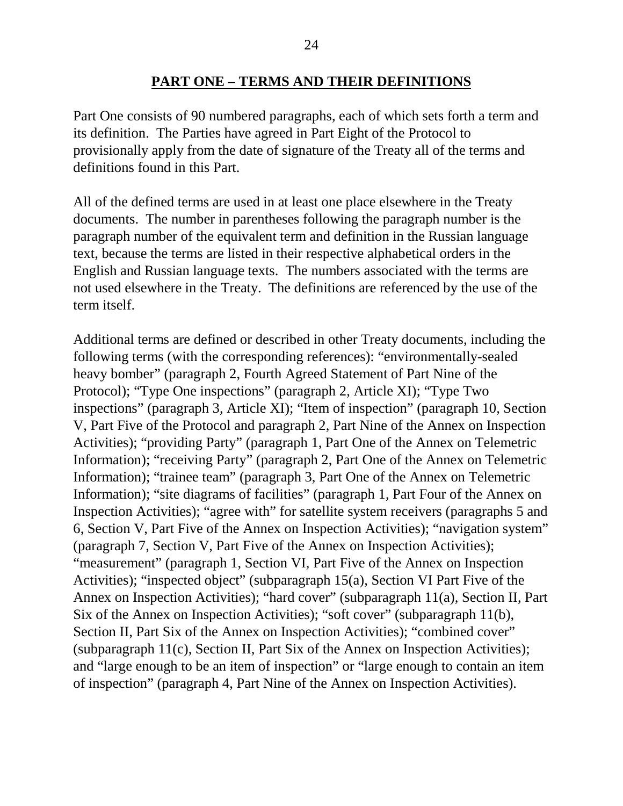### **PART ONE – TERMS AND THEIR DEFINITIONS**

Part One consists of 90 numbered paragraphs, each of which sets forth a term and its definition. The Parties have agreed in Part Eight of the Protocol to provisionally apply from the date of signature of the Treaty all of the terms and definitions found in this Part.

All of the defined terms are used in at least one place elsewhere in the Treaty documents. The number in parentheses following the paragraph number is the paragraph number of the equivalent term and definition in the Russian language text, because the terms are listed in their respective alphabetical orders in the English and Russian language texts. The numbers associated with the terms are not used elsewhere in the Treaty. The definitions are referenced by the use of the term itself.

Additional terms are defined or described in other Treaty documents, including the following terms (with the corresponding references): "environmentally-sealed heavy bomber" (paragraph 2, Fourth Agreed Statement of Part Nine of the Protocol); "Type One inspections" (paragraph 2, Article XI); "Type Two inspections" (paragraph 3, Article XI); "Item of inspection" (paragraph 10, Section V, Part Five of the Protocol and paragraph 2, Part Nine of the Annex on Inspection Activities); "providing Party" (paragraph 1, Part One of the Annex on Telemetric Information); "receiving Party" (paragraph 2, Part One of the Annex on Telemetric Information); "trainee team" (paragraph 3, Part One of the Annex on Telemetric Information); "site diagrams of facilities" (paragraph 1, Part Four of the Annex on Inspection Activities); "agree with" for satellite system receivers (paragraphs 5 and 6, Section V, Part Five of the Annex on Inspection Activities); "navigation system" (paragraph 7, Section V, Part Five of the Annex on Inspection Activities); "measurement" (paragraph 1, Section VI, Part Five of the Annex on Inspection Activities); "inspected object" (subparagraph 15(a), Section VI Part Five of the Annex on Inspection Activities); "hard cover" (subparagraph 11(a), Section II, Part Six of the Annex on Inspection Activities); "soft cover" (subparagraph 11(b), Section II, Part Six of the Annex on Inspection Activities); "combined cover" (subparagraph 11(c), Section II, Part Six of the Annex on Inspection Activities); and "large enough to be an item of inspection" or "large enough to contain an item of inspection" (paragraph 4, Part Nine of the Annex on Inspection Activities).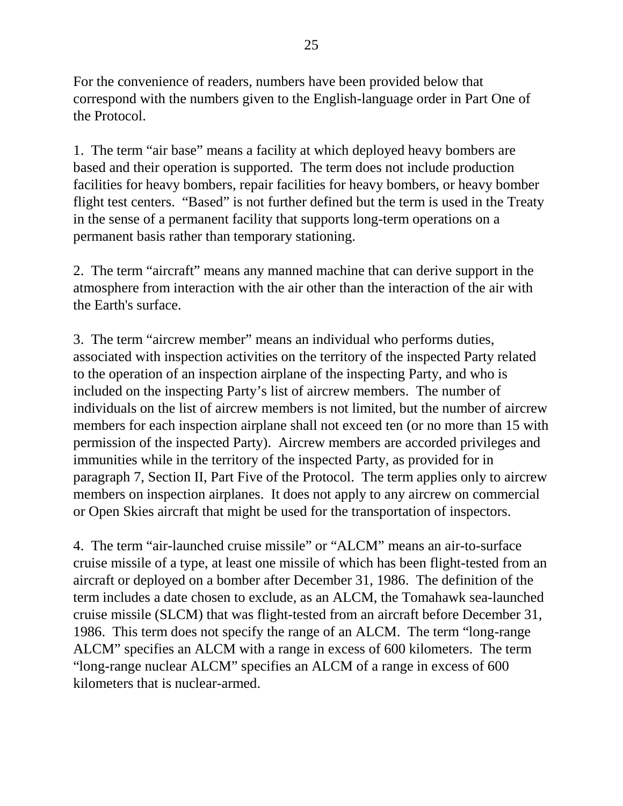For the convenience of readers, numbers have been provided below that correspond with the numbers given to the English-language order in Part One of the Protocol.

1. The term "air base" means a facility at which deployed heavy bombers are based and their operation is supported. The term does not include production facilities for heavy bombers, repair facilities for heavy bombers, or heavy bomber flight test centers. "Based" is not further defined but the term is used in the Treaty in the sense of a permanent facility that supports long-term operations on a permanent basis rather than temporary stationing.

2. The term "aircraft" means any manned machine that can derive support in the atmosphere from interaction with the air other than the interaction of the air with the Earth's surface.

3. The term "aircrew member" means an individual who performs duties, associated with inspection activities on the territory of the inspected Party related to the operation of an inspection airplane of the inspecting Party, and who is included on the inspecting Party's list of aircrew members. The number of individuals on the list of aircrew members is not limited, but the number of aircrew members for each inspection airplane shall not exceed ten (or no more than 15 with permission of the inspected Party). Aircrew members are accorded privileges and immunities while in the territory of the inspected Party, as provided for in paragraph 7, Section II, Part Five of the Protocol. The term applies only to aircrew members on inspection airplanes. It does not apply to any aircrew on commercial or Open Skies aircraft that might be used for the transportation of inspectors.

4. The term "air-launched cruise missile" or "ALCM" means an air-to-surface cruise missile of a type, at least one missile of which has been flight-tested from an aircraft or deployed on a bomber after December 31, 1986. The definition of the term includes a date chosen to exclude, as an ALCM, the Tomahawk sea-launched cruise missile (SLCM) that was flight-tested from an aircraft before December 31, 1986. This term does not specify the range of an ALCM. The term "long-range ALCM" specifies an ALCM with a range in excess of 600 kilometers. The term "long-range nuclear ALCM" specifies an ALCM of a range in excess of 600 kilometers that is nuclear-armed.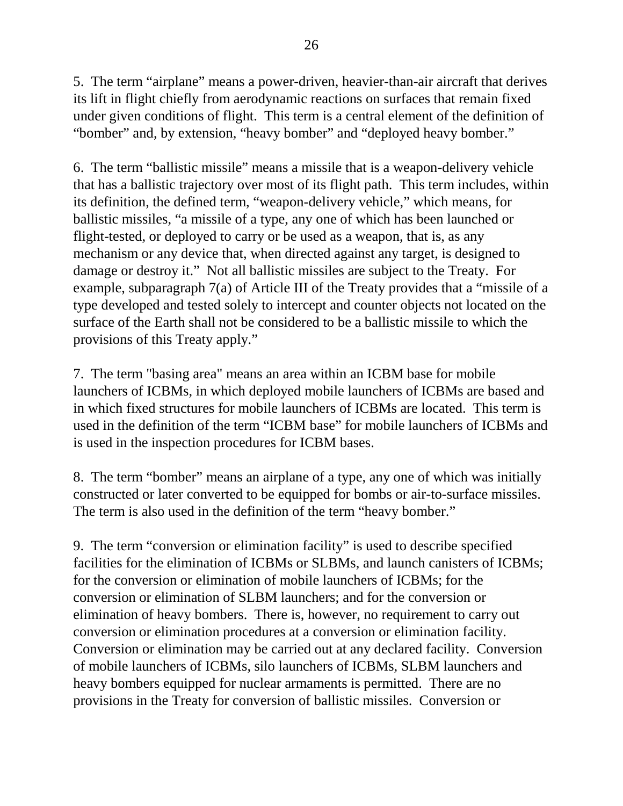5. The term "airplane" means a power-driven, heavier-than-air aircraft that derives its lift in flight chiefly from aerodynamic reactions on surfaces that remain fixed under given conditions of flight. This term is a central element of the definition of "bomber" and, by extension, "heavy bomber" and "deployed heavy bomber."

6. The term "ballistic missile" means a missile that is a weapon-delivery vehicle that has a ballistic trajectory over most of its flight path. This term includes, within its definition, the defined term, "weapon-delivery vehicle," which means, for ballistic missiles, "a missile of a type, any one of which has been launched or flight-tested, or deployed to carry or be used as a weapon, that is, as any mechanism or any device that, when directed against any target, is designed to damage or destroy it." Not all ballistic missiles are subject to the Treaty. For example, subparagraph 7(a) of Article III of the Treaty provides that a "missile of a type developed and tested solely to intercept and counter objects not located on the surface of the Earth shall not be considered to be a ballistic missile to which the provisions of this Treaty apply."

7. The term "basing area" means an area within an ICBM base for mobile launchers of ICBMs, in which deployed mobile launchers of ICBMs are based and in which fixed structures for mobile launchers of ICBMs are located. This term is used in the definition of the term "ICBM base" for mobile launchers of ICBMs and is used in the inspection procedures for ICBM bases.

8. The term "bomber" means an airplane of a type, any one of which was initially constructed or later converted to be equipped for bombs or air-to-surface missiles. The term is also used in the definition of the term "heavy bomber."

9. The term "conversion or elimination facility" is used to describe specified facilities for the elimination of ICBMs or SLBMs, and launch canisters of ICBMs; for the conversion or elimination of mobile launchers of ICBMs; for the conversion or elimination of SLBM launchers; and for the conversion or elimination of heavy bombers. There is, however, no requirement to carry out conversion or elimination procedures at a conversion or elimination facility. Conversion or elimination may be carried out at any declared facility. Conversion of mobile launchers of ICBMs, silo launchers of ICBMs, SLBM launchers and heavy bombers equipped for nuclear armaments is permitted. There are no provisions in the Treaty for conversion of ballistic missiles. Conversion or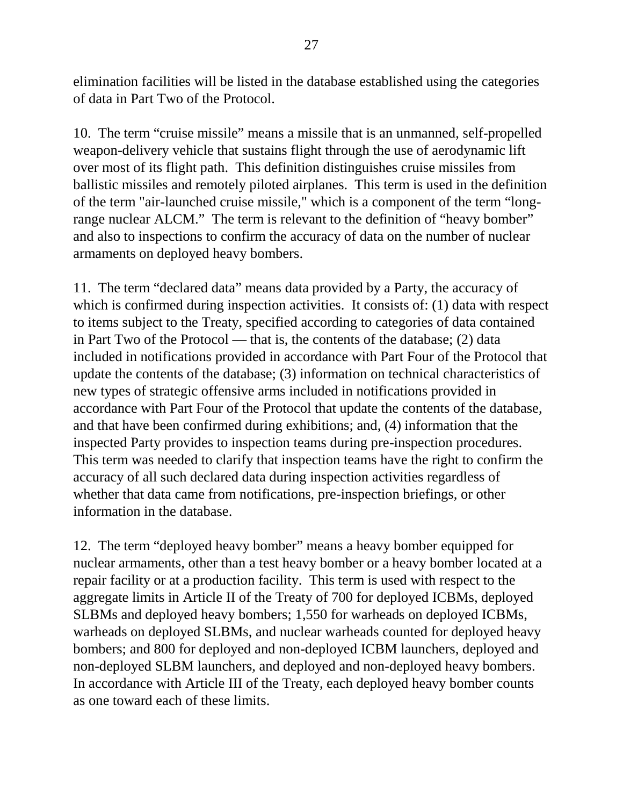elimination facilities will be listed in the database established using the categories of data in Part Two of the Protocol.

10. The term "cruise missile" means a missile that is an unmanned, self-propelled weapon-delivery vehicle that sustains flight through the use of aerodynamic lift over most of its flight path. This definition distinguishes cruise missiles from ballistic missiles and remotely piloted airplanes. This term is used in the definition of the term "air-launched cruise missile," which is a component of the term "longrange nuclear ALCM." The term is relevant to the definition of "heavy bomber" and also to inspections to confirm the accuracy of data on the number of nuclear armaments on deployed heavy bombers.

11. The term "declared data" means data provided by a Party, the accuracy of which is confirmed during inspection activities. It consists of: (1) data with respect to items subject to the Treaty, specified according to categories of data contained in Part Two of the Protocol — that is, the contents of the database; (2) data included in notifications provided in accordance with Part Four of the Protocol that update the contents of the database; (3) information on technical characteristics of new types of strategic offensive arms included in notifications provided in accordance with Part Four of the Protocol that update the contents of the database, and that have been confirmed during exhibitions; and, (4) information that the inspected Party provides to inspection teams during pre-inspection procedures. This term was needed to clarify that inspection teams have the right to confirm the accuracy of all such declared data during inspection activities regardless of whether that data came from notifications, pre-inspection briefings, or other information in the database.

12. The term "deployed heavy bomber" means a heavy bomber equipped for nuclear armaments, other than a test heavy bomber or a heavy bomber located at a repair facility or at a production facility. This term is used with respect to the aggregate limits in Article II of the Treaty of 700 for deployed ICBMs, deployed SLBMs and deployed heavy bombers; 1,550 for warheads on deployed ICBMs, warheads on deployed SLBMs, and nuclear warheads counted for deployed heavy bombers; and 800 for deployed and non-deployed ICBM launchers, deployed and non-deployed SLBM launchers, and deployed and non-deployed heavy bombers. In accordance with Article III of the Treaty, each deployed heavy bomber counts as one toward each of these limits.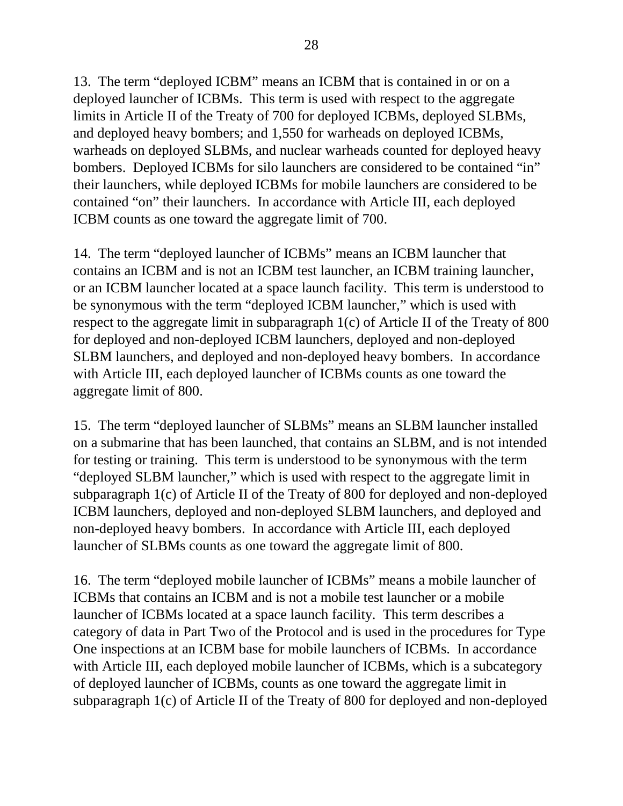13. The term "deployed ICBM" means an ICBM that is contained in or on a deployed launcher of ICBMs. This term is used with respect to the aggregate limits in Article II of the Treaty of 700 for deployed ICBMs, deployed SLBMs, and deployed heavy bombers; and 1,550 for warheads on deployed ICBMs, warheads on deployed SLBMs, and nuclear warheads counted for deployed heavy bombers. Deployed ICBMs for silo launchers are considered to be contained "in" their launchers, while deployed ICBMs for mobile launchers are considered to be contained "on" their launchers. In accordance with Article III, each deployed ICBM counts as one toward the aggregate limit of 700.

14. The term "deployed launcher of ICBMs" means an ICBM launcher that contains an ICBM and is not an ICBM test launcher, an ICBM training launcher, or an ICBM launcher located at a space launch facility. This term is understood to be synonymous with the term "deployed ICBM launcher," which is used with respect to the aggregate limit in subparagraph 1(c) of Article II of the Treaty of 800 for deployed and non-deployed ICBM launchers, deployed and non-deployed SLBM launchers, and deployed and non-deployed heavy bombers. In accordance with Article III, each deployed launcher of ICBMs counts as one toward the aggregate limit of 800.

15. The term "deployed launcher of SLBMs" means an SLBM launcher installed on a submarine that has been launched, that contains an SLBM, and is not intended for testing or training. This term is understood to be synonymous with the term "deployed SLBM launcher," which is used with respect to the aggregate limit in subparagraph 1(c) of Article II of the Treaty of 800 for deployed and non-deployed ICBM launchers, deployed and non-deployed SLBM launchers, and deployed and non-deployed heavy bombers. In accordance with Article III, each deployed launcher of SLBMs counts as one toward the aggregate limit of 800.

16. The term "deployed mobile launcher of ICBMs" means a mobile launcher of ICBMs that contains an ICBM and is not a mobile test launcher or a mobile launcher of ICBMs located at a space launch facility. This term describes a category of data in Part Two of the Protocol and is used in the procedures for Type One inspections at an ICBM base for mobile launchers of ICBMs. In accordance with Article III, each deployed mobile launcher of ICBMs, which is a subcategory of deployed launcher of ICBMs, counts as one toward the aggregate limit in subparagraph 1(c) of Article II of the Treaty of 800 for deployed and non-deployed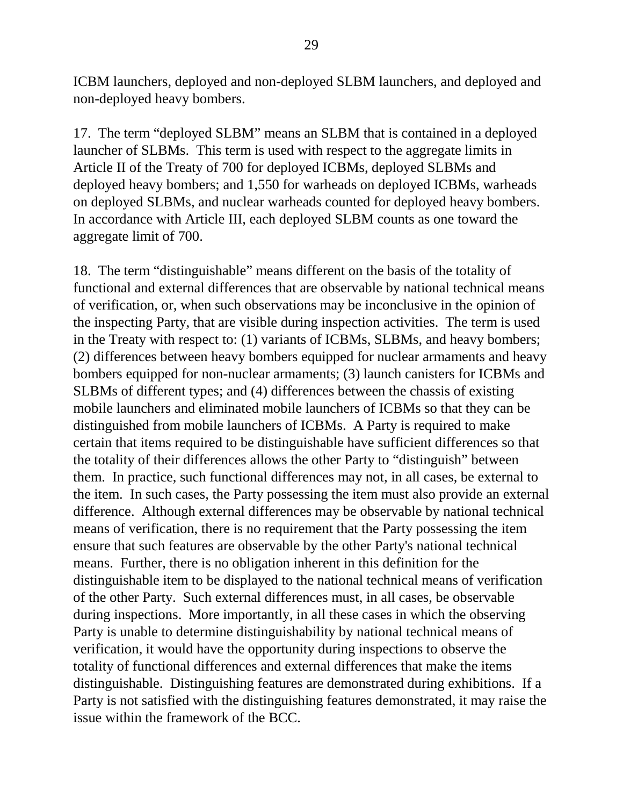ICBM launchers, deployed and non-deployed SLBM launchers, and deployed and non-deployed heavy bombers.

17. The term "deployed SLBM" means an SLBM that is contained in a deployed launcher of SLBMs. This term is used with respect to the aggregate limits in Article II of the Treaty of 700 for deployed ICBMs, deployed SLBMs and deployed heavy bombers; and 1,550 for warheads on deployed ICBMs, warheads on deployed SLBMs, and nuclear warheads counted for deployed heavy bombers. In accordance with Article III, each deployed SLBM counts as one toward the aggregate limit of 700.

18. The term "distinguishable" means different on the basis of the totality of functional and external differences that are observable by national technical means of verification, or, when such observations may be inconclusive in the opinion of the inspecting Party, that are visible during inspection activities. The term is used in the Treaty with respect to: (1) variants of ICBMs, SLBMs, and heavy bombers; (2) differences between heavy bombers equipped for nuclear armaments and heavy bombers equipped for non-nuclear armaments; (3) launch canisters for ICBMs and SLBMs of different types; and (4) differences between the chassis of existing mobile launchers and eliminated mobile launchers of ICBMs so that they can be distinguished from mobile launchers of ICBMs. A Party is required to make certain that items required to be distinguishable have sufficient differences so that the totality of their differences allows the other Party to "distinguish" between them. In practice, such functional differences may not, in all cases, be external to the item. In such cases, the Party possessing the item must also provide an external difference. Although external differences may be observable by national technical means of verification, there is no requirement that the Party possessing the item ensure that such features are observable by the other Party's national technical means. Further, there is no obligation inherent in this definition for the distinguishable item to be displayed to the national technical means of verification of the other Party. Such external differences must, in all cases, be observable during inspections. More importantly, in all these cases in which the observing Party is unable to determine distinguishability by national technical means of verification, it would have the opportunity during inspections to observe the totality of functional differences and external differences that make the items distinguishable. Distinguishing features are demonstrated during exhibitions. If a Party is not satisfied with the distinguishing features demonstrated, it may raise the issue within the framework of the BCC.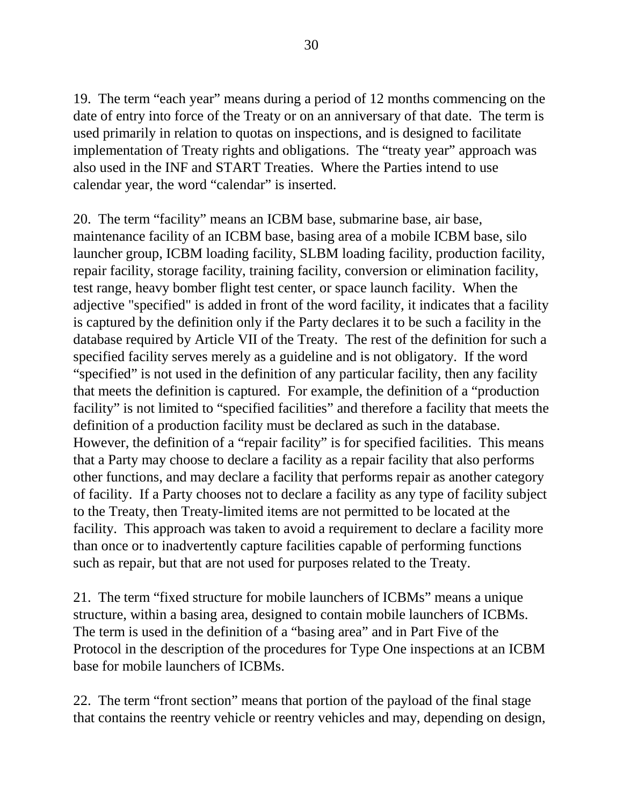19. The term "each year" means during a period of 12 months commencing on the date of entry into force of the Treaty or on an anniversary of that date. The term is used primarily in relation to quotas on inspections, and is designed to facilitate implementation of Treaty rights and obligations. The "treaty year" approach was also used in the INF and START Treaties. Where the Parties intend to use calendar year, the word "calendar" is inserted.

20. The term "facility" means an ICBM base, submarine base, air base, maintenance facility of an ICBM base, basing area of a mobile ICBM base, silo launcher group, ICBM loading facility, SLBM loading facility, production facility, repair facility, storage facility, training facility, conversion or elimination facility, test range, heavy bomber flight test center, or space launch facility. When the adjective "specified" is added in front of the word facility, it indicates that a facility is captured by the definition only if the Party declares it to be such a facility in the database required by Article VII of the Treaty. The rest of the definition for such a specified facility serves merely as a guideline and is not obligatory. If the word "specified" is not used in the definition of any particular facility, then any facility that meets the definition is captured. For example, the definition of a "production facility" is not limited to "specified facilities" and therefore a facility that meets the definition of a production facility must be declared as such in the database. However, the definition of a "repair facility" is for specified facilities. This means that a Party may choose to declare a facility as a repair facility that also performs other functions, and may declare a facility that performs repair as another category of facility. If a Party chooses not to declare a facility as any type of facility subject to the Treaty, then Treaty-limited items are not permitted to be located at the facility. This approach was taken to avoid a requirement to declare a facility more than once or to inadvertently capture facilities capable of performing functions such as repair, but that are not used for purposes related to the Treaty.

21. The term "fixed structure for mobile launchers of ICBMs" means a unique structure, within a basing area, designed to contain mobile launchers of ICBMs. The term is used in the definition of a "basing area" and in Part Five of the Protocol in the description of the procedures for Type One inspections at an ICBM base for mobile launchers of ICBMs.

22. The term "front section" means that portion of the payload of the final stage that contains the reentry vehicle or reentry vehicles and may, depending on design,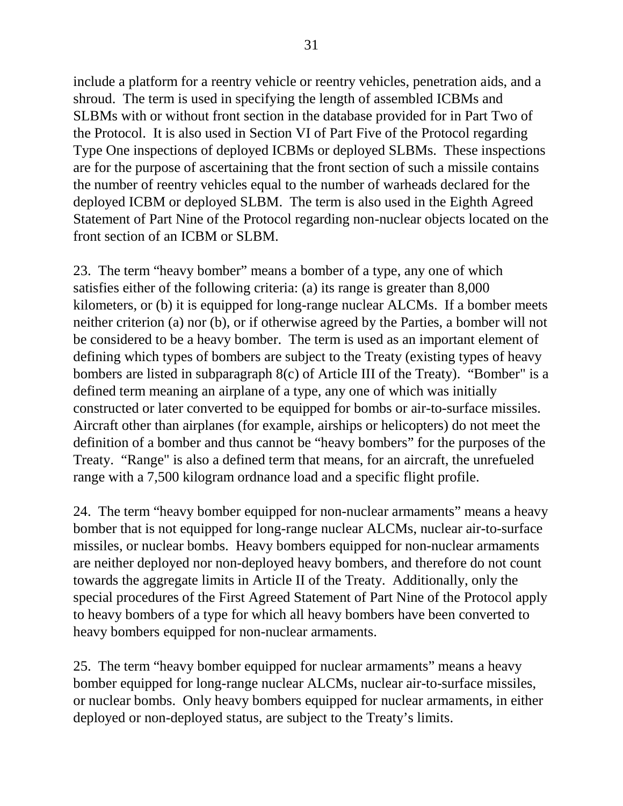include a platform for a reentry vehicle or reentry vehicles, penetration aids, and a shroud. The term is used in specifying the length of assembled ICBMs and SLBMs with or without front section in the database provided for in Part Two of the Protocol. It is also used in Section VI of Part Five of the Protocol regarding Type One inspections of deployed ICBMs or deployed SLBMs. These inspections are for the purpose of ascertaining that the front section of such a missile contains the number of reentry vehicles equal to the number of warheads declared for the deployed ICBM or deployed SLBM. The term is also used in the Eighth Agreed Statement of Part Nine of the Protocol regarding non-nuclear objects located on the front section of an ICBM or SLBM.

23. The term "heavy bomber" means a bomber of a type, any one of which satisfies either of the following criteria: (a) its range is greater than 8,000 kilometers, or (b) it is equipped for long-range nuclear ALCMs. If a bomber meets neither criterion (a) nor (b), or if otherwise agreed by the Parties, a bomber will not be considered to be a heavy bomber. The term is used as an important element of defining which types of bombers are subject to the Treaty (existing types of heavy bombers are listed in subparagraph 8(c) of Article III of the Treaty). "Bomber" is a defined term meaning an airplane of a type, any one of which was initially constructed or later converted to be equipped for bombs or air-to-surface missiles. Aircraft other than airplanes (for example, airships or helicopters) do not meet the definition of a bomber and thus cannot be "heavy bombers" for the purposes of the Treaty. "Range" is also a defined term that means, for an aircraft, the unrefueled range with a 7,500 kilogram ordnance load and a specific flight profile.

24. The term "heavy bomber equipped for non-nuclear armaments" means a heavy bomber that is not equipped for long-range nuclear ALCMs, nuclear air-to-surface missiles, or nuclear bombs. Heavy bombers equipped for non-nuclear armaments are neither deployed nor non-deployed heavy bombers, and therefore do not count towards the aggregate limits in Article II of the Treaty. Additionally, only the special procedures of the First Agreed Statement of Part Nine of the Protocol apply to heavy bombers of a type for which all heavy bombers have been converted to heavy bombers equipped for non-nuclear armaments.

25. The term "heavy bomber equipped for nuclear armaments" means a heavy bomber equipped for long-range nuclear ALCMs, nuclear air-to-surface missiles, or nuclear bombs. Only heavy bombers equipped for nuclear armaments, in either deployed or non-deployed status, are subject to the Treaty's limits.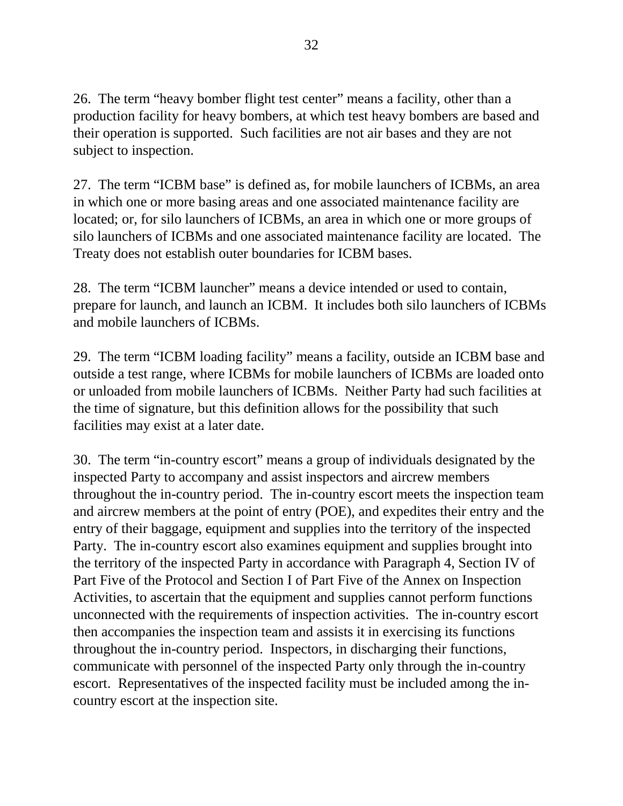26. The term "heavy bomber flight test center" means a facility, other than a production facility for heavy bombers, at which test heavy bombers are based and their operation is supported. Such facilities are not air bases and they are not subject to inspection.

27. The term "ICBM base" is defined as, for mobile launchers of ICBMs, an area in which one or more basing areas and one associated maintenance facility are located; or, for silo launchers of ICBMs, an area in which one or more groups of silo launchers of ICBMs and one associated maintenance facility are located. The Treaty does not establish outer boundaries for ICBM bases.

28. The term "ICBM launcher" means a device intended or used to contain, prepare for launch, and launch an ICBM. It includes both silo launchers of ICBMs and mobile launchers of ICBMs.

29. The term "ICBM loading facility" means a facility, outside an ICBM base and outside a test range, where ICBMs for mobile launchers of ICBMs are loaded onto or unloaded from mobile launchers of ICBMs. Neither Party had such facilities at the time of signature, but this definition allows for the possibility that such facilities may exist at a later date.

30. The term "in-country escort" means a group of individuals designated by the inspected Party to accompany and assist inspectors and aircrew members throughout the in-country period. The in-country escort meets the inspection team and aircrew members at the point of entry (POE), and expedites their entry and the entry of their baggage, equipment and supplies into the territory of the inspected Party. The in-country escort also examines equipment and supplies brought into the territory of the inspected Party in accordance with Paragraph 4, Section IV of Part Five of the Protocol and Section I of Part Five of the Annex on Inspection Activities, to ascertain that the equipment and supplies cannot perform functions unconnected with the requirements of inspection activities. The in-country escort then accompanies the inspection team and assists it in exercising its functions throughout the in-country period. Inspectors, in discharging their functions, communicate with personnel of the inspected Party only through the in-country escort. Representatives of the inspected facility must be included among the incountry escort at the inspection site.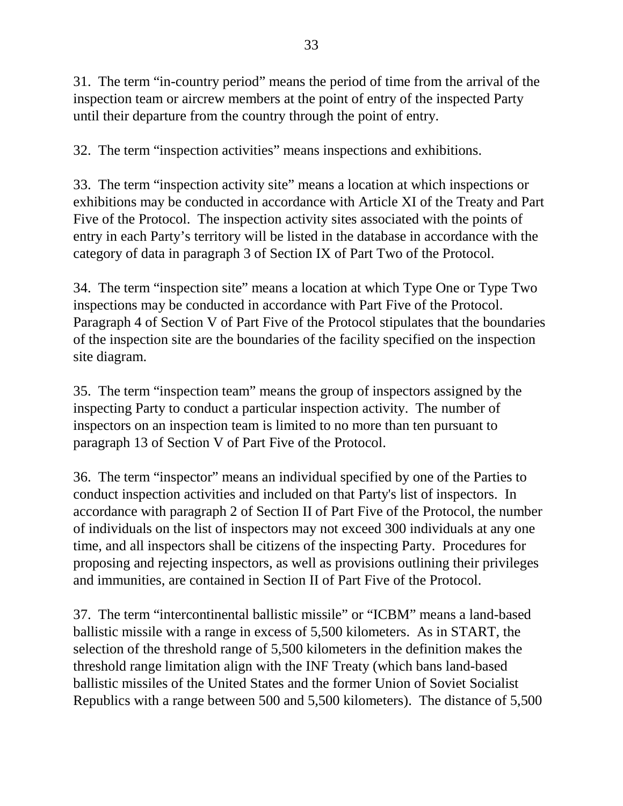31. The term "in-country period" means the period of time from the arrival of the inspection team or aircrew members at the point of entry of the inspected Party until their departure from the country through the point of entry.

32. The term "inspection activities" means inspections and exhibitions.

33. The term "inspection activity site" means a location at which inspections or exhibitions may be conducted in accordance with Article XI of the Treaty and Part Five of the Protocol. The inspection activity sites associated with the points of entry in each Party's territory will be listed in the database in accordance with the category of data in paragraph 3 of Section IX of Part Two of the Protocol.

34. The term "inspection site" means a location at which Type One or Type Two inspections may be conducted in accordance with Part Five of the Protocol. Paragraph 4 of Section V of Part Five of the Protocol stipulates that the boundaries of the inspection site are the boundaries of the facility specified on the inspection site diagram.

35. The term "inspection team" means the group of inspectors assigned by the inspecting Party to conduct a particular inspection activity. The number of inspectors on an inspection team is limited to no more than ten pursuant to paragraph 13 of Section V of Part Five of the Protocol.

36. The term "inspector" means an individual specified by one of the Parties to conduct inspection activities and included on that Party's list of inspectors. In accordance with paragraph 2 of Section II of Part Five of the Protocol, the number of individuals on the list of inspectors may not exceed 300 individuals at any one time, and all inspectors shall be citizens of the inspecting Party. Procedures for proposing and rejecting inspectors, as well as provisions outlining their privileges and immunities, are contained in Section II of Part Five of the Protocol.

37. The term "intercontinental ballistic missile" or "ICBM" means a land-based ballistic missile with a range in excess of 5,500 kilometers. As in START, the selection of the threshold range of 5,500 kilometers in the definition makes the threshold range limitation align with the INF Treaty (which bans land-based ballistic missiles of the United States and the former Union of Soviet Socialist Republics with a range between 500 and 5,500 kilometers). The distance of 5,500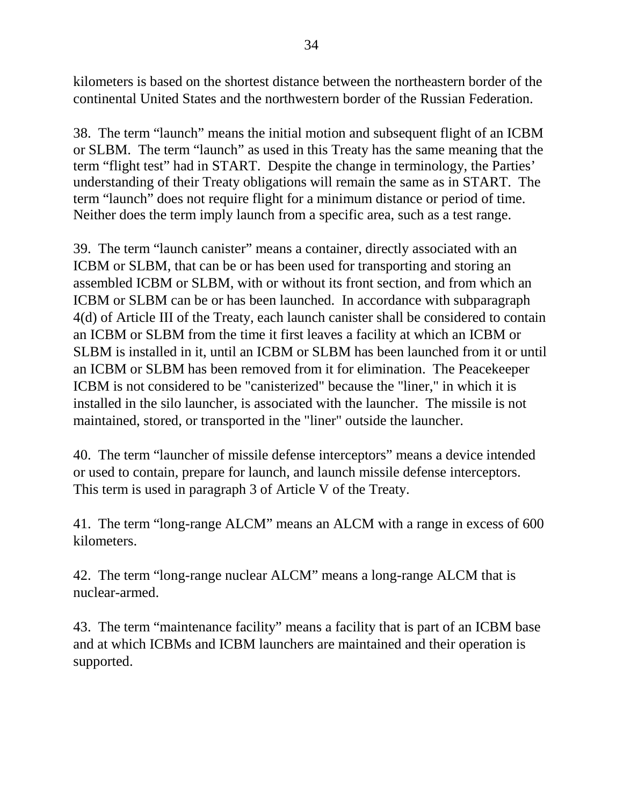kilometers is based on the shortest distance between the northeastern border of the continental United States and the northwestern border of the Russian Federation.

38. The term "launch" means the initial motion and subsequent flight of an ICBM or SLBM. The term "launch" as used in this Treaty has the same meaning that the term "flight test" had in START. Despite the change in terminology, the Parties' understanding of their Treaty obligations will remain the same as in START. The term "launch" does not require flight for a minimum distance or period of time. Neither does the term imply launch from a specific area, such as a test range.

39. The term "launch canister" means a container, directly associated with an ICBM or SLBM, that can be or has been used for transporting and storing an assembled ICBM or SLBM, with or without its front section, and from which an ICBM or SLBM can be or has been launched. In accordance with subparagraph 4(d) of Article III of the Treaty, each launch canister shall be considered to contain an ICBM or SLBM from the time it first leaves a facility at which an ICBM or SLBM is installed in it, until an ICBM or SLBM has been launched from it or until an ICBM or SLBM has been removed from it for elimination. The Peacekeeper ICBM is not considered to be "canisterized" because the "liner," in which it is installed in the silo launcher, is associated with the launcher. The missile is not maintained, stored, or transported in the "liner" outside the launcher.

40. The term "launcher of missile defense interceptors" means a device intended or used to contain, prepare for launch, and launch missile defense interceptors. This term is used in paragraph 3 of Article V of the Treaty.

41. The term "long-range ALCM" means an ALCM with a range in excess of 600 kilometers.

42. The term "long-range nuclear ALCM" means a long-range ALCM that is nuclear-armed.

43. The term "maintenance facility" means a facility that is part of an ICBM base and at which ICBMs and ICBM launchers are maintained and their operation is supported.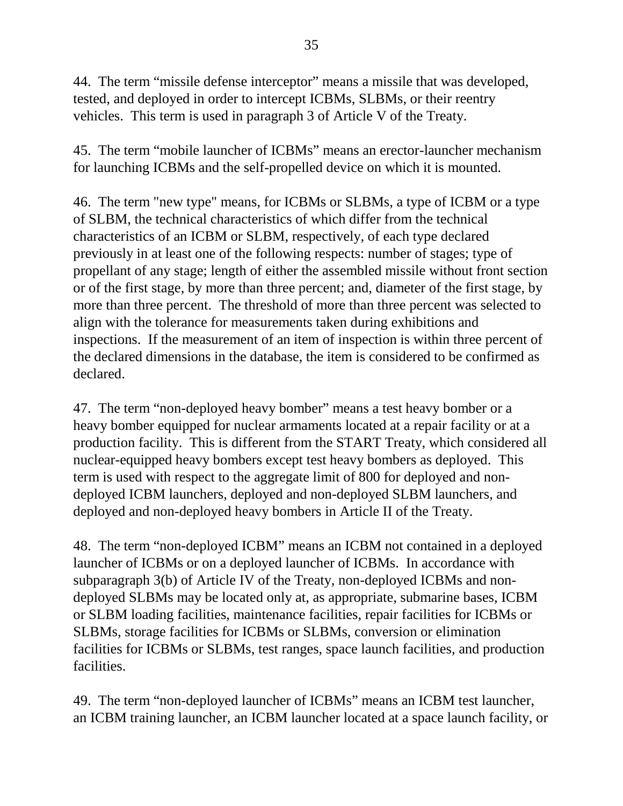44. The term "missile defense interceptor" means a missile that was developed, tested, and deployed in order to intercept ICBMs, SLBMs, or their reentry vehicles. This term is used in paragraph 3 of Article V of the Treaty.

45. The term "mobile launcher of ICBMs" means an erector-launcher mechanism for launching ICBMs and the self-propelled device on which it is mounted.

46. The term "new type" means, for ICBMs or SLBMs, a type of ICBM or a type of SLBM, the technical characteristics of which differ from the technical characteristics of an ICBM or SLBM, respectively, of each type declared previously in at least one of the following respects: number of stages; type of propellant of any stage; length of either the assembled missile without front section or of the first stage, by more than three percent; and, diameter of the first stage, by more than three percent. The threshold of more than three percent was selected to align with the tolerance for measurements taken during exhibitions and inspections. If the measurement of an item of inspection is within three percent of the declared dimensions in the database, the item is considered to be confirmed as declared.

47. The term "non-deployed heavy bomber" means a test heavy bomber or a heavy bomber equipped for nuclear armaments located at a repair facility or at a production facility. This is different from the START Treaty, which considered all nuclear-equipped heavy bombers except test heavy bombers as deployed. This term is used with respect to the aggregate limit of 800 for deployed and nondeployed ICBM launchers, deployed and non-deployed SLBM launchers, and deployed and non-deployed heavy bombers in Article II of the Treaty.

48. The term "non-deployed ICBM" means an ICBM not contained in a deployed launcher of ICBMs or on a deployed launcher of ICBMs. In accordance with subparagraph 3(b) of Article IV of the Treaty, non-deployed ICBMs and nondeployed SLBMs may be located only at, as appropriate, submarine bases, ICBM or SLBM loading facilities, maintenance facilities, repair facilities for ICBMs or SLBMs, storage facilities for ICBMs or SLBMs, conversion or elimination facilities for ICBMs or SLBMs, test ranges, space launch facilities, and production facilities.

49. The term "non-deployed launcher of ICBMs" means an ICBM test launcher, an ICBM training launcher, an ICBM launcher located at a space launch facility, or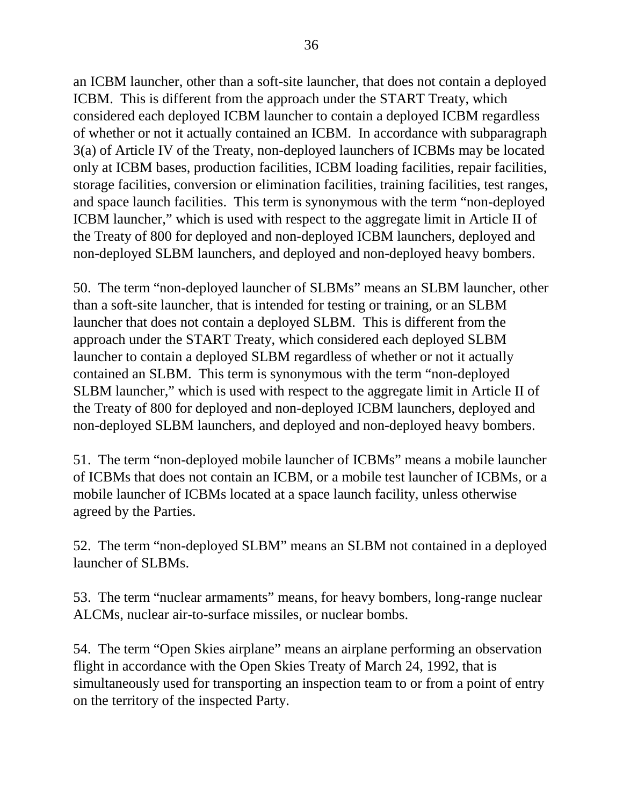an ICBM launcher, other than a soft-site launcher, that does not contain a deployed ICBM. This is different from the approach under the START Treaty, which considered each deployed ICBM launcher to contain a deployed ICBM regardless of whether or not it actually contained an ICBM. In accordance with subparagraph 3(a) of Article IV of the Treaty, non-deployed launchers of ICBMs may be located only at ICBM bases, production facilities, ICBM loading facilities, repair facilities, storage facilities, conversion or elimination facilities, training facilities, test ranges, and space launch facilities. This term is synonymous with the term "non-deployed ICBM launcher," which is used with respect to the aggregate limit in Article II of the Treaty of 800 for deployed and non-deployed ICBM launchers, deployed and non-deployed SLBM launchers, and deployed and non-deployed heavy bombers.

50. The term "non-deployed launcher of SLBMs" means an SLBM launcher, other than a soft-site launcher, that is intended for testing or training, or an SLBM launcher that does not contain a deployed SLBM. This is different from the approach under the START Treaty, which considered each deployed SLBM launcher to contain a deployed SLBM regardless of whether or not it actually contained an SLBM. This term is synonymous with the term "non-deployed SLBM launcher," which is used with respect to the aggregate limit in Article II of the Treaty of 800 for deployed and non-deployed ICBM launchers, deployed and non-deployed SLBM launchers, and deployed and non-deployed heavy bombers.

51. The term "non-deployed mobile launcher of ICBMs" means a mobile launcher of ICBMs that does not contain an ICBM, or a mobile test launcher of ICBMs, or a mobile launcher of ICBMs located at a space launch facility, unless otherwise agreed by the Parties.

52. The term "non-deployed SLBM" means an SLBM not contained in a deployed launcher of SLBMs.

53. The term "nuclear armaments" means, for heavy bombers, long-range nuclear ALCMs, nuclear air-to-surface missiles, or nuclear bombs.

54. The term "Open Skies airplane" means an airplane performing an observation flight in accordance with the Open Skies Treaty of March 24, 1992, that is simultaneously used for transporting an inspection team to or from a point of entry on the territory of the inspected Party.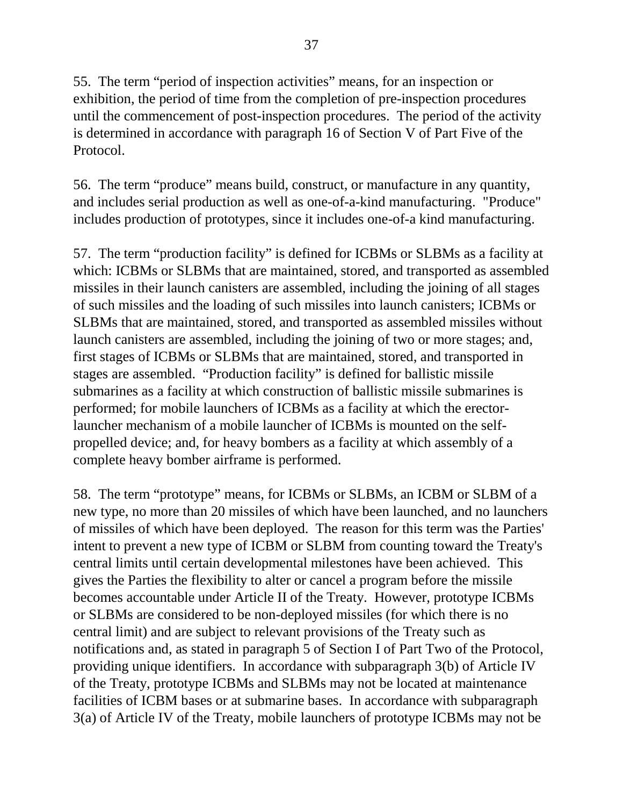55. The term "period of inspection activities" means, for an inspection or exhibition, the period of time from the completion of pre-inspection procedures until the commencement of post-inspection procedures. The period of the activity is determined in accordance with paragraph 16 of Section V of Part Five of the Protocol.

56. The term "produce" means build, construct, or manufacture in any quantity, and includes serial production as well as one-of-a-kind manufacturing. "Produce" includes production of prototypes, since it includes one-of-a kind manufacturing.

57. The term "production facility" is defined for ICBMs or SLBMs as a facility at which: ICBMs or SLBMs that are maintained, stored, and transported as assembled missiles in their launch canisters are assembled, including the joining of all stages of such missiles and the loading of such missiles into launch canisters; ICBMs or SLBMs that are maintained, stored, and transported as assembled missiles without launch canisters are assembled, including the joining of two or more stages; and, first stages of ICBMs or SLBMs that are maintained, stored, and transported in stages are assembled. "Production facility" is defined for ballistic missile submarines as a facility at which construction of ballistic missile submarines is performed; for mobile launchers of ICBMs as a facility at which the erectorlauncher mechanism of a mobile launcher of ICBMs is mounted on the selfpropelled device; and, for heavy bombers as a facility at which assembly of a complete heavy bomber airframe is performed.

58. The term "prototype" means, for ICBMs or SLBMs, an ICBM or SLBM of a new type, no more than 20 missiles of which have been launched, and no launchers of missiles of which have been deployed. The reason for this term was the Parties' intent to prevent a new type of ICBM or SLBM from counting toward the Treaty's central limits until certain developmental milestones have been achieved. This gives the Parties the flexibility to alter or cancel a program before the missile becomes accountable under Article II of the Treaty. However, prototype ICBMs or SLBMs are considered to be non-deployed missiles (for which there is no central limit) and are subject to relevant provisions of the Treaty such as notifications and, as stated in paragraph 5 of Section I of Part Two of the Protocol, providing unique identifiers. In accordance with subparagraph 3(b) of Article IV of the Treaty, prototype ICBMs and SLBMs may not be located at maintenance facilities of ICBM bases or at submarine bases. In accordance with subparagraph 3(a) of Article IV of the Treaty, mobile launchers of prototype ICBMs may not be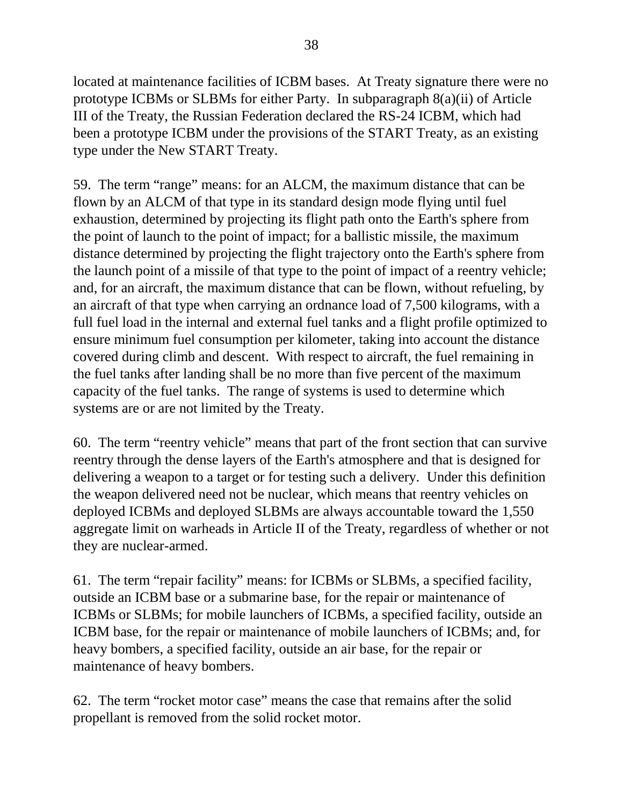located at maintenance facilities of ICBM bases. At Treaty signature there were no prototype ICBMs or SLBMs for either Party. In subparagraph 8(a)(ii) of Article III of the Treaty, the Russian Federation declared the RS-24 ICBM, which had been a prototype ICBM under the provisions of the START Treaty, as an existing type under the New START Treaty.

59. The term "range" means: for an ALCM, the maximum distance that can be flown by an ALCM of that type in its standard design mode flying until fuel exhaustion, determined by projecting its flight path onto the Earth's sphere from the point of launch to the point of impact; for a ballistic missile, the maximum distance determined by projecting the flight trajectory onto the Earth's sphere from the launch point of a missile of that type to the point of impact of a reentry vehicle; and, for an aircraft, the maximum distance that can be flown, without refueling, by an aircraft of that type when carrying an ordnance load of 7,500 kilograms, with a full fuel load in the internal and external fuel tanks and a flight profile optimized to ensure minimum fuel consumption per kilometer, taking into account the distance covered during climb and descent. With respect to aircraft, the fuel remaining in the fuel tanks after landing shall be no more than five percent of the maximum capacity of the fuel tanks. The range of systems is used to determine which systems are or are not limited by the Treaty.

60. The term "reentry vehicle" means that part of the front section that can survive reentry through the dense layers of the Earth's atmosphere and that is designed for delivering a weapon to a target or for testing such a delivery. Under this definition the weapon delivered need not be nuclear, which means that reentry vehicles on deployed ICBMs and deployed SLBMs are always accountable toward the 1,550 aggregate limit on warheads in Article II of the Treaty, regardless of whether or not they are nuclear-armed.

61. The term "repair facility" means: for ICBMs or SLBMs, a specified facility, outside an ICBM base or a submarine base, for the repair or maintenance of ICBMs or SLBMs; for mobile launchers of ICBMs, a specified facility, outside an ICBM base, for the repair or maintenance of mobile launchers of ICBMs; and, for heavy bombers, a specified facility, outside an air base, for the repair or maintenance of heavy bombers.

62. The term "rocket motor case" means the case that remains after the solid propellant is removed from the solid rocket motor.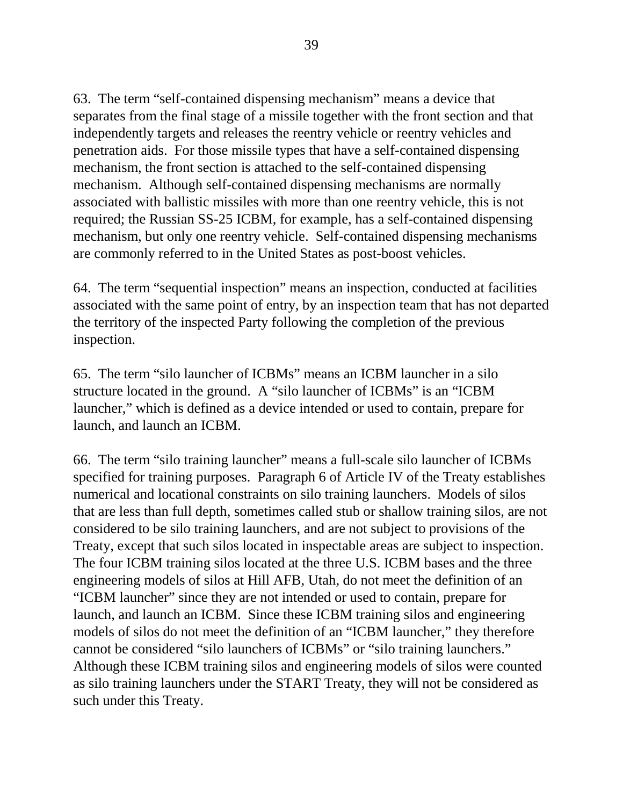63. The term "self-contained dispensing mechanism" means a device that separates from the final stage of a missile together with the front section and that independently targets and releases the reentry vehicle or reentry vehicles and penetration aids. For those missile types that have a self-contained dispensing mechanism, the front section is attached to the self-contained dispensing mechanism. Although self-contained dispensing mechanisms are normally associated with ballistic missiles with more than one reentry vehicle, this is not required; the Russian SS-25 ICBM, for example, has a self-contained dispensing mechanism, but only one reentry vehicle. Self-contained dispensing mechanisms are commonly referred to in the United States as post-boost vehicles.

64. The term "sequential inspection" means an inspection, conducted at facilities associated with the same point of entry, by an inspection team that has not departed the territory of the inspected Party following the completion of the previous inspection.

65. The term "silo launcher of ICBMs" means an ICBM launcher in a silo structure located in the ground. A "silo launcher of ICBMs" is an "ICBM launcher," which is defined as a device intended or used to contain, prepare for launch, and launch an ICBM.

66. The term "silo training launcher" means a full-scale silo launcher of ICBMs specified for training purposes. Paragraph 6 of Article IV of the Treaty establishes numerical and locational constraints on silo training launchers. Models of silos that are less than full depth, sometimes called stub or shallow training silos, are not considered to be silo training launchers, and are not subject to provisions of the Treaty, except that such silos located in inspectable areas are subject to inspection. The four ICBM training silos located at the three U.S. ICBM bases and the three engineering models of silos at Hill AFB, Utah, do not meet the definition of an "ICBM launcher" since they are not intended or used to contain, prepare for launch, and launch an ICBM. Since these ICBM training silos and engineering models of silos do not meet the definition of an "ICBM launcher," they therefore cannot be considered "silo launchers of ICBMs" or "silo training launchers." Although these ICBM training silos and engineering models of silos were counted as silo training launchers under the START Treaty, they will not be considered as such under this Treaty.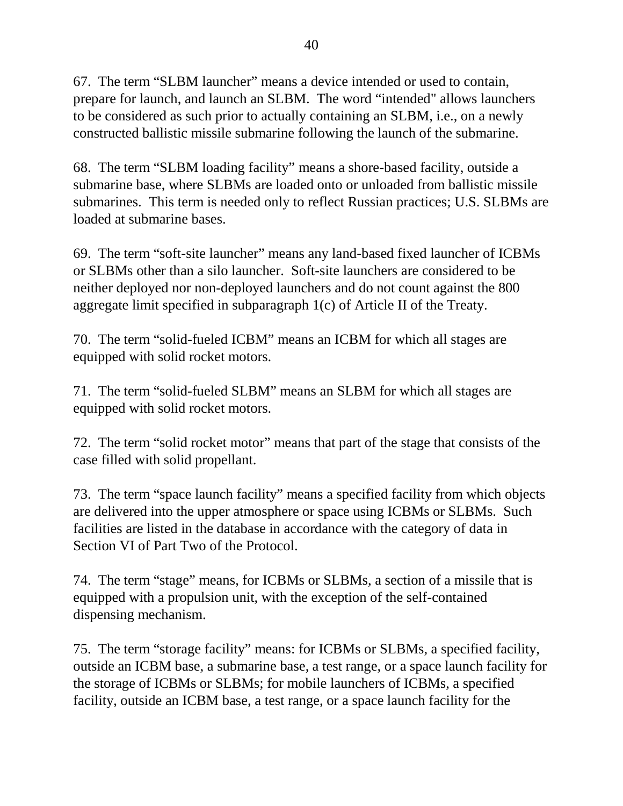67. The term "SLBM launcher" means a device intended or used to contain, prepare for launch, and launch an SLBM. The word "intended" allows launchers to be considered as such prior to actually containing an SLBM, i.e., on a newly constructed ballistic missile submarine following the launch of the submarine.

68. The term "SLBM loading facility" means a shore-based facility, outside a submarine base, where SLBMs are loaded onto or unloaded from ballistic missile submarines. This term is needed only to reflect Russian practices; U.S. SLBMs are loaded at submarine bases.

69. The term "soft-site launcher" means any land-based fixed launcher of ICBMs or SLBMs other than a silo launcher. Soft-site launchers are considered to be neither deployed nor non-deployed launchers and do not count against the 800 aggregate limit specified in subparagraph 1(c) of Article II of the Treaty.

70. The term "solid-fueled ICBM" means an ICBM for which all stages are equipped with solid rocket motors.

71. The term "solid-fueled SLBM" means an SLBM for which all stages are equipped with solid rocket motors.

72. The term "solid rocket motor" means that part of the stage that consists of the case filled with solid propellant.

73. The term "space launch facility" means a specified facility from which objects are delivered into the upper atmosphere or space using ICBMs or SLBMs. Such facilities are listed in the database in accordance with the category of data in Section VI of Part Two of the Protocol.

74. The term "stage" means, for ICBMs or SLBMs, a section of a missile that is equipped with a propulsion unit, with the exception of the self-contained dispensing mechanism.

75. The term "storage facility" means: for ICBMs or SLBMs, a specified facility, outside an ICBM base, a submarine base, a test range, or a space launch facility for the storage of ICBMs or SLBMs; for mobile launchers of ICBMs, a specified facility, outside an ICBM base, a test range, or a space launch facility for the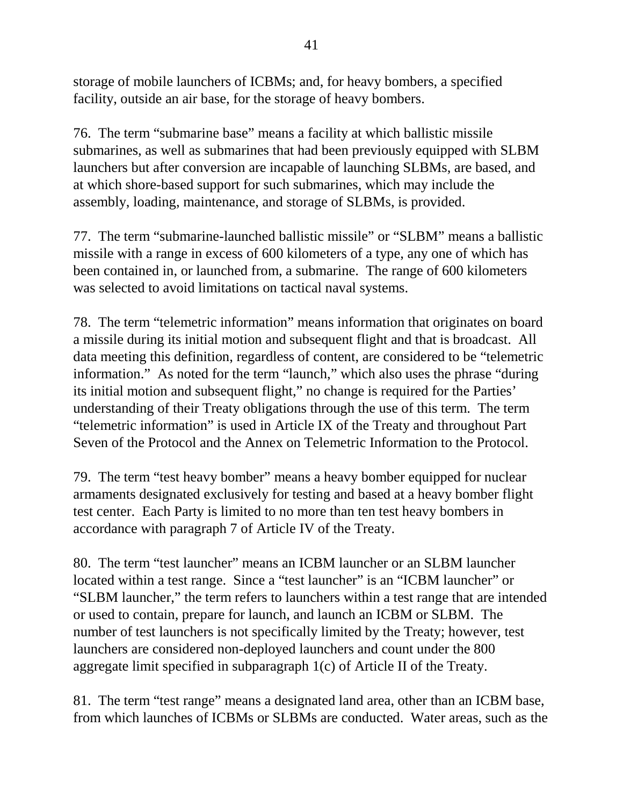storage of mobile launchers of ICBMs; and, for heavy bombers, a specified facility, outside an air base, for the storage of heavy bombers.

76. The term "submarine base" means a facility at which ballistic missile submarines, as well as submarines that had been previously equipped with SLBM launchers but after conversion are incapable of launching SLBMs, are based, and at which shore-based support for such submarines, which may include the assembly, loading, maintenance, and storage of SLBMs, is provided.

77. The term "submarine-launched ballistic missile" or "SLBM" means a ballistic missile with a range in excess of 600 kilometers of a type, any one of which has been contained in, or launched from, a submarine. The range of 600 kilometers was selected to avoid limitations on tactical naval systems.

78. The term "telemetric information" means information that originates on board a missile during its initial motion and subsequent flight and that is broadcast. All data meeting this definition, regardless of content, are considered to be "telemetric information." As noted for the term "launch," which also uses the phrase "during its initial motion and subsequent flight," no change is required for the Parties' understanding of their Treaty obligations through the use of this term. The term "telemetric information" is used in Article IX of the Treaty and throughout Part Seven of the Protocol and the Annex on Telemetric Information to the Protocol.

79. The term "test heavy bomber" means a heavy bomber equipped for nuclear armaments designated exclusively for testing and based at a heavy bomber flight test center. Each Party is limited to no more than ten test heavy bombers in accordance with paragraph 7 of Article IV of the Treaty.

80. The term "test launcher" means an ICBM launcher or an SLBM launcher located within a test range. Since a "test launcher" is an "ICBM launcher" or "SLBM launcher," the term refers to launchers within a test range that are intended or used to contain, prepare for launch, and launch an ICBM or SLBM. The number of test launchers is not specifically limited by the Treaty; however, test launchers are considered non-deployed launchers and count under the 800 aggregate limit specified in subparagraph 1(c) of Article II of the Treaty.

81. The term "test range" means a designated land area, other than an ICBM base, from which launches of ICBMs or SLBMs are conducted. Water areas, such as the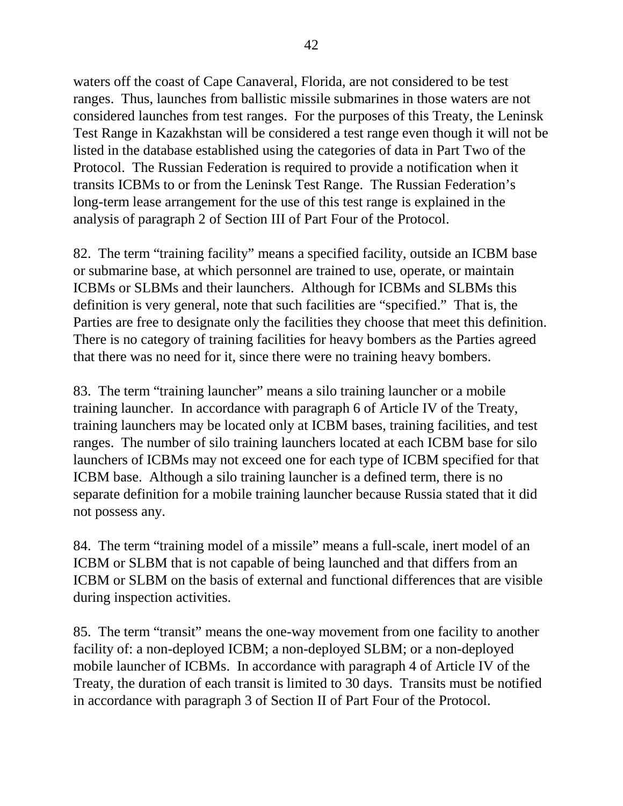waters off the coast of Cape Canaveral, Florida, are not considered to be test ranges. Thus, launches from ballistic missile submarines in those waters are not considered launches from test ranges. For the purposes of this Treaty, the Leninsk Test Range in Kazakhstan will be considered a test range even though it will not be listed in the database established using the categories of data in Part Two of the Protocol. The Russian Federation is required to provide a notification when it transits ICBMs to or from the Leninsk Test Range. The Russian Federation's long-term lease arrangement for the use of this test range is explained in the analysis of paragraph 2 of Section III of Part Four of the Protocol.

82. The term "training facility" means a specified facility, outside an ICBM base or submarine base, at which personnel are trained to use, operate, or maintain ICBMs or SLBMs and their launchers. Although for ICBMs and SLBMs this definition is very general, note that such facilities are "specified." That is, the Parties are free to designate only the facilities they choose that meet this definition. There is no category of training facilities for heavy bombers as the Parties agreed that there was no need for it, since there were no training heavy bombers.

83. The term "training launcher" means a silo training launcher or a mobile training launcher. In accordance with paragraph 6 of Article IV of the Treaty, training launchers may be located only at ICBM bases, training facilities, and test ranges. The number of silo training launchers located at each ICBM base for silo launchers of ICBMs may not exceed one for each type of ICBM specified for that ICBM base. Although a silo training launcher is a defined term, there is no separate definition for a mobile training launcher because Russia stated that it did not possess any.

84. The term "training model of a missile" means a full-scale, inert model of an ICBM or SLBM that is not capable of being launched and that differs from an ICBM or SLBM on the basis of external and functional differences that are visible during inspection activities.

85. The term "transit" means the one-way movement from one facility to another facility of: a non-deployed ICBM; a non-deployed SLBM; or a non-deployed mobile launcher of ICBMs. In accordance with paragraph 4 of Article IV of the Treaty, the duration of each transit is limited to 30 days. Transits must be notified in accordance with paragraph 3 of Section II of Part Four of the Protocol.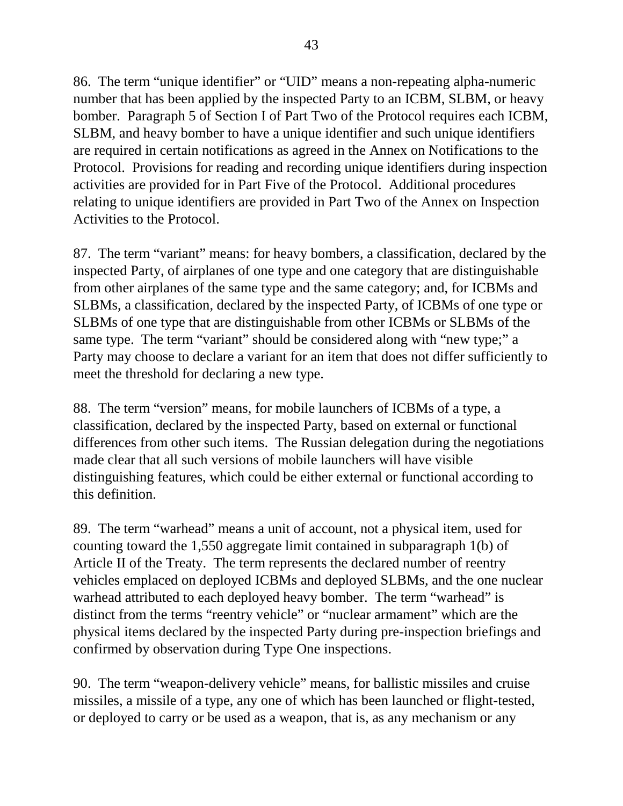86. The term "unique identifier" or "UID" means a non-repeating alpha-numeric number that has been applied by the inspected Party to an ICBM, SLBM, or heavy bomber. Paragraph 5 of Section I of Part Two of the Protocol requires each ICBM, SLBM, and heavy bomber to have a unique identifier and such unique identifiers are required in certain notifications as agreed in the Annex on Notifications to the Protocol. Provisions for reading and recording unique identifiers during inspection activities are provided for in Part Five of the Protocol. Additional procedures relating to unique identifiers are provided in Part Two of the Annex on Inspection Activities to the Protocol.

87. The term "variant" means: for heavy bombers, a classification, declared by the inspected Party, of airplanes of one type and one category that are distinguishable from other airplanes of the same type and the same category; and, for ICBMs and SLBMs, a classification, declared by the inspected Party, of ICBMs of one type or SLBMs of one type that are distinguishable from other ICBMs or SLBMs of the same type. The term "variant" should be considered along with "new type;" a Party may choose to declare a variant for an item that does not differ sufficiently to meet the threshold for declaring a new type.

88. The term "version" means, for mobile launchers of ICBMs of a type, a classification, declared by the inspected Party, based on external or functional differences from other such items. The Russian delegation during the negotiations made clear that all such versions of mobile launchers will have visible distinguishing features, which could be either external or functional according to this definition.

89. The term "warhead" means a unit of account, not a physical item, used for counting toward the 1,550 aggregate limit contained in subparagraph 1(b) of Article II of the Treaty. The term represents the declared number of reentry vehicles emplaced on deployed ICBMs and deployed SLBMs, and the one nuclear warhead attributed to each deployed heavy bomber. The term "warhead" is distinct from the terms "reentry vehicle" or "nuclear armament" which are the physical items declared by the inspected Party during pre-inspection briefings and confirmed by observation during Type One inspections.

90. The term "weapon-delivery vehicle" means, for ballistic missiles and cruise missiles, a missile of a type, any one of which has been launched or flight-tested, or deployed to carry or be used as a weapon, that is, as any mechanism or any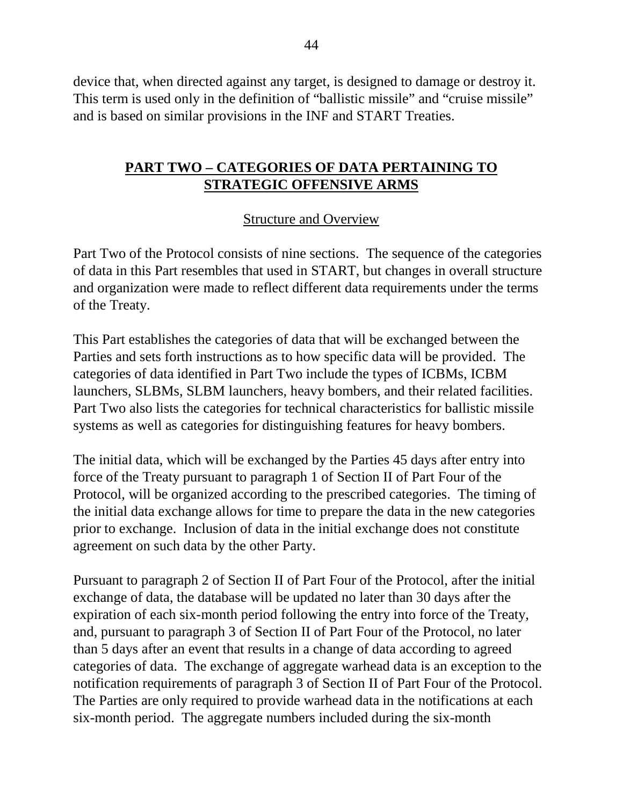device that, when directed against any target, is designed to damage or destroy it. This term is used only in the definition of "ballistic missile" and "cruise missile" and is based on similar provisions in the INF and START Treaties.

#### **PART TWO – CATEGORIES OF DATA PERTAINING TO STRATEGIC OFFENSIVE ARMS**

#### Structure and Overview

Part Two of the Protocol consists of nine sections. The sequence of the categories of data in this Part resembles that used in START, but changes in overall structure and organization were made to reflect different data requirements under the terms of the Treaty.

This Part establishes the categories of data that will be exchanged between the Parties and sets forth instructions as to how specific data will be provided. The categories of data identified in Part Two include the types of ICBMs, ICBM launchers, SLBMs, SLBM launchers, heavy bombers, and their related facilities. Part Two also lists the categories for technical characteristics for ballistic missile systems as well as categories for distinguishing features for heavy bombers.

The initial data, which will be exchanged by the Parties 45 days after entry into force of the Treaty pursuant to paragraph 1 of Section II of Part Four of the Protocol, will be organized according to the prescribed categories. The timing of the initial data exchange allows for time to prepare the data in the new categories prior to exchange. Inclusion of data in the initial exchange does not constitute agreement on such data by the other Party.

Pursuant to paragraph 2 of Section II of Part Four of the Protocol, after the initial exchange of data, the database will be updated no later than 30 days after the expiration of each six-month period following the entry into force of the Treaty, and, pursuant to paragraph 3 of Section II of Part Four of the Protocol, no later than 5 days after an event that results in a change of data according to agreed categories of data. The exchange of aggregate warhead data is an exception to the notification requirements of paragraph 3 of Section II of Part Four of the Protocol. The Parties are only required to provide warhead data in the notifications at each six-month period. The aggregate numbers included during the six-month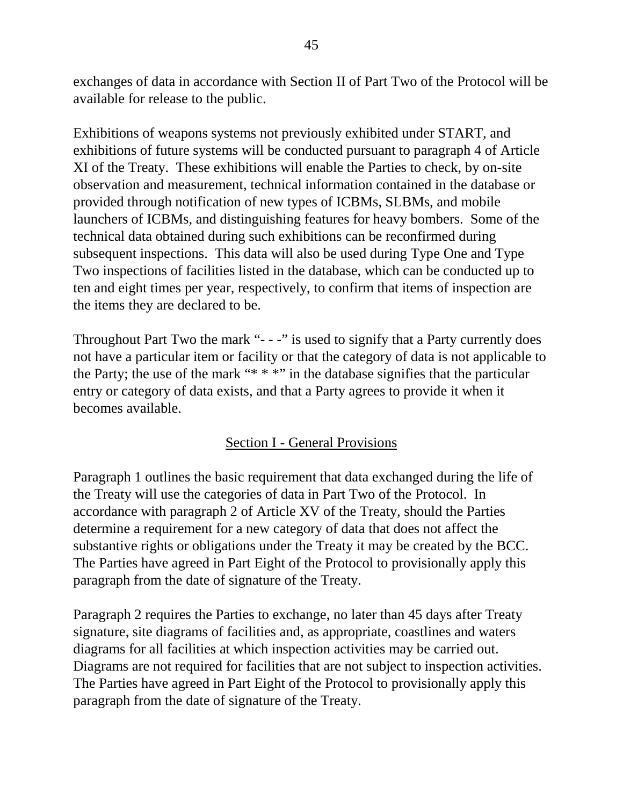exchanges of data in accordance with Section II of Part Two of the Protocol will be available for release to the public.

Exhibitions of weapons systems not previously exhibited under START, and exhibitions of future systems will be conducted pursuant to paragraph 4 of Article XI of the Treaty. These exhibitions will enable the Parties to check, by on-site observation and measurement, technical information contained in the database or provided through notification of new types of ICBMs, SLBMs, and mobile launchers of ICBMs, and distinguishing features for heavy bombers. Some of the technical data obtained during such exhibitions can be reconfirmed during subsequent inspections. This data will also be used during Type One and Type Two inspections of facilities listed in the database, which can be conducted up to ten and eight times per year, respectively, to confirm that items of inspection are the items they are declared to be.

Throughout Part Two the mark "- - -" is used to signify that a Party currently does not have a particular item or facility or that the category of data is not applicable to the Party; the use of the mark "\* \* \*" in the database signifies that the particular entry or category of data exists, and that a Party agrees to provide it when it becomes available.

# Section I - General Provisions

Paragraph 1 outlines the basic requirement that data exchanged during the life of the Treaty will use the categories of data in Part Two of the Protocol. In accordance with paragraph 2 of Article XV of the Treaty, should the Parties determine a requirement for a new category of data that does not affect the substantive rights or obligations under the Treaty it may be created by the BCC. The Parties have agreed in Part Eight of the Protocol to provisionally apply this paragraph from the date of signature of the Treaty.

Paragraph 2 requires the Parties to exchange, no later than 45 days after Treaty signature, site diagrams of facilities and, as appropriate, coastlines and waters diagrams for all facilities at which inspection activities may be carried out. Diagrams are not required for facilities that are not subject to inspection activities. The Parties have agreed in Part Eight of the Protocol to provisionally apply this paragraph from the date of signature of the Treaty.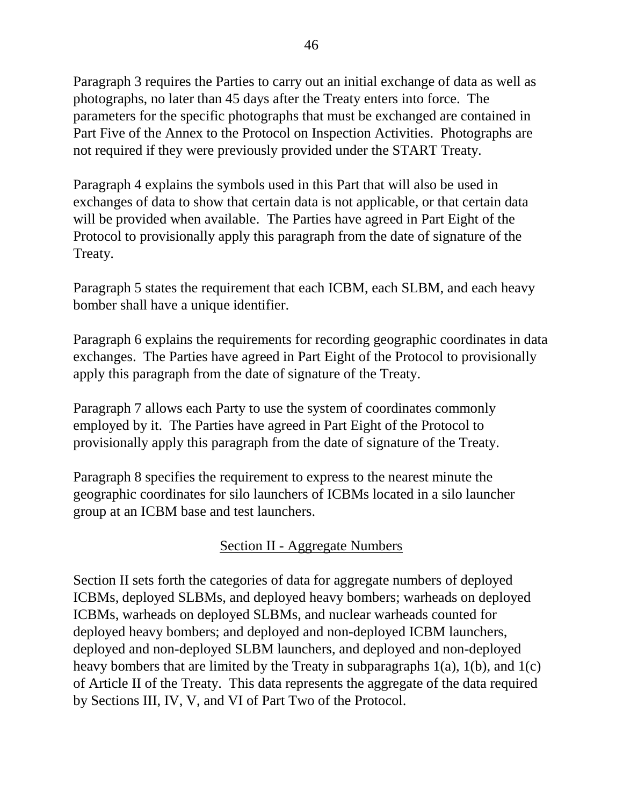Paragraph 3 requires the Parties to carry out an initial exchange of data as well as photographs, no later than 45 days after the Treaty enters into force. The parameters for the specific photographs that must be exchanged are contained in Part Five of the Annex to the Protocol on Inspection Activities. Photographs are not required if they were previously provided under the START Treaty.

Paragraph 4 explains the symbols used in this Part that will also be used in exchanges of data to show that certain data is not applicable, or that certain data will be provided when available. The Parties have agreed in Part Eight of the Protocol to provisionally apply this paragraph from the date of signature of the Treaty.

Paragraph 5 states the requirement that each ICBM, each SLBM, and each heavy bomber shall have a unique identifier.

Paragraph 6 explains the requirements for recording geographic coordinates in data exchanges. The Parties have agreed in Part Eight of the Protocol to provisionally apply this paragraph from the date of signature of the Treaty.

Paragraph 7 allows each Party to use the system of coordinates commonly employed by it. The Parties have agreed in Part Eight of the Protocol to provisionally apply this paragraph from the date of signature of the Treaty.

Paragraph 8 specifies the requirement to express to the nearest minute the geographic coordinates for silo launchers of ICBMs located in a silo launcher group at an ICBM base and test launchers.

# Section II - Aggregate Numbers

Section II sets forth the categories of data for aggregate numbers of deployed ICBMs, deployed SLBMs, and deployed heavy bombers; warheads on deployed ICBMs, warheads on deployed SLBMs, and nuclear warheads counted for deployed heavy bombers; and deployed and non-deployed ICBM launchers, deployed and non-deployed SLBM launchers, and deployed and non-deployed heavy bombers that are limited by the Treaty in subparagraphs 1(a), 1(b), and 1(c) of Article II of the Treaty. This data represents the aggregate of the data required by Sections III, IV, V, and VI of Part Two of the Protocol.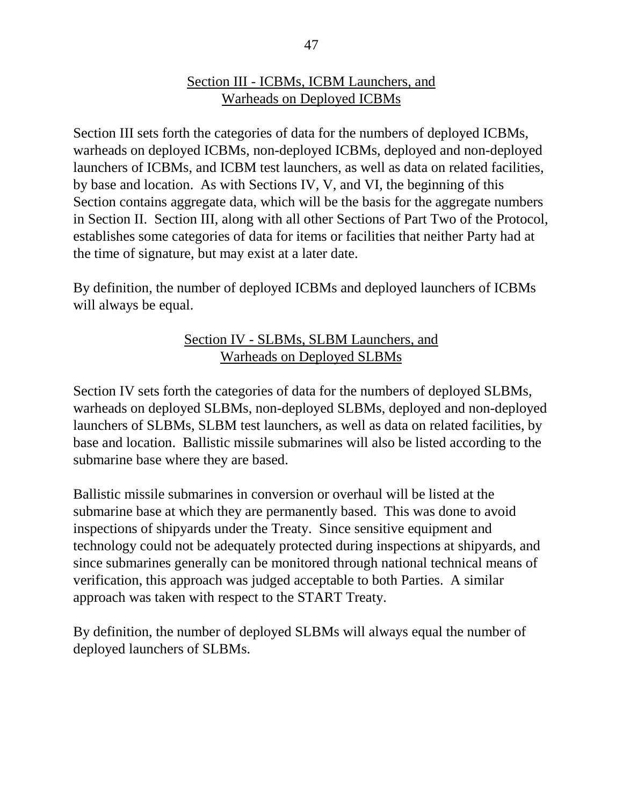#### Section III - ICBMs, ICBM Launchers, and Warheads on Deployed ICBMs

Section III sets forth the categories of data for the numbers of deployed ICBMs, warheads on deployed ICBMs, non-deployed ICBMs, deployed and non-deployed launchers of ICBMs, and ICBM test launchers, as well as data on related facilities, by base and location. As with Sections IV, V, and VI, the beginning of this Section contains aggregate data, which will be the basis for the aggregate numbers in Section II. Section III, along with all other Sections of Part Two of the Protocol, establishes some categories of data for items or facilities that neither Party had at the time of signature, but may exist at a later date.

By definition, the number of deployed ICBMs and deployed launchers of ICBMs will always be equal.

#### Section IV - SLBMs, SLBM Launchers, and Warheads on Deployed SLBMs

Section IV sets forth the categories of data for the numbers of deployed SLBMs, warheads on deployed SLBMs, non-deployed SLBMs, deployed and non-deployed launchers of SLBMs, SLBM test launchers, as well as data on related facilities, by base and location. Ballistic missile submarines will also be listed according to the submarine base where they are based.

Ballistic missile submarines in conversion or overhaul will be listed at the submarine base at which they are permanently based. This was done to avoid inspections of shipyards under the Treaty. Since sensitive equipment and technology could not be adequately protected during inspections at shipyards, and since submarines generally can be monitored through national technical means of verification, this approach was judged acceptable to both Parties. A similar approach was taken with respect to the START Treaty.

By definition, the number of deployed SLBMs will always equal the number of deployed launchers of SLBMs.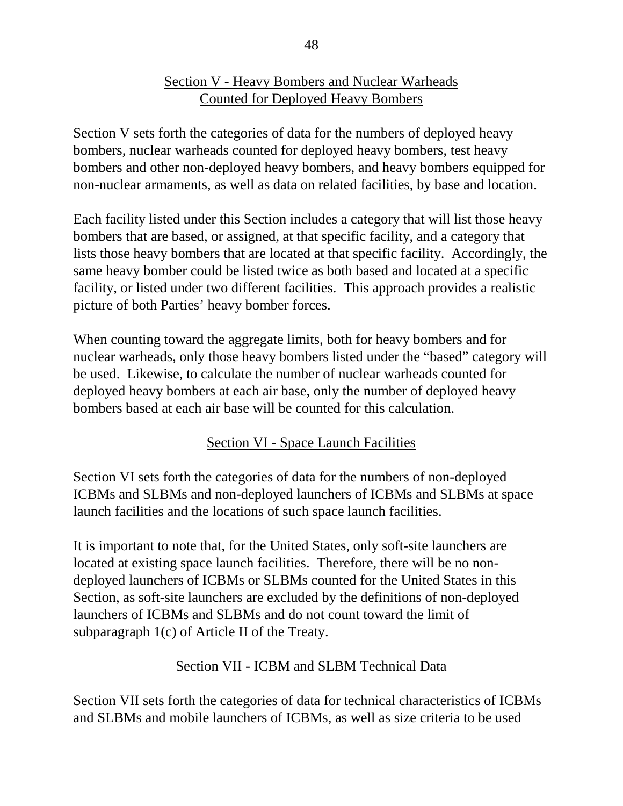## Section V - Heavy Bombers and Nuclear Warheads Counted for Deployed Heavy Bombers

Section V sets forth the categories of data for the numbers of deployed heavy bombers, nuclear warheads counted for deployed heavy bombers, test heavy bombers and other non-deployed heavy bombers, and heavy bombers equipped for non-nuclear armaments, as well as data on related facilities, by base and location.

Each facility listed under this Section includes a category that will list those heavy bombers that are based, or assigned, at that specific facility, and a category that lists those heavy bombers that are located at that specific facility. Accordingly, the same heavy bomber could be listed twice as both based and located at a specific facility, or listed under two different facilities. This approach provides a realistic picture of both Parties' heavy bomber forces.

When counting toward the aggregate limits, both for heavy bombers and for nuclear warheads, only those heavy bombers listed under the "based" category will be used. Likewise, to calculate the number of nuclear warheads counted for deployed heavy bombers at each air base, only the number of deployed heavy bombers based at each air base will be counted for this calculation.

# Section VI - Space Launch Facilities

Section VI sets forth the categories of data for the numbers of non-deployed ICBMs and SLBMs and non-deployed launchers of ICBMs and SLBMs at space launch facilities and the locations of such space launch facilities.

It is important to note that, for the United States, only soft-site launchers are located at existing space launch facilities. Therefore, there will be no nondeployed launchers of ICBMs or SLBMs counted for the United States in this Section, as soft-site launchers are excluded by the definitions of non-deployed launchers of ICBMs and SLBMs and do not count toward the limit of subparagraph 1(c) of Article II of the Treaty.

# Section VII - ICBM and SLBM Technical Data

Section VII sets forth the categories of data for technical characteristics of ICBMs and SLBMs and mobile launchers of ICBMs, as well as size criteria to be used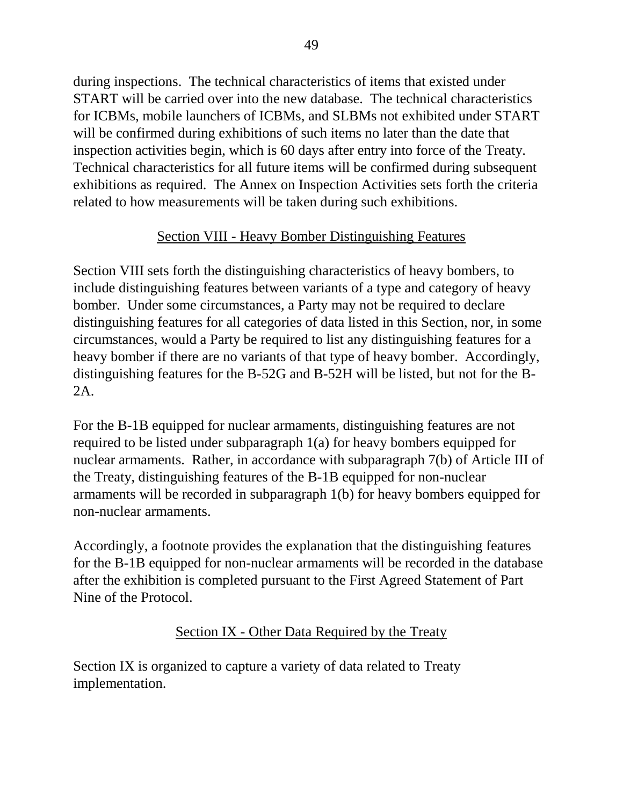during inspections. The technical characteristics of items that existed under START will be carried over into the new database. The technical characteristics for ICBMs, mobile launchers of ICBMs, and SLBMs not exhibited under START will be confirmed during exhibitions of such items no later than the date that inspection activities begin, which is 60 days after entry into force of the Treaty. Technical characteristics for all future items will be confirmed during subsequent exhibitions as required. The Annex on Inspection Activities sets forth the criteria related to how measurements will be taken during such exhibitions.

## Section VIII - Heavy Bomber Distinguishing Features

Section VIII sets forth the distinguishing characteristics of heavy bombers, to include distinguishing features between variants of a type and category of heavy bomber. Under some circumstances, a Party may not be required to declare distinguishing features for all categories of data listed in this Section, nor, in some circumstances, would a Party be required to list any distinguishing features for a heavy bomber if there are no variants of that type of heavy bomber. Accordingly, distinguishing features for the B-52G and B-52H will be listed, but not for the B-2A.

For the B-1B equipped for nuclear armaments, distinguishing features are not required to be listed under subparagraph 1(a) for heavy bombers equipped for nuclear armaments. Rather, in accordance with subparagraph 7(b) of Article III of the Treaty, distinguishing features of the B-1B equipped for non-nuclear armaments will be recorded in subparagraph 1(b) for heavy bombers equipped for non-nuclear armaments.

Accordingly, a footnote provides the explanation that the distinguishing features for the B-1B equipped for non-nuclear armaments will be recorded in the database after the exhibition is completed pursuant to the First Agreed Statement of Part Nine of the Protocol.

# Section IX - Other Data Required by the Treaty

Section IX is organized to capture a variety of data related to Treaty implementation.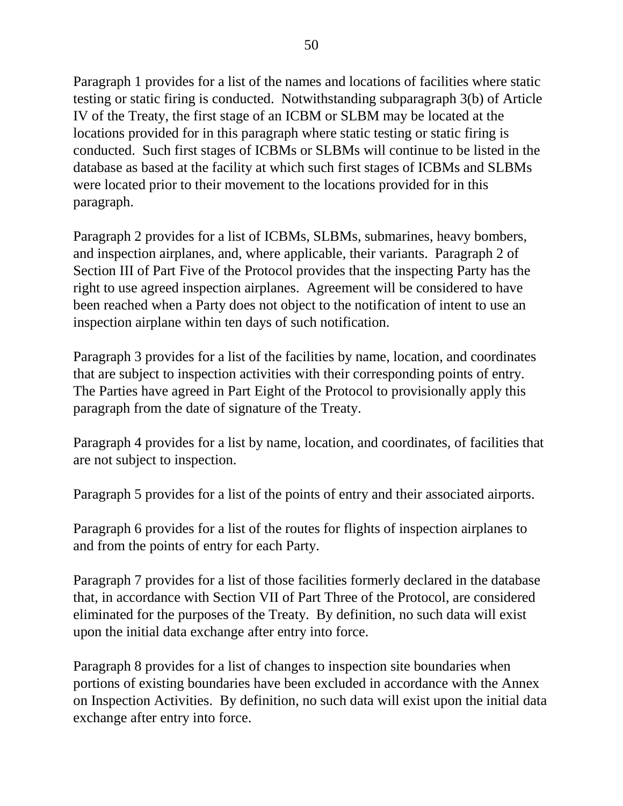Paragraph 1 provides for a list of the names and locations of facilities where static testing or static firing is conducted. Notwithstanding subparagraph 3(b) of Article IV of the Treaty, the first stage of an ICBM or SLBM may be located at the locations provided for in this paragraph where static testing or static firing is conducted. Such first stages of ICBMs or SLBMs will continue to be listed in the database as based at the facility at which such first stages of ICBMs and SLBMs were located prior to their movement to the locations provided for in this paragraph.

Paragraph 2 provides for a list of ICBMs, SLBMs, submarines, heavy bombers, and inspection airplanes, and, where applicable, their variants. Paragraph 2 of Section III of Part Five of the Protocol provides that the inspecting Party has the right to use agreed inspection airplanes. Agreement will be considered to have been reached when a Party does not object to the notification of intent to use an inspection airplane within ten days of such notification.

Paragraph 3 provides for a list of the facilities by name, location, and coordinates that are subject to inspection activities with their corresponding points of entry. The Parties have agreed in Part Eight of the Protocol to provisionally apply this paragraph from the date of signature of the Treaty.

Paragraph 4 provides for a list by name, location, and coordinates, of facilities that are not subject to inspection.

Paragraph 5 provides for a list of the points of entry and their associated airports.

Paragraph 6 provides for a list of the routes for flights of inspection airplanes to and from the points of entry for each Party.

Paragraph 7 provides for a list of those facilities formerly declared in the database that, in accordance with Section VII of Part Three of the Protocol, are considered eliminated for the purposes of the Treaty. By definition, no such data will exist upon the initial data exchange after entry into force.

Paragraph 8 provides for a list of changes to inspection site boundaries when portions of existing boundaries have been excluded in accordance with the Annex on Inspection Activities. By definition, no such data will exist upon the initial data exchange after entry into force.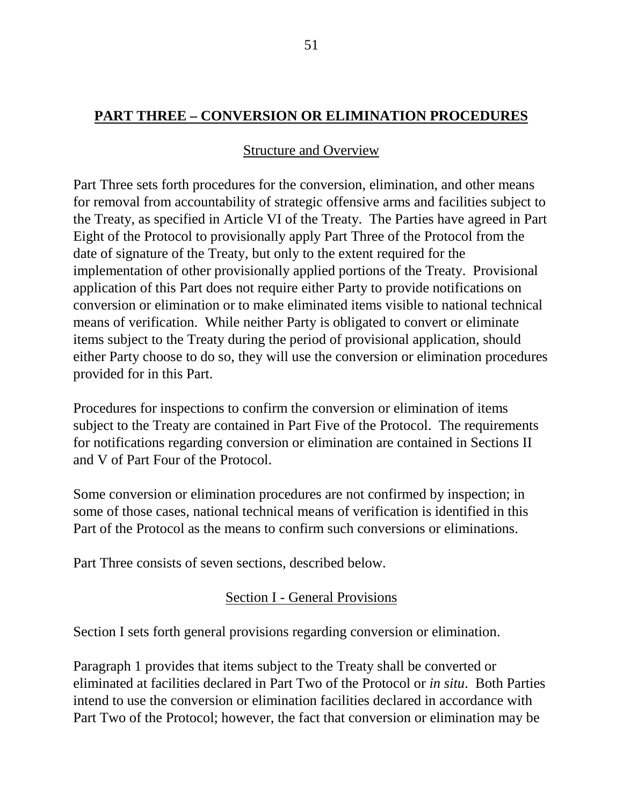## **PART THREE – CONVERSION OR ELIMINATION PROCEDURES**

### Structure and Overview

Part Three sets forth procedures for the conversion, elimination, and other means for removal from accountability of strategic offensive arms and facilities subject to the Treaty, as specified in Article VI of the Treaty. The Parties have agreed in Part Eight of the Protocol to provisionally apply Part Three of the Protocol from the date of signature of the Treaty, but only to the extent required for the implementation of other provisionally applied portions of the Treaty. Provisional application of this Part does not require either Party to provide notifications on conversion or elimination or to make eliminated items visible to national technical means of verification. While neither Party is obligated to convert or eliminate items subject to the Treaty during the period of provisional application, should either Party choose to do so, they will use the conversion or elimination procedures provided for in this Part.

Procedures for inspections to confirm the conversion or elimination of items subject to the Treaty are contained in Part Five of the Protocol. The requirements for notifications regarding conversion or elimination are contained in Sections II and V of Part Four of the Protocol.

Some conversion or elimination procedures are not confirmed by inspection; in some of those cases, national technical means of verification is identified in this Part of the Protocol as the means to confirm such conversions or eliminations.

Part Three consists of seven sections, described below.

#### Section I - General Provisions

Section I sets forth general provisions regarding conversion or elimination.

Paragraph 1 provides that items subject to the Treaty shall be converted or eliminated at facilities declared in Part Two of the Protocol or *in situ*. Both Parties intend to use the conversion or elimination facilities declared in accordance with Part Two of the Protocol; however, the fact that conversion or elimination may be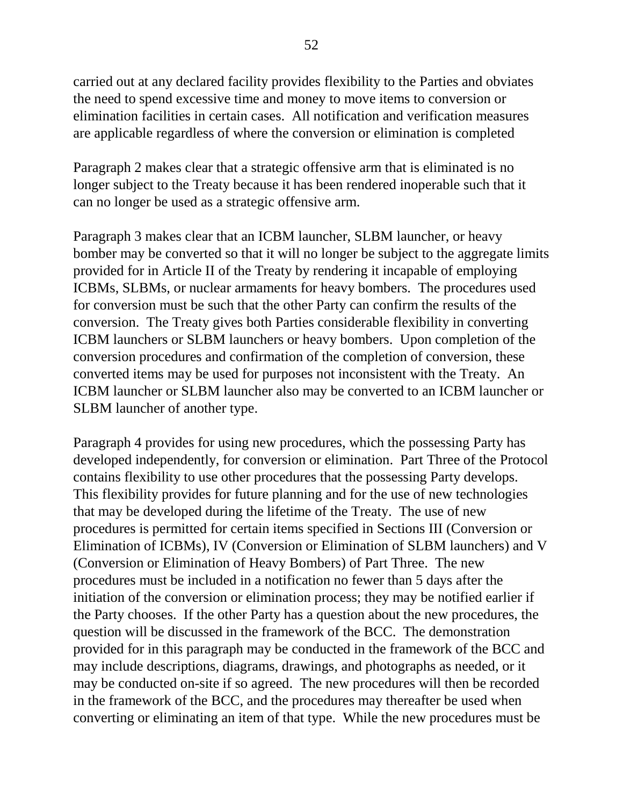carried out at any declared facility provides flexibility to the Parties and obviates the need to spend excessive time and money to move items to conversion or elimination facilities in certain cases. All notification and verification measures are applicable regardless of where the conversion or elimination is completed

Paragraph 2 makes clear that a strategic offensive arm that is eliminated is no longer subject to the Treaty because it has been rendered inoperable such that it can no longer be used as a strategic offensive arm.

Paragraph 3 makes clear that an ICBM launcher, SLBM launcher, or heavy bomber may be converted so that it will no longer be subject to the aggregate limits provided for in Article II of the Treaty by rendering it incapable of employing ICBMs, SLBMs, or nuclear armaments for heavy bombers. The procedures used for conversion must be such that the other Party can confirm the results of the conversion. The Treaty gives both Parties considerable flexibility in converting ICBM launchers or SLBM launchers or heavy bombers. Upon completion of the conversion procedures and confirmation of the completion of conversion, these converted items may be used for purposes not inconsistent with the Treaty. An ICBM launcher or SLBM launcher also may be converted to an ICBM launcher or SLBM launcher of another type.

Paragraph 4 provides for using new procedures, which the possessing Party has developed independently, for conversion or elimination. Part Three of the Protocol contains flexibility to use other procedures that the possessing Party develops. This flexibility provides for future planning and for the use of new technologies that may be developed during the lifetime of the Treaty. The use of new procedures is permitted for certain items specified in Sections III (Conversion or Elimination of ICBMs), IV (Conversion or Elimination of SLBM launchers) and V (Conversion or Elimination of Heavy Bombers) of Part Three. The new procedures must be included in a notification no fewer than 5 days after the initiation of the conversion or elimination process; they may be notified earlier if the Party chooses. If the other Party has a question about the new procedures, the question will be discussed in the framework of the BCC. The demonstration provided for in this paragraph may be conducted in the framework of the BCC and may include descriptions, diagrams, drawings, and photographs as needed, or it may be conducted on-site if so agreed. The new procedures will then be recorded in the framework of the BCC, and the procedures may thereafter be used when converting or eliminating an item of that type. While the new procedures must be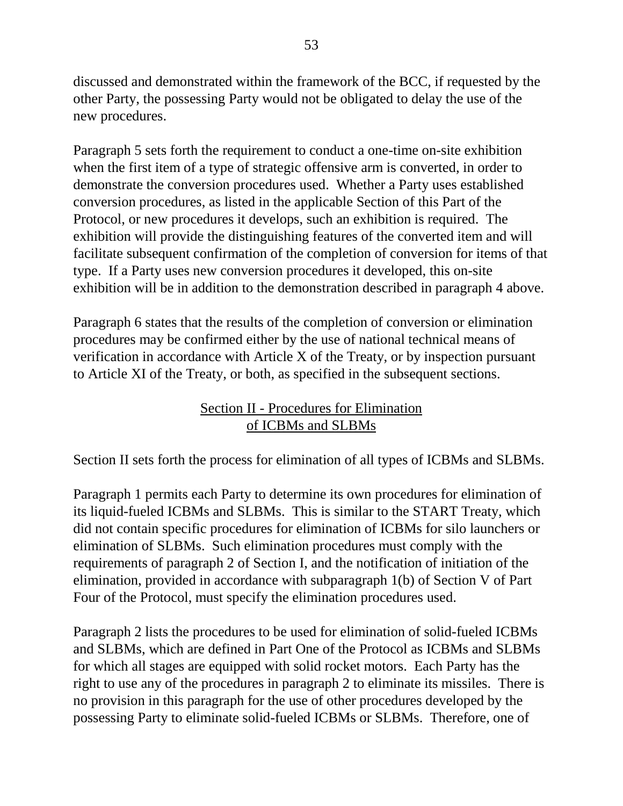discussed and demonstrated within the framework of the BCC, if requested by the other Party, the possessing Party would not be obligated to delay the use of the new procedures.

Paragraph 5 sets forth the requirement to conduct a one-time on-site exhibition when the first item of a type of strategic offensive arm is converted, in order to demonstrate the conversion procedures used. Whether a Party uses established conversion procedures, as listed in the applicable Section of this Part of the Protocol, or new procedures it develops, such an exhibition is required. The exhibition will provide the distinguishing features of the converted item and will facilitate subsequent confirmation of the completion of conversion for items of that type. If a Party uses new conversion procedures it developed, this on-site exhibition will be in addition to the demonstration described in paragraph 4 above.

Paragraph 6 states that the results of the completion of conversion or elimination procedures may be confirmed either by the use of national technical means of verification in accordance with Article X of the Treaty, or by inspection pursuant to Article XI of the Treaty, or both, as specified in the subsequent sections.

# Section II - Procedures for Elimination of ICBMs and SLBMs

Section II sets forth the process for elimination of all types of ICBMs and SLBMs.

Paragraph 1 permits each Party to determine its own procedures for elimination of its liquid-fueled ICBMs and SLBMs. This is similar to the START Treaty, which did not contain specific procedures for elimination of ICBMs for silo launchers or elimination of SLBMs. Such elimination procedures must comply with the requirements of paragraph 2 of Section I, and the notification of initiation of the elimination, provided in accordance with subparagraph 1(b) of Section V of Part Four of the Protocol, must specify the elimination procedures used.

Paragraph 2 lists the procedures to be used for elimination of solid-fueled ICBMs and SLBMs, which are defined in Part One of the Protocol as ICBMs and SLBMs for which all stages are equipped with solid rocket motors. Each Party has the right to use any of the procedures in paragraph 2 to eliminate its missiles. There is no provision in this paragraph for the use of other procedures developed by the possessing Party to eliminate solid-fueled ICBMs or SLBMs. Therefore, one of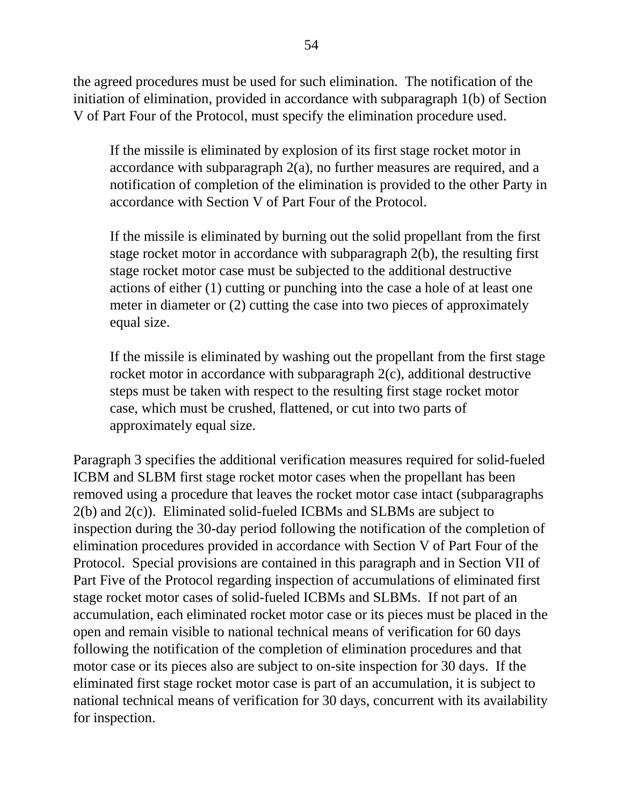the agreed procedures must be used for such elimination. The notification of the initiation of elimination, provided in accordance with subparagraph 1(b) of Section V of Part Four of the Protocol, must specify the elimination procedure used.

If the missile is eliminated by explosion of its first stage rocket motor in accordance with subparagraph 2(a), no further measures are required, and a notification of completion of the elimination is provided to the other Party in accordance with Section V of Part Four of the Protocol.

If the missile is eliminated by burning out the solid propellant from the first stage rocket motor in accordance with subparagraph 2(b), the resulting first stage rocket motor case must be subjected to the additional destructive actions of either (1) cutting or punching into the case a hole of at least one meter in diameter or (2) cutting the case into two pieces of approximately equal size.

If the missile is eliminated by washing out the propellant from the first stage rocket motor in accordance with subparagraph 2(c), additional destructive steps must be taken with respect to the resulting first stage rocket motor case, which must be crushed, flattened, or cut into two parts of approximately equal size.

Paragraph 3 specifies the additional verification measures required for solid-fueled ICBM and SLBM first stage rocket motor cases when the propellant has been removed using a procedure that leaves the rocket motor case intact (subparagraphs 2(b) and 2(c)). Eliminated solid-fueled ICBMs and SLBMs are subject to inspection during the 30-day period following the notification of the completion of elimination procedures provided in accordance with Section V of Part Four of the Protocol. Special provisions are contained in this paragraph and in Section VII of Part Five of the Protocol regarding inspection of accumulations of eliminated first stage rocket motor cases of solid-fueled ICBMs and SLBMs. If not part of an accumulation, each eliminated rocket motor case or its pieces must be placed in the open and remain visible to national technical means of verification for 60 days following the notification of the completion of elimination procedures and that motor case or its pieces also are subject to on-site inspection for 30 days. If the eliminated first stage rocket motor case is part of an accumulation, it is subject to national technical means of verification for 30 days, concurrent with its availability for inspection.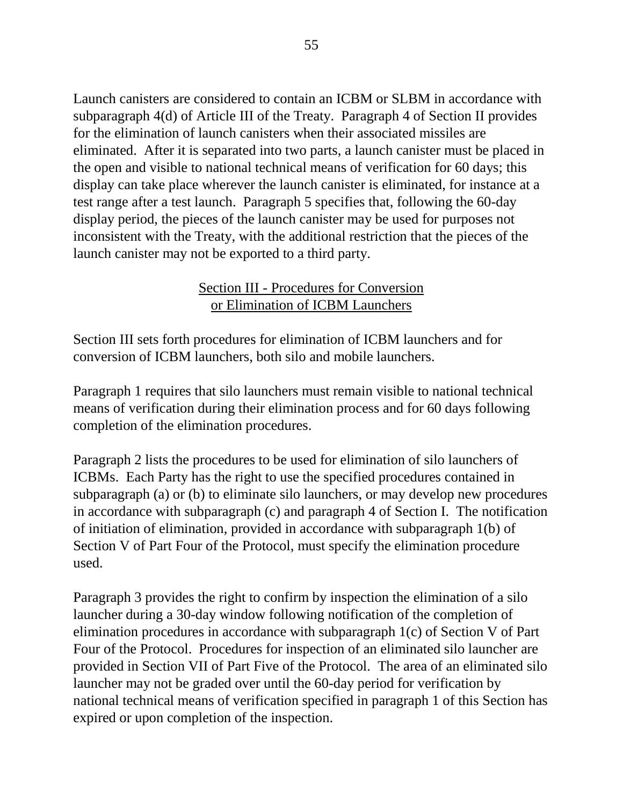Launch canisters are considered to contain an ICBM or SLBM in accordance with subparagraph 4(d) of Article III of the Treaty. Paragraph 4 of Section II provides for the elimination of launch canisters when their associated missiles are eliminated. After it is separated into two parts, a launch canister must be placed in the open and visible to national technical means of verification for 60 days; this display can take place wherever the launch canister is eliminated, for instance at a test range after a test launch. Paragraph 5 specifies that, following the 60-day display period, the pieces of the launch canister may be used for purposes not inconsistent with the Treaty, with the additional restriction that the pieces of the launch canister may not be exported to a third party.

## Section III - Procedures for Conversion or Elimination of ICBM Launchers

Section III sets forth procedures for elimination of ICBM launchers and for conversion of ICBM launchers, both silo and mobile launchers.

Paragraph 1 requires that silo launchers must remain visible to national technical means of verification during their elimination process and for 60 days following completion of the elimination procedures.

Paragraph 2 lists the procedures to be used for elimination of silo launchers of ICBMs. Each Party has the right to use the specified procedures contained in subparagraph (a) or (b) to eliminate silo launchers, or may develop new procedures in accordance with subparagraph (c) and paragraph 4 of Section I. The notification of initiation of elimination, provided in accordance with subparagraph 1(b) of Section V of Part Four of the Protocol, must specify the elimination procedure used.

Paragraph 3 provides the right to confirm by inspection the elimination of a silo launcher during a 30-day window following notification of the completion of elimination procedures in accordance with subparagraph 1(c) of Section V of Part Four of the Protocol. Procedures for inspection of an eliminated silo launcher are provided in Section VII of Part Five of the Protocol. The area of an eliminated silo launcher may not be graded over until the 60-day period for verification by national technical means of verification specified in paragraph 1 of this Section has expired or upon completion of the inspection.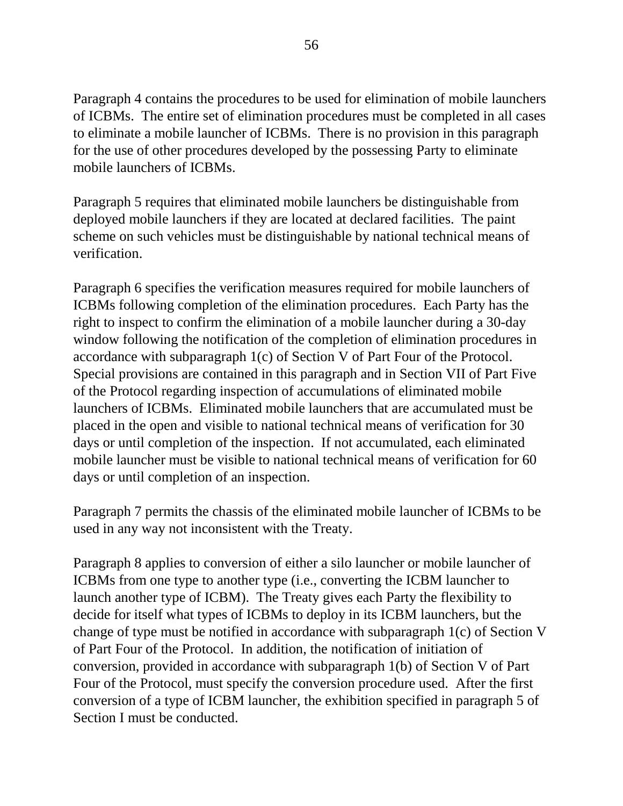Paragraph 4 contains the procedures to be used for elimination of mobile launchers of ICBMs. The entire set of elimination procedures must be completed in all cases to eliminate a mobile launcher of ICBMs. There is no provision in this paragraph for the use of other procedures developed by the possessing Party to eliminate mobile launchers of ICBMs.

Paragraph 5 requires that eliminated mobile launchers be distinguishable from deployed mobile launchers if they are located at declared facilities. The paint scheme on such vehicles must be distinguishable by national technical means of verification.

Paragraph 6 specifies the verification measures required for mobile launchers of ICBMs following completion of the elimination procedures. Each Party has the right to inspect to confirm the elimination of a mobile launcher during a 30-day window following the notification of the completion of elimination procedures in accordance with subparagraph 1(c) of Section V of Part Four of the Protocol. Special provisions are contained in this paragraph and in Section VII of Part Five of the Protocol regarding inspection of accumulations of eliminated mobile launchers of ICBMs. Eliminated mobile launchers that are accumulated must be placed in the open and visible to national technical means of verification for 30 days or until completion of the inspection. If not accumulated, each eliminated mobile launcher must be visible to national technical means of verification for 60 days or until completion of an inspection.

Paragraph 7 permits the chassis of the eliminated mobile launcher of ICBMs to be used in any way not inconsistent with the Treaty.

Paragraph 8 applies to conversion of either a silo launcher or mobile launcher of ICBMs from one type to another type (i.e., converting the ICBM launcher to launch another type of ICBM). The Treaty gives each Party the flexibility to decide for itself what types of ICBMs to deploy in its ICBM launchers, but the change of type must be notified in accordance with subparagraph 1(c) of Section V of Part Four of the Protocol. In addition, the notification of initiation of conversion, provided in accordance with subparagraph 1(b) of Section V of Part Four of the Protocol, must specify the conversion procedure used. After the first conversion of a type of ICBM launcher, the exhibition specified in paragraph 5 of Section I must be conducted.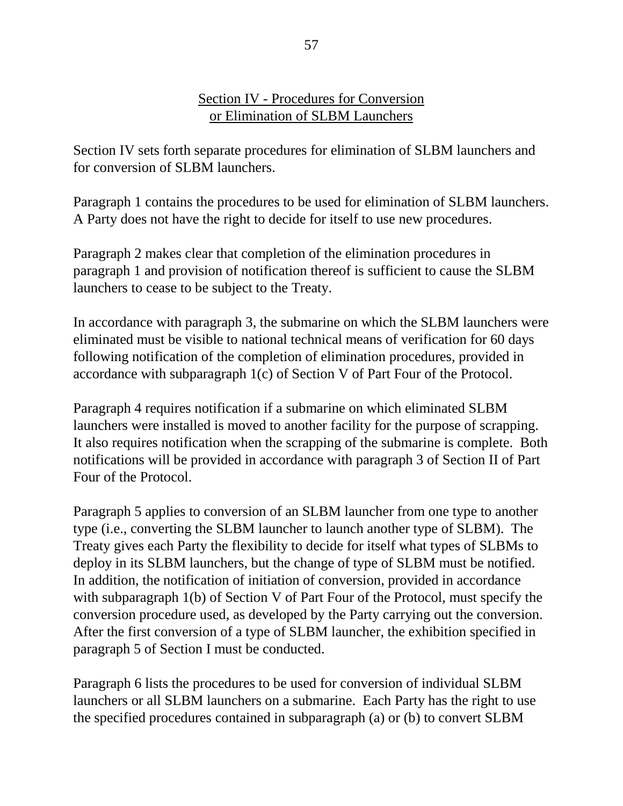#### Section IV - Procedures for Conversion or Elimination of SLBM Launchers

Section IV sets forth separate procedures for elimination of SLBM launchers and for conversion of SLBM launchers.

Paragraph 1 contains the procedures to be used for elimination of SLBM launchers. A Party does not have the right to decide for itself to use new procedures.

Paragraph 2 makes clear that completion of the elimination procedures in paragraph 1 and provision of notification thereof is sufficient to cause the SLBM launchers to cease to be subject to the Treaty.

In accordance with paragraph 3, the submarine on which the SLBM launchers were eliminated must be visible to national technical means of verification for 60 days following notification of the completion of elimination procedures, provided in accordance with subparagraph 1(c) of Section V of Part Four of the Protocol.

Paragraph 4 requires notification if a submarine on which eliminated SLBM launchers were installed is moved to another facility for the purpose of scrapping. It also requires notification when the scrapping of the submarine is complete. Both notifications will be provided in accordance with paragraph 3 of Section II of Part Four of the Protocol.

Paragraph 5 applies to conversion of an SLBM launcher from one type to another type (i.e., converting the SLBM launcher to launch another type of SLBM). The Treaty gives each Party the flexibility to decide for itself what types of SLBMs to deploy in its SLBM launchers, but the change of type of SLBM must be notified. In addition, the notification of initiation of conversion, provided in accordance with subparagraph 1(b) of Section V of Part Four of the Protocol, must specify the conversion procedure used, as developed by the Party carrying out the conversion. After the first conversion of a type of SLBM launcher, the exhibition specified in paragraph 5 of Section I must be conducted.

Paragraph 6 lists the procedures to be used for conversion of individual SLBM launchers or all SLBM launchers on a submarine. Each Party has the right to use the specified procedures contained in subparagraph (a) or (b) to convert SLBM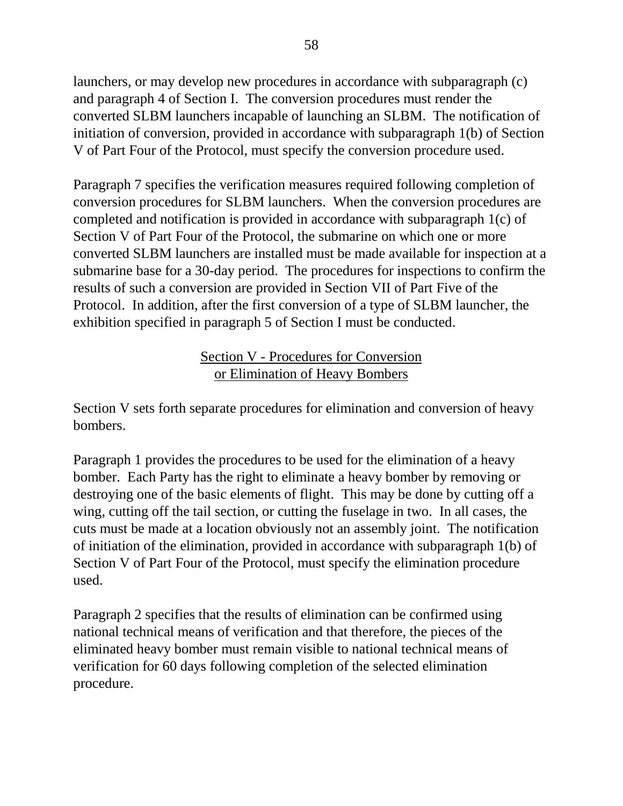launchers, or may develop new procedures in accordance with subparagraph (c) and paragraph 4 of Section I. The conversion procedures must render the converted SLBM launchers incapable of launching an SLBM. The notification of initiation of conversion, provided in accordance with subparagraph 1(b) of Section V of Part Four of the Protocol, must specify the conversion procedure used.

Paragraph 7 specifies the verification measures required following completion of conversion procedures for SLBM launchers. When the conversion procedures are completed and notification is provided in accordance with subparagraph 1(c) of Section V of Part Four of the Protocol, the submarine on which one or more converted SLBM launchers are installed must be made available for inspection at a submarine base for a 30-day period. The procedures for inspections to confirm the results of such a conversion are provided in Section VII of Part Five of the Protocol. In addition, after the first conversion of a type of SLBM launcher, the exhibition specified in paragraph 5 of Section I must be conducted.

# Section V - Procedures for Conversion or Elimination of Heavy Bombers

Section V sets forth separate procedures for elimination and conversion of heavy bombers.

Paragraph 1 provides the procedures to be used for the elimination of a heavy bomber. Each Party has the right to eliminate a heavy bomber by removing or destroying one of the basic elements of flight. This may be done by cutting off a wing, cutting off the tail section, or cutting the fuselage in two. In all cases, the cuts must be made at a location obviously not an assembly joint. The notification of initiation of the elimination, provided in accordance with subparagraph 1(b) of Section V of Part Four of the Protocol, must specify the elimination procedure used.

Paragraph 2 specifies that the results of elimination can be confirmed using national technical means of verification and that therefore, the pieces of the eliminated heavy bomber must remain visible to national technical means of verification for 60 days following completion of the selected elimination procedure.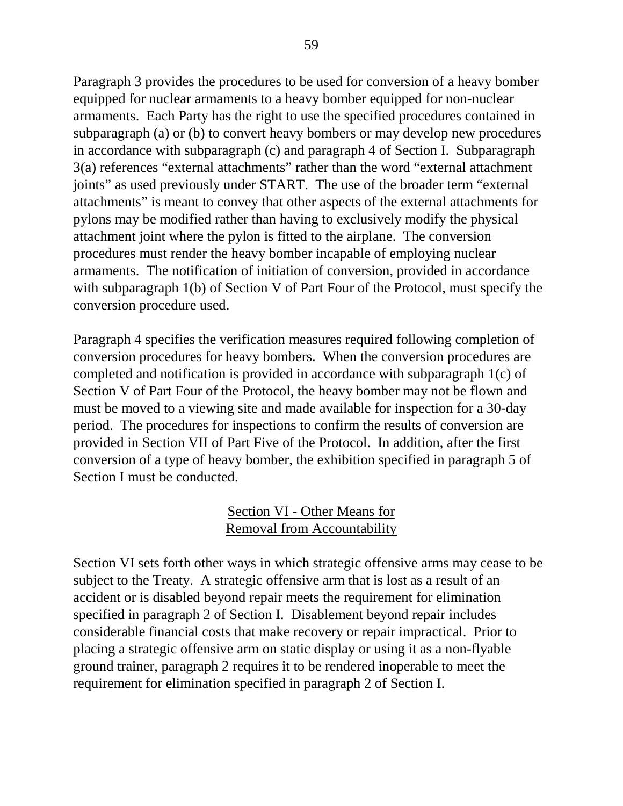Paragraph 3 provides the procedures to be used for conversion of a heavy bomber equipped for nuclear armaments to a heavy bomber equipped for non-nuclear armaments. Each Party has the right to use the specified procedures contained in subparagraph (a) or (b) to convert heavy bombers or may develop new procedures in accordance with subparagraph (c) and paragraph 4 of Section I. Subparagraph 3(a) references "external attachments" rather than the word "external attachment joints" as used previously under START. The use of the broader term "external attachments" is meant to convey that other aspects of the external attachments for pylons may be modified rather than having to exclusively modify the physical attachment joint where the pylon is fitted to the airplane. The conversion procedures must render the heavy bomber incapable of employing nuclear armaments. The notification of initiation of conversion, provided in accordance with subparagraph 1(b) of Section V of Part Four of the Protocol, must specify the conversion procedure used.

Paragraph 4 specifies the verification measures required following completion of conversion procedures for heavy bombers. When the conversion procedures are completed and notification is provided in accordance with subparagraph 1(c) of Section V of Part Four of the Protocol, the heavy bomber may not be flown and must be moved to a viewing site and made available for inspection for a 30-day period. The procedures for inspections to confirm the results of conversion are provided in Section VII of Part Five of the Protocol. In addition, after the first conversion of a type of heavy bomber, the exhibition specified in paragraph 5 of Section I must be conducted.

## Section VI - Other Means for Removal from Accountability

Section VI sets forth other ways in which strategic offensive arms may cease to be subject to the Treaty. A strategic offensive arm that is lost as a result of an accident or is disabled beyond repair meets the requirement for elimination specified in paragraph 2 of Section I. Disablement beyond repair includes considerable financial costs that make recovery or repair impractical. Prior to placing a strategic offensive arm on static display or using it as a non-flyable ground trainer, paragraph 2 requires it to be rendered inoperable to meet the requirement for elimination specified in paragraph 2 of Section I.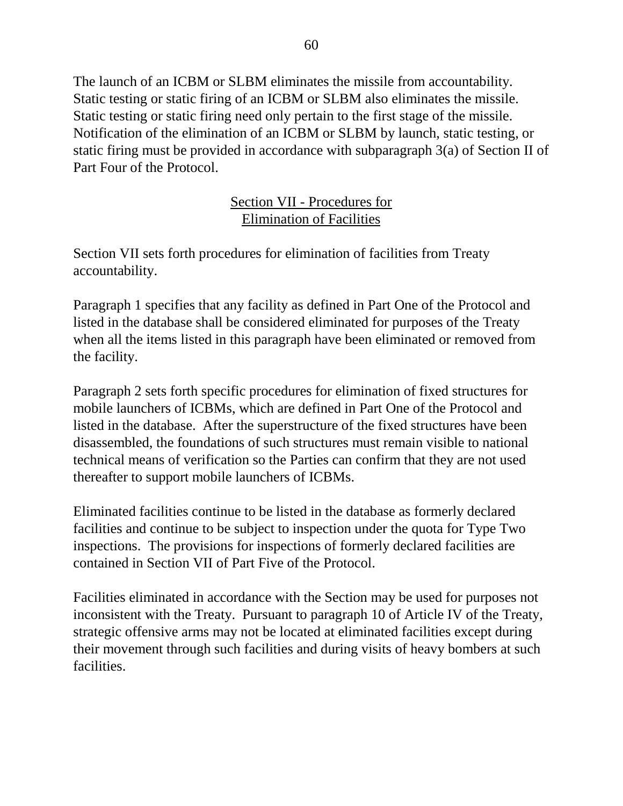The launch of an ICBM or SLBM eliminates the missile from accountability. Static testing or static firing of an ICBM or SLBM also eliminates the missile. Static testing or static firing need only pertain to the first stage of the missile. Notification of the elimination of an ICBM or SLBM by launch, static testing, or static firing must be provided in accordance with subparagraph 3(a) of Section II of Part Four of the Protocol.

## Section VII - Procedures for Elimination of Facilities

Section VII sets forth procedures for elimination of facilities from Treaty accountability.

Paragraph 1 specifies that any facility as defined in Part One of the Protocol and listed in the database shall be considered eliminated for purposes of the Treaty when all the items listed in this paragraph have been eliminated or removed from the facility.

Paragraph 2 sets forth specific procedures for elimination of fixed structures for mobile launchers of ICBMs, which are defined in Part One of the Protocol and listed in the database. After the superstructure of the fixed structures have been disassembled, the foundations of such structures must remain visible to national technical means of verification so the Parties can confirm that they are not used thereafter to support mobile launchers of ICBMs.

Eliminated facilities continue to be listed in the database as formerly declared facilities and continue to be subject to inspection under the quota for Type Two inspections. The provisions for inspections of formerly declared facilities are contained in Section VII of Part Five of the Protocol.

Facilities eliminated in accordance with the Section may be used for purposes not inconsistent with the Treaty. Pursuant to paragraph 10 of Article IV of the Treaty, strategic offensive arms may not be located at eliminated facilities except during their movement through such facilities and during visits of heavy bombers at such facilities.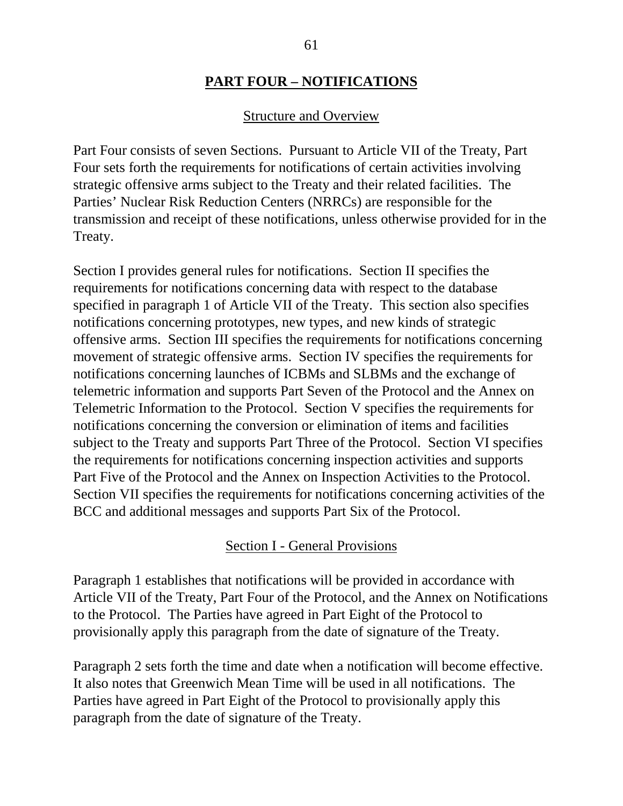#### **PART FOUR – NOTIFICATIONS**

#### Structure and Overview

Part Four consists of seven Sections. Pursuant to Article VII of the Treaty, Part Four sets forth the requirements for notifications of certain activities involving strategic offensive arms subject to the Treaty and their related facilities. The Parties' Nuclear Risk Reduction Centers (NRRCs) are responsible for the transmission and receipt of these notifications, unless otherwise provided for in the Treaty.

Section I provides general rules for notifications. Section II specifies the requirements for notifications concerning data with respect to the database specified in paragraph 1 of Article VII of the Treaty. This section also specifies notifications concerning prototypes, new types, and new kinds of strategic offensive arms. Section III specifies the requirements for notifications concerning movement of strategic offensive arms. Section IV specifies the requirements for notifications concerning launches of ICBMs and SLBMs and the exchange of telemetric information and supports Part Seven of the Protocol and the Annex on Telemetric Information to the Protocol. Section V specifies the requirements for notifications concerning the conversion or elimination of items and facilities subject to the Treaty and supports Part Three of the Protocol. Section VI specifies the requirements for notifications concerning inspection activities and supports Part Five of the Protocol and the Annex on Inspection Activities to the Protocol. Section VII specifies the requirements for notifications concerning activities of the BCC and additional messages and supports Part Six of the Protocol.

#### Section I - General Provisions

Paragraph 1 establishes that notifications will be provided in accordance with Article VII of the Treaty, Part Four of the Protocol, and the Annex on Notifications to the Protocol. The Parties have agreed in Part Eight of the Protocol to provisionally apply this paragraph from the date of signature of the Treaty.

Paragraph 2 sets forth the time and date when a notification will become effective. It also notes that Greenwich Mean Time will be used in all notifications. The Parties have agreed in Part Eight of the Protocol to provisionally apply this paragraph from the date of signature of the Treaty.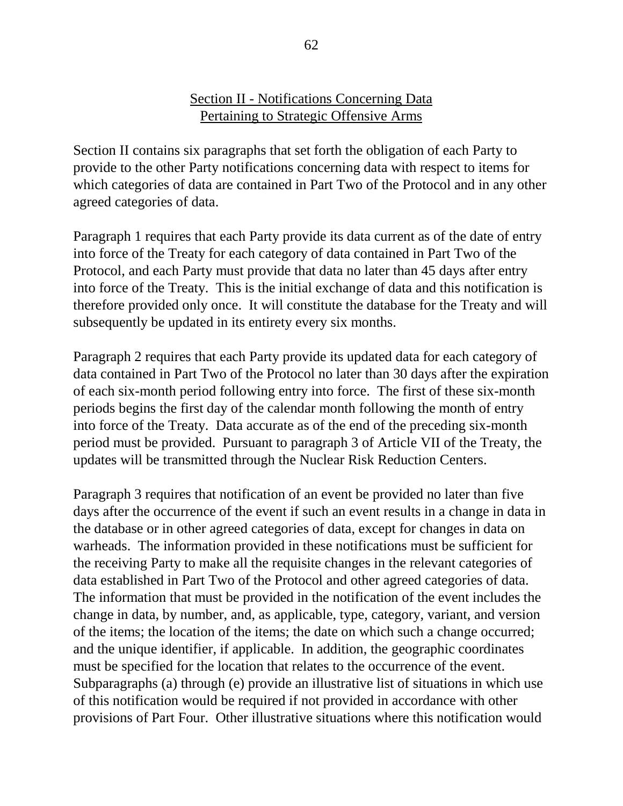#### Section II - Notifications Concerning Data Pertaining to Strategic Offensive Arms

Section II contains six paragraphs that set forth the obligation of each Party to provide to the other Party notifications concerning data with respect to items for which categories of data are contained in Part Two of the Protocol and in any other agreed categories of data.

Paragraph 1 requires that each Party provide its data current as of the date of entry into force of the Treaty for each category of data contained in Part Two of the Protocol, and each Party must provide that data no later than 45 days after entry into force of the Treaty. This is the initial exchange of data and this notification is therefore provided only once. It will constitute the database for the Treaty and will subsequently be updated in its entirety every six months.

Paragraph 2 requires that each Party provide its updated data for each category of data contained in Part Two of the Protocol no later than 30 days after the expiration of each six-month period following entry into force. The first of these six-month periods begins the first day of the calendar month following the month of entry into force of the Treaty. Data accurate as of the end of the preceding six-month period must be provided. Pursuant to paragraph 3 of Article VII of the Treaty, the updates will be transmitted through the Nuclear Risk Reduction Centers.

Paragraph 3 requires that notification of an event be provided no later than five days after the occurrence of the event if such an event results in a change in data in the database or in other agreed categories of data, except for changes in data on warheads. The information provided in these notifications must be sufficient for the receiving Party to make all the requisite changes in the relevant categories of data established in Part Two of the Protocol and other agreed categories of data. The information that must be provided in the notification of the event includes the change in data, by number, and, as applicable, type, category, variant, and version of the items; the location of the items; the date on which such a change occurred; and the unique identifier, if applicable. In addition, the geographic coordinates must be specified for the location that relates to the occurrence of the event. Subparagraphs (a) through (e) provide an illustrative list of situations in which use of this notification would be required if not provided in accordance with other provisions of Part Four. Other illustrative situations where this notification would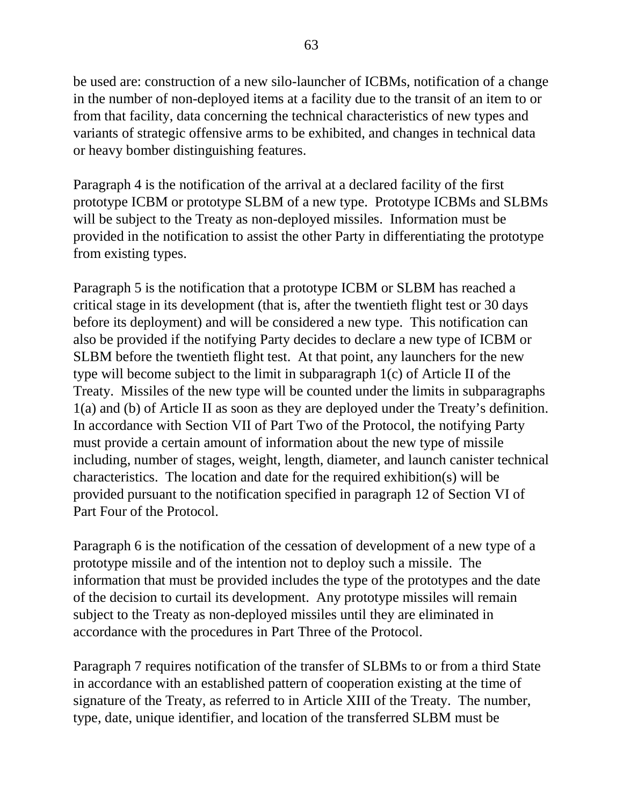be used are: construction of a new silo-launcher of ICBMs, notification of a change in the number of non-deployed items at a facility due to the transit of an item to or from that facility, data concerning the technical characteristics of new types and variants of strategic offensive arms to be exhibited, and changes in technical data or heavy bomber distinguishing features.

Paragraph 4 is the notification of the arrival at a declared facility of the first prototype ICBM or prototype SLBM of a new type. Prototype ICBMs and SLBMs will be subject to the Treaty as non-deployed missiles. Information must be provided in the notification to assist the other Party in differentiating the prototype from existing types.

Paragraph 5 is the notification that a prototype ICBM or SLBM has reached a critical stage in its development (that is, after the twentieth flight test or 30 days before its deployment) and will be considered a new type. This notification can also be provided if the notifying Party decides to declare a new type of ICBM or SLBM before the twentieth flight test. At that point, any launchers for the new type will become subject to the limit in subparagraph 1(c) of Article II of the Treaty. Missiles of the new type will be counted under the limits in subparagraphs 1(a) and (b) of Article II as soon as they are deployed under the Treaty's definition. In accordance with Section VII of Part Two of the Protocol, the notifying Party must provide a certain amount of information about the new type of missile including, number of stages, weight, length, diameter, and launch canister technical characteristics. The location and date for the required exhibition(s) will be provided pursuant to the notification specified in paragraph 12 of Section VI of Part Four of the Protocol.

Paragraph 6 is the notification of the cessation of development of a new type of a prototype missile and of the intention not to deploy such a missile. The information that must be provided includes the type of the prototypes and the date of the decision to curtail its development. Any prototype missiles will remain subject to the Treaty as non-deployed missiles until they are eliminated in accordance with the procedures in Part Three of the Protocol.

Paragraph 7 requires notification of the transfer of SLBMs to or from a third State in accordance with an established pattern of cooperation existing at the time of signature of the Treaty, as referred to in Article XIII of the Treaty. The number, type, date, unique identifier, and location of the transferred SLBM must be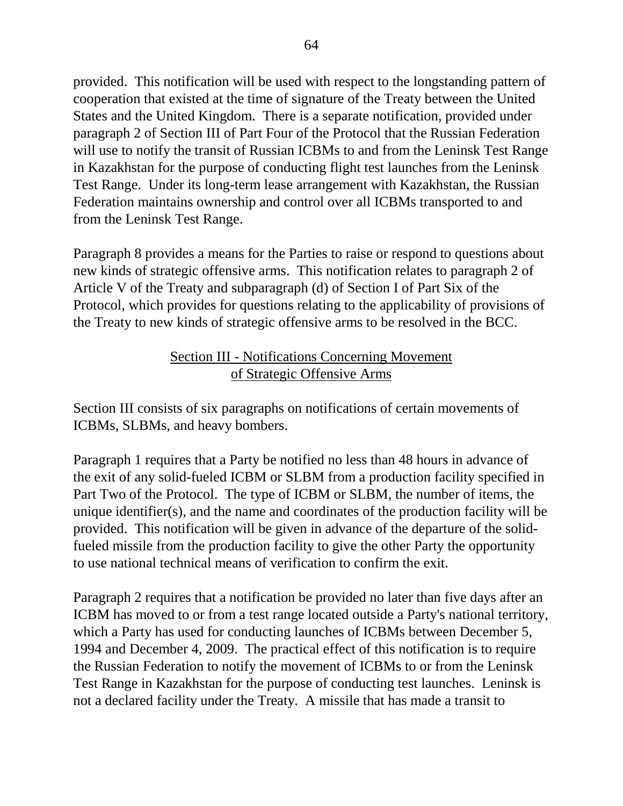provided. This notification will be used with respect to the longstanding pattern of cooperation that existed at the time of signature of the Treaty between the United States and the United Kingdom. There is a separate notification, provided under paragraph 2 of Section III of Part Four of the Protocol that the Russian Federation will use to notify the transit of Russian ICBMs to and from the Leninsk Test Range in Kazakhstan for the purpose of conducting flight test launches from the Leninsk Test Range. Under its long-term lease arrangement with Kazakhstan, the Russian Federation maintains ownership and control over all ICBMs transported to and from the Leninsk Test Range.

Paragraph 8 provides a means for the Parties to raise or respond to questions about new kinds of strategic offensive arms. This notification relates to paragraph 2 of Article V of the Treaty and subparagraph (d) of Section I of Part Six of the Protocol, which provides for questions relating to the applicability of provisions of the Treaty to new kinds of strategic offensive arms to be resolved in the BCC.

## Section III - Notifications Concerning Movement of Strategic Offensive Arms

Section III consists of six paragraphs on notifications of certain movements of ICBMs, SLBMs, and heavy bombers.

Paragraph 1 requires that a Party be notified no less than 48 hours in advance of the exit of any solid-fueled ICBM or SLBM from a production facility specified in Part Two of the Protocol. The type of ICBM or SLBM, the number of items, the unique identifier(s), and the name and coordinates of the production facility will be provided. This notification will be given in advance of the departure of the solidfueled missile from the production facility to give the other Party the opportunity to use national technical means of verification to confirm the exit.

Paragraph 2 requires that a notification be provided no later than five days after an ICBM has moved to or from a test range located outside a Party's national territory, which a Party has used for conducting launches of ICBMs between December 5, 1994 and December 4, 2009. The practical effect of this notification is to require the Russian Federation to notify the movement of ICBMs to or from the Leninsk Test Range in Kazakhstan for the purpose of conducting test launches. Leninsk is not a declared facility under the Treaty. A missile that has made a transit to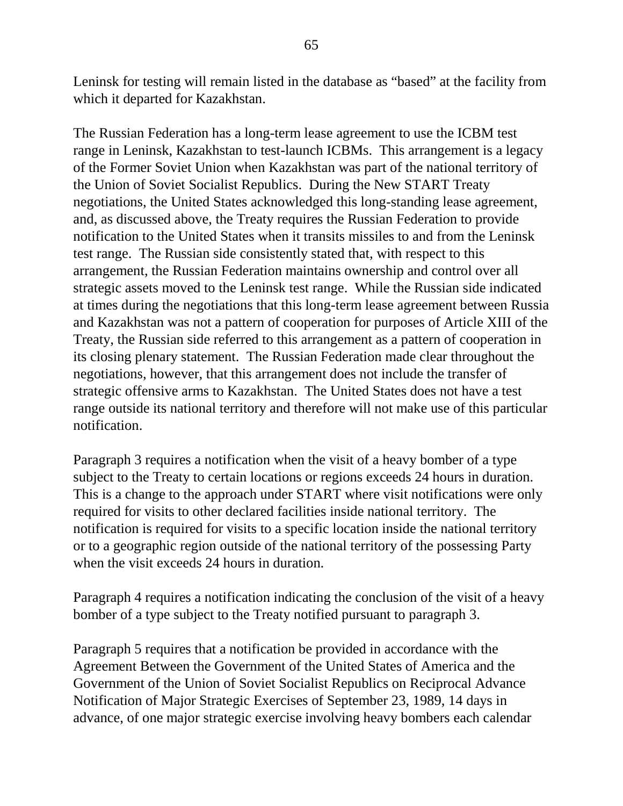Leninsk for testing will remain listed in the database as "based" at the facility from which it departed for Kazakhstan.

The Russian Federation has a long-term lease agreement to use the ICBM test range in Leninsk, Kazakhstan to test-launch ICBMs. This arrangement is a legacy of the Former Soviet Union when Kazakhstan was part of the national territory of the Union of Soviet Socialist Republics. During the New START Treaty negotiations, the United States acknowledged this long-standing lease agreement, and, as discussed above, the Treaty requires the Russian Federation to provide notification to the United States when it transits missiles to and from the Leninsk test range. The Russian side consistently stated that, with respect to this arrangement, the Russian Federation maintains ownership and control over all strategic assets moved to the Leninsk test range. While the Russian side indicated at times during the negotiations that this long-term lease agreement between Russia and Kazakhstan was not a pattern of cooperation for purposes of Article XIII of the Treaty, the Russian side referred to this arrangement as a pattern of cooperation in its closing plenary statement. The Russian Federation made clear throughout the negotiations, however, that this arrangement does not include the transfer of strategic offensive arms to Kazakhstan. The United States does not have a test range outside its national territory and therefore will not make use of this particular notification.

Paragraph 3 requires a notification when the visit of a heavy bomber of a type subject to the Treaty to certain locations or regions exceeds 24 hours in duration. This is a change to the approach under START where visit notifications were only required for visits to other declared facilities inside national territory. The notification is required for visits to a specific location inside the national territory or to a geographic region outside of the national territory of the possessing Party when the visit exceeds 24 hours in duration.

Paragraph 4 requires a notification indicating the conclusion of the visit of a heavy bomber of a type subject to the Treaty notified pursuant to paragraph 3.

Paragraph 5 requires that a notification be provided in accordance with the Agreement Between the Government of the United States of America and the Government of the Union of Soviet Socialist Republics on Reciprocal Advance Notification of Major Strategic Exercises of September 23, 1989, 14 days in advance, of one major strategic exercise involving heavy bombers each calendar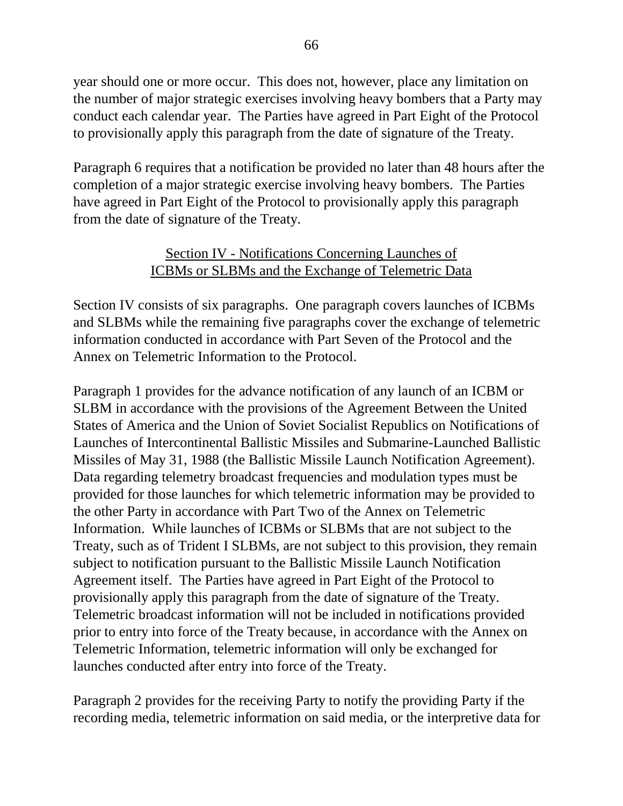year should one or more occur. This does not, however, place any limitation on the number of major strategic exercises involving heavy bombers that a Party may conduct each calendar year. The Parties have agreed in Part Eight of the Protocol to provisionally apply this paragraph from the date of signature of the Treaty.

Paragraph 6 requires that a notification be provided no later than 48 hours after the completion of a major strategic exercise involving heavy bombers. The Parties have agreed in Part Eight of the Protocol to provisionally apply this paragraph from the date of signature of the Treaty.

### Section IV - Notifications Concerning Launches of ICBMs or SLBMs and the Exchange of Telemetric Data

Section IV consists of six paragraphs. One paragraph covers launches of ICBMs and SLBMs while the remaining five paragraphs cover the exchange of telemetric information conducted in accordance with Part Seven of the Protocol and the Annex on Telemetric Information to the Protocol.

Paragraph 1 provides for the advance notification of any launch of an ICBM or SLBM in accordance with the provisions of the Agreement Between the United States of America and the Union of Soviet Socialist Republics on Notifications of Launches of Intercontinental Ballistic Missiles and Submarine-Launched Ballistic Missiles of May 31, 1988 (the Ballistic Missile Launch Notification Agreement). Data regarding telemetry broadcast frequencies and modulation types must be provided for those launches for which telemetric information may be provided to the other Party in accordance with Part Two of the Annex on Telemetric Information. While launches of ICBMs or SLBMs that are not subject to the Treaty, such as of Trident I SLBMs, are not subject to this provision, they remain subject to notification pursuant to the Ballistic Missile Launch Notification Agreement itself. The Parties have agreed in Part Eight of the Protocol to provisionally apply this paragraph from the date of signature of the Treaty. Telemetric broadcast information will not be included in notifications provided prior to entry into force of the Treaty because, in accordance with the Annex on Telemetric Information, telemetric information will only be exchanged for launches conducted after entry into force of the Treaty.

Paragraph 2 provides for the receiving Party to notify the providing Party if the recording media, telemetric information on said media, or the interpretive data for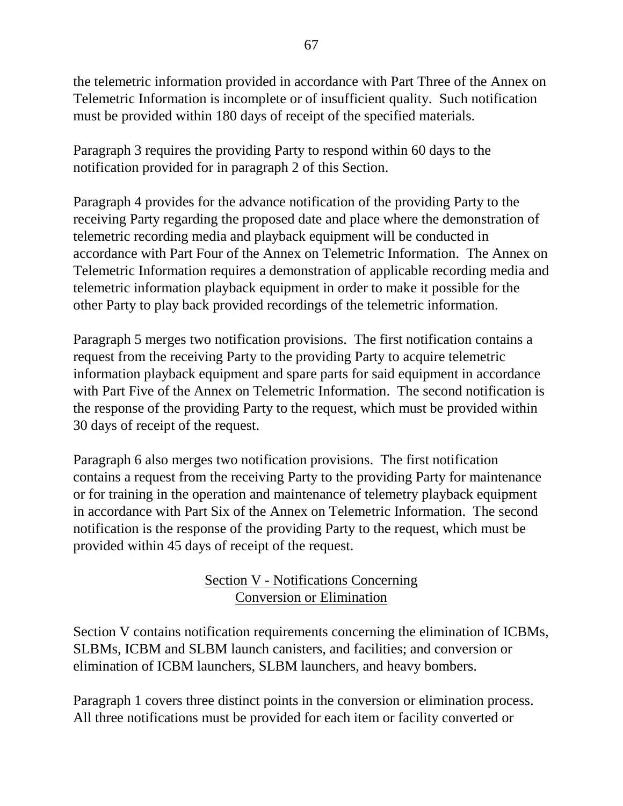the telemetric information provided in accordance with Part Three of the Annex on Telemetric Information is incomplete or of insufficient quality. Such notification must be provided within 180 days of receipt of the specified materials.

Paragraph 3 requires the providing Party to respond within 60 days to the notification provided for in paragraph 2 of this Section.

Paragraph 4 provides for the advance notification of the providing Party to the receiving Party regarding the proposed date and place where the demonstration of telemetric recording media and playback equipment will be conducted in accordance with Part Four of the Annex on Telemetric Information. The Annex on Telemetric Information requires a demonstration of applicable recording media and telemetric information playback equipment in order to make it possible for the other Party to play back provided recordings of the telemetric information.

Paragraph 5 merges two notification provisions. The first notification contains a request from the receiving Party to the providing Party to acquire telemetric information playback equipment and spare parts for said equipment in accordance with Part Five of the Annex on Telemetric Information. The second notification is the response of the providing Party to the request, which must be provided within 30 days of receipt of the request.

Paragraph 6 also merges two notification provisions. The first notification contains a request from the receiving Party to the providing Party for maintenance or for training in the operation and maintenance of telemetry playback equipment in accordance with Part Six of the Annex on Telemetric Information. The second notification is the response of the providing Party to the request, which must be provided within 45 days of receipt of the request.

# Section V - Notifications Concerning Conversion or Elimination

Section V contains notification requirements concerning the elimination of ICBMs, SLBMs, ICBM and SLBM launch canisters, and facilities; and conversion or elimination of ICBM launchers, SLBM launchers, and heavy bombers.

Paragraph 1 covers three distinct points in the conversion or elimination process. All three notifications must be provided for each item or facility converted or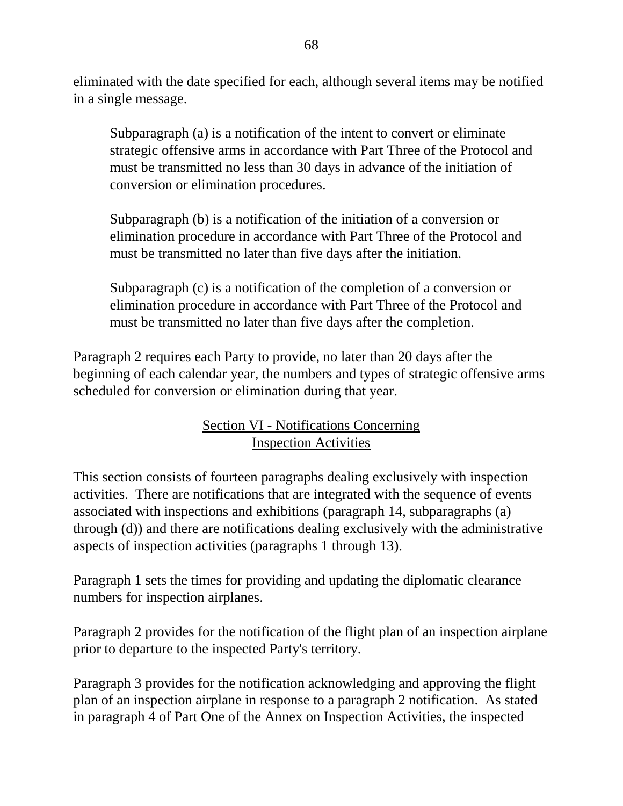eliminated with the date specified for each, although several items may be notified in a single message.

Subparagraph (a) is a notification of the intent to convert or eliminate strategic offensive arms in accordance with Part Three of the Protocol and must be transmitted no less than 30 days in advance of the initiation of conversion or elimination procedures.

Subparagraph (b) is a notification of the initiation of a conversion or elimination procedure in accordance with Part Three of the Protocol and must be transmitted no later than five days after the initiation.

Subparagraph (c) is a notification of the completion of a conversion or elimination procedure in accordance with Part Three of the Protocol and must be transmitted no later than five days after the completion.

Paragraph 2 requires each Party to provide, no later than 20 days after the beginning of each calendar year, the numbers and types of strategic offensive arms scheduled for conversion or elimination during that year.

## Section VI - Notifications Concerning Inspection Activities

This section consists of fourteen paragraphs dealing exclusively with inspection activities. There are notifications that are integrated with the sequence of events associated with inspections and exhibitions (paragraph 14, subparagraphs (a) through (d)) and there are notifications dealing exclusively with the administrative aspects of inspection activities (paragraphs 1 through 13).

Paragraph 1 sets the times for providing and updating the diplomatic clearance numbers for inspection airplanes.

Paragraph 2 provides for the notification of the flight plan of an inspection airplane prior to departure to the inspected Party's territory.

Paragraph 3 provides for the notification acknowledging and approving the flight plan of an inspection airplane in response to a paragraph 2 notification. As stated in paragraph 4 of Part One of the Annex on Inspection Activities, the inspected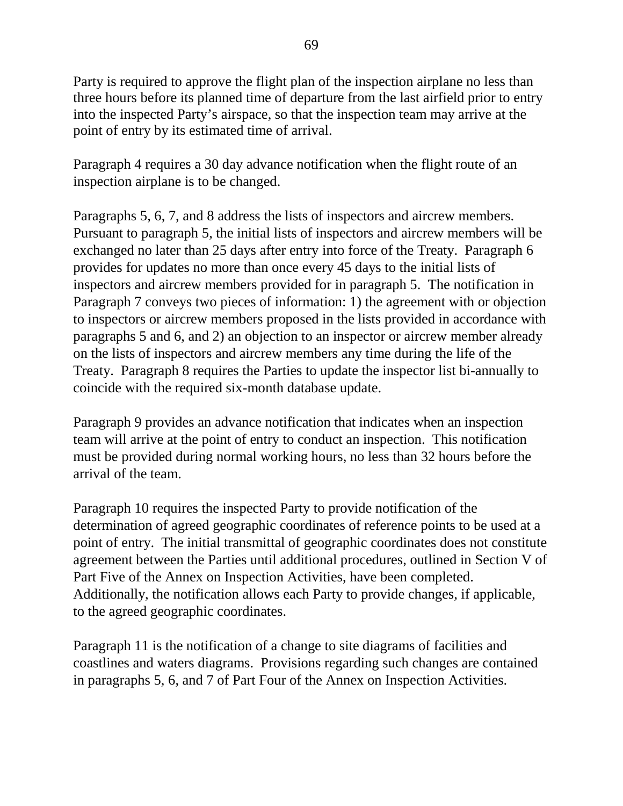Party is required to approve the flight plan of the inspection airplane no less than three hours before its planned time of departure from the last airfield prior to entry into the inspected Party's airspace, so that the inspection team may arrive at the point of entry by its estimated time of arrival.

Paragraph 4 requires a 30 day advance notification when the flight route of an inspection airplane is to be changed.

Paragraphs 5, 6, 7, and 8 address the lists of inspectors and aircrew members. Pursuant to paragraph 5, the initial lists of inspectors and aircrew members will be exchanged no later than 25 days after entry into force of the Treaty. Paragraph 6 provides for updates no more than once every 45 days to the initial lists of inspectors and aircrew members provided for in paragraph 5. The notification in Paragraph 7 conveys two pieces of information: 1) the agreement with or objection to inspectors or aircrew members proposed in the lists provided in accordance with paragraphs 5 and 6, and 2) an objection to an inspector or aircrew member already on the lists of inspectors and aircrew members any time during the life of the Treaty. Paragraph 8 requires the Parties to update the inspector list bi-annually to coincide with the required six-month database update.

Paragraph 9 provides an advance notification that indicates when an inspection team will arrive at the point of entry to conduct an inspection. This notification must be provided during normal working hours, no less than 32 hours before the arrival of the team.

Paragraph 10 requires the inspected Party to provide notification of the determination of agreed geographic coordinates of reference points to be used at a point of entry. The initial transmittal of geographic coordinates does not constitute agreement between the Parties until additional procedures, outlined in Section V of Part Five of the Annex on Inspection Activities, have been completed. Additionally, the notification allows each Party to provide changes, if applicable, to the agreed geographic coordinates.

Paragraph 11 is the notification of a change to site diagrams of facilities and coastlines and waters diagrams. Provisions regarding such changes are contained in paragraphs 5, 6, and 7 of Part Four of the Annex on Inspection Activities.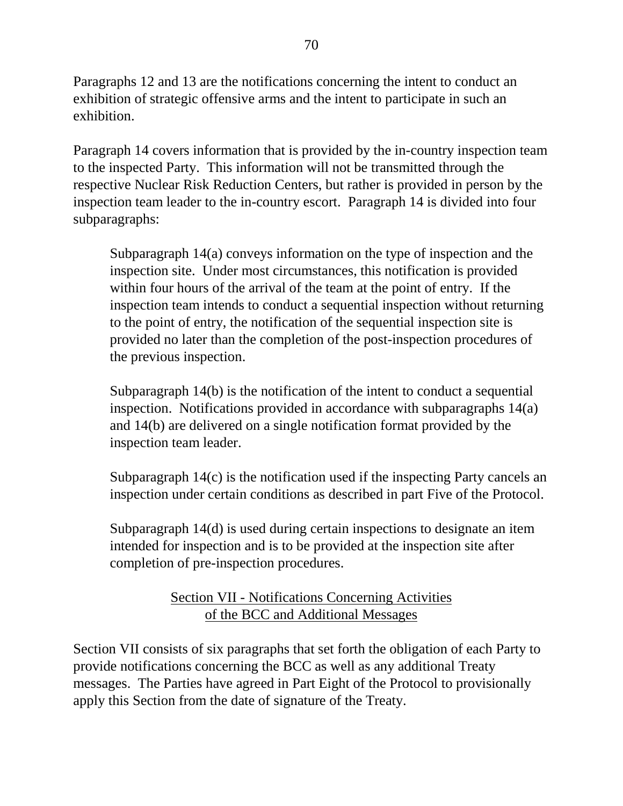Paragraphs 12 and 13 are the notifications concerning the intent to conduct an exhibition of strategic offensive arms and the intent to participate in such an exhibition.

Paragraph 14 covers information that is provided by the in-country inspection team to the inspected Party. This information will not be transmitted through the respective Nuclear Risk Reduction Centers, but rather is provided in person by the inspection team leader to the in-country escort. Paragraph 14 is divided into four subparagraphs:

Subparagraph 14(a) conveys information on the type of inspection and the inspection site. Under most circumstances, this notification is provided within four hours of the arrival of the team at the point of entry. If the inspection team intends to conduct a sequential inspection without returning to the point of entry, the notification of the sequential inspection site is provided no later than the completion of the post-inspection procedures of the previous inspection.

Subparagraph 14(b) is the notification of the intent to conduct a sequential inspection. Notifications provided in accordance with subparagraphs 14(a) and 14(b) are delivered on a single notification format provided by the inspection team leader.

Subparagraph 14(c) is the notification used if the inspecting Party cancels an inspection under certain conditions as described in part Five of the Protocol.

Subparagraph 14(d) is used during certain inspections to designate an item intended for inspection and is to be provided at the inspection site after completion of pre-inspection procedures.

# Section VII - Notifications Concerning Activities of the BCC and Additional Messages

Section VII consists of six paragraphs that set forth the obligation of each Party to provide notifications concerning the BCC as well as any additional Treaty messages. The Parties have agreed in Part Eight of the Protocol to provisionally apply this Section from the date of signature of the Treaty.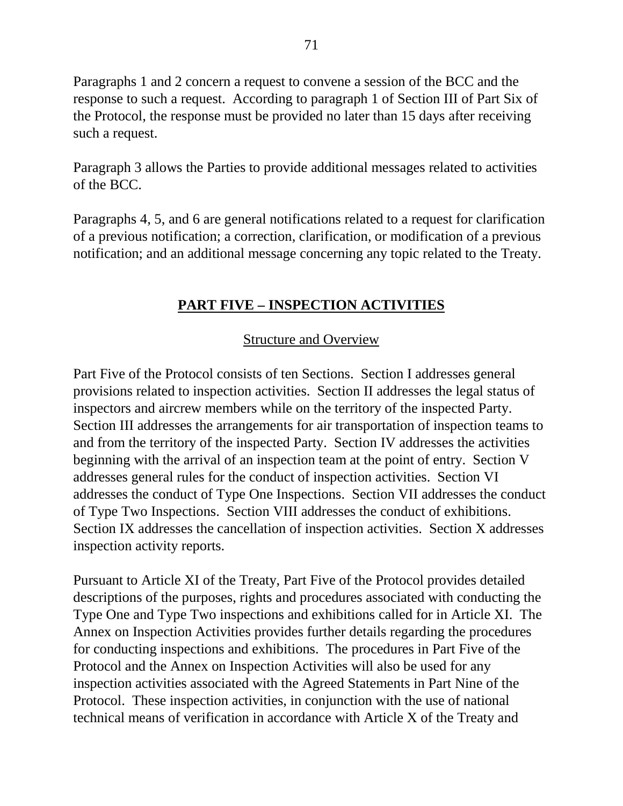Paragraphs 1 and 2 concern a request to convene a session of the BCC and the response to such a request. According to paragraph 1 of Section III of Part Six of the Protocol, the response must be provided no later than 15 days after receiving such a request.

Paragraph 3 allows the Parties to provide additional messages related to activities of the BCC.

Paragraphs 4, 5, and 6 are general notifications related to a request for clarification of a previous notification; a correction, clarification, or modification of a previous notification; and an additional message concerning any topic related to the Treaty.

## **PART FIVE – INSPECTION ACTIVITIES**

## Structure and Overview

Part Five of the Protocol consists of ten Sections. Section I addresses general provisions related to inspection activities. Section II addresses the legal status of inspectors and aircrew members while on the territory of the inspected Party. Section III addresses the arrangements for air transportation of inspection teams to and from the territory of the inspected Party. Section IV addresses the activities beginning with the arrival of an inspection team at the point of entry. Section V addresses general rules for the conduct of inspection activities. Section VI addresses the conduct of Type One Inspections. Section VII addresses the conduct of Type Two Inspections. Section VIII addresses the conduct of exhibitions. Section IX addresses the cancellation of inspection activities. Section X addresses inspection activity reports.

Pursuant to Article XI of the Treaty, Part Five of the Protocol provides detailed descriptions of the purposes, rights and procedures associated with conducting the Type One and Type Two inspections and exhibitions called for in Article XI. The Annex on Inspection Activities provides further details regarding the procedures for conducting inspections and exhibitions. The procedures in Part Five of the Protocol and the Annex on Inspection Activities will also be used for any inspection activities associated with the Agreed Statements in Part Nine of the Protocol. These inspection activities, in conjunction with the use of national technical means of verification in accordance with Article X of the Treaty and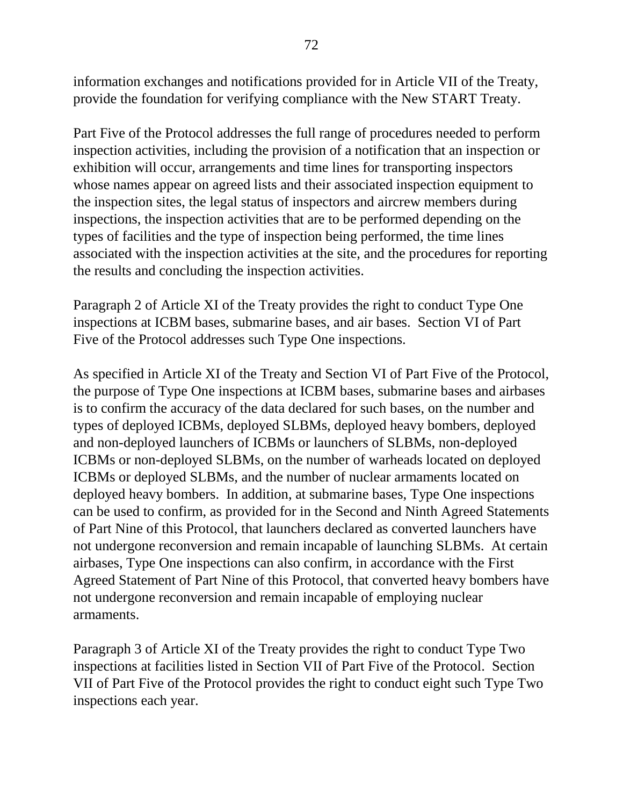information exchanges and notifications provided for in Article VII of the Treaty, provide the foundation for verifying compliance with the New START Treaty.

Part Five of the Protocol addresses the full range of procedures needed to perform inspection activities, including the provision of a notification that an inspection or exhibition will occur, arrangements and time lines for transporting inspectors whose names appear on agreed lists and their associated inspection equipment to the inspection sites, the legal status of inspectors and aircrew members during inspections, the inspection activities that are to be performed depending on the types of facilities and the type of inspection being performed, the time lines associated with the inspection activities at the site, and the procedures for reporting the results and concluding the inspection activities.

Paragraph 2 of Article XI of the Treaty provides the right to conduct Type One inspections at ICBM bases, submarine bases, and air bases. Section VI of Part Five of the Protocol addresses such Type One inspections.

As specified in Article XI of the Treaty and Section VI of Part Five of the Protocol, the purpose of Type One inspections at ICBM bases, submarine bases and airbases is to confirm the accuracy of the data declared for such bases, on the number and types of deployed ICBMs, deployed SLBMs, deployed heavy bombers, deployed and non-deployed launchers of ICBMs or launchers of SLBMs, non-deployed ICBMs or non-deployed SLBMs, on the number of warheads located on deployed ICBMs or deployed SLBMs, and the number of nuclear armaments located on deployed heavy bombers. In addition, at submarine bases, Type One inspections can be used to confirm, as provided for in the Second and Ninth Agreed Statements of Part Nine of this Protocol, that launchers declared as converted launchers have not undergone reconversion and remain incapable of launching SLBMs. At certain airbases, Type One inspections can also confirm, in accordance with the First Agreed Statement of Part Nine of this Protocol, that converted heavy bombers have not undergone reconversion and remain incapable of employing nuclear armaments.

Paragraph 3 of Article XI of the Treaty provides the right to conduct Type Two inspections at facilities listed in Section VII of Part Five of the Protocol. Section VII of Part Five of the Protocol provides the right to conduct eight such Type Two inspections each year.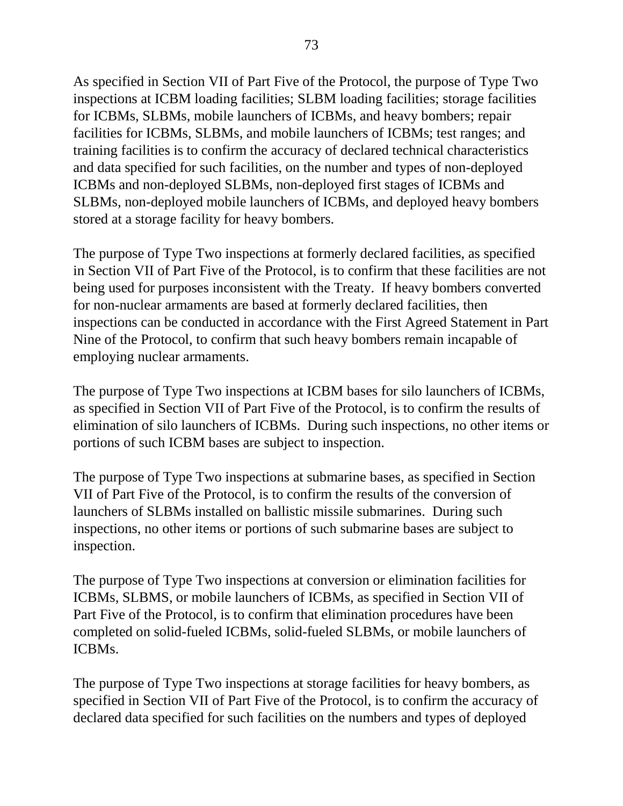As specified in Section VII of Part Five of the Protocol, the purpose of Type Two inspections at ICBM loading facilities; SLBM loading facilities; storage facilities for ICBMs, SLBMs, mobile launchers of ICBMs, and heavy bombers; repair facilities for ICBMs, SLBMs, and mobile launchers of ICBMs; test ranges; and training facilities is to confirm the accuracy of declared technical characteristics and data specified for such facilities, on the number and types of non-deployed ICBMs and non-deployed SLBMs, non-deployed first stages of ICBMs and SLBMs, non-deployed mobile launchers of ICBMs, and deployed heavy bombers stored at a storage facility for heavy bombers.

The purpose of Type Two inspections at formerly declared facilities, as specified in Section VII of Part Five of the Protocol, is to confirm that these facilities are not being used for purposes inconsistent with the Treaty. If heavy bombers converted for non-nuclear armaments are based at formerly declared facilities, then inspections can be conducted in accordance with the First Agreed Statement in Part Nine of the Protocol, to confirm that such heavy bombers remain incapable of employing nuclear armaments.

The purpose of Type Two inspections at ICBM bases for silo launchers of ICBMs, as specified in Section VII of Part Five of the Protocol, is to confirm the results of elimination of silo launchers of ICBMs. During such inspections, no other items or portions of such ICBM bases are subject to inspection.

The purpose of Type Two inspections at submarine bases, as specified in Section VII of Part Five of the Protocol, is to confirm the results of the conversion of launchers of SLBMs installed on ballistic missile submarines. During such inspections, no other items or portions of such submarine bases are subject to inspection.

The purpose of Type Two inspections at conversion or elimination facilities for ICBMs, SLBMS, or mobile launchers of ICBMs, as specified in Section VII of Part Five of the Protocol, is to confirm that elimination procedures have been completed on solid-fueled ICBMs, solid-fueled SLBMs, or mobile launchers of ICBMs.

The purpose of Type Two inspections at storage facilities for heavy bombers, as specified in Section VII of Part Five of the Protocol, is to confirm the accuracy of declared data specified for such facilities on the numbers and types of deployed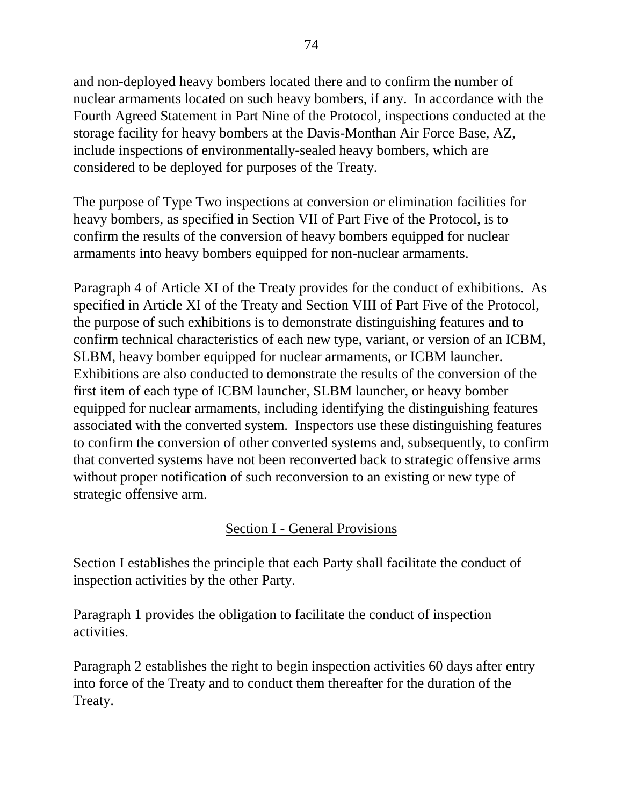and non-deployed heavy bombers located there and to confirm the number of nuclear armaments located on such heavy bombers, if any. In accordance with the Fourth Agreed Statement in Part Nine of the Protocol, inspections conducted at the storage facility for heavy bombers at the Davis-Monthan Air Force Base, AZ, include inspections of environmentally-sealed heavy bombers, which are considered to be deployed for purposes of the Treaty.

The purpose of Type Two inspections at conversion or elimination facilities for heavy bombers, as specified in Section VII of Part Five of the Protocol, is to confirm the results of the conversion of heavy bombers equipped for nuclear armaments into heavy bombers equipped for non-nuclear armaments.

Paragraph 4 of Article XI of the Treaty provides for the conduct of exhibitions. As specified in Article XI of the Treaty and Section VIII of Part Five of the Protocol, the purpose of such exhibitions is to demonstrate distinguishing features and to confirm technical characteristics of each new type, variant, or version of an ICBM, SLBM, heavy bomber equipped for nuclear armaments, or ICBM launcher. Exhibitions are also conducted to demonstrate the results of the conversion of the first item of each type of ICBM launcher, SLBM launcher, or heavy bomber equipped for nuclear armaments, including identifying the distinguishing features associated with the converted system. Inspectors use these distinguishing features to confirm the conversion of other converted systems and, subsequently, to confirm that converted systems have not been reconverted back to strategic offensive arms without proper notification of such reconversion to an existing or new type of strategic offensive arm.

## Section I - General Provisions

Section I establishes the principle that each Party shall facilitate the conduct of inspection activities by the other Party.

Paragraph 1 provides the obligation to facilitate the conduct of inspection activities.

Paragraph 2 establishes the right to begin inspection activities 60 days after entry into force of the Treaty and to conduct them thereafter for the duration of the Treaty.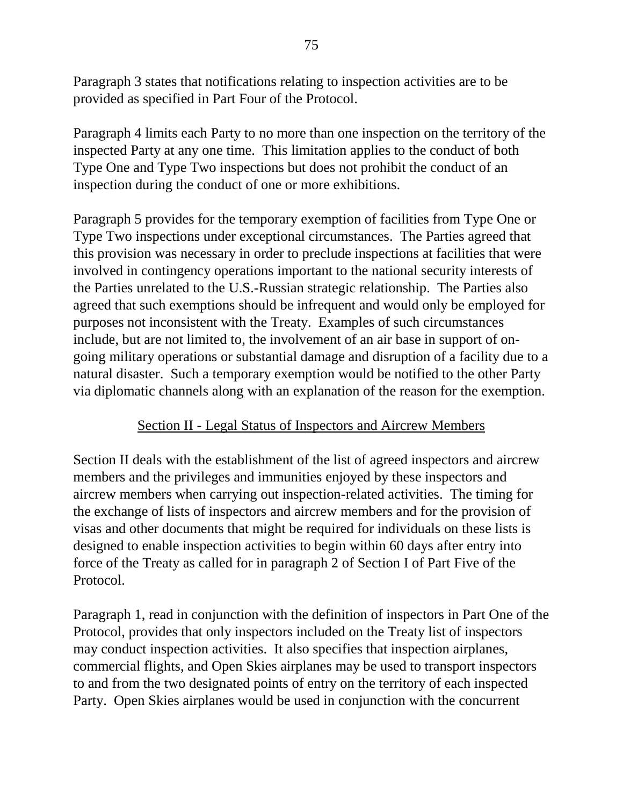Paragraph 3 states that notifications relating to inspection activities are to be provided as specified in Part Four of the Protocol.

Paragraph 4 limits each Party to no more than one inspection on the territory of the inspected Party at any one time. This limitation applies to the conduct of both Type One and Type Two inspections but does not prohibit the conduct of an inspection during the conduct of one or more exhibitions.

Paragraph 5 provides for the temporary exemption of facilities from Type One or Type Two inspections under exceptional circumstances. The Parties agreed that this provision was necessary in order to preclude inspections at facilities that were involved in contingency operations important to the national security interests of the Parties unrelated to the U.S.-Russian strategic relationship. The Parties also agreed that such exemptions should be infrequent and would only be employed for purposes not inconsistent with the Treaty. Examples of such circumstances include, but are not limited to, the involvement of an air base in support of ongoing military operations or substantial damage and disruption of a facility due to a natural disaster. Such a temporary exemption would be notified to the other Party via diplomatic channels along with an explanation of the reason for the exemption.

#### Section II - Legal Status of Inspectors and Aircrew Members

Section II deals with the establishment of the list of agreed inspectors and aircrew members and the privileges and immunities enjoyed by these inspectors and aircrew members when carrying out inspection-related activities. The timing for the exchange of lists of inspectors and aircrew members and for the provision of visas and other documents that might be required for individuals on these lists is designed to enable inspection activities to begin within 60 days after entry into force of the Treaty as called for in paragraph 2 of Section I of Part Five of the Protocol.

Paragraph 1, read in conjunction with the definition of inspectors in Part One of the Protocol, provides that only inspectors included on the Treaty list of inspectors may conduct inspection activities. It also specifies that inspection airplanes, commercial flights, and Open Skies airplanes may be used to transport inspectors to and from the two designated points of entry on the territory of each inspected Party. Open Skies airplanes would be used in conjunction with the concurrent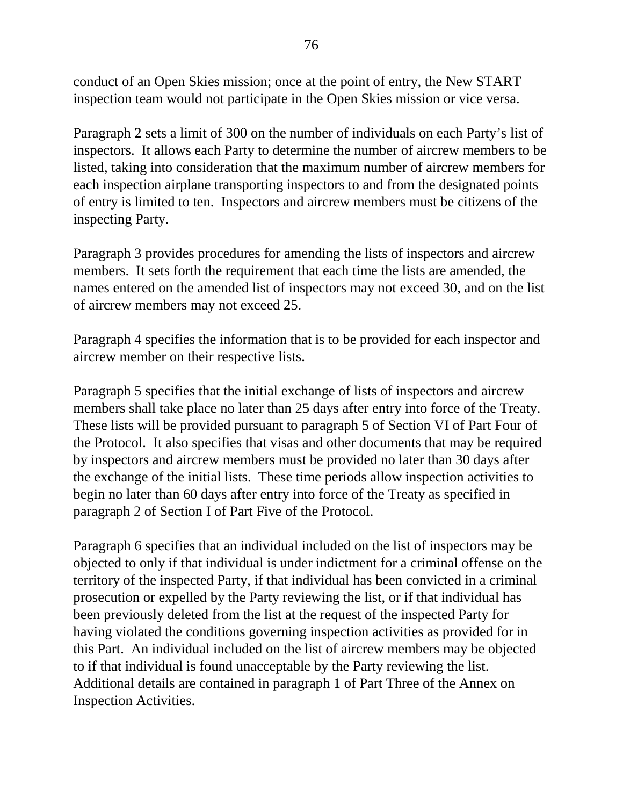conduct of an Open Skies mission; once at the point of entry, the New START inspection team would not participate in the Open Skies mission or vice versa.

Paragraph 2 sets a limit of 300 on the number of individuals on each Party's list of inspectors. It allows each Party to determine the number of aircrew members to be listed, taking into consideration that the maximum number of aircrew members for each inspection airplane transporting inspectors to and from the designated points of entry is limited to ten. Inspectors and aircrew members must be citizens of the inspecting Party.

Paragraph 3 provides procedures for amending the lists of inspectors and aircrew members. It sets forth the requirement that each time the lists are amended, the names entered on the amended list of inspectors may not exceed 30, and on the list of aircrew members may not exceed 25.

Paragraph 4 specifies the information that is to be provided for each inspector and aircrew member on their respective lists.

Paragraph 5 specifies that the initial exchange of lists of inspectors and aircrew members shall take place no later than 25 days after entry into force of the Treaty. These lists will be provided pursuant to paragraph 5 of Section VI of Part Four of the Protocol. It also specifies that visas and other documents that may be required by inspectors and aircrew members must be provided no later than 30 days after the exchange of the initial lists. These time periods allow inspection activities to begin no later than 60 days after entry into force of the Treaty as specified in paragraph 2 of Section I of Part Five of the Protocol.

Paragraph 6 specifies that an individual included on the list of inspectors may be objected to only if that individual is under indictment for a criminal offense on the territory of the inspected Party, if that individual has been convicted in a criminal prosecution or expelled by the Party reviewing the list, or if that individual has been previously deleted from the list at the request of the inspected Party for having violated the conditions governing inspection activities as provided for in this Part. An individual included on the list of aircrew members may be objected to if that individual is found unacceptable by the Party reviewing the list. Additional details are contained in paragraph 1 of Part Three of the Annex on Inspection Activities.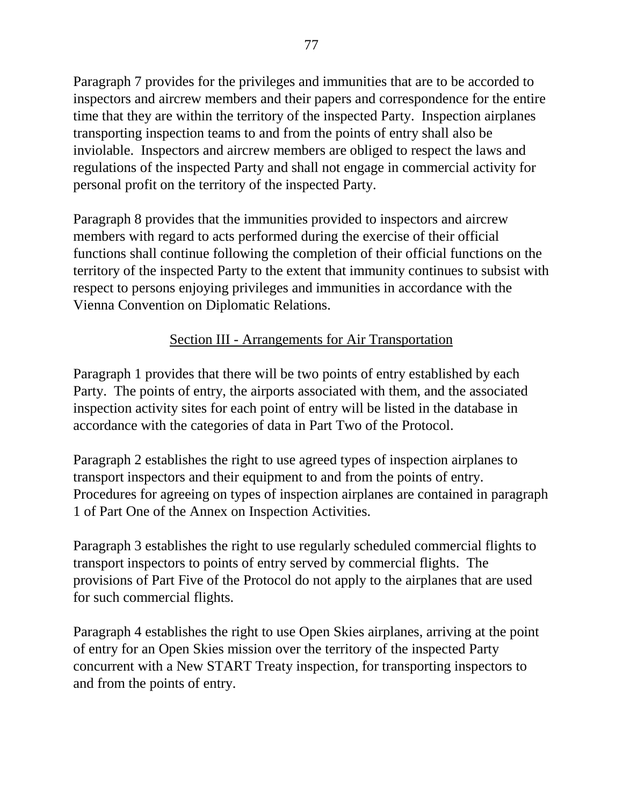Paragraph 7 provides for the privileges and immunities that are to be accorded to inspectors and aircrew members and their papers and correspondence for the entire time that they are within the territory of the inspected Party. Inspection airplanes transporting inspection teams to and from the points of entry shall also be inviolable. Inspectors and aircrew members are obliged to respect the laws and regulations of the inspected Party and shall not engage in commercial activity for personal profit on the territory of the inspected Party.

Paragraph 8 provides that the immunities provided to inspectors and aircrew members with regard to acts performed during the exercise of their official functions shall continue following the completion of their official functions on the territory of the inspected Party to the extent that immunity continues to subsist with respect to persons enjoying privileges and immunities in accordance with the Vienna Convention on Diplomatic Relations.

## Section III - Arrangements for Air Transportation

Paragraph 1 provides that there will be two points of entry established by each Party. The points of entry, the airports associated with them, and the associated inspection activity sites for each point of entry will be listed in the database in accordance with the categories of data in Part Two of the Protocol.

Paragraph 2 establishes the right to use agreed types of inspection airplanes to transport inspectors and their equipment to and from the points of entry. Procedures for agreeing on types of inspection airplanes are contained in paragraph 1 of Part One of the Annex on Inspection Activities.

Paragraph 3 establishes the right to use regularly scheduled commercial flights to transport inspectors to points of entry served by commercial flights. The provisions of Part Five of the Protocol do not apply to the airplanes that are used for such commercial flights.

Paragraph 4 establishes the right to use Open Skies airplanes, arriving at the point of entry for an Open Skies mission over the territory of the inspected Party concurrent with a New START Treaty inspection, for transporting inspectors to and from the points of entry.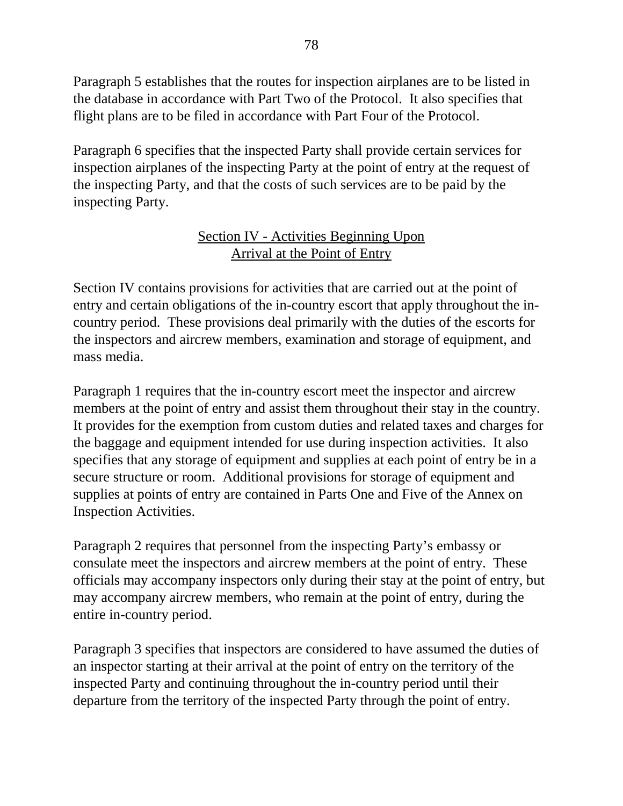Paragraph 5 establishes that the routes for inspection airplanes are to be listed in the database in accordance with Part Two of the Protocol. It also specifies that flight plans are to be filed in accordance with Part Four of the Protocol.

Paragraph 6 specifies that the inspected Party shall provide certain services for inspection airplanes of the inspecting Party at the point of entry at the request of the inspecting Party, and that the costs of such services are to be paid by the inspecting Party.

#### Section IV - Activities Beginning Upon Arrival at the Point of Entry

Section IV contains provisions for activities that are carried out at the point of entry and certain obligations of the in-country escort that apply throughout the incountry period. These provisions deal primarily with the duties of the escorts for the inspectors and aircrew members, examination and storage of equipment, and mass media.

Paragraph 1 requires that the in-country escort meet the inspector and aircrew members at the point of entry and assist them throughout their stay in the country. It provides for the exemption from custom duties and related taxes and charges for the baggage and equipment intended for use during inspection activities. It also specifies that any storage of equipment and supplies at each point of entry be in a secure structure or room. Additional provisions for storage of equipment and supplies at points of entry are contained in Parts One and Five of the Annex on Inspection Activities.

Paragraph 2 requires that personnel from the inspecting Party's embassy or consulate meet the inspectors and aircrew members at the point of entry. These officials may accompany inspectors only during their stay at the point of entry, but may accompany aircrew members, who remain at the point of entry, during the entire in-country period.

Paragraph 3 specifies that inspectors are considered to have assumed the duties of an inspector starting at their arrival at the point of entry on the territory of the inspected Party and continuing throughout the in-country period until their departure from the territory of the inspected Party through the point of entry.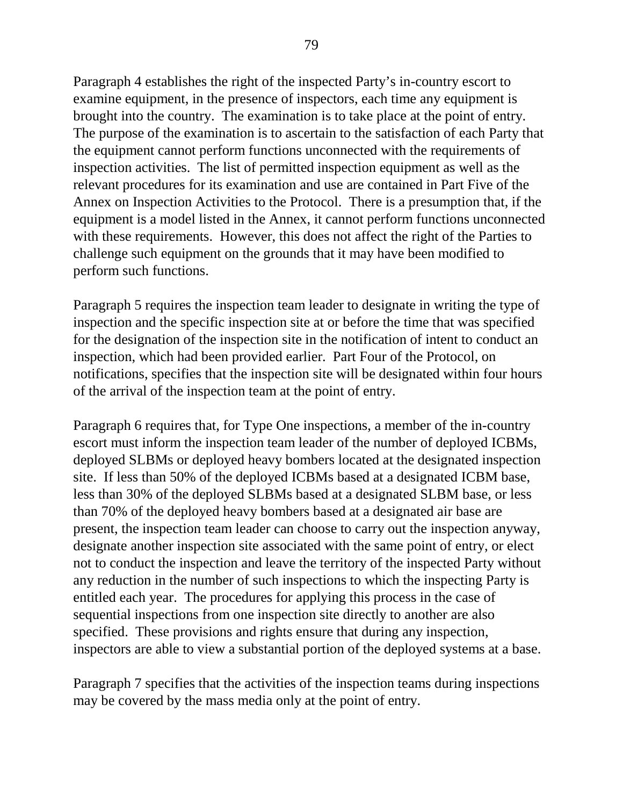Paragraph 4 establishes the right of the inspected Party's in-country escort to examine equipment, in the presence of inspectors, each time any equipment is brought into the country. The examination is to take place at the point of entry. The purpose of the examination is to ascertain to the satisfaction of each Party that the equipment cannot perform functions unconnected with the requirements of inspection activities. The list of permitted inspection equipment as well as the relevant procedures for its examination and use are contained in Part Five of the Annex on Inspection Activities to the Protocol. There is a presumption that, if the equipment is a model listed in the Annex, it cannot perform functions unconnected with these requirements. However, this does not affect the right of the Parties to challenge such equipment on the grounds that it may have been modified to perform such functions.

Paragraph 5 requires the inspection team leader to designate in writing the type of inspection and the specific inspection site at or before the time that was specified for the designation of the inspection site in the notification of intent to conduct an inspection, which had been provided earlier. Part Four of the Protocol, on notifications, specifies that the inspection site will be designated within four hours of the arrival of the inspection team at the point of entry.

Paragraph 6 requires that, for Type One inspections, a member of the in-country escort must inform the inspection team leader of the number of deployed ICBMs, deployed SLBMs or deployed heavy bombers located at the designated inspection site. If less than 50% of the deployed ICBMs based at a designated ICBM base, less than 30% of the deployed SLBMs based at a designated SLBM base, or less than 70% of the deployed heavy bombers based at a designated air base are present, the inspection team leader can choose to carry out the inspection anyway, designate another inspection site associated with the same point of entry, or elect not to conduct the inspection and leave the territory of the inspected Party without any reduction in the number of such inspections to which the inspecting Party is entitled each year. The procedures for applying this process in the case of sequential inspections from one inspection site directly to another are also specified. These provisions and rights ensure that during any inspection, inspectors are able to view a substantial portion of the deployed systems at a base.

Paragraph 7 specifies that the activities of the inspection teams during inspections may be covered by the mass media only at the point of entry.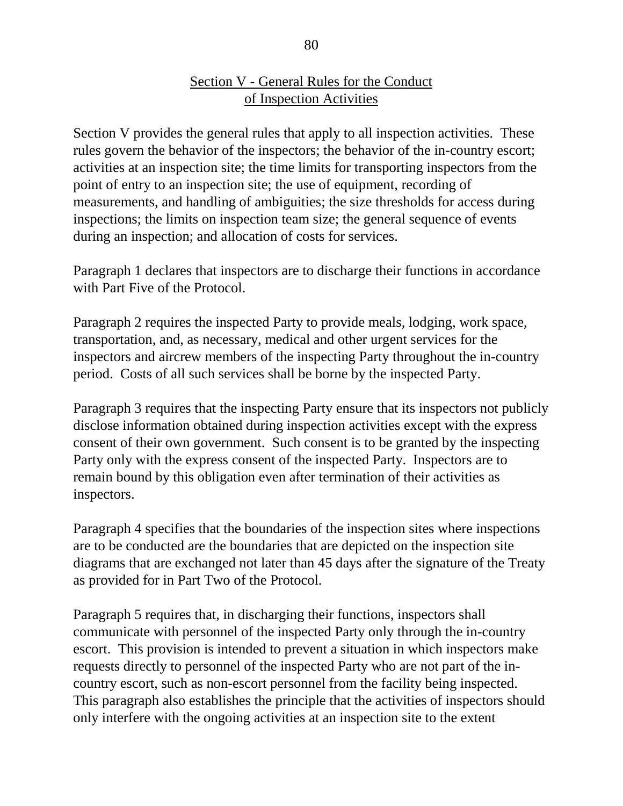## Section V - General Rules for the Conduct of Inspection Activities

Section V provides the general rules that apply to all inspection activities. These rules govern the behavior of the inspectors; the behavior of the in-country escort; activities at an inspection site; the time limits for transporting inspectors from the point of entry to an inspection site; the use of equipment, recording of measurements, and handling of ambiguities; the size thresholds for access during inspections; the limits on inspection team size; the general sequence of events during an inspection; and allocation of costs for services.

Paragraph 1 declares that inspectors are to discharge their functions in accordance with Part Five of the Protocol.

Paragraph 2 requires the inspected Party to provide meals, lodging, work space, transportation, and, as necessary, medical and other urgent services for the inspectors and aircrew members of the inspecting Party throughout the in-country period. Costs of all such services shall be borne by the inspected Party.

Paragraph 3 requires that the inspecting Party ensure that its inspectors not publicly disclose information obtained during inspection activities except with the express consent of their own government. Such consent is to be granted by the inspecting Party only with the express consent of the inspected Party. Inspectors are to remain bound by this obligation even after termination of their activities as inspectors.

Paragraph 4 specifies that the boundaries of the inspection sites where inspections are to be conducted are the boundaries that are depicted on the inspection site diagrams that are exchanged not later than 45 days after the signature of the Treaty as provided for in Part Two of the Protocol.

Paragraph 5 requires that, in discharging their functions, inspectors shall communicate with personnel of the inspected Party only through the in-country escort. This provision is intended to prevent a situation in which inspectors make requests directly to personnel of the inspected Party who are not part of the incountry escort, such as non-escort personnel from the facility being inspected. This paragraph also establishes the principle that the activities of inspectors should only interfere with the ongoing activities at an inspection site to the extent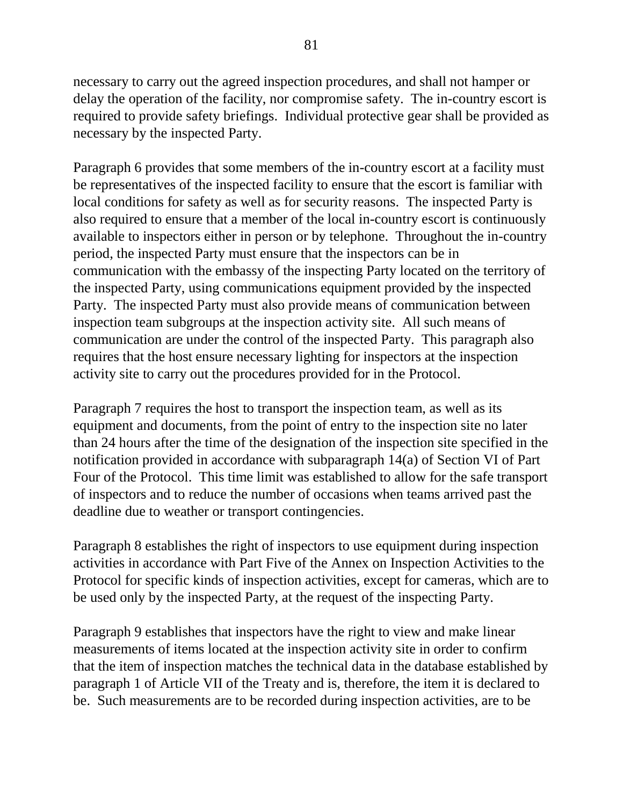necessary to carry out the agreed inspection procedures, and shall not hamper or delay the operation of the facility, nor compromise safety. The in-country escort is required to provide safety briefings. Individual protective gear shall be provided as necessary by the inspected Party.

Paragraph 6 provides that some members of the in-country escort at a facility must be representatives of the inspected facility to ensure that the escort is familiar with local conditions for safety as well as for security reasons. The inspected Party is also required to ensure that a member of the local in-country escort is continuously available to inspectors either in person or by telephone. Throughout the in-country period, the inspected Party must ensure that the inspectors can be in communication with the embassy of the inspecting Party located on the territory of the inspected Party, using communications equipment provided by the inspected Party. The inspected Party must also provide means of communication between inspection team subgroups at the inspection activity site. All such means of communication are under the control of the inspected Party. This paragraph also requires that the host ensure necessary lighting for inspectors at the inspection activity site to carry out the procedures provided for in the Protocol.

Paragraph 7 requires the host to transport the inspection team, as well as its equipment and documents, from the point of entry to the inspection site no later than 24 hours after the time of the designation of the inspection site specified in the notification provided in accordance with subparagraph 14(a) of Section VI of Part Four of the Protocol. This time limit was established to allow for the safe transport of inspectors and to reduce the number of occasions when teams arrived past the deadline due to weather or transport contingencies.

Paragraph 8 establishes the right of inspectors to use equipment during inspection activities in accordance with Part Five of the Annex on Inspection Activities to the Protocol for specific kinds of inspection activities, except for cameras, which are to be used only by the inspected Party, at the request of the inspecting Party.

Paragraph 9 establishes that inspectors have the right to view and make linear measurements of items located at the inspection activity site in order to confirm that the item of inspection matches the technical data in the database established by paragraph 1 of Article VII of the Treaty and is, therefore, the item it is declared to be. Such measurements are to be recorded during inspection activities, are to be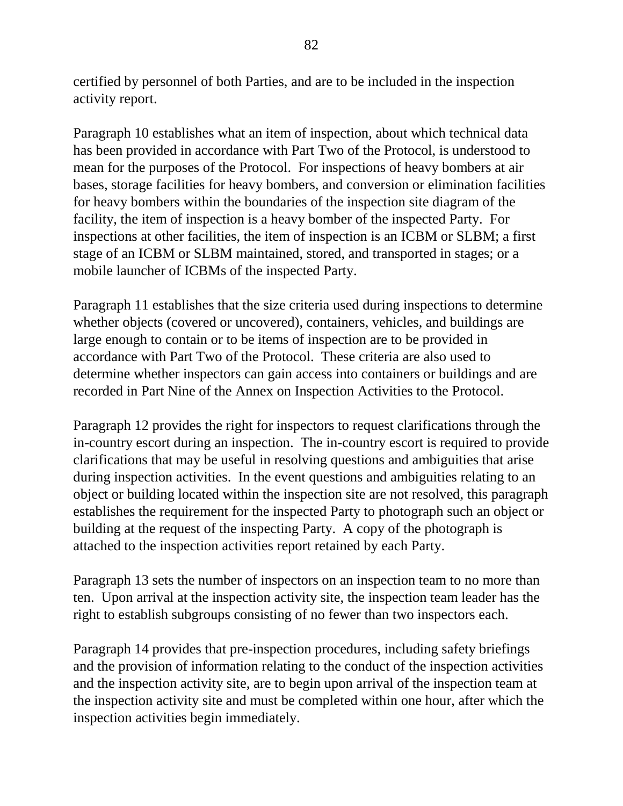certified by personnel of both Parties, and are to be included in the inspection activity report.

Paragraph 10 establishes what an item of inspection, about which technical data has been provided in accordance with Part Two of the Protocol, is understood to mean for the purposes of the Protocol. For inspections of heavy bombers at air bases, storage facilities for heavy bombers, and conversion or elimination facilities for heavy bombers within the boundaries of the inspection site diagram of the facility, the item of inspection is a heavy bomber of the inspected Party. For inspections at other facilities, the item of inspection is an ICBM or SLBM; a first stage of an ICBM or SLBM maintained, stored, and transported in stages; or a mobile launcher of ICBMs of the inspected Party.

Paragraph 11 establishes that the size criteria used during inspections to determine whether objects (covered or uncovered), containers, vehicles, and buildings are large enough to contain or to be items of inspection are to be provided in accordance with Part Two of the Protocol. These criteria are also used to determine whether inspectors can gain access into containers or buildings and are recorded in Part Nine of the Annex on Inspection Activities to the Protocol.

Paragraph 12 provides the right for inspectors to request clarifications through the in-country escort during an inspection. The in-country escort is required to provide clarifications that may be useful in resolving questions and ambiguities that arise during inspection activities. In the event questions and ambiguities relating to an object or building located within the inspection site are not resolved, this paragraph establishes the requirement for the inspected Party to photograph such an object or building at the request of the inspecting Party. A copy of the photograph is attached to the inspection activities report retained by each Party.

Paragraph 13 sets the number of inspectors on an inspection team to no more than ten. Upon arrival at the inspection activity site, the inspection team leader has the right to establish subgroups consisting of no fewer than two inspectors each.

Paragraph 14 provides that pre-inspection procedures, including safety briefings and the provision of information relating to the conduct of the inspection activities and the inspection activity site, are to begin upon arrival of the inspection team at the inspection activity site and must be completed within one hour, after which the inspection activities begin immediately.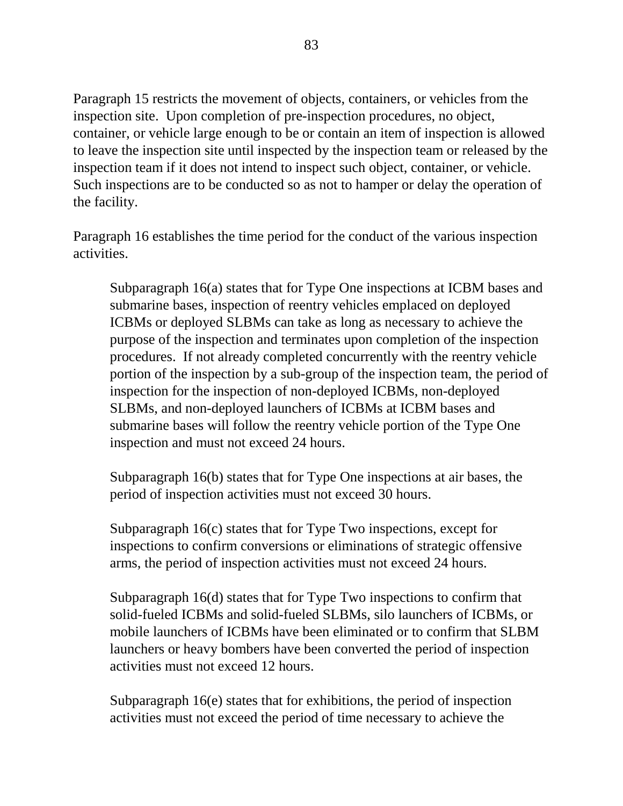Paragraph 15 restricts the movement of objects, containers, or vehicles from the inspection site. Upon completion of pre-inspection procedures, no object, container, or vehicle large enough to be or contain an item of inspection is allowed to leave the inspection site until inspected by the inspection team or released by the inspection team if it does not intend to inspect such object, container, or vehicle. Such inspections are to be conducted so as not to hamper or delay the operation of the facility.

Paragraph 16 establishes the time period for the conduct of the various inspection activities.

Subparagraph 16(a) states that for Type One inspections at ICBM bases and submarine bases, inspection of reentry vehicles emplaced on deployed ICBMs or deployed SLBMs can take as long as necessary to achieve the purpose of the inspection and terminates upon completion of the inspection procedures. If not already completed concurrently with the reentry vehicle portion of the inspection by a sub-group of the inspection team, the period of inspection for the inspection of non-deployed ICBMs, non-deployed SLBMs, and non-deployed launchers of ICBMs at ICBM bases and submarine bases will follow the reentry vehicle portion of the Type One inspection and must not exceed 24 hours.

Subparagraph 16(b) states that for Type One inspections at air bases, the period of inspection activities must not exceed 30 hours.

Subparagraph 16(c) states that for Type Two inspections, except for inspections to confirm conversions or eliminations of strategic offensive arms, the period of inspection activities must not exceed 24 hours.

Subparagraph 16(d) states that for Type Two inspections to confirm that solid-fueled ICBMs and solid-fueled SLBMs, silo launchers of ICBMs, or mobile launchers of ICBMs have been eliminated or to confirm that SLBM launchers or heavy bombers have been converted the period of inspection activities must not exceed 12 hours.

Subparagraph 16(e) states that for exhibitions, the period of inspection activities must not exceed the period of time necessary to achieve the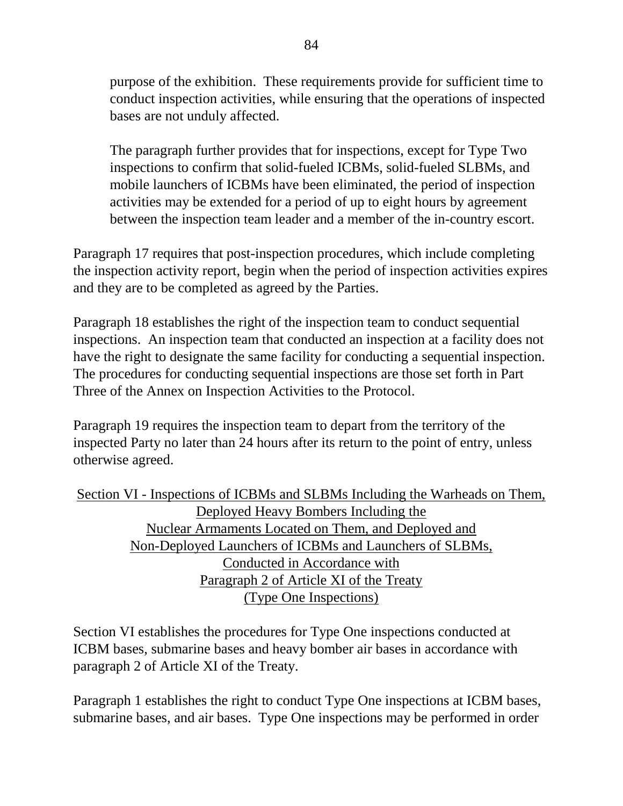purpose of the exhibition. These requirements provide for sufficient time to conduct inspection activities, while ensuring that the operations of inspected bases are not unduly affected.

The paragraph further provides that for inspections, except for Type Two inspections to confirm that solid-fueled ICBMs, solid-fueled SLBMs, and mobile launchers of ICBMs have been eliminated, the period of inspection activities may be extended for a period of up to eight hours by agreement between the inspection team leader and a member of the in-country escort.

Paragraph 17 requires that post-inspection procedures, which include completing the inspection activity report, begin when the period of inspection activities expires and they are to be completed as agreed by the Parties.

Paragraph 18 establishes the right of the inspection team to conduct sequential inspections. An inspection team that conducted an inspection at a facility does not have the right to designate the same facility for conducting a sequential inspection. The procedures for conducting sequential inspections are those set forth in Part Three of the Annex on Inspection Activities to the Protocol.

Paragraph 19 requires the inspection team to depart from the territory of the inspected Party no later than 24 hours after its return to the point of entry, unless otherwise agreed.

Section VI - Inspections of ICBMs and SLBMs Including the Warheads on Them, Deployed Heavy Bombers Including the Nuclear Armaments Located on Them, and Deployed and Non-Deployed Launchers of ICBMs and Launchers of SLBMs, Conducted in Accordance with Paragraph 2 of Article XI of the Treaty (Type One Inspections)

Section VI establishes the procedures for Type One inspections conducted at ICBM bases, submarine bases and heavy bomber air bases in accordance with paragraph 2 of Article XI of the Treaty.

Paragraph 1 establishes the right to conduct Type One inspections at ICBM bases, submarine bases, and air bases. Type One inspections may be performed in order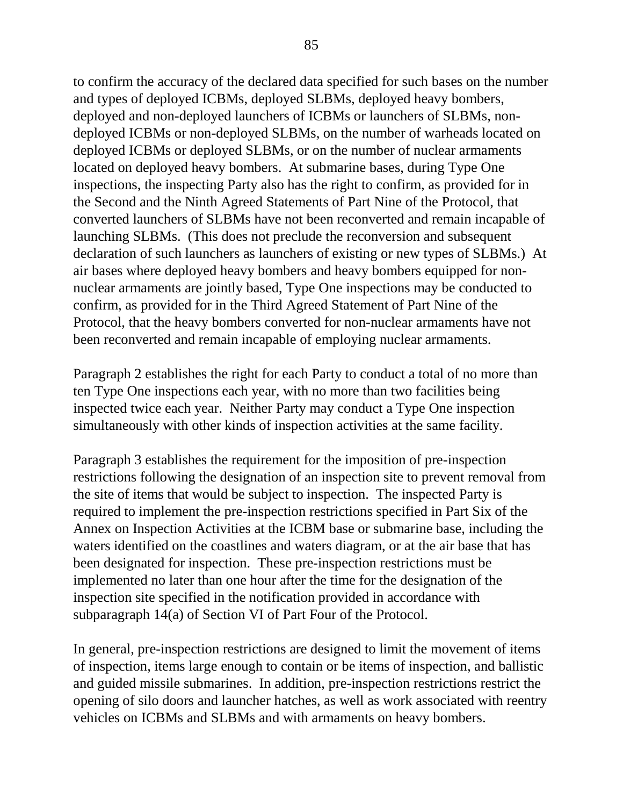to confirm the accuracy of the declared data specified for such bases on the number and types of deployed ICBMs, deployed SLBMs, deployed heavy bombers, deployed and non-deployed launchers of ICBMs or launchers of SLBMs, nondeployed ICBMs or non-deployed SLBMs, on the number of warheads located on deployed ICBMs or deployed SLBMs, or on the number of nuclear armaments located on deployed heavy bombers. At submarine bases, during Type One inspections, the inspecting Party also has the right to confirm, as provided for in the Second and the Ninth Agreed Statements of Part Nine of the Protocol, that converted launchers of SLBMs have not been reconverted and remain incapable of launching SLBMs. (This does not preclude the reconversion and subsequent declaration of such launchers as launchers of existing or new types of SLBMs.) At air bases where deployed heavy bombers and heavy bombers equipped for nonnuclear armaments are jointly based, Type One inspections may be conducted to confirm, as provided for in the Third Agreed Statement of Part Nine of the Protocol, that the heavy bombers converted for non-nuclear armaments have not been reconverted and remain incapable of employing nuclear armaments.

Paragraph 2 establishes the right for each Party to conduct a total of no more than ten Type One inspections each year, with no more than two facilities being inspected twice each year. Neither Party may conduct a Type One inspection simultaneously with other kinds of inspection activities at the same facility.

Paragraph 3 establishes the requirement for the imposition of pre-inspection restrictions following the designation of an inspection site to prevent removal from the site of items that would be subject to inspection. The inspected Party is required to implement the pre-inspection restrictions specified in Part Six of the Annex on Inspection Activities at the ICBM base or submarine base, including the waters identified on the coastlines and waters diagram, or at the air base that has been designated for inspection. These pre-inspection restrictions must be implemented no later than one hour after the time for the designation of the inspection site specified in the notification provided in accordance with subparagraph 14(a) of Section VI of Part Four of the Protocol.

In general, pre-inspection restrictions are designed to limit the movement of items of inspection, items large enough to contain or be items of inspection, and ballistic and guided missile submarines. In addition, pre-inspection restrictions restrict the opening of silo doors and launcher hatches, as well as work associated with reentry vehicles on ICBMs and SLBMs and with armaments on heavy bombers.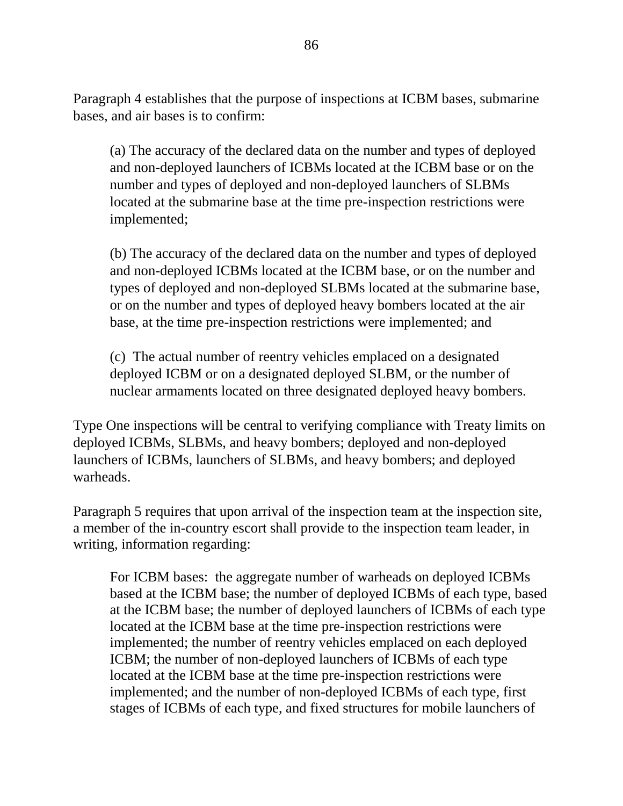Paragraph 4 establishes that the purpose of inspections at ICBM bases, submarine bases, and air bases is to confirm:

(a) The accuracy of the declared data on the number and types of deployed and non-deployed launchers of ICBMs located at the ICBM base or on the number and types of deployed and non-deployed launchers of SLBMs located at the submarine base at the time pre-inspection restrictions were implemented;

(b) The accuracy of the declared data on the number and types of deployed and non-deployed ICBMs located at the ICBM base, or on the number and types of deployed and non-deployed SLBMs located at the submarine base, or on the number and types of deployed heavy bombers located at the air base, at the time pre-inspection restrictions were implemented; and

(c) The actual number of reentry vehicles emplaced on a designated deployed ICBM or on a designated deployed SLBM, or the number of nuclear armaments located on three designated deployed heavy bombers.

Type One inspections will be central to verifying compliance with Treaty limits on deployed ICBMs, SLBMs, and heavy bombers; deployed and non-deployed launchers of ICBMs, launchers of SLBMs, and heavy bombers; and deployed warheads.

Paragraph 5 requires that upon arrival of the inspection team at the inspection site, a member of the in-country escort shall provide to the inspection team leader, in writing, information regarding:

For ICBM bases: the aggregate number of warheads on deployed ICBMs based at the ICBM base; the number of deployed ICBMs of each type, based at the ICBM base; the number of deployed launchers of ICBMs of each type located at the ICBM base at the time pre-inspection restrictions were implemented; the number of reentry vehicles emplaced on each deployed ICBM; the number of non-deployed launchers of ICBMs of each type located at the ICBM base at the time pre-inspection restrictions were implemented; and the number of non-deployed ICBMs of each type, first stages of ICBMs of each type, and fixed structures for mobile launchers of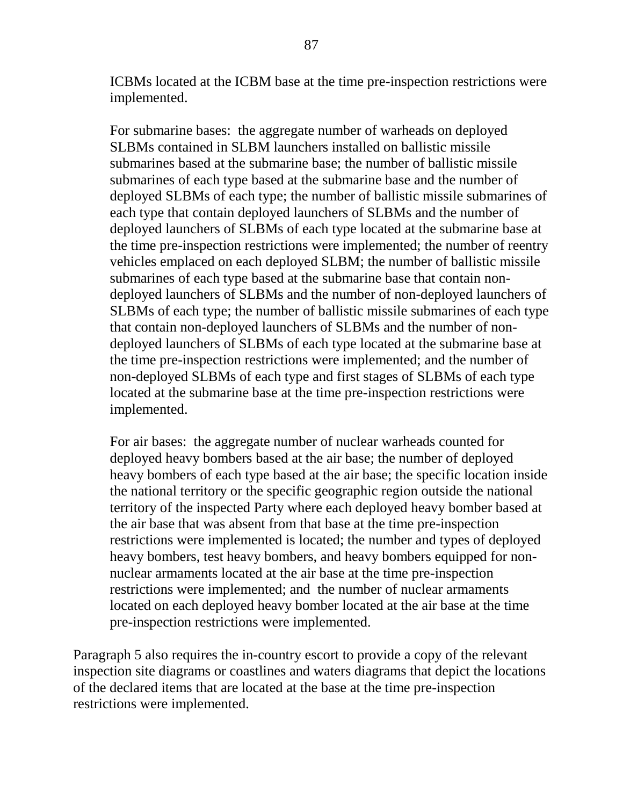ICBMs located at the ICBM base at the time pre-inspection restrictions were implemented.

For submarine bases: the aggregate number of warheads on deployed SLBMs contained in SLBM launchers installed on ballistic missile submarines based at the submarine base; the number of ballistic missile submarines of each type based at the submarine base and the number of deployed SLBMs of each type; the number of ballistic missile submarines of each type that contain deployed launchers of SLBMs and the number of deployed launchers of SLBMs of each type located at the submarine base at the time pre-inspection restrictions were implemented; the number of reentry vehicles emplaced on each deployed SLBM; the number of ballistic missile submarines of each type based at the submarine base that contain nondeployed launchers of SLBMs and the number of non-deployed launchers of SLBMs of each type; the number of ballistic missile submarines of each type that contain non-deployed launchers of SLBMs and the number of nondeployed launchers of SLBMs of each type located at the submarine base at the time pre-inspection restrictions were implemented; and the number of non-deployed SLBMs of each type and first stages of SLBMs of each type located at the submarine base at the time pre-inspection restrictions were implemented.

For air bases: the aggregate number of nuclear warheads counted for deployed heavy bombers based at the air base; the number of deployed heavy bombers of each type based at the air base; the specific location inside the national territory or the specific geographic region outside the national territory of the inspected Party where each deployed heavy bomber based at the air base that was absent from that base at the time pre-inspection restrictions were implemented is located; the number and types of deployed heavy bombers, test heavy bombers, and heavy bombers equipped for nonnuclear armaments located at the air base at the time pre-inspection restrictions were implemented; and the number of nuclear armaments located on each deployed heavy bomber located at the air base at the time pre-inspection restrictions were implemented.

Paragraph 5 also requires the in-country escort to provide a copy of the relevant inspection site diagrams or coastlines and waters diagrams that depict the locations of the declared items that are located at the base at the time pre-inspection restrictions were implemented.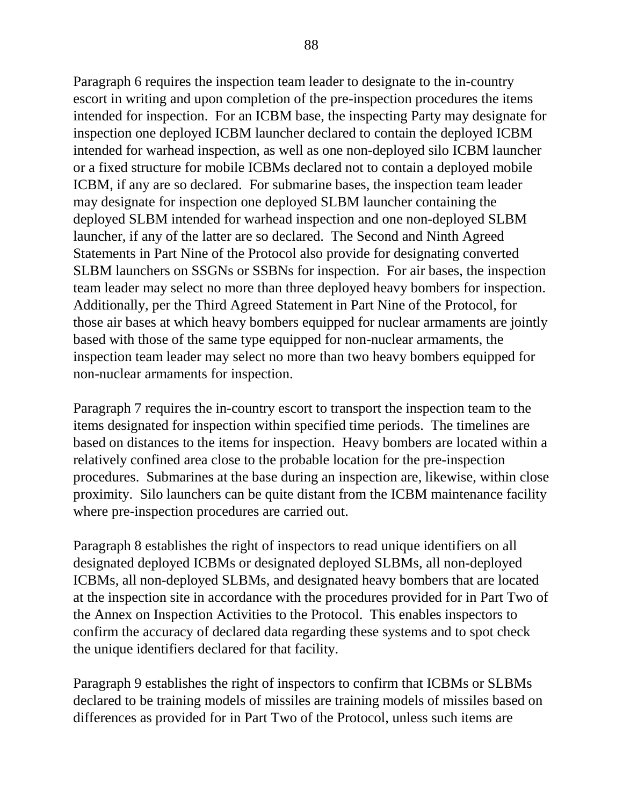Paragraph 6 requires the inspection team leader to designate to the in-country escort in writing and upon completion of the pre-inspection procedures the items intended for inspection. For an ICBM base, the inspecting Party may designate for inspection one deployed ICBM launcher declared to contain the deployed ICBM intended for warhead inspection, as well as one non-deployed silo ICBM launcher or a fixed structure for mobile ICBMs declared not to contain a deployed mobile ICBM, if any are so declared. For submarine bases, the inspection team leader may designate for inspection one deployed SLBM launcher containing the deployed SLBM intended for warhead inspection and one non-deployed SLBM launcher, if any of the latter are so declared. The Second and Ninth Agreed Statements in Part Nine of the Protocol also provide for designating converted SLBM launchers on SSGNs or SSBNs for inspection. For air bases, the inspection team leader may select no more than three deployed heavy bombers for inspection. Additionally, per the Third Agreed Statement in Part Nine of the Protocol, for those air bases at which heavy bombers equipped for nuclear armaments are jointly based with those of the same type equipped for non-nuclear armaments, the inspection team leader may select no more than two heavy bombers equipped for non-nuclear armaments for inspection.

Paragraph 7 requires the in-country escort to transport the inspection team to the items designated for inspection within specified time periods. The timelines are based on distances to the items for inspection. Heavy bombers are located within a relatively confined area close to the probable location for the pre-inspection procedures. Submarines at the base during an inspection are, likewise, within close proximity. Silo launchers can be quite distant from the ICBM maintenance facility where pre-inspection procedures are carried out.

Paragraph 8 establishes the right of inspectors to read unique identifiers on all designated deployed ICBMs or designated deployed SLBMs, all non-deployed ICBMs, all non-deployed SLBMs, and designated heavy bombers that are located at the inspection site in accordance with the procedures provided for in Part Two of the Annex on Inspection Activities to the Protocol. This enables inspectors to confirm the accuracy of declared data regarding these systems and to spot check the unique identifiers declared for that facility.

Paragraph 9 establishes the right of inspectors to confirm that ICBMs or SLBMs declared to be training models of missiles are training models of missiles based on differences as provided for in Part Two of the Protocol, unless such items are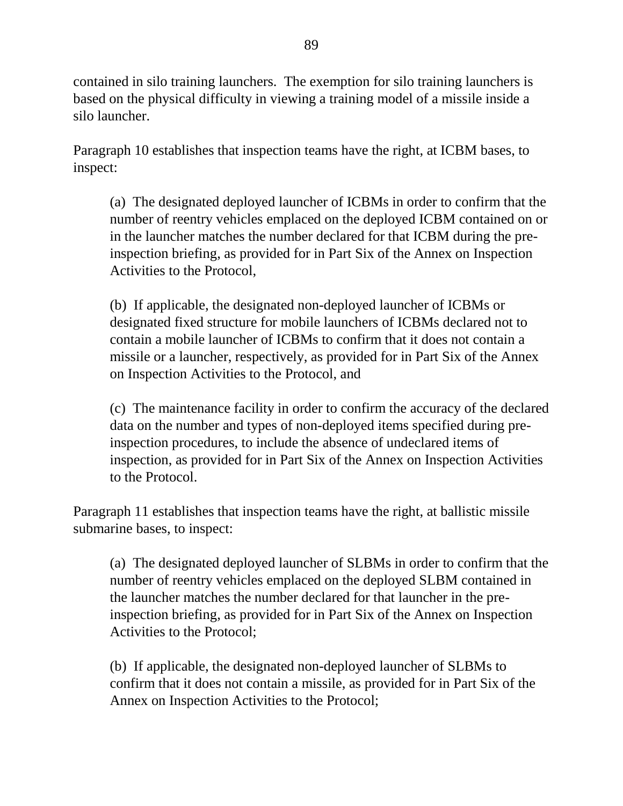contained in silo training launchers. The exemption for silo training launchers is based on the physical difficulty in viewing a training model of a missile inside a silo launcher.

Paragraph 10 establishes that inspection teams have the right, at ICBM bases, to inspect:

(a) The designated deployed launcher of ICBMs in order to confirm that the number of reentry vehicles emplaced on the deployed ICBM contained on or in the launcher matches the number declared for that ICBM during the preinspection briefing, as provided for in Part Six of the Annex on Inspection Activities to the Protocol,

(b) If applicable, the designated non-deployed launcher of ICBMs or designated fixed structure for mobile launchers of ICBMs declared not to contain a mobile launcher of ICBMs to confirm that it does not contain a missile or a launcher, respectively, as provided for in Part Six of the Annex on Inspection Activities to the Protocol, and

(c) The maintenance facility in order to confirm the accuracy of the declared data on the number and types of non-deployed items specified during preinspection procedures, to include the absence of undeclared items of inspection, as provided for in Part Six of the Annex on Inspection Activities to the Protocol.

Paragraph 11 establishes that inspection teams have the right, at ballistic missile submarine bases, to inspect:

(a) The designated deployed launcher of SLBMs in order to confirm that the number of reentry vehicles emplaced on the deployed SLBM contained in the launcher matches the number declared for that launcher in the preinspection briefing, as provided for in Part Six of the Annex on Inspection Activities to the Protocol;

(b) If applicable, the designated non-deployed launcher of SLBMs to confirm that it does not contain a missile, as provided for in Part Six of the Annex on Inspection Activities to the Protocol;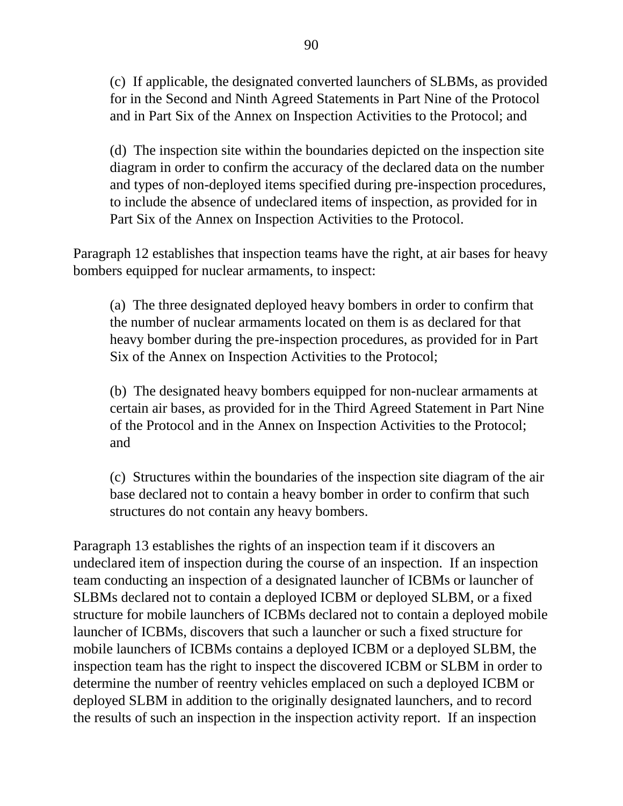(c) If applicable, the designated converted launchers of SLBMs, as provided for in the Second and Ninth Agreed Statements in Part Nine of the Protocol and in Part Six of the Annex on Inspection Activities to the Protocol; and

(d) The inspection site within the boundaries depicted on the inspection site diagram in order to confirm the accuracy of the declared data on the number and types of non-deployed items specified during pre-inspection procedures, to include the absence of undeclared items of inspection, as provided for in Part Six of the Annex on Inspection Activities to the Protocol.

Paragraph 12 establishes that inspection teams have the right, at air bases for heavy bombers equipped for nuclear armaments, to inspect:

(a) The three designated deployed heavy bombers in order to confirm that the number of nuclear armaments located on them is as declared for that heavy bomber during the pre-inspection procedures, as provided for in Part Six of the Annex on Inspection Activities to the Protocol;

(b) The designated heavy bombers equipped for non-nuclear armaments at certain air bases, as provided for in the Third Agreed Statement in Part Nine of the Protocol and in the Annex on Inspection Activities to the Protocol; and

(c) Structures within the boundaries of the inspection site diagram of the air base declared not to contain a heavy bomber in order to confirm that such structures do not contain any heavy bombers.

Paragraph 13 establishes the rights of an inspection team if it discovers an undeclared item of inspection during the course of an inspection. If an inspection team conducting an inspection of a designated launcher of ICBMs or launcher of SLBMs declared not to contain a deployed ICBM or deployed SLBM, or a fixed structure for mobile launchers of ICBMs declared not to contain a deployed mobile launcher of ICBMs, discovers that such a launcher or such a fixed structure for mobile launchers of ICBMs contains a deployed ICBM or a deployed SLBM, the inspection team has the right to inspect the discovered ICBM or SLBM in order to determine the number of reentry vehicles emplaced on such a deployed ICBM or deployed SLBM in addition to the originally designated launchers, and to record the results of such an inspection in the inspection activity report. If an inspection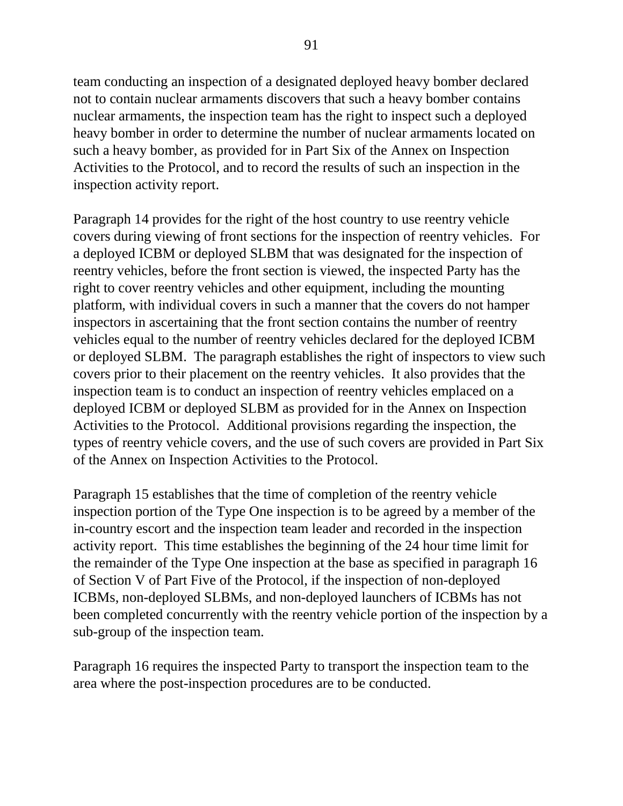team conducting an inspection of a designated deployed heavy bomber declared not to contain nuclear armaments discovers that such a heavy bomber contains nuclear armaments, the inspection team has the right to inspect such a deployed heavy bomber in order to determine the number of nuclear armaments located on such a heavy bomber, as provided for in Part Six of the Annex on Inspection Activities to the Protocol, and to record the results of such an inspection in the inspection activity report.

Paragraph 14 provides for the right of the host country to use reentry vehicle covers during viewing of front sections for the inspection of reentry vehicles. For a deployed ICBM or deployed SLBM that was designated for the inspection of reentry vehicles, before the front section is viewed, the inspected Party has the right to cover reentry vehicles and other equipment, including the mounting platform, with individual covers in such a manner that the covers do not hamper inspectors in ascertaining that the front section contains the number of reentry vehicles equal to the number of reentry vehicles declared for the deployed ICBM or deployed SLBM. The paragraph establishes the right of inspectors to view such covers prior to their placement on the reentry vehicles. It also provides that the inspection team is to conduct an inspection of reentry vehicles emplaced on a deployed ICBM or deployed SLBM as provided for in the Annex on Inspection Activities to the Protocol. Additional provisions regarding the inspection, the types of reentry vehicle covers, and the use of such covers are provided in Part Six of the Annex on Inspection Activities to the Protocol.

Paragraph 15 establishes that the time of completion of the reentry vehicle inspection portion of the Type One inspection is to be agreed by a member of the in-country escort and the inspection team leader and recorded in the inspection activity report. This time establishes the beginning of the 24 hour time limit for the remainder of the Type One inspection at the base as specified in paragraph 16 of Section V of Part Five of the Protocol, if the inspection of non-deployed ICBMs, non-deployed SLBMs, and non-deployed launchers of ICBMs has not been completed concurrently with the reentry vehicle portion of the inspection by a sub-group of the inspection team.

Paragraph 16 requires the inspected Party to transport the inspection team to the area where the post-inspection procedures are to be conducted.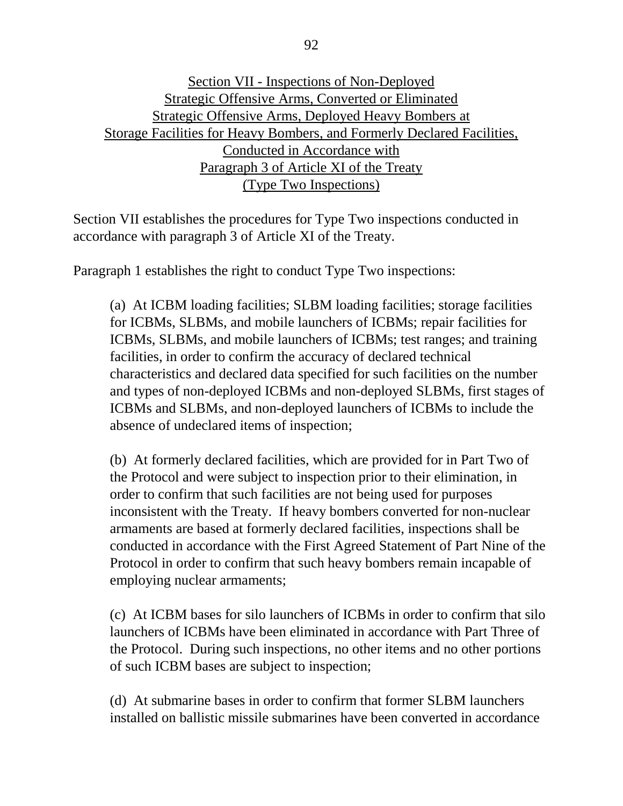## Section VII - Inspections of Non-Deployed Strategic Offensive Arms, Converted or Eliminated Strategic Offensive Arms, Deployed Heavy Bombers at Storage Facilities for Heavy Bombers, and Formerly Declared Facilities, Conducted in Accordance with Paragraph 3 of Article XI of the Treaty (Type Two Inspections)

Section VII establishes the procedures for Type Two inspections conducted in accordance with paragraph 3 of Article XI of the Treaty.

Paragraph 1 establishes the right to conduct Type Two inspections:

(a) At ICBM loading facilities; SLBM loading facilities; storage facilities for ICBMs, SLBMs, and mobile launchers of ICBMs; repair facilities for ICBMs, SLBMs, and mobile launchers of ICBMs; test ranges; and training facilities, in order to confirm the accuracy of declared technical characteristics and declared data specified for such facilities on the number and types of non-deployed ICBMs and non-deployed SLBMs, first stages of ICBMs and SLBMs, and non-deployed launchers of ICBMs to include the absence of undeclared items of inspection;

(b) At formerly declared facilities, which are provided for in Part Two of the Protocol and were subject to inspection prior to their elimination, in order to confirm that such facilities are not being used for purposes inconsistent with the Treaty. If heavy bombers converted for non-nuclear armaments are based at formerly declared facilities, inspections shall be conducted in accordance with the First Agreed Statement of Part Nine of the Protocol in order to confirm that such heavy bombers remain incapable of employing nuclear armaments;

(c) At ICBM bases for silo launchers of ICBMs in order to confirm that silo launchers of ICBMs have been eliminated in accordance with Part Three of the Protocol. During such inspections, no other items and no other portions of such ICBM bases are subject to inspection;

(d) At submarine bases in order to confirm that former SLBM launchers installed on ballistic missile submarines have been converted in accordance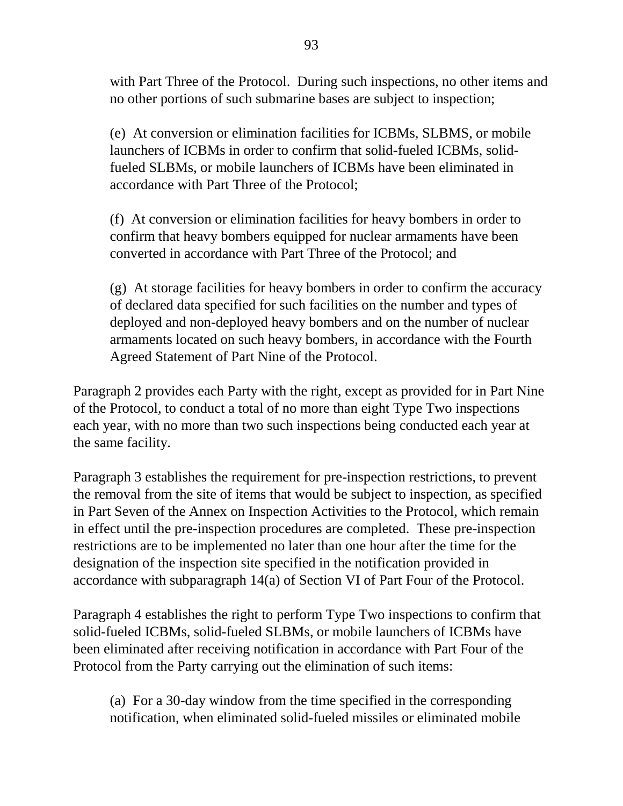with Part Three of the Protocol. During such inspections, no other items and no other portions of such submarine bases are subject to inspection;

(e) At conversion or elimination facilities for ICBMs, SLBMS, or mobile launchers of ICBMs in order to confirm that solid-fueled ICBMs, solidfueled SLBMs, or mobile launchers of ICBMs have been eliminated in accordance with Part Three of the Protocol;

(f) At conversion or elimination facilities for heavy bombers in order to confirm that heavy bombers equipped for nuclear armaments have been converted in accordance with Part Three of the Protocol; and

(g) At storage facilities for heavy bombers in order to confirm the accuracy of declared data specified for such facilities on the number and types of deployed and non-deployed heavy bombers and on the number of nuclear armaments located on such heavy bombers, in accordance with the Fourth Agreed Statement of Part Nine of the Protocol.

Paragraph 2 provides each Party with the right, except as provided for in Part Nine of the Protocol, to conduct a total of no more than eight Type Two inspections each year, with no more than two such inspections being conducted each year at the same facility.

Paragraph 3 establishes the requirement for pre-inspection restrictions, to prevent the removal from the site of items that would be subject to inspection, as specified in Part Seven of the Annex on Inspection Activities to the Protocol, which remain in effect until the pre-inspection procedures are completed. These pre-inspection restrictions are to be implemented no later than one hour after the time for the designation of the inspection site specified in the notification provided in accordance with subparagraph 14(a) of Section VI of Part Four of the Protocol.

Paragraph 4 establishes the right to perform Type Two inspections to confirm that solid-fueled ICBMs, solid-fueled SLBMs, or mobile launchers of ICBMs have been eliminated after receiving notification in accordance with Part Four of the Protocol from the Party carrying out the elimination of such items:

(a) For a 30-day window from the time specified in the corresponding notification, when eliminated solid-fueled missiles or eliminated mobile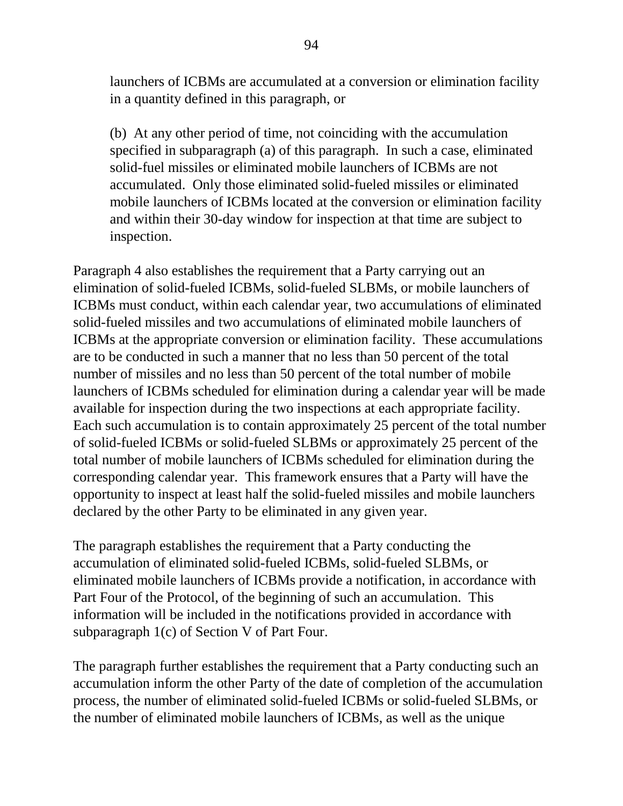launchers of ICBMs are accumulated at a conversion or elimination facility in a quantity defined in this paragraph, or

(b) At any other period of time, not coinciding with the accumulation specified in subparagraph (a) of this paragraph. In such a case, eliminated solid-fuel missiles or eliminated mobile launchers of ICBMs are not accumulated. Only those eliminated solid-fueled missiles or eliminated mobile launchers of ICBMs located at the conversion or elimination facility and within their 30-day window for inspection at that time are subject to inspection.

Paragraph 4 also establishes the requirement that a Party carrying out an elimination of solid-fueled ICBMs, solid-fueled SLBMs, or mobile launchers of ICBMs must conduct, within each calendar year, two accumulations of eliminated solid-fueled missiles and two accumulations of eliminated mobile launchers of ICBMs at the appropriate conversion or elimination facility. These accumulations are to be conducted in such a manner that no less than 50 percent of the total number of missiles and no less than 50 percent of the total number of mobile launchers of ICBMs scheduled for elimination during a calendar year will be made available for inspection during the two inspections at each appropriate facility. Each such accumulation is to contain approximately 25 percent of the total number of solid-fueled ICBMs or solid-fueled SLBMs or approximately 25 percent of the total number of mobile launchers of ICBMs scheduled for elimination during the corresponding calendar year. This framework ensures that a Party will have the opportunity to inspect at least half the solid-fueled missiles and mobile launchers declared by the other Party to be eliminated in any given year.

The paragraph establishes the requirement that a Party conducting the accumulation of eliminated solid-fueled ICBMs, solid-fueled SLBMs, or eliminated mobile launchers of ICBMs provide a notification, in accordance with Part Four of the Protocol, of the beginning of such an accumulation. This information will be included in the notifications provided in accordance with subparagraph 1(c) of Section V of Part Four.

The paragraph further establishes the requirement that a Party conducting such an accumulation inform the other Party of the date of completion of the accumulation process, the number of eliminated solid-fueled ICBMs or solid-fueled SLBMs, or the number of eliminated mobile launchers of ICBMs, as well as the unique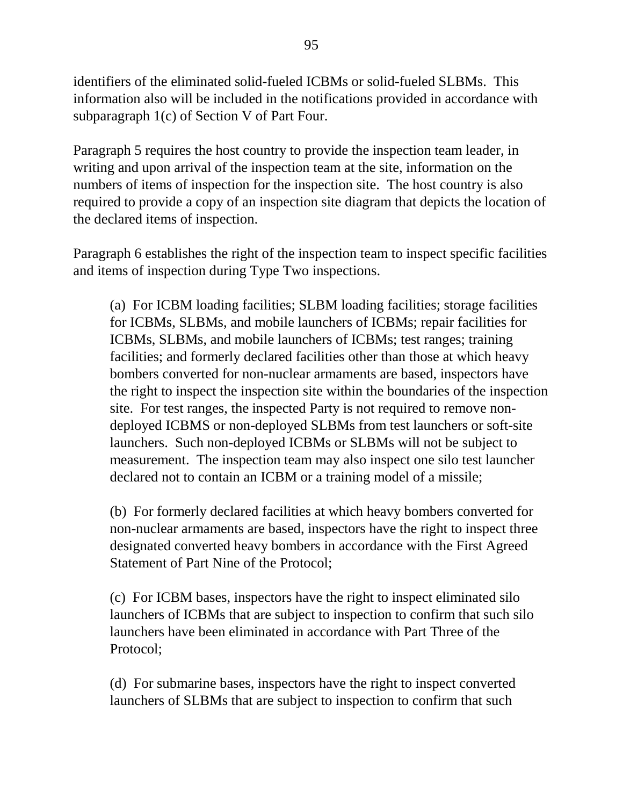identifiers of the eliminated solid-fueled ICBMs or solid-fueled SLBMs. This information also will be included in the notifications provided in accordance with subparagraph 1(c) of Section V of Part Four.

Paragraph 5 requires the host country to provide the inspection team leader, in writing and upon arrival of the inspection team at the site, information on the numbers of items of inspection for the inspection site. The host country is also required to provide a copy of an inspection site diagram that depicts the location of the declared items of inspection.

Paragraph 6 establishes the right of the inspection team to inspect specific facilities and items of inspection during Type Two inspections.

(a) For ICBM loading facilities; SLBM loading facilities; storage facilities for ICBMs, SLBMs, and mobile launchers of ICBMs; repair facilities for ICBMs, SLBMs, and mobile launchers of ICBMs; test ranges; training facilities; and formerly declared facilities other than those at which heavy bombers converted for non-nuclear armaments are based, inspectors have the right to inspect the inspection site within the boundaries of the inspection site. For test ranges, the inspected Party is not required to remove nondeployed ICBMS or non-deployed SLBMs from test launchers or soft-site launchers. Such non-deployed ICBMs or SLBMs will not be subject to measurement. The inspection team may also inspect one silo test launcher declared not to contain an ICBM or a training model of a missile;

(b) For formerly declared facilities at which heavy bombers converted for non-nuclear armaments are based, inspectors have the right to inspect three designated converted heavy bombers in accordance with the First Agreed Statement of Part Nine of the Protocol;

(c) For ICBM bases, inspectors have the right to inspect eliminated silo launchers of ICBMs that are subject to inspection to confirm that such silo launchers have been eliminated in accordance with Part Three of the Protocol;

(d) For submarine bases, inspectors have the right to inspect converted launchers of SLBMs that are subject to inspection to confirm that such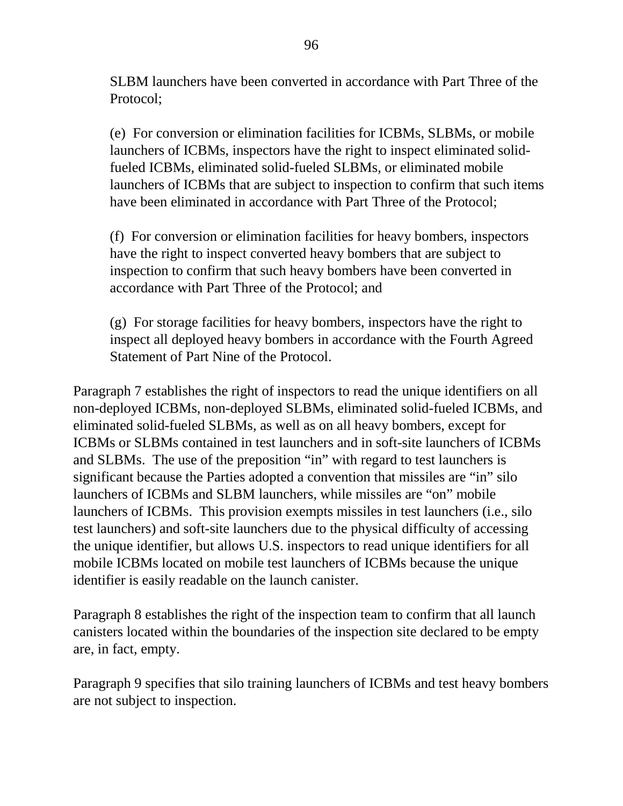SLBM launchers have been converted in accordance with Part Three of the Protocol;

(e) For conversion or elimination facilities for ICBMs, SLBMs, or mobile launchers of ICBMs, inspectors have the right to inspect eliminated solidfueled ICBMs, eliminated solid-fueled SLBMs, or eliminated mobile launchers of ICBMs that are subject to inspection to confirm that such items have been eliminated in accordance with Part Three of the Protocol;

(f) For conversion or elimination facilities for heavy bombers, inspectors have the right to inspect converted heavy bombers that are subject to inspection to confirm that such heavy bombers have been converted in accordance with Part Three of the Protocol; and

(g) For storage facilities for heavy bombers, inspectors have the right to inspect all deployed heavy bombers in accordance with the Fourth Agreed Statement of Part Nine of the Protocol.

Paragraph 7 establishes the right of inspectors to read the unique identifiers on all non-deployed ICBMs, non-deployed SLBMs, eliminated solid-fueled ICBMs, and eliminated solid-fueled SLBMs, as well as on all heavy bombers, except for ICBMs or SLBMs contained in test launchers and in soft-site launchers of ICBMs and SLBMs. The use of the preposition "in" with regard to test launchers is significant because the Parties adopted a convention that missiles are "in" silo launchers of ICBMs and SLBM launchers, while missiles are "on" mobile launchers of ICBMs. This provision exempts missiles in test launchers (i.e., silo test launchers) and soft-site launchers due to the physical difficulty of accessing the unique identifier, but allows U.S. inspectors to read unique identifiers for all mobile ICBMs located on mobile test launchers of ICBMs because the unique identifier is easily readable on the launch canister.

Paragraph 8 establishes the right of the inspection team to confirm that all launch canisters located within the boundaries of the inspection site declared to be empty are, in fact, empty.

Paragraph 9 specifies that silo training launchers of ICBMs and test heavy bombers are not subject to inspection.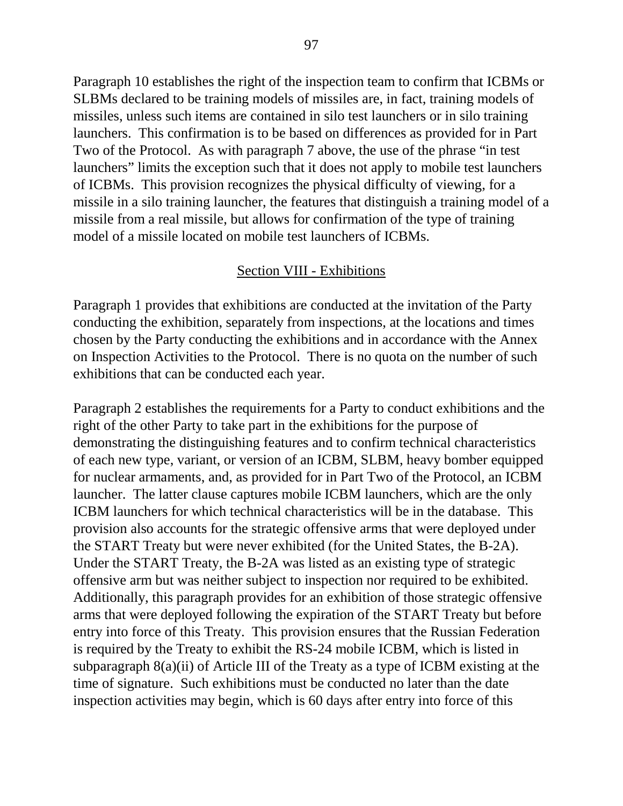Paragraph 10 establishes the right of the inspection team to confirm that ICBMs or SLBMs declared to be training models of missiles are, in fact, training models of missiles, unless such items are contained in silo test launchers or in silo training launchers. This confirmation is to be based on differences as provided for in Part Two of the Protocol. As with paragraph 7 above, the use of the phrase "in test launchers" limits the exception such that it does not apply to mobile test launchers of ICBMs. This provision recognizes the physical difficulty of viewing, for a missile in a silo training launcher, the features that distinguish a training model of a missile from a real missile, but allows for confirmation of the type of training model of a missile located on mobile test launchers of ICBMs.

#### Section VIII - Exhibitions

Paragraph 1 provides that exhibitions are conducted at the invitation of the Party conducting the exhibition, separately from inspections, at the locations and times chosen by the Party conducting the exhibitions and in accordance with the Annex on Inspection Activities to the Protocol. There is no quota on the number of such exhibitions that can be conducted each year.

Paragraph 2 establishes the requirements for a Party to conduct exhibitions and the right of the other Party to take part in the exhibitions for the purpose of demonstrating the distinguishing features and to confirm technical characteristics of each new type, variant, or version of an ICBM, SLBM, heavy bomber equipped for nuclear armaments, and, as provided for in Part Two of the Protocol, an ICBM launcher. The latter clause captures mobile ICBM launchers, which are the only ICBM launchers for which technical characteristics will be in the database. This provision also accounts for the strategic offensive arms that were deployed under the START Treaty but were never exhibited (for the United States, the B-2A). Under the START Treaty, the B-2A was listed as an existing type of strategic offensive arm but was neither subject to inspection nor required to be exhibited. Additionally, this paragraph provides for an exhibition of those strategic offensive arms that were deployed following the expiration of the START Treaty but before entry into force of this Treaty. This provision ensures that the Russian Federation is required by the Treaty to exhibit the RS-24 mobile ICBM, which is listed in subparagraph 8(a)(ii) of Article III of the Treaty as a type of ICBM existing at the time of signature. Such exhibitions must be conducted no later than the date inspection activities may begin, which is 60 days after entry into force of this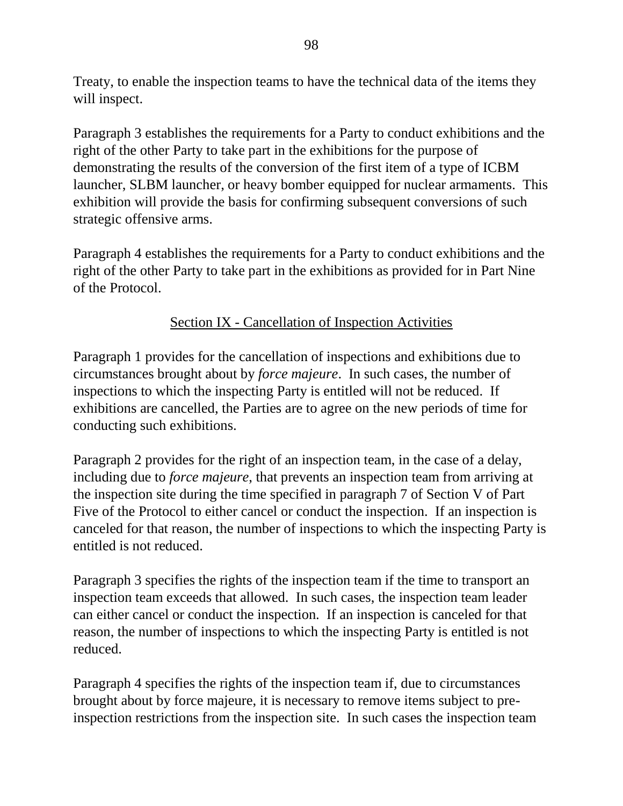Treaty, to enable the inspection teams to have the technical data of the items they will inspect.

Paragraph 3 establishes the requirements for a Party to conduct exhibitions and the right of the other Party to take part in the exhibitions for the purpose of demonstrating the results of the conversion of the first item of a type of ICBM launcher, SLBM launcher, or heavy bomber equipped for nuclear armaments. This exhibition will provide the basis for confirming subsequent conversions of such strategic offensive arms.

Paragraph 4 establishes the requirements for a Party to conduct exhibitions and the right of the other Party to take part in the exhibitions as provided for in Part Nine of the Protocol.

## Section IX - Cancellation of Inspection Activities

Paragraph 1 provides for the cancellation of inspections and exhibitions due to circumstances brought about by *force majeure*. In such cases, the number of inspections to which the inspecting Party is entitled will not be reduced. If exhibitions are cancelled, the Parties are to agree on the new periods of time for conducting such exhibitions.

Paragraph 2 provides for the right of an inspection team, in the case of a delay, including due to *force majeure*, that prevents an inspection team from arriving at the inspection site during the time specified in paragraph 7 of Section V of Part Five of the Protocol to either cancel or conduct the inspection. If an inspection is canceled for that reason, the number of inspections to which the inspecting Party is entitled is not reduced.

Paragraph 3 specifies the rights of the inspection team if the time to transport an inspection team exceeds that allowed. In such cases, the inspection team leader can either cancel or conduct the inspection. If an inspection is canceled for that reason, the number of inspections to which the inspecting Party is entitled is not reduced.

Paragraph 4 specifies the rights of the inspection team if, due to circumstances brought about by force majeure, it is necessary to remove items subject to preinspection restrictions from the inspection site. In such cases the inspection team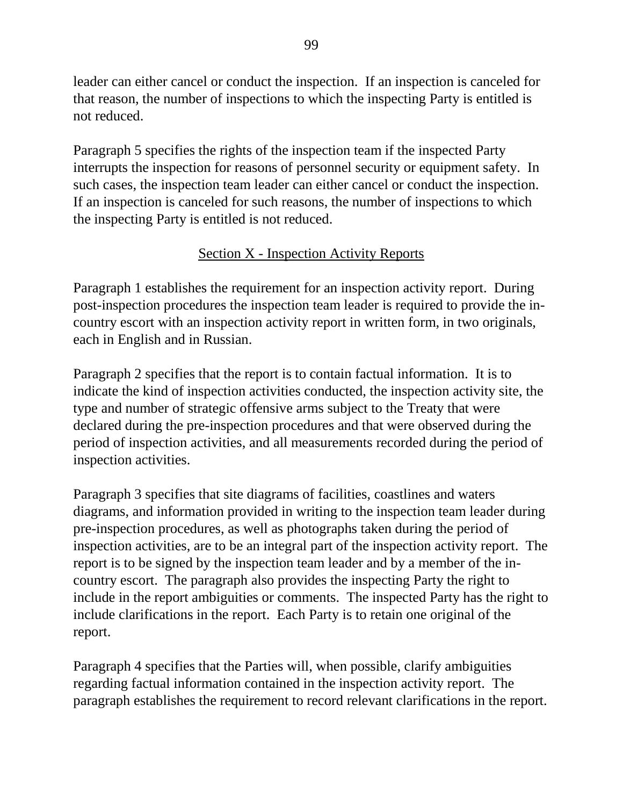leader can either cancel or conduct the inspection. If an inspection is canceled for that reason, the number of inspections to which the inspecting Party is entitled is not reduced.

Paragraph 5 specifies the rights of the inspection team if the inspected Party interrupts the inspection for reasons of personnel security or equipment safety. In such cases, the inspection team leader can either cancel or conduct the inspection. If an inspection is canceled for such reasons, the number of inspections to which the inspecting Party is entitled is not reduced.

## Section X - Inspection Activity Reports

Paragraph 1 establishes the requirement for an inspection activity report. During post-inspection procedures the inspection team leader is required to provide the incountry escort with an inspection activity report in written form, in two originals, each in English and in Russian.

Paragraph 2 specifies that the report is to contain factual information. It is to indicate the kind of inspection activities conducted, the inspection activity site, the type and number of strategic offensive arms subject to the Treaty that were declared during the pre-inspection procedures and that were observed during the period of inspection activities, and all measurements recorded during the period of inspection activities.

Paragraph 3 specifies that site diagrams of facilities, coastlines and waters diagrams, and information provided in writing to the inspection team leader during pre-inspection procedures, as well as photographs taken during the period of inspection activities, are to be an integral part of the inspection activity report. The report is to be signed by the inspection team leader and by a member of the incountry escort. The paragraph also provides the inspecting Party the right to include in the report ambiguities or comments. The inspected Party has the right to include clarifications in the report. Each Party is to retain one original of the report.

Paragraph 4 specifies that the Parties will, when possible, clarify ambiguities regarding factual information contained in the inspection activity report. The paragraph establishes the requirement to record relevant clarifications in the report.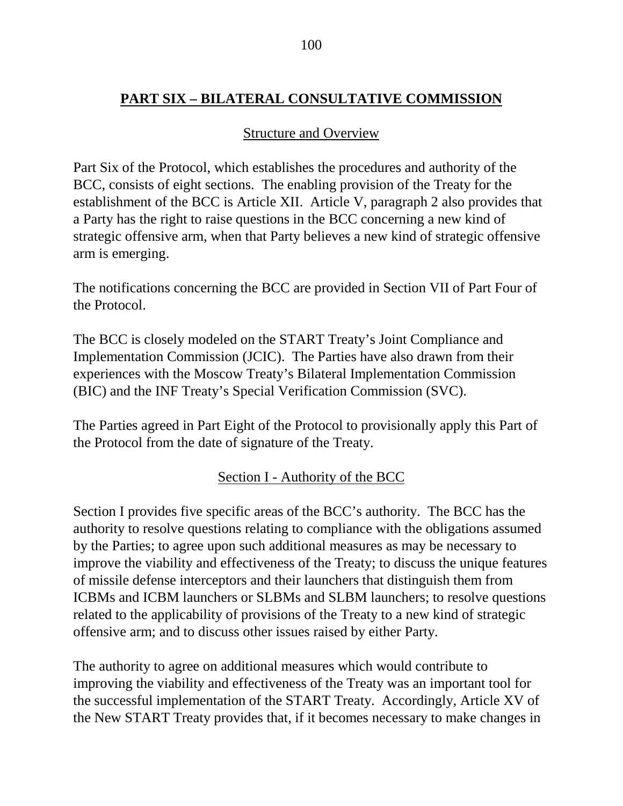# **PART SIX – BILATERAL CONSULTATIVE COMMISSION**

#### Structure and Overview

Part Six of the Protocol, which establishes the procedures and authority of the BCC, consists of eight sections. The enabling provision of the Treaty for the establishment of the BCC is Article XII. Article V, paragraph 2 also provides that a Party has the right to raise questions in the BCC concerning a new kind of strategic offensive arm, when that Party believes a new kind of strategic offensive arm is emerging.

The notifications concerning the BCC are provided in Section VII of Part Four of the Protocol.

The BCC is closely modeled on the START Treaty's Joint Compliance and Implementation Commission (JCIC). The Parties have also drawn from their experiences with the Moscow Treaty's Bilateral Implementation Commission (BIC) and the INF Treaty's Special Verification Commission (SVC).

The Parties agreed in Part Eight of the Protocol to provisionally apply this Part of the Protocol from the date of signature of the Treaty.

## Section I - Authority of the BCC

Section I provides five specific areas of the BCC's authority. The BCC has the authority to resolve questions relating to compliance with the obligations assumed by the Parties; to agree upon such additional measures as may be necessary to improve the viability and effectiveness of the Treaty; to discuss the unique features of missile defense interceptors and their launchers that distinguish them from ICBMs and ICBM launchers or SLBMs and SLBM launchers; to resolve questions related to the applicability of provisions of the Treaty to a new kind of strategic offensive arm; and to discuss other issues raised by either Party.

The authority to agree on additional measures which would contribute to improving the viability and effectiveness of the Treaty was an important tool for the successful implementation of the START Treaty. Accordingly, Article XV of the New START Treaty provides that, if it becomes necessary to make changes in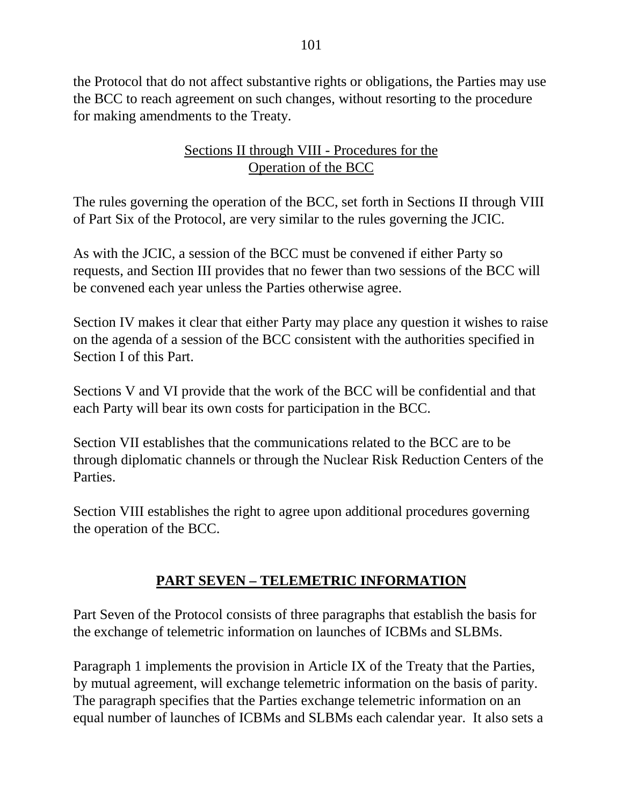the Protocol that do not affect substantive rights or obligations, the Parties may use the BCC to reach agreement on such changes, without resorting to the procedure for making amendments to the Treaty.

## Sections II through VIII - Procedures for the Operation of the BCC

The rules governing the operation of the BCC, set forth in Sections II through VIII of Part Six of the Protocol, are very similar to the rules governing the JCIC.

As with the JCIC, a session of the BCC must be convened if either Party so requests, and Section III provides that no fewer than two sessions of the BCC will be convened each year unless the Parties otherwise agree.

Section IV makes it clear that either Party may place any question it wishes to raise on the agenda of a session of the BCC consistent with the authorities specified in Section I of this Part.

Sections V and VI provide that the work of the BCC will be confidential and that each Party will bear its own costs for participation in the BCC.

Section VII establishes that the communications related to the BCC are to be through diplomatic channels or through the Nuclear Risk Reduction Centers of the Parties.

Section VIII establishes the right to agree upon additional procedures governing the operation of the BCC.

# **PART SEVEN – TELEMETRIC INFORMATION**

Part Seven of the Protocol consists of three paragraphs that establish the basis for the exchange of telemetric information on launches of ICBMs and SLBMs.

Paragraph 1 implements the provision in Article IX of the Treaty that the Parties, by mutual agreement, will exchange telemetric information on the basis of parity. The paragraph specifies that the Parties exchange telemetric information on an equal number of launches of ICBMs and SLBMs each calendar year. It also sets a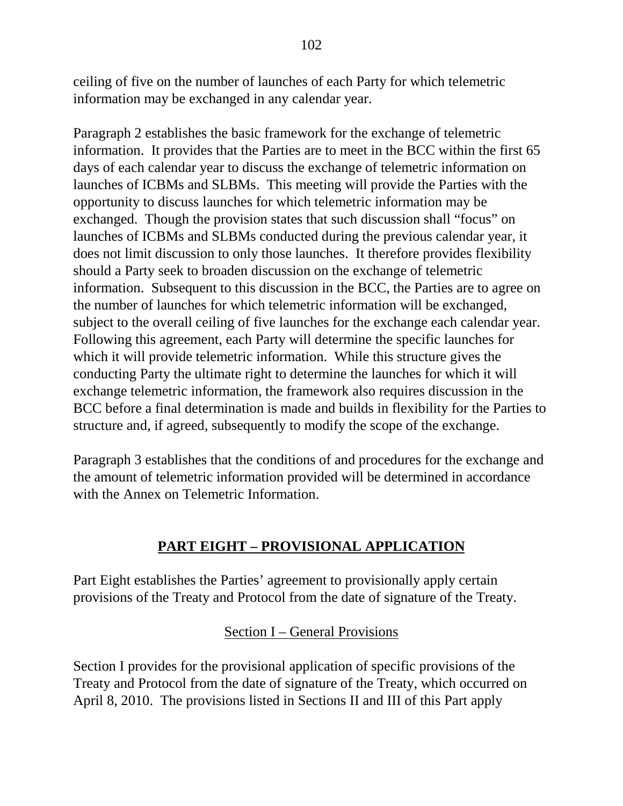ceiling of five on the number of launches of each Party for which telemetric information may be exchanged in any calendar year.

Paragraph 2 establishes the basic framework for the exchange of telemetric information. It provides that the Parties are to meet in the BCC within the first 65 days of each calendar year to discuss the exchange of telemetric information on launches of ICBMs and SLBMs. This meeting will provide the Parties with the opportunity to discuss launches for which telemetric information may be exchanged. Though the provision states that such discussion shall "focus" on launches of ICBMs and SLBMs conducted during the previous calendar year, it does not limit discussion to only those launches. It therefore provides flexibility should a Party seek to broaden discussion on the exchange of telemetric information. Subsequent to this discussion in the BCC, the Parties are to agree on the number of launches for which telemetric information will be exchanged, subject to the overall ceiling of five launches for the exchange each calendar year. Following this agreement, each Party will determine the specific launches for which it will provide telemetric information. While this structure gives the conducting Party the ultimate right to determine the launches for which it will exchange telemetric information, the framework also requires discussion in the BCC before a final determination is made and builds in flexibility for the Parties to structure and, if agreed, subsequently to modify the scope of the exchange.

Paragraph 3 establishes that the conditions of and procedures for the exchange and the amount of telemetric information provided will be determined in accordance with the Annex on Telemetric Information.

## **PART EIGHT – PROVISIONAL APPLICATION**

Part Eight establishes the Parties' agreement to provisionally apply certain provisions of the Treaty and Protocol from the date of signature of the Treaty.

Section I – General Provisions

Section I provides for the provisional application of specific provisions of the Treaty and Protocol from the date of signature of the Treaty, which occurred on April 8, 2010. The provisions listed in Sections II and III of this Part apply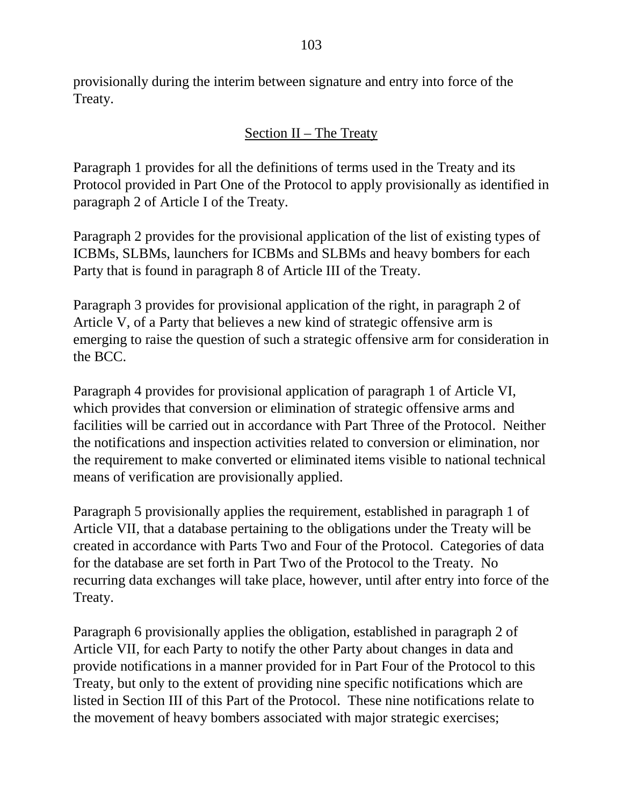provisionally during the interim between signature and entry into force of the Treaty.

## Section II – The Treaty

Paragraph 1 provides for all the definitions of terms used in the Treaty and its Protocol provided in Part One of the Protocol to apply provisionally as identified in paragraph 2 of Article I of the Treaty.

Paragraph 2 provides for the provisional application of the list of existing types of ICBMs, SLBMs, launchers for ICBMs and SLBMs and heavy bombers for each Party that is found in paragraph 8 of Article III of the Treaty.

Paragraph 3 provides for provisional application of the right, in paragraph 2 of Article V, of a Party that believes a new kind of strategic offensive arm is emerging to raise the question of such a strategic offensive arm for consideration in the BCC.

Paragraph 4 provides for provisional application of paragraph 1 of Article VI, which provides that conversion or elimination of strategic offensive arms and facilities will be carried out in accordance with Part Three of the Protocol. Neither the notifications and inspection activities related to conversion or elimination, nor the requirement to make converted or eliminated items visible to national technical means of verification are provisionally applied.

Paragraph 5 provisionally applies the requirement, established in paragraph 1 of Article VII, that a database pertaining to the obligations under the Treaty will be created in accordance with Parts Two and Four of the Protocol. Categories of data for the database are set forth in Part Two of the Protocol to the Treaty. No recurring data exchanges will take place, however, until after entry into force of the Treaty.

Paragraph 6 provisionally applies the obligation, established in paragraph 2 of Article VII, for each Party to notify the other Party about changes in data and provide notifications in a manner provided for in Part Four of the Protocol to this Treaty, but only to the extent of providing nine specific notifications which are listed in Section III of this Part of the Protocol. These nine notifications relate to the movement of heavy bombers associated with major strategic exercises;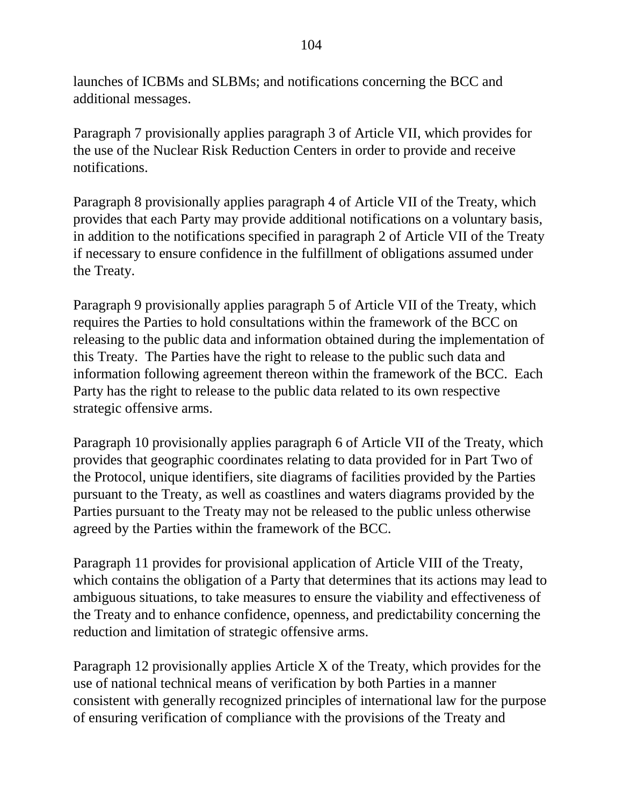launches of ICBMs and SLBMs; and notifications concerning the BCC and additional messages.

Paragraph 7 provisionally applies paragraph 3 of Article VII, which provides for the use of the Nuclear Risk Reduction Centers in order to provide and receive notifications.

Paragraph 8 provisionally applies paragraph 4 of Article VII of the Treaty, which provides that each Party may provide additional notifications on a voluntary basis, in addition to the notifications specified in paragraph 2 of Article VII of the Treaty if necessary to ensure confidence in the fulfillment of obligations assumed under the Treaty.

Paragraph 9 provisionally applies paragraph 5 of Article VII of the Treaty, which requires the Parties to hold consultations within the framework of the BCC on releasing to the public data and information obtained during the implementation of this Treaty. The Parties have the right to release to the public such data and information following agreement thereon within the framework of the BCC. Each Party has the right to release to the public data related to its own respective strategic offensive arms.

Paragraph 10 provisionally applies paragraph 6 of Article VII of the Treaty, which provides that geographic coordinates relating to data provided for in Part Two of the Protocol, unique identifiers, site diagrams of facilities provided by the Parties pursuant to the Treaty, as well as coastlines and waters diagrams provided by the Parties pursuant to the Treaty may not be released to the public unless otherwise agreed by the Parties within the framework of the BCC.

Paragraph 11 provides for provisional application of Article VIII of the Treaty, which contains the obligation of a Party that determines that its actions may lead to ambiguous situations, to take measures to ensure the viability and effectiveness of the Treaty and to enhance confidence, openness, and predictability concerning the reduction and limitation of strategic offensive arms.

Paragraph 12 provisionally applies Article X of the Treaty, which provides for the use of national technical means of verification by both Parties in a manner consistent with generally recognized principles of international law for the purpose of ensuring verification of compliance with the provisions of the Treaty and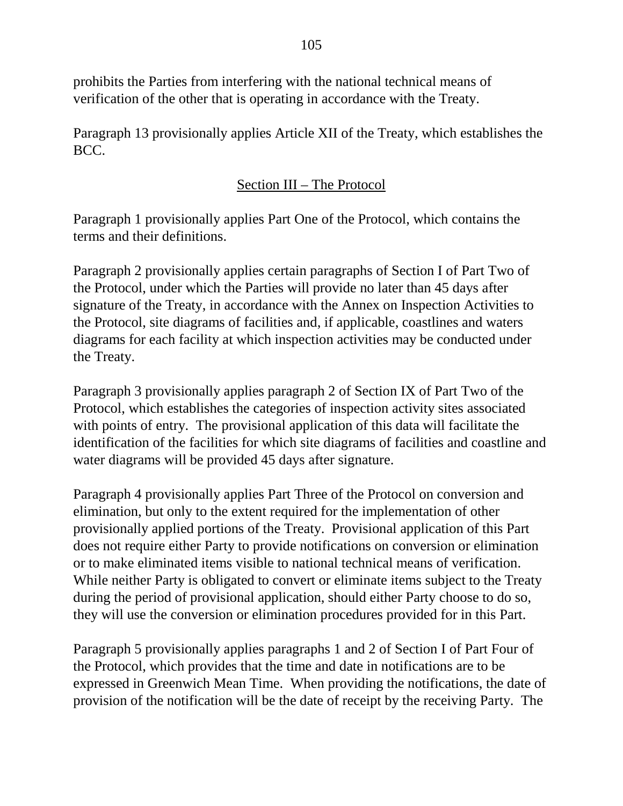prohibits the Parties from interfering with the national technical means of verification of the other that is operating in accordance with the Treaty.

Paragraph 13 provisionally applies Article XII of the Treaty, which establishes the BCC.

## Section III – The Protocol

Paragraph 1 provisionally applies Part One of the Protocol, which contains the terms and their definitions.

Paragraph 2 provisionally applies certain paragraphs of Section I of Part Two of the Protocol, under which the Parties will provide no later than 45 days after signature of the Treaty, in accordance with the Annex on Inspection Activities to the Protocol, site diagrams of facilities and, if applicable, coastlines and waters diagrams for each facility at which inspection activities may be conducted under the Treaty.

Paragraph 3 provisionally applies paragraph 2 of Section IX of Part Two of the Protocol, which establishes the categories of inspection activity sites associated with points of entry. The provisional application of this data will facilitate the identification of the facilities for which site diagrams of facilities and coastline and water diagrams will be provided 45 days after signature.

Paragraph 4 provisionally applies Part Three of the Protocol on conversion and elimination, but only to the extent required for the implementation of other provisionally applied portions of the Treaty. Provisional application of this Part does not require either Party to provide notifications on conversion or elimination or to make eliminated items visible to national technical means of verification. While neither Party is obligated to convert or eliminate items subject to the Treaty during the period of provisional application, should either Party choose to do so, they will use the conversion or elimination procedures provided for in this Part.

Paragraph 5 provisionally applies paragraphs 1 and 2 of Section I of Part Four of the Protocol, which provides that the time and date in notifications are to be expressed in Greenwich Mean Time. When providing the notifications, the date of provision of the notification will be the date of receipt by the receiving Party. The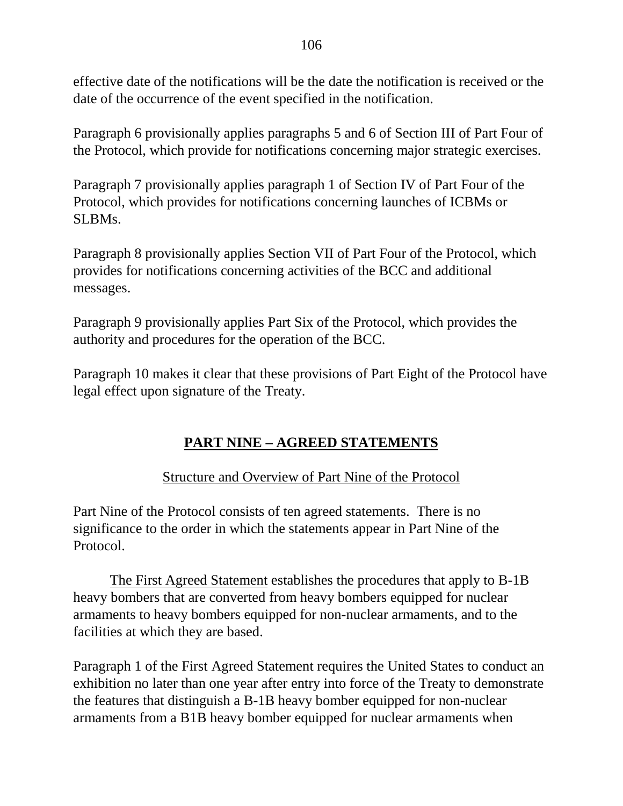effective date of the notifications will be the date the notification is received or the date of the occurrence of the event specified in the notification.

Paragraph 6 provisionally applies paragraphs 5 and 6 of Section III of Part Four of the Protocol, which provide for notifications concerning major strategic exercises.

Paragraph 7 provisionally applies paragraph 1 of Section IV of Part Four of the Protocol, which provides for notifications concerning launches of ICBMs or SLBMs.

Paragraph 8 provisionally applies Section VII of Part Four of the Protocol, which provides for notifications concerning activities of the BCC and additional messages.

Paragraph 9 provisionally applies Part Six of the Protocol, which provides the authority and procedures for the operation of the BCC.

Paragraph 10 makes it clear that these provisions of Part Eight of the Protocol have legal effect upon signature of the Treaty.

## **PART NINE – AGREED STATEMENTS**

## Structure and Overview of Part Nine of the Protocol

Part Nine of the Protocol consists of ten agreed statements. There is no significance to the order in which the statements appear in Part Nine of the Protocol.

The First Agreed Statement establishes the procedures that apply to B-1B heavy bombers that are converted from heavy bombers equipped for nuclear armaments to heavy bombers equipped for non-nuclear armaments, and to the facilities at which they are based.

Paragraph 1 of the First Agreed Statement requires the United States to conduct an exhibition no later than one year after entry into force of the Treaty to demonstrate the features that distinguish a B-1B heavy bomber equipped for non-nuclear armaments from a B1B heavy bomber equipped for nuclear armaments when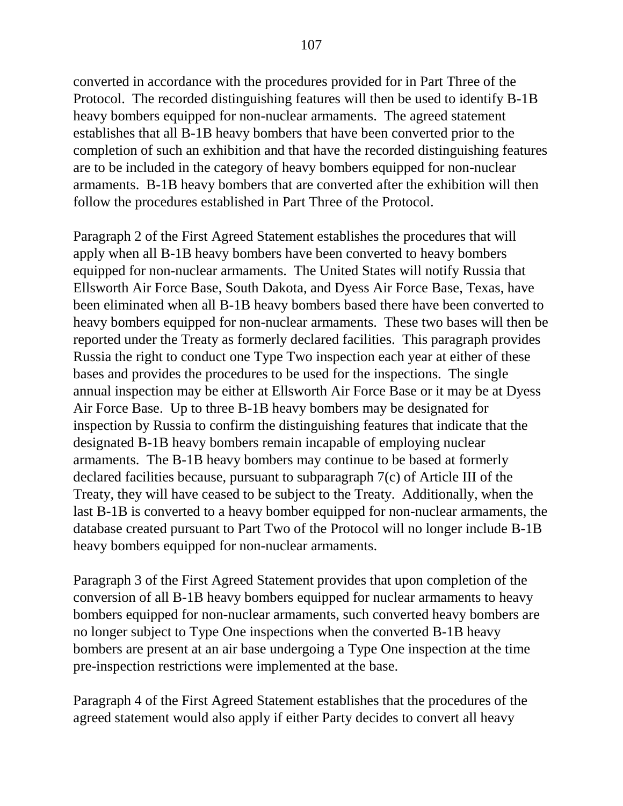converted in accordance with the procedures provided for in Part Three of the Protocol. The recorded distinguishing features will then be used to identify B-1B heavy bombers equipped for non-nuclear armaments. The agreed statement establishes that all B-1B heavy bombers that have been converted prior to the completion of such an exhibition and that have the recorded distinguishing features are to be included in the category of heavy bombers equipped for non-nuclear armaments. B-1B heavy bombers that are converted after the exhibition will then follow the procedures established in Part Three of the Protocol.

Paragraph 2 of the First Agreed Statement establishes the procedures that will apply when all B-1B heavy bombers have been converted to heavy bombers equipped for non-nuclear armaments. The United States will notify Russia that Ellsworth Air Force Base, South Dakota, and Dyess Air Force Base, Texas, have been eliminated when all B-1B heavy bombers based there have been converted to heavy bombers equipped for non-nuclear armaments. These two bases will then be reported under the Treaty as formerly declared facilities. This paragraph provides Russia the right to conduct one Type Two inspection each year at either of these bases and provides the procedures to be used for the inspections. The single annual inspection may be either at Ellsworth Air Force Base or it may be at Dyess Air Force Base. Up to three B-1B heavy bombers may be designated for inspection by Russia to confirm the distinguishing features that indicate that the designated B-1B heavy bombers remain incapable of employing nuclear armaments. The B-1B heavy bombers may continue to be based at formerly declared facilities because, pursuant to subparagraph 7(c) of Article III of the Treaty, they will have ceased to be subject to the Treaty. Additionally, when the last B-1B is converted to a heavy bomber equipped for non-nuclear armaments, the database created pursuant to Part Two of the Protocol will no longer include B-1B heavy bombers equipped for non-nuclear armaments.

Paragraph 3 of the First Agreed Statement provides that upon completion of the conversion of all B-1B heavy bombers equipped for nuclear armaments to heavy bombers equipped for non-nuclear armaments, such converted heavy bombers are no longer subject to Type One inspections when the converted B-1B heavy bombers are present at an air base undergoing a Type One inspection at the time pre-inspection restrictions were implemented at the base.

Paragraph 4 of the First Agreed Statement establishes that the procedures of the agreed statement would also apply if either Party decides to convert all heavy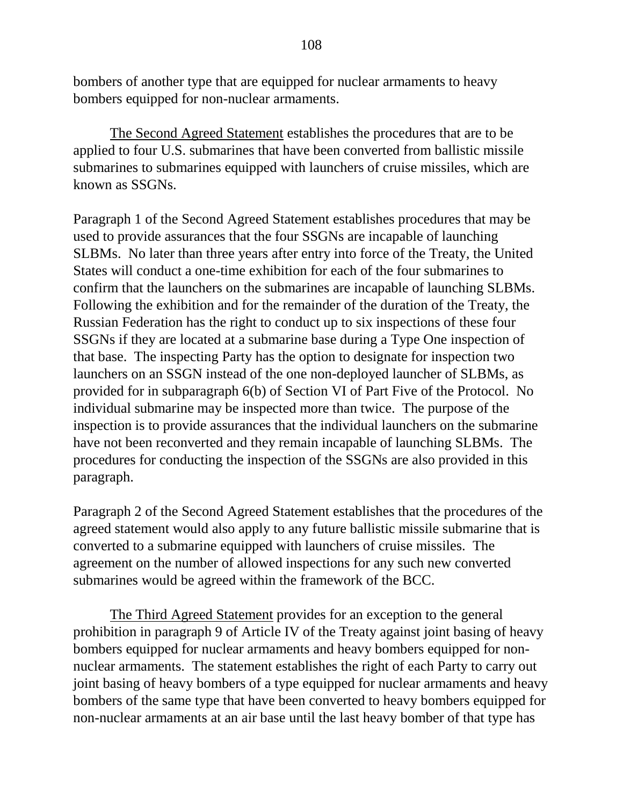bombers of another type that are equipped for nuclear armaments to heavy bombers equipped for non-nuclear armaments.

The Second Agreed Statement establishes the procedures that are to be applied to four U.S. submarines that have been converted from ballistic missile submarines to submarines equipped with launchers of cruise missiles, which are known as SSGNs.

Paragraph 1 of the Second Agreed Statement establishes procedures that may be used to provide assurances that the four SSGNs are incapable of launching SLBMs. No later than three years after entry into force of the Treaty, the United States will conduct a one-time exhibition for each of the four submarines to confirm that the launchers on the submarines are incapable of launching SLBMs. Following the exhibition and for the remainder of the duration of the Treaty, the Russian Federation has the right to conduct up to six inspections of these four SSGNs if they are located at a submarine base during a Type One inspection of that base. The inspecting Party has the option to designate for inspection two launchers on an SSGN instead of the one non-deployed launcher of SLBMs, as provided for in subparagraph 6(b) of Section VI of Part Five of the Protocol. No individual submarine may be inspected more than twice. The purpose of the inspection is to provide assurances that the individual launchers on the submarine have not been reconverted and they remain incapable of launching SLBMs. The procedures for conducting the inspection of the SSGNs are also provided in this paragraph.

Paragraph 2 of the Second Agreed Statement establishes that the procedures of the agreed statement would also apply to any future ballistic missile submarine that is converted to a submarine equipped with launchers of cruise missiles. The agreement on the number of allowed inspections for any such new converted submarines would be agreed within the framework of the BCC.

The Third Agreed Statement provides for an exception to the general prohibition in paragraph 9 of Article IV of the Treaty against joint basing of heavy bombers equipped for nuclear armaments and heavy bombers equipped for nonnuclear armaments. The statement establishes the right of each Party to carry out joint basing of heavy bombers of a type equipped for nuclear armaments and heavy bombers of the same type that have been converted to heavy bombers equipped for non-nuclear armaments at an air base until the last heavy bomber of that type has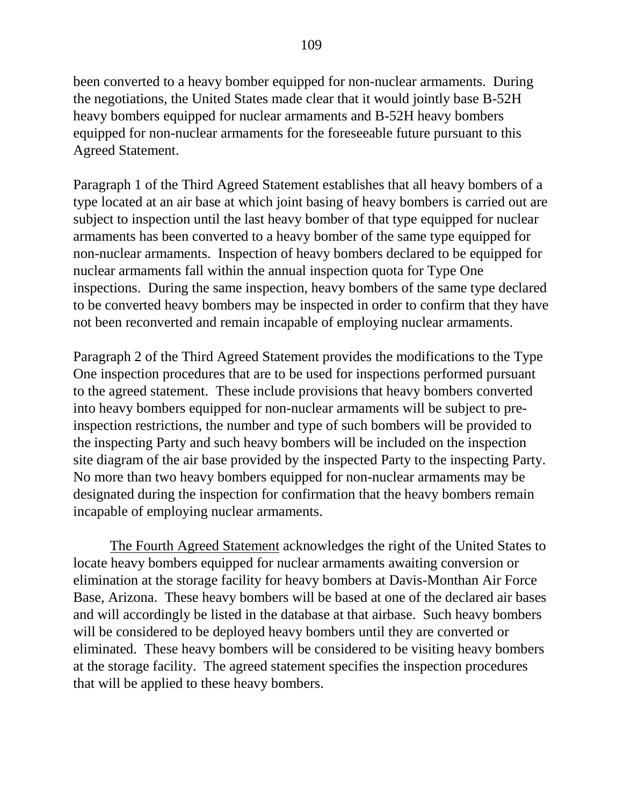been converted to a heavy bomber equipped for non-nuclear armaments. During the negotiations, the United States made clear that it would jointly base B-52H heavy bombers equipped for nuclear armaments and B-52H heavy bombers equipped for non-nuclear armaments for the foreseeable future pursuant to this Agreed Statement.

Paragraph 1 of the Third Agreed Statement establishes that all heavy bombers of a type located at an air base at which joint basing of heavy bombers is carried out are subject to inspection until the last heavy bomber of that type equipped for nuclear armaments has been converted to a heavy bomber of the same type equipped for non-nuclear armaments. Inspection of heavy bombers declared to be equipped for nuclear armaments fall within the annual inspection quota for Type One inspections. During the same inspection, heavy bombers of the same type declared to be converted heavy bombers may be inspected in order to confirm that they have not been reconverted and remain incapable of employing nuclear armaments.

Paragraph 2 of the Third Agreed Statement provides the modifications to the Type One inspection procedures that are to be used for inspections performed pursuant to the agreed statement. These include provisions that heavy bombers converted into heavy bombers equipped for non-nuclear armaments will be subject to preinspection restrictions, the number and type of such bombers will be provided to the inspecting Party and such heavy bombers will be included on the inspection site diagram of the air base provided by the inspected Party to the inspecting Party. No more than two heavy bombers equipped for non-nuclear armaments may be designated during the inspection for confirmation that the heavy bombers remain incapable of employing nuclear armaments.

The Fourth Agreed Statement acknowledges the right of the United States to locate heavy bombers equipped for nuclear armaments awaiting conversion or elimination at the storage facility for heavy bombers at Davis-Monthan Air Force Base, Arizona. These heavy bombers will be based at one of the declared air bases and will accordingly be listed in the database at that airbase. Such heavy bombers will be considered to be deployed heavy bombers until they are converted or eliminated. These heavy bombers will be considered to be visiting heavy bombers at the storage facility. The agreed statement specifies the inspection procedures that will be applied to these heavy bombers.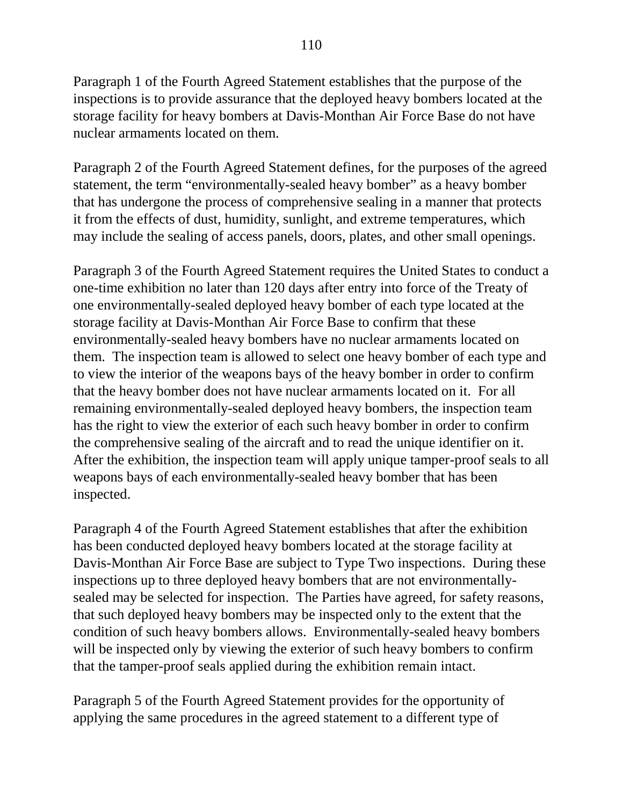Paragraph 1 of the Fourth Agreed Statement establishes that the purpose of the inspections is to provide assurance that the deployed heavy bombers located at the storage facility for heavy bombers at Davis-Monthan Air Force Base do not have nuclear armaments located on them.

Paragraph 2 of the Fourth Agreed Statement defines, for the purposes of the agreed statement, the term "environmentally-sealed heavy bomber" as a heavy bomber that has undergone the process of comprehensive sealing in a manner that protects it from the effects of dust, humidity, sunlight, and extreme temperatures, which may include the sealing of access panels, doors, plates, and other small openings.

Paragraph 3 of the Fourth Agreed Statement requires the United States to conduct a one-time exhibition no later than 120 days after entry into force of the Treaty of one environmentally-sealed deployed heavy bomber of each type located at the storage facility at Davis-Monthan Air Force Base to confirm that these environmentally-sealed heavy bombers have no nuclear armaments located on them. The inspection team is allowed to select one heavy bomber of each type and to view the interior of the weapons bays of the heavy bomber in order to confirm that the heavy bomber does not have nuclear armaments located on it. For all remaining environmentally-sealed deployed heavy bombers, the inspection team has the right to view the exterior of each such heavy bomber in order to confirm the comprehensive sealing of the aircraft and to read the unique identifier on it. After the exhibition, the inspection team will apply unique tamper-proof seals to all weapons bays of each environmentally-sealed heavy bomber that has been inspected.

Paragraph 4 of the Fourth Agreed Statement establishes that after the exhibition has been conducted deployed heavy bombers located at the storage facility at Davis-Monthan Air Force Base are subject to Type Two inspections. During these inspections up to three deployed heavy bombers that are not environmentallysealed may be selected for inspection. The Parties have agreed, for safety reasons, that such deployed heavy bombers may be inspected only to the extent that the condition of such heavy bombers allows. Environmentally-sealed heavy bombers will be inspected only by viewing the exterior of such heavy bombers to confirm that the tamper-proof seals applied during the exhibition remain intact.

Paragraph 5 of the Fourth Agreed Statement provides for the opportunity of applying the same procedures in the agreed statement to a different type of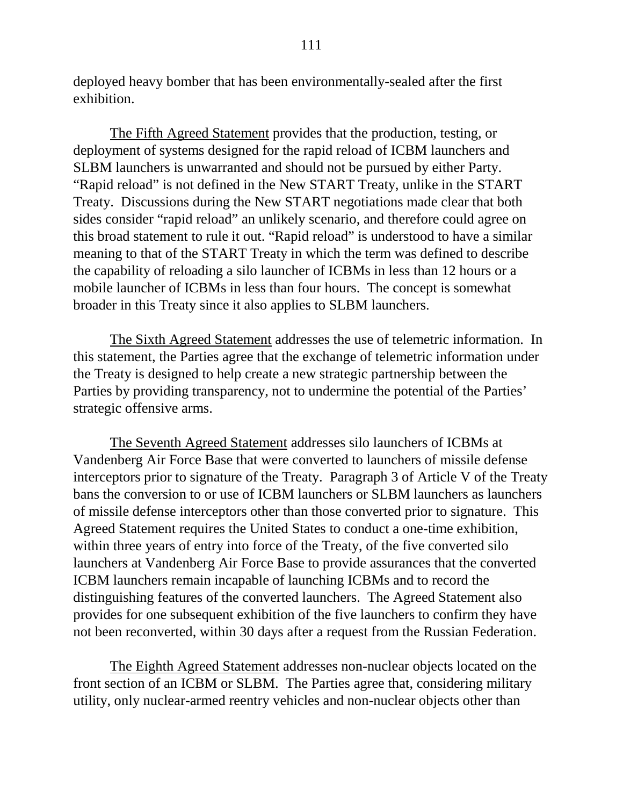deployed heavy bomber that has been environmentally-sealed after the first exhibition.

The Fifth Agreed Statement provides that the production, testing, or deployment of systems designed for the rapid reload of ICBM launchers and SLBM launchers is unwarranted and should not be pursued by either Party. "Rapid reload" is not defined in the New START Treaty, unlike in the START Treaty. Discussions during the New START negotiations made clear that both sides consider "rapid reload" an unlikely scenario, and therefore could agree on this broad statement to rule it out. "Rapid reload" is understood to have a similar meaning to that of the START Treaty in which the term was defined to describe the capability of reloading a silo launcher of ICBMs in less than 12 hours or a mobile launcher of ICBMs in less than four hours. The concept is somewhat broader in this Treaty since it also applies to SLBM launchers.

The Sixth Agreed Statement addresses the use of telemetric information. In this statement, the Parties agree that the exchange of telemetric information under the Treaty is designed to help create a new strategic partnership between the Parties by providing transparency, not to undermine the potential of the Parties' strategic offensive arms.

The Seventh Agreed Statement addresses silo launchers of ICBMs at Vandenberg Air Force Base that were converted to launchers of missile defense interceptors prior to signature of the Treaty. Paragraph 3 of Article V of the Treaty bans the conversion to or use of ICBM launchers or SLBM launchers as launchers of missile defense interceptors other than those converted prior to signature. This Agreed Statement requires the United States to conduct a one-time exhibition, within three years of entry into force of the Treaty, of the five converted silo launchers at Vandenberg Air Force Base to provide assurances that the converted ICBM launchers remain incapable of launching ICBMs and to record the distinguishing features of the converted launchers. The Agreed Statement also provides for one subsequent exhibition of the five launchers to confirm they have not been reconverted, within 30 days after a request from the Russian Federation.

The Eighth Agreed Statement addresses non-nuclear objects located on the front section of an ICBM or SLBM. The Parties agree that, considering military utility, only nuclear-armed reentry vehicles and non-nuclear objects other than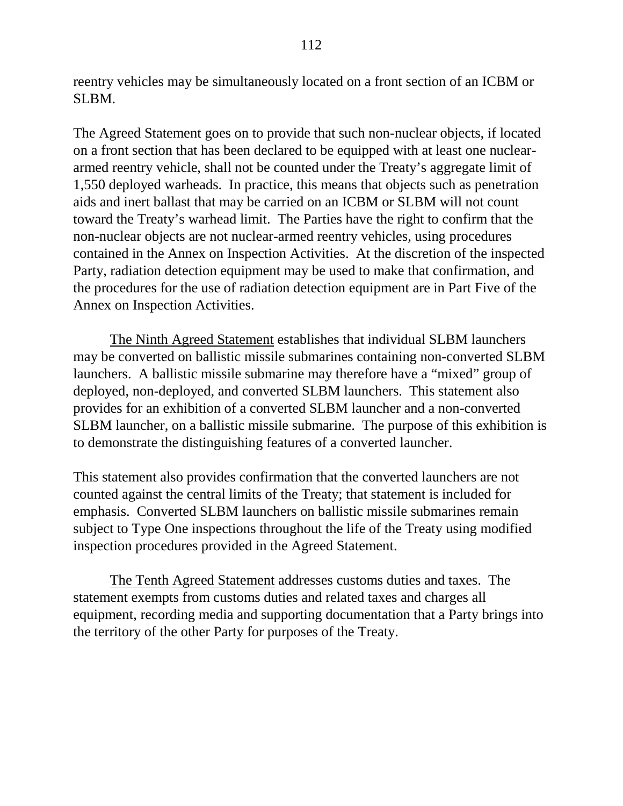reentry vehicles may be simultaneously located on a front section of an ICBM or SLBM.

The Agreed Statement goes on to provide that such non-nuclear objects, if located on a front section that has been declared to be equipped with at least one nucleararmed reentry vehicle, shall not be counted under the Treaty's aggregate limit of 1,550 deployed warheads. In practice, this means that objects such as penetration aids and inert ballast that may be carried on an ICBM or SLBM will not count toward the Treaty's warhead limit. The Parties have the right to confirm that the non-nuclear objects are not nuclear-armed reentry vehicles, using procedures contained in the Annex on Inspection Activities. At the discretion of the inspected Party, radiation detection equipment may be used to make that confirmation, and the procedures for the use of radiation detection equipment are in Part Five of the Annex on Inspection Activities.

The Ninth Agreed Statement establishes that individual SLBM launchers may be converted on ballistic missile submarines containing non-converted SLBM launchers. A ballistic missile submarine may therefore have a "mixed" group of deployed, non-deployed, and converted SLBM launchers. This statement also provides for an exhibition of a converted SLBM launcher and a non-converted SLBM launcher, on a ballistic missile submarine. The purpose of this exhibition is to demonstrate the distinguishing features of a converted launcher.

This statement also provides confirmation that the converted launchers are not counted against the central limits of the Treaty; that statement is included for emphasis. Converted SLBM launchers on ballistic missile submarines remain subject to Type One inspections throughout the life of the Treaty using modified inspection procedures provided in the Agreed Statement.

The Tenth Agreed Statement addresses customs duties and taxes. The statement exempts from customs duties and related taxes and charges all equipment, recording media and supporting documentation that a Party brings into the territory of the other Party for purposes of the Treaty.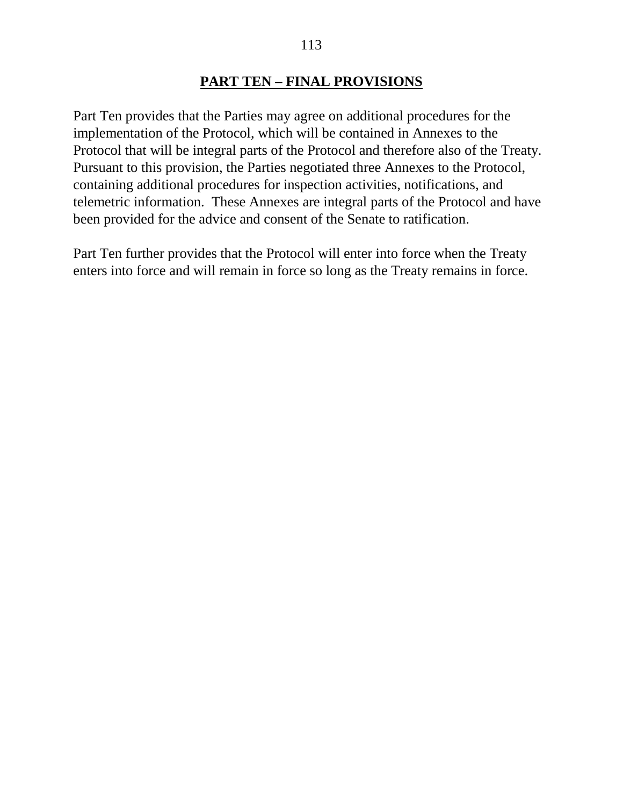#### **PART TEN – FINAL PROVISIONS**

Part Ten provides that the Parties may agree on additional procedures for the implementation of the Protocol, which will be contained in Annexes to the Protocol that will be integral parts of the Protocol and therefore also of the Treaty. Pursuant to this provision, the Parties negotiated three Annexes to the Protocol, containing additional procedures for inspection activities, notifications, and telemetric information. These Annexes are integral parts of the Protocol and have been provided for the advice and consent of the Senate to ratification.

Part Ten further provides that the Protocol will enter into force when the Treaty enters into force and will remain in force so long as the Treaty remains in force.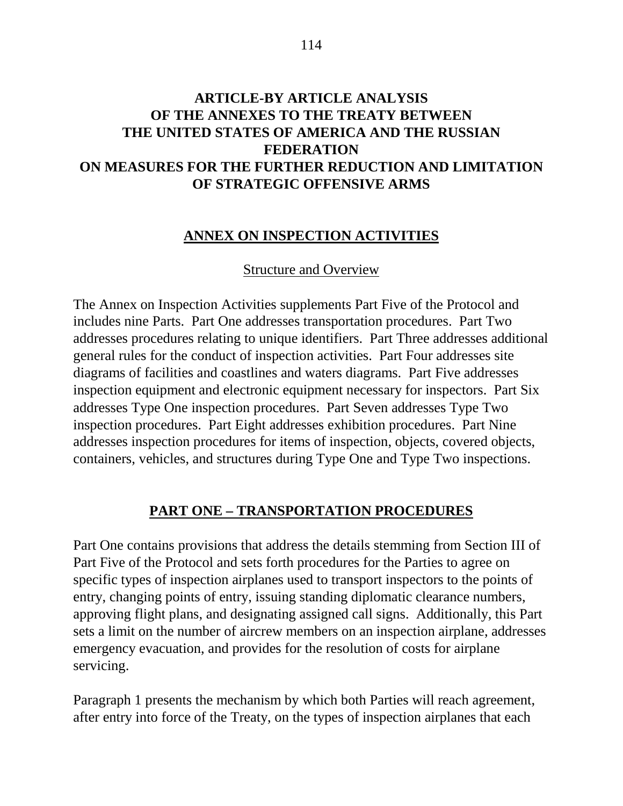## **ARTICLE-BY ARTICLE ANALYSIS OF THE ANNEXES TO THE TREATY BETWEEN THE UNITED STATES OF AMERICA AND THE RUSSIAN FEDERATION ON MEASURES FOR THE FURTHER REDUCTION AND LIMITATION OF STRATEGIC OFFENSIVE ARMS**

#### **ANNEX ON INSPECTION ACTIVITIES**

#### Structure and Overview

The Annex on Inspection Activities supplements Part Five of the Protocol and includes nine Parts. Part One addresses transportation procedures. Part Two addresses procedures relating to unique identifiers. Part Three addresses additional general rules for the conduct of inspection activities. Part Four addresses site diagrams of facilities and coastlines and waters diagrams. Part Five addresses inspection equipment and electronic equipment necessary for inspectors. Part Six addresses Type One inspection procedures. Part Seven addresses Type Two inspection procedures. Part Eight addresses exhibition procedures. Part Nine addresses inspection procedures for items of inspection, objects, covered objects, containers, vehicles, and structures during Type One and Type Two inspections.

#### **PART ONE – TRANSPORTATION PROCEDURES**

Part One contains provisions that address the details stemming from Section III of Part Five of the Protocol and sets forth procedures for the Parties to agree on specific types of inspection airplanes used to transport inspectors to the points of entry, changing points of entry, issuing standing diplomatic clearance numbers, approving flight plans, and designating assigned call signs. Additionally, this Part sets a limit on the number of aircrew members on an inspection airplane, addresses emergency evacuation, and provides for the resolution of costs for airplane servicing.

Paragraph 1 presents the mechanism by which both Parties will reach agreement, after entry into force of the Treaty, on the types of inspection airplanes that each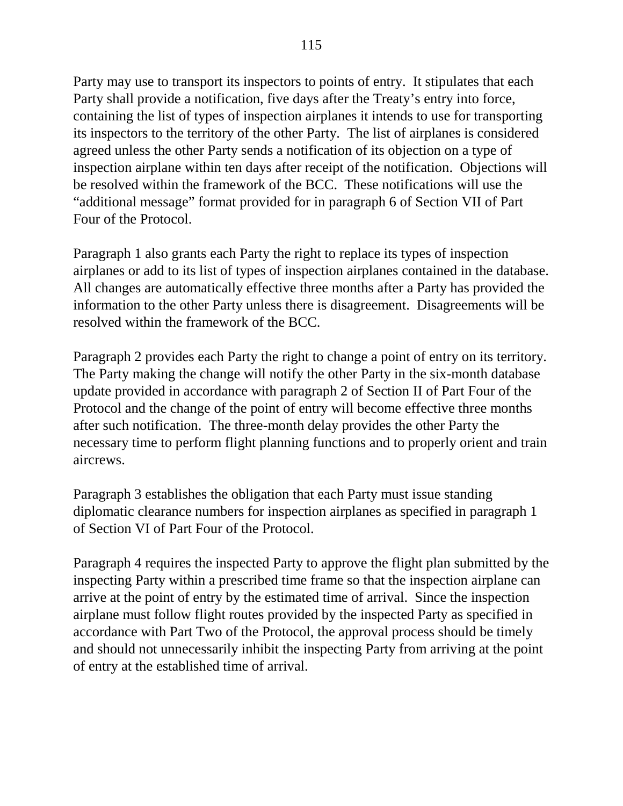Party may use to transport its inspectors to points of entry. It stipulates that each Party shall provide a notification, five days after the Treaty's entry into force, containing the list of types of inspection airplanes it intends to use for transporting its inspectors to the territory of the other Party. The list of airplanes is considered agreed unless the other Party sends a notification of its objection on a type of inspection airplane within ten days after receipt of the notification. Objections will be resolved within the framework of the BCC. These notifications will use the "additional message" format provided for in paragraph 6 of Section VII of Part Four of the Protocol.

Paragraph 1 also grants each Party the right to replace its types of inspection airplanes or add to its list of types of inspection airplanes contained in the database. All changes are automatically effective three months after a Party has provided the information to the other Party unless there is disagreement. Disagreements will be resolved within the framework of the BCC.

Paragraph 2 provides each Party the right to change a point of entry on its territory. The Party making the change will notify the other Party in the six-month database update provided in accordance with paragraph 2 of Section II of Part Four of the Protocol and the change of the point of entry will become effective three months after such notification. The three-month delay provides the other Party the necessary time to perform flight planning functions and to properly orient and train aircrews.

Paragraph 3 establishes the obligation that each Party must issue standing diplomatic clearance numbers for inspection airplanes as specified in paragraph 1 of Section VI of Part Four of the Protocol.

Paragraph 4 requires the inspected Party to approve the flight plan submitted by the inspecting Party within a prescribed time frame so that the inspection airplane can arrive at the point of entry by the estimated time of arrival. Since the inspection airplane must follow flight routes provided by the inspected Party as specified in accordance with Part Two of the Protocol, the approval process should be timely and should not unnecessarily inhibit the inspecting Party from arriving at the point of entry at the established time of arrival.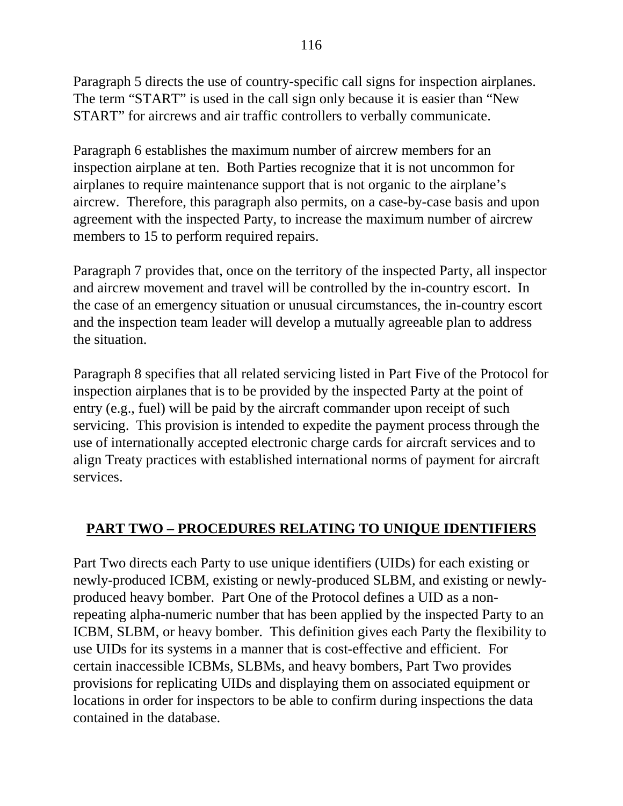Paragraph 5 directs the use of country-specific call signs for inspection airplanes. The term "START" is used in the call sign only because it is easier than "New START" for aircrews and air traffic controllers to verbally communicate.

Paragraph 6 establishes the maximum number of aircrew members for an inspection airplane at ten. Both Parties recognize that it is not uncommon for airplanes to require maintenance support that is not organic to the airplane's aircrew. Therefore, this paragraph also permits, on a case-by-case basis and upon agreement with the inspected Party, to increase the maximum number of aircrew members to 15 to perform required repairs.

Paragraph 7 provides that, once on the territory of the inspected Party, all inspector and aircrew movement and travel will be controlled by the in-country escort. In the case of an emergency situation or unusual circumstances, the in-country escort and the inspection team leader will develop a mutually agreeable plan to address the situation.

Paragraph 8 specifies that all related servicing listed in Part Five of the Protocol for inspection airplanes that is to be provided by the inspected Party at the point of entry (e.g., fuel) will be paid by the aircraft commander upon receipt of such servicing. This provision is intended to expedite the payment process through the use of internationally accepted electronic charge cards for aircraft services and to align Treaty practices with established international norms of payment for aircraft services.

# **PART TWO – PROCEDURES RELATING TO UNIQUE IDENTIFIERS**

Part Two directs each Party to use unique identifiers (UIDs) for each existing or newly-produced ICBM, existing or newly-produced SLBM, and existing or newlyproduced heavy bomber. Part One of the Protocol defines a UID as a nonrepeating alpha-numeric number that has been applied by the inspected Party to an ICBM, SLBM, or heavy bomber. This definition gives each Party the flexibility to use UIDs for its systems in a manner that is cost-effective and efficient. For certain inaccessible ICBMs, SLBMs, and heavy bombers, Part Two provides provisions for replicating UIDs and displaying them on associated equipment or locations in order for inspectors to be able to confirm during inspections the data contained in the database.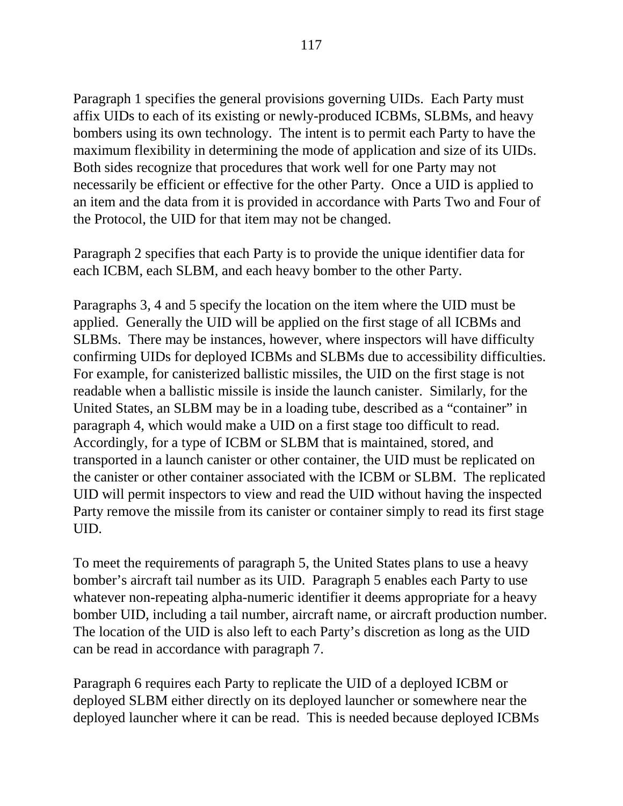Paragraph 1 specifies the general provisions governing UIDs. Each Party must affix UIDs to each of its existing or newly-produced ICBMs, SLBMs, and heavy bombers using its own technology. The intent is to permit each Party to have the maximum flexibility in determining the mode of application and size of its UIDs. Both sides recognize that procedures that work well for one Party may not necessarily be efficient or effective for the other Party. Once a UID is applied to an item and the data from it is provided in accordance with Parts Two and Four of the Protocol, the UID for that item may not be changed.

Paragraph 2 specifies that each Party is to provide the unique identifier data for each ICBM, each SLBM, and each heavy bomber to the other Party.

Paragraphs 3, 4 and 5 specify the location on the item where the UID must be applied. Generally the UID will be applied on the first stage of all ICBMs and SLBMs. There may be instances, however, where inspectors will have difficulty confirming UIDs for deployed ICBMs and SLBMs due to accessibility difficulties. For example, for canisterized ballistic missiles, the UID on the first stage is not readable when a ballistic missile is inside the launch canister. Similarly, for the United States, an SLBM may be in a loading tube, described as a "container" in paragraph 4, which would make a UID on a first stage too difficult to read. Accordingly, for a type of ICBM or SLBM that is maintained, stored, and transported in a launch canister or other container, the UID must be replicated on the canister or other container associated with the ICBM or SLBM. The replicated UID will permit inspectors to view and read the UID without having the inspected Party remove the missile from its canister or container simply to read its first stage UID.

To meet the requirements of paragraph 5, the United States plans to use a heavy bomber's aircraft tail number as its UID. Paragraph 5 enables each Party to use whatever non-repeating alpha-numeric identifier it deems appropriate for a heavy bomber UID, including a tail number, aircraft name, or aircraft production number. The location of the UID is also left to each Party's discretion as long as the UID can be read in accordance with paragraph 7.

Paragraph 6 requires each Party to replicate the UID of a deployed ICBM or deployed SLBM either directly on its deployed launcher or somewhere near the deployed launcher where it can be read. This is needed because deployed ICBMs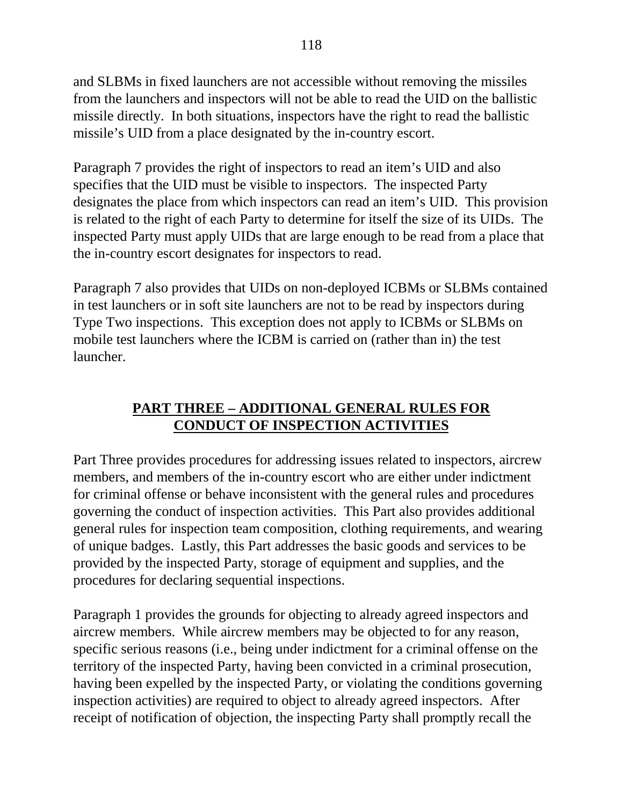and SLBMs in fixed launchers are not accessible without removing the missiles from the launchers and inspectors will not be able to read the UID on the ballistic missile directly. In both situations, inspectors have the right to read the ballistic missile's UID from a place designated by the in-country escort.

Paragraph 7 provides the right of inspectors to read an item's UID and also specifies that the UID must be visible to inspectors. The inspected Party designates the place from which inspectors can read an item's UID. This provision is related to the right of each Party to determine for itself the size of its UIDs. The inspected Party must apply UIDs that are large enough to be read from a place that the in-country escort designates for inspectors to read.

Paragraph 7 also provides that UIDs on non-deployed ICBMs or SLBMs contained in test launchers or in soft site launchers are not to be read by inspectors during Type Two inspections. This exception does not apply to ICBMs or SLBMs on mobile test launchers where the ICBM is carried on (rather than in) the test launcher.

# **PART THREE – ADDITIONAL GENERAL RULES FOR CONDUCT OF INSPECTION ACTIVITIES**

Part Three provides procedures for addressing issues related to inspectors, aircrew members, and members of the in-country escort who are either under indictment for criminal offense or behave inconsistent with the general rules and procedures governing the conduct of inspection activities. This Part also provides additional general rules for inspection team composition, clothing requirements, and wearing of unique badges. Lastly, this Part addresses the basic goods and services to be provided by the inspected Party, storage of equipment and supplies, and the procedures for declaring sequential inspections.

Paragraph 1 provides the grounds for objecting to already agreed inspectors and aircrew members. While aircrew members may be objected to for any reason, specific serious reasons (i.e., being under indictment for a criminal offense on the territory of the inspected Party, having been convicted in a criminal prosecution, having been expelled by the inspected Party, or violating the conditions governing inspection activities) are required to object to already agreed inspectors. After receipt of notification of objection, the inspecting Party shall promptly recall the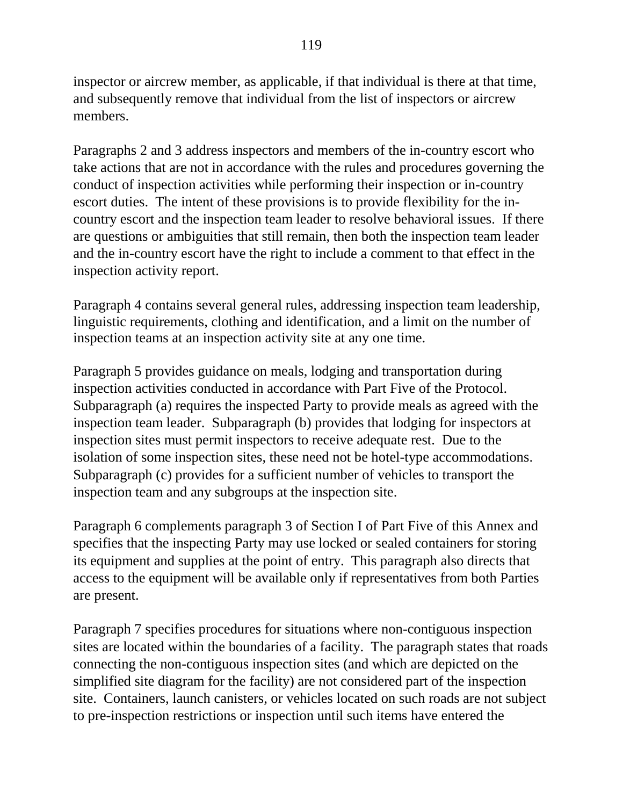inspector or aircrew member, as applicable, if that individual is there at that time, and subsequently remove that individual from the list of inspectors or aircrew members.

Paragraphs 2 and 3 address inspectors and members of the in-country escort who take actions that are not in accordance with the rules and procedures governing the conduct of inspection activities while performing their inspection or in-country escort duties. The intent of these provisions is to provide flexibility for the incountry escort and the inspection team leader to resolve behavioral issues. If there are questions or ambiguities that still remain, then both the inspection team leader and the in-country escort have the right to include a comment to that effect in the inspection activity report.

Paragraph 4 contains several general rules, addressing inspection team leadership, linguistic requirements, clothing and identification, and a limit on the number of inspection teams at an inspection activity site at any one time.

Paragraph 5 provides guidance on meals, lodging and transportation during inspection activities conducted in accordance with Part Five of the Protocol. Subparagraph (a) requires the inspected Party to provide meals as agreed with the inspection team leader. Subparagraph (b) provides that lodging for inspectors at inspection sites must permit inspectors to receive adequate rest. Due to the isolation of some inspection sites, these need not be hotel-type accommodations. Subparagraph (c) provides for a sufficient number of vehicles to transport the inspection team and any subgroups at the inspection site.

Paragraph 6 complements paragraph 3 of Section I of Part Five of this Annex and specifies that the inspecting Party may use locked or sealed containers for storing its equipment and supplies at the point of entry. This paragraph also directs that access to the equipment will be available only if representatives from both Parties are present.

Paragraph 7 specifies procedures for situations where non-contiguous inspection sites are located within the boundaries of a facility. The paragraph states that roads connecting the non-contiguous inspection sites (and which are depicted on the simplified site diagram for the facility) are not considered part of the inspection site. Containers, launch canisters, or vehicles located on such roads are not subject to pre-inspection restrictions or inspection until such items have entered the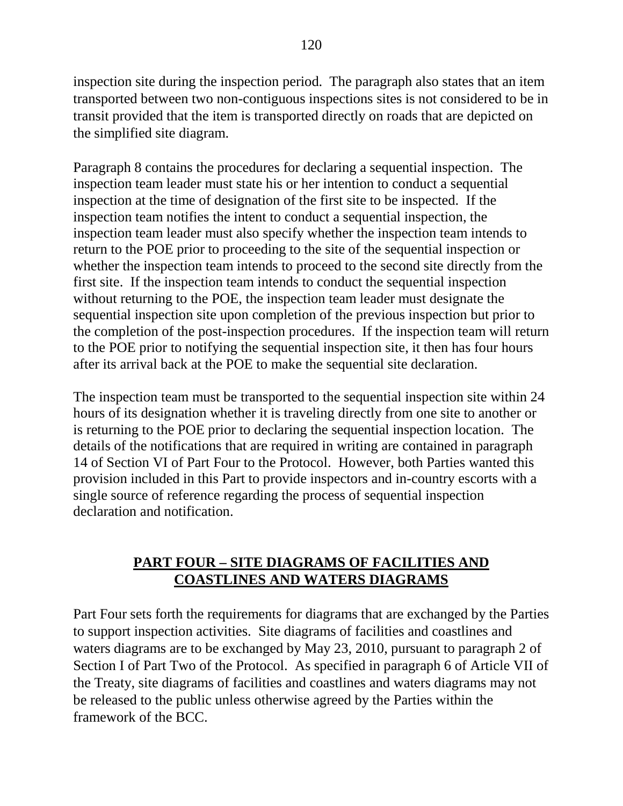inspection site during the inspection period. The paragraph also states that an item transported between two non-contiguous inspections sites is not considered to be in transit provided that the item is transported directly on roads that are depicted on the simplified site diagram.

Paragraph 8 contains the procedures for declaring a sequential inspection. The inspection team leader must state his or her intention to conduct a sequential inspection at the time of designation of the first site to be inspected. If the inspection team notifies the intent to conduct a sequential inspection, the inspection team leader must also specify whether the inspection team intends to return to the POE prior to proceeding to the site of the sequential inspection or whether the inspection team intends to proceed to the second site directly from the first site. If the inspection team intends to conduct the sequential inspection without returning to the POE, the inspection team leader must designate the sequential inspection site upon completion of the previous inspection but prior to the completion of the post-inspection procedures. If the inspection team will return to the POE prior to notifying the sequential inspection site, it then has four hours after its arrival back at the POE to make the sequential site declaration.

The inspection team must be transported to the sequential inspection site within 24 hours of its designation whether it is traveling directly from one site to another or is returning to the POE prior to declaring the sequential inspection location. The details of the notifications that are required in writing are contained in paragraph 14 of Section VI of Part Four to the Protocol. However, both Parties wanted this provision included in this Part to provide inspectors and in-country escorts with a single source of reference regarding the process of sequential inspection declaration and notification.

# **PART FOUR – SITE DIAGRAMS OF FACILITIES AND COASTLINES AND WATERS DIAGRAMS**

Part Four sets forth the requirements for diagrams that are exchanged by the Parties to support inspection activities. Site diagrams of facilities and coastlines and waters diagrams are to be exchanged by May 23, 2010, pursuant to paragraph 2 of Section I of Part Two of the Protocol. As specified in paragraph 6 of Article VII of the Treaty, site diagrams of facilities and coastlines and waters diagrams may not be released to the public unless otherwise agreed by the Parties within the framework of the BCC.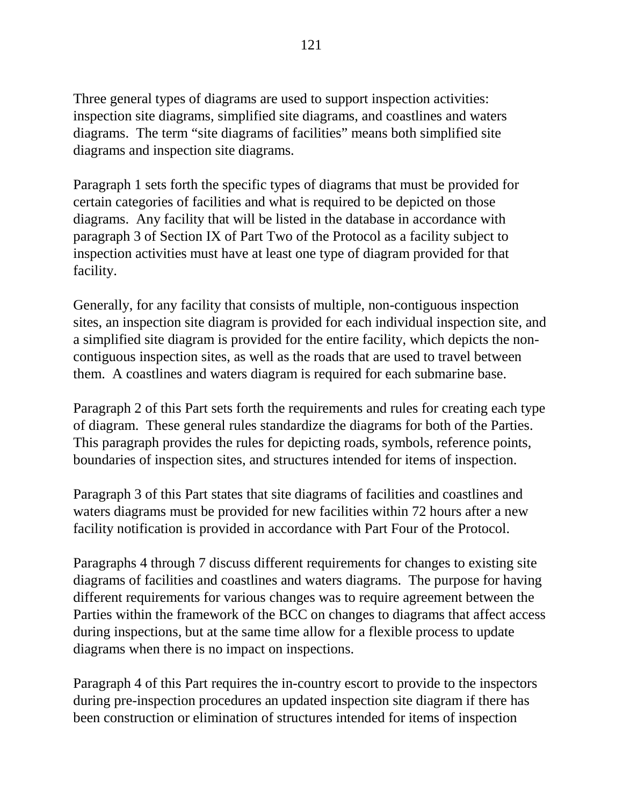Three general types of diagrams are used to support inspection activities: inspection site diagrams, simplified site diagrams, and coastlines and waters diagrams. The term "site diagrams of facilities" means both simplified site diagrams and inspection site diagrams.

Paragraph 1 sets forth the specific types of diagrams that must be provided for certain categories of facilities and what is required to be depicted on those diagrams. Any facility that will be listed in the database in accordance with paragraph 3 of Section IX of Part Two of the Protocol as a facility subject to inspection activities must have at least one type of diagram provided for that facility.

Generally, for any facility that consists of multiple, non-contiguous inspection sites, an inspection site diagram is provided for each individual inspection site, and a simplified site diagram is provided for the entire facility, which depicts the noncontiguous inspection sites, as well as the roads that are used to travel between them. A coastlines and waters diagram is required for each submarine base.

Paragraph 2 of this Part sets forth the requirements and rules for creating each type of diagram. These general rules standardize the diagrams for both of the Parties. This paragraph provides the rules for depicting roads, symbols, reference points, boundaries of inspection sites, and structures intended for items of inspection.

Paragraph 3 of this Part states that site diagrams of facilities and coastlines and waters diagrams must be provided for new facilities within 72 hours after a new facility notification is provided in accordance with Part Four of the Protocol.

Paragraphs 4 through 7 discuss different requirements for changes to existing site diagrams of facilities and coastlines and waters diagrams. The purpose for having different requirements for various changes was to require agreement between the Parties within the framework of the BCC on changes to diagrams that affect access during inspections, but at the same time allow for a flexible process to update diagrams when there is no impact on inspections.

Paragraph 4 of this Part requires the in-country escort to provide to the inspectors during pre-inspection procedures an updated inspection site diagram if there has been construction or elimination of structures intended for items of inspection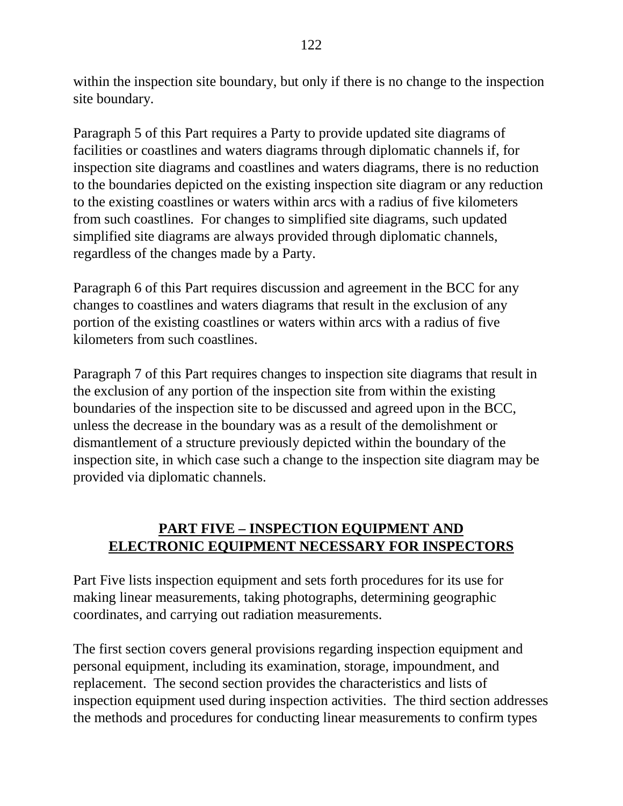within the inspection site boundary, but only if there is no change to the inspection site boundary.

Paragraph 5 of this Part requires a Party to provide updated site diagrams of facilities or coastlines and waters diagrams through diplomatic channels if, for inspection site diagrams and coastlines and waters diagrams, there is no reduction to the boundaries depicted on the existing inspection site diagram or any reduction to the existing coastlines or waters within arcs with a radius of five kilometers from such coastlines. For changes to simplified site diagrams, such updated simplified site diagrams are always provided through diplomatic channels, regardless of the changes made by a Party.

Paragraph 6 of this Part requires discussion and agreement in the BCC for any changes to coastlines and waters diagrams that result in the exclusion of any portion of the existing coastlines or waters within arcs with a radius of five kilometers from such coastlines.

Paragraph 7 of this Part requires changes to inspection site diagrams that result in the exclusion of any portion of the inspection site from within the existing boundaries of the inspection site to be discussed and agreed upon in the BCC, unless the decrease in the boundary was as a result of the demolishment or dismantlement of a structure previously depicted within the boundary of the inspection site, in which case such a change to the inspection site diagram may be provided via diplomatic channels.

# **PART FIVE – INSPECTION EQUIPMENT AND ELECTRONIC EQUIPMENT NECESSARY FOR INSPECTORS**

Part Five lists inspection equipment and sets forth procedures for its use for making linear measurements, taking photographs, determining geographic coordinates, and carrying out radiation measurements.

The first section covers general provisions regarding inspection equipment and personal equipment, including its examination, storage, impoundment, and replacement. The second section provides the characteristics and lists of inspection equipment used during inspection activities. The third section addresses the methods and procedures for conducting linear measurements to confirm types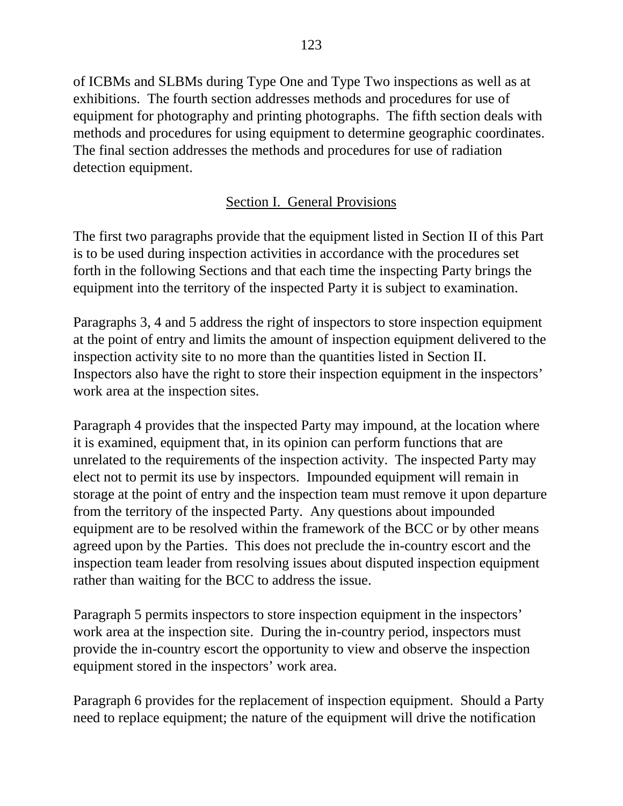of ICBMs and SLBMs during Type One and Type Two inspections as well as at exhibitions. The fourth section addresses methods and procedures for use of equipment for photography and printing photographs. The fifth section deals with methods and procedures for using equipment to determine geographic coordinates. The final section addresses the methods and procedures for use of radiation detection equipment.

# Section I. General Provisions

The first two paragraphs provide that the equipment listed in Section II of this Part is to be used during inspection activities in accordance with the procedures set forth in the following Sections and that each time the inspecting Party brings the equipment into the territory of the inspected Party it is subject to examination.

Paragraphs 3, 4 and 5 address the right of inspectors to store inspection equipment at the point of entry and limits the amount of inspection equipment delivered to the inspection activity site to no more than the quantities listed in Section II. Inspectors also have the right to store their inspection equipment in the inspectors' work area at the inspection sites.

Paragraph 4 provides that the inspected Party may impound, at the location where it is examined, equipment that, in its opinion can perform functions that are unrelated to the requirements of the inspection activity. The inspected Party may elect not to permit its use by inspectors. Impounded equipment will remain in storage at the point of entry and the inspection team must remove it upon departure from the territory of the inspected Party. Any questions about impounded equipment are to be resolved within the framework of the BCC or by other means agreed upon by the Parties. This does not preclude the in-country escort and the inspection team leader from resolving issues about disputed inspection equipment rather than waiting for the BCC to address the issue.

Paragraph 5 permits inspectors to store inspection equipment in the inspectors' work area at the inspection site. During the in-country period, inspectors must provide the in-country escort the opportunity to view and observe the inspection equipment stored in the inspectors' work area.

Paragraph 6 provides for the replacement of inspection equipment. Should a Party need to replace equipment; the nature of the equipment will drive the notification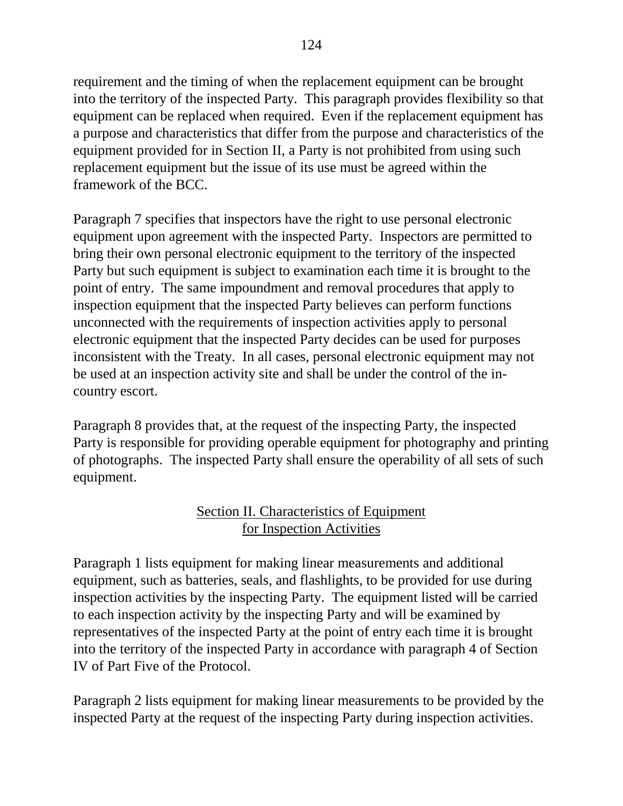requirement and the timing of when the replacement equipment can be brought into the territory of the inspected Party. This paragraph provides flexibility so that equipment can be replaced when required. Even if the replacement equipment has a purpose and characteristics that differ from the purpose and characteristics of the equipment provided for in Section II, a Party is not prohibited from using such replacement equipment but the issue of its use must be agreed within the framework of the BCC.

Paragraph 7 specifies that inspectors have the right to use personal electronic equipment upon agreement with the inspected Party. Inspectors are permitted to bring their own personal electronic equipment to the territory of the inspected Party but such equipment is subject to examination each time it is brought to the point of entry. The same impoundment and removal procedures that apply to inspection equipment that the inspected Party believes can perform functions unconnected with the requirements of inspection activities apply to personal electronic equipment that the inspected Party decides can be used for purposes inconsistent with the Treaty. In all cases, personal electronic equipment may not be used at an inspection activity site and shall be under the control of the incountry escort.

Paragraph 8 provides that, at the request of the inspecting Party, the inspected Party is responsible for providing operable equipment for photography and printing of photographs. The inspected Party shall ensure the operability of all sets of such equipment.

# Section II. Characteristics of Equipment for Inspection Activities

Paragraph 1 lists equipment for making linear measurements and additional equipment, such as batteries, seals, and flashlights, to be provided for use during inspection activities by the inspecting Party. The equipment listed will be carried to each inspection activity by the inspecting Party and will be examined by representatives of the inspected Party at the point of entry each time it is brought into the territory of the inspected Party in accordance with paragraph 4 of Section IV of Part Five of the Protocol.

Paragraph 2 lists equipment for making linear measurements to be provided by the inspected Party at the request of the inspecting Party during inspection activities.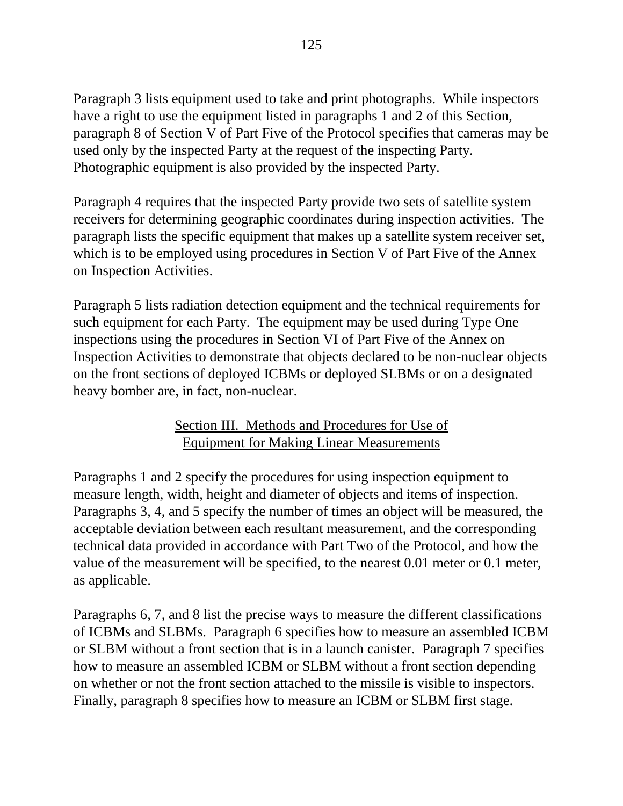Paragraph 3 lists equipment used to take and print photographs. While inspectors have a right to use the equipment listed in paragraphs 1 and 2 of this Section, paragraph 8 of Section V of Part Five of the Protocol specifies that cameras may be used only by the inspected Party at the request of the inspecting Party. Photographic equipment is also provided by the inspected Party.

Paragraph 4 requires that the inspected Party provide two sets of satellite system receivers for determining geographic coordinates during inspection activities. The paragraph lists the specific equipment that makes up a satellite system receiver set, which is to be employed using procedures in Section V of Part Five of the Annex on Inspection Activities.

Paragraph 5 lists radiation detection equipment and the technical requirements for such equipment for each Party. The equipment may be used during Type One inspections using the procedures in Section VI of Part Five of the Annex on Inspection Activities to demonstrate that objects declared to be non-nuclear objects on the front sections of deployed ICBMs or deployed SLBMs or on a designated heavy bomber are, in fact, non-nuclear.

## Section III. Methods and Procedures for Use of Equipment for Making Linear Measurements

Paragraphs 1 and 2 specify the procedures for using inspection equipment to measure length, width, height and diameter of objects and items of inspection. Paragraphs 3, 4, and 5 specify the number of times an object will be measured, the acceptable deviation between each resultant measurement, and the corresponding technical data provided in accordance with Part Two of the Protocol, and how the value of the measurement will be specified, to the nearest 0.01 meter or 0.1 meter, as applicable.

Paragraphs 6, 7, and 8 list the precise ways to measure the different classifications of ICBMs and SLBMs. Paragraph 6 specifies how to measure an assembled ICBM or SLBM without a front section that is in a launch canister. Paragraph 7 specifies how to measure an assembled ICBM or SLBM without a front section depending on whether or not the front section attached to the missile is visible to inspectors. Finally, paragraph 8 specifies how to measure an ICBM or SLBM first stage.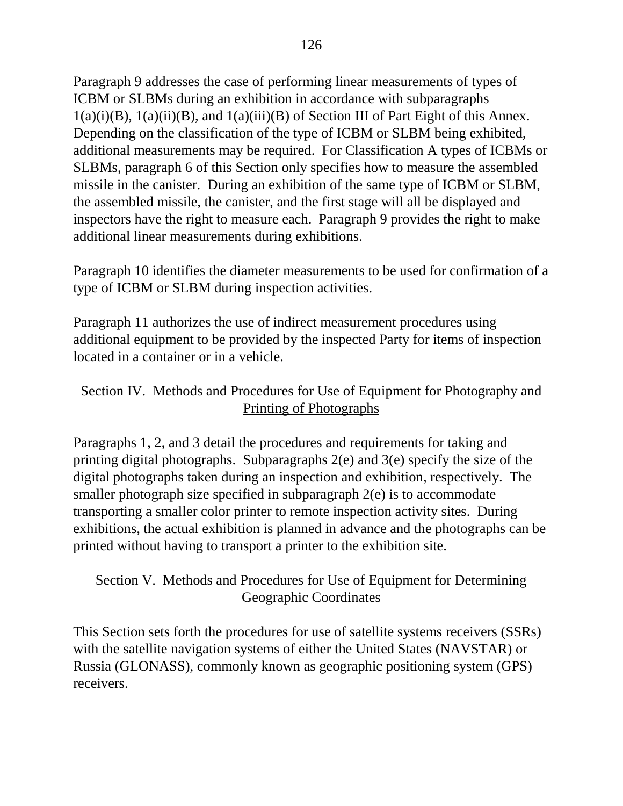Paragraph 9 addresses the case of performing linear measurements of types of ICBM or SLBMs during an exhibition in accordance with subparagraphs  $1(a)(i)(B)$ ,  $1(a)(ii)(B)$ , and  $1(a)(iii)(B)$  of Section III of Part Eight of this Annex. Depending on the classification of the type of ICBM or SLBM being exhibited, additional measurements may be required. For Classification A types of ICBMs or SLBMs, paragraph 6 of this Section only specifies how to measure the assembled missile in the canister. During an exhibition of the same type of ICBM or SLBM, the assembled missile, the canister, and the first stage will all be displayed and inspectors have the right to measure each. Paragraph 9 provides the right to make additional linear measurements during exhibitions.

Paragraph 10 identifies the diameter measurements to be used for confirmation of a type of ICBM or SLBM during inspection activities.

Paragraph 11 authorizes the use of indirect measurement procedures using additional equipment to be provided by the inspected Party for items of inspection located in a container or in a vehicle.

## Section IV. Methods and Procedures for Use of Equipment for Photography and Printing of Photographs

Paragraphs 1, 2, and 3 detail the procedures and requirements for taking and printing digital photographs. Subparagraphs 2(e) and 3(e) specify the size of the digital photographs taken during an inspection and exhibition, respectively. The smaller photograph size specified in subparagraph 2(e) is to accommodate transporting a smaller color printer to remote inspection activity sites. During exhibitions, the actual exhibition is planned in advance and the photographs can be printed without having to transport a printer to the exhibition site.

## Section V. Methods and Procedures for Use of Equipment for Determining Geographic Coordinates

This Section sets forth the procedures for use of satellite systems receivers (SSRs) with the satellite navigation systems of either the United States (NAVSTAR) or Russia (GLONASS), commonly known as geographic positioning system (GPS) receivers.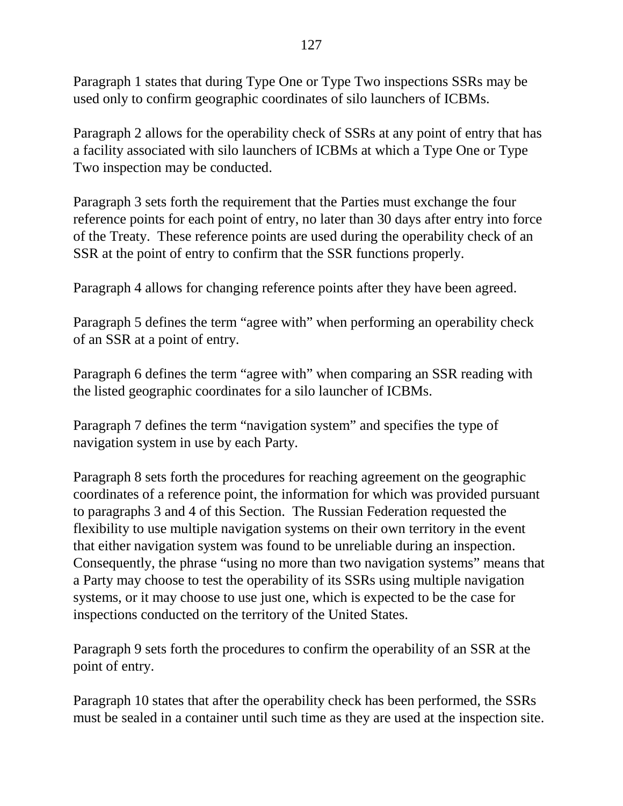127

Paragraph 1 states that during Type One or Type Two inspections SSRs may be used only to confirm geographic coordinates of silo launchers of ICBMs.

Paragraph 2 allows for the operability check of SSRs at any point of entry that has a facility associated with silo launchers of ICBMs at which a Type One or Type Two inspection may be conducted.

Paragraph 3 sets forth the requirement that the Parties must exchange the four reference points for each point of entry, no later than 30 days after entry into force of the Treaty. These reference points are used during the operability check of an SSR at the point of entry to confirm that the SSR functions properly.

Paragraph 4 allows for changing reference points after they have been agreed.

Paragraph 5 defines the term "agree with" when performing an operability check of an SSR at a point of entry.

Paragraph 6 defines the term "agree with" when comparing an SSR reading with the listed geographic coordinates for a silo launcher of ICBMs.

Paragraph 7 defines the term "navigation system" and specifies the type of navigation system in use by each Party.

Paragraph 8 sets forth the procedures for reaching agreement on the geographic coordinates of a reference point, the information for which was provided pursuant to paragraphs 3 and 4 of this Section. The Russian Federation requested the flexibility to use multiple navigation systems on their own territory in the event that either navigation system was found to be unreliable during an inspection. Consequently, the phrase "using no more than two navigation systems" means that a Party may choose to test the operability of its SSRs using multiple navigation systems, or it may choose to use just one, which is expected to be the case for inspections conducted on the territory of the United States.

Paragraph 9 sets forth the procedures to confirm the operability of an SSR at the point of entry.

Paragraph 10 states that after the operability check has been performed, the SSRs must be sealed in a container until such time as they are used at the inspection site.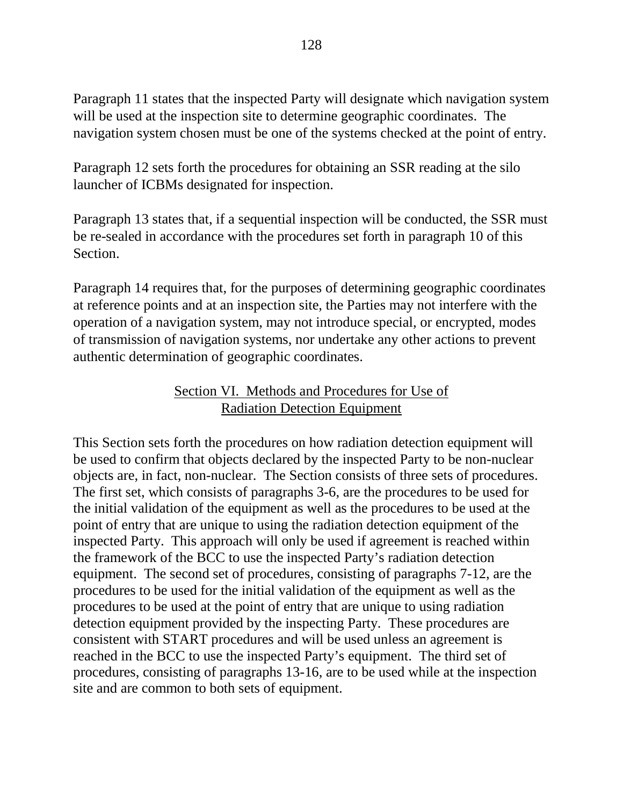Paragraph 11 states that the inspected Party will designate which navigation system will be used at the inspection site to determine geographic coordinates. The navigation system chosen must be one of the systems checked at the point of entry.

Paragraph 12 sets forth the procedures for obtaining an SSR reading at the silo launcher of ICBMs designated for inspection.

Paragraph 13 states that, if a sequential inspection will be conducted, the SSR must be re-sealed in accordance with the procedures set forth in paragraph 10 of this Section.

Paragraph 14 requires that, for the purposes of determining geographic coordinates at reference points and at an inspection site, the Parties may not interfere with the operation of a navigation system, may not introduce special, or encrypted, modes of transmission of navigation systems, nor undertake any other actions to prevent authentic determination of geographic coordinates.

#### Section VI. Methods and Procedures for Use of Radiation Detection Equipment

This Section sets forth the procedures on how radiation detection equipment will be used to confirm that objects declared by the inspected Party to be non-nuclear objects are, in fact, non-nuclear. The Section consists of three sets of procedures. The first set, which consists of paragraphs 3-6, are the procedures to be used for the initial validation of the equipment as well as the procedures to be used at the point of entry that are unique to using the radiation detection equipment of the inspected Party. This approach will only be used if agreement is reached within the framework of the BCC to use the inspected Party's radiation detection equipment. The second set of procedures, consisting of paragraphs 7-12, are the procedures to be used for the initial validation of the equipment as well as the procedures to be used at the point of entry that are unique to using radiation detection equipment provided by the inspecting Party. These procedures are consistent with START procedures and will be used unless an agreement is reached in the BCC to use the inspected Party's equipment. The third set of procedures, consisting of paragraphs 13-16, are to be used while at the inspection site and are common to both sets of equipment.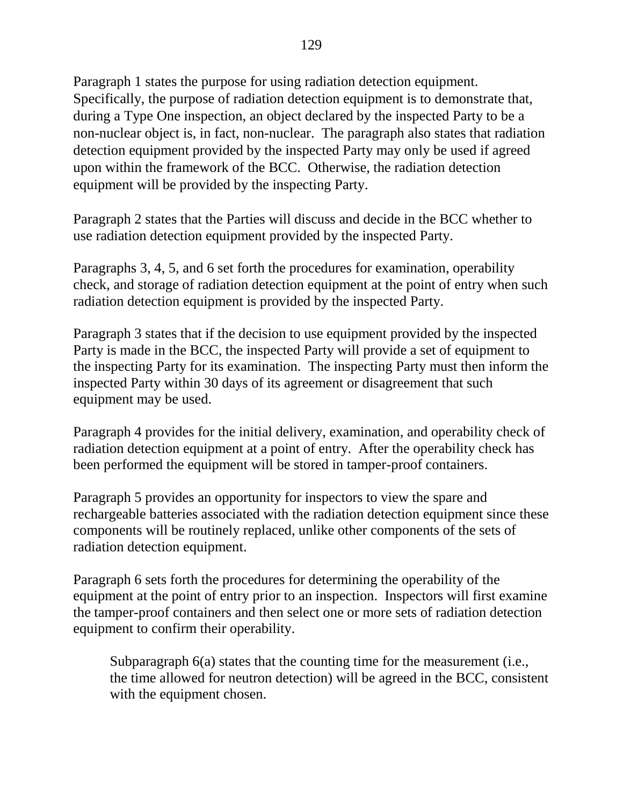Paragraph 1 states the purpose for using radiation detection equipment. Specifically, the purpose of radiation detection equipment is to demonstrate that, during a Type One inspection, an object declared by the inspected Party to be a non-nuclear object is, in fact, non-nuclear. The paragraph also states that radiation detection equipment provided by the inspected Party may only be used if agreed upon within the framework of the BCC. Otherwise, the radiation detection equipment will be provided by the inspecting Party.

Paragraph 2 states that the Parties will discuss and decide in the BCC whether to use radiation detection equipment provided by the inspected Party.

Paragraphs 3, 4, 5, and 6 set forth the procedures for examination, operability check, and storage of radiation detection equipment at the point of entry when such radiation detection equipment is provided by the inspected Party.

Paragraph 3 states that if the decision to use equipment provided by the inspected Party is made in the BCC, the inspected Party will provide a set of equipment to the inspecting Party for its examination. The inspecting Party must then inform the inspected Party within 30 days of its agreement or disagreement that such equipment may be used.

Paragraph 4 provides for the initial delivery, examination, and operability check of radiation detection equipment at a point of entry. After the operability check has been performed the equipment will be stored in tamper-proof containers.

Paragraph 5 provides an opportunity for inspectors to view the spare and rechargeable batteries associated with the radiation detection equipment since these components will be routinely replaced, unlike other components of the sets of radiation detection equipment.

Paragraph 6 sets forth the procedures for determining the operability of the equipment at the point of entry prior to an inspection. Inspectors will first examine the tamper-proof containers and then select one or more sets of radiation detection equipment to confirm their operability.

Subparagraph 6(a) states that the counting time for the measurement (i.e., the time allowed for neutron detection) will be agreed in the BCC, consistent with the equipment chosen.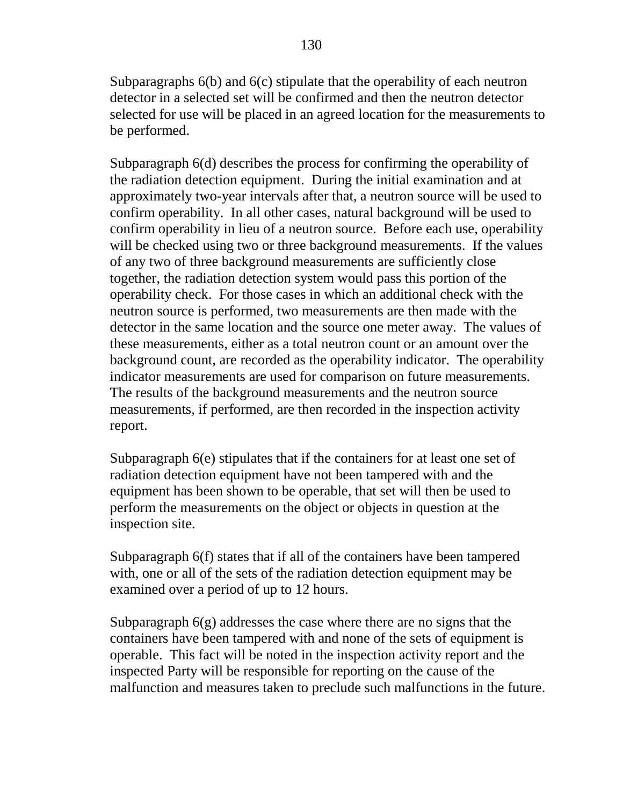Subparagraphs 6(b) and 6(c) stipulate that the operability of each neutron detector in a selected set will be confirmed and then the neutron detector selected for use will be placed in an agreed location for the measurements to be performed.

Subparagraph 6(d) describes the process for confirming the operability of the radiation detection equipment. During the initial examination and at approximately two-year intervals after that, a neutron source will be used to confirm operability. In all other cases, natural background will be used to confirm operability in lieu of a neutron source. Before each use, operability will be checked using two or three background measurements. If the values of any two of three background measurements are sufficiently close together, the radiation detection system would pass this portion of the operability check. For those cases in which an additional check with the neutron source is performed, two measurements are then made with the detector in the same location and the source one meter away. The values of these measurements, either as a total neutron count or an amount over the background count, are recorded as the operability indicator. The operability indicator measurements are used for comparison on future measurements. The results of the background measurements and the neutron source measurements, if performed, are then recorded in the inspection activity report.

Subparagraph 6(e) stipulates that if the containers for at least one set of radiation detection equipment have not been tampered with and the equipment has been shown to be operable, that set will then be used to perform the measurements on the object or objects in question at the inspection site.

Subparagraph 6(f) states that if all of the containers have been tampered with, one or all of the sets of the radiation detection equipment may be examined over a period of up to 12 hours.

Subparagraph 6(g) addresses the case where there are no signs that the containers have been tampered with and none of the sets of equipment is operable. This fact will be noted in the inspection activity report and the inspected Party will be responsible for reporting on the cause of the malfunction and measures taken to preclude such malfunctions in the future.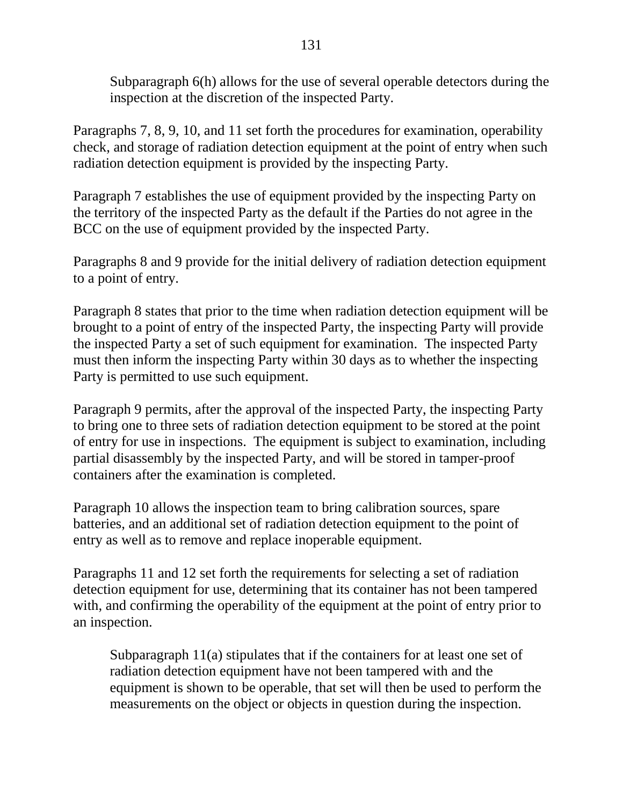Subparagraph 6(h) allows for the use of several operable detectors during the inspection at the discretion of the inspected Party.

Paragraphs 7, 8, 9, 10, and 11 set forth the procedures for examination, operability check, and storage of radiation detection equipment at the point of entry when such radiation detection equipment is provided by the inspecting Party.

Paragraph 7 establishes the use of equipment provided by the inspecting Party on the territory of the inspected Party as the default if the Parties do not agree in the BCC on the use of equipment provided by the inspected Party.

Paragraphs 8 and 9 provide for the initial delivery of radiation detection equipment to a point of entry.

Paragraph 8 states that prior to the time when radiation detection equipment will be brought to a point of entry of the inspected Party, the inspecting Party will provide the inspected Party a set of such equipment for examination. The inspected Party must then inform the inspecting Party within 30 days as to whether the inspecting Party is permitted to use such equipment.

Paragraph 9 permits, after the approval of the inspected Party, the inspecting Party to bring one to three sets of radiation detection equipment to be stored at the point of entry for use in inspections. The equipment is subject to examination, including partial disassembly by the inspected Party, and will be stored in tamper-proof containers after the examination is completed.

Paragraph 10 allows the inspection team to bring calibration sources, spare batteries, and an additional set of radiation detection equipment to the point of entry as well as to remove and replace inoperable equipment.

Paragraphs 11 and 12 set forth the requirements for selecting a set of radiation detection equipment for use, determining that its container has not been tampered with, and confirming the operability of the equipment at the point of entry prior to an inspection.

Subparagraph 11(a) stipulates that if the containers for at least one set of radiation detection equipment have not been tampered with and the equipment is shown to be operable, that set will then be used to perform the measurements on the object or objects in question during the inspection.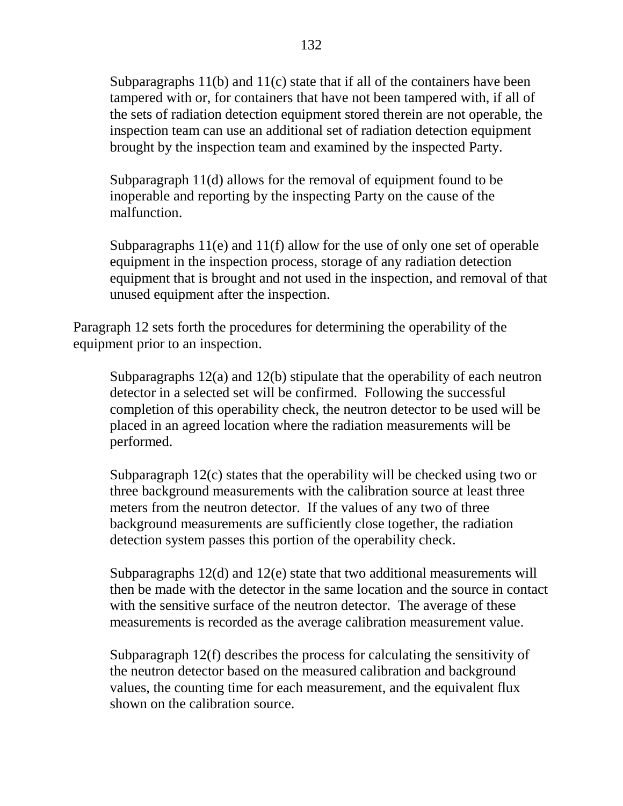Subparagraphs 11(b) and 11(c) state that if all of the containers have been tampered with or, for containers that have not been tampered with, if all of the sets of radiation detection equipment stored therein are not operable, the inspection team can use an additional set of radiation detection equipment brought by the inspection team and examined by the inspected Party.

Subparagraph 11(d) allows for the removal of equipment found to be inoperable and reporting by the inspecting Party on the cause of the malfunction.

Subparagraphs 11(e) and 11(f) allow for the use of only one set of operable equipment in the inspection process, storage of any radiation detection equipment that is brought and not used in the inspection, and removal of that unused equipment after the inspection.

Paragraph 12 sets forth the procedures for determining the operability of the equipment prior to an inspection.

Subparagraphs 12(a) and 12(b) stipulate that the operability of each neutron detector in a selected set will be confirmed. Following the successful completion of this operability check, the neutron detector to be used will be placed in an agreed location where the radiation measurements will be performed.

Subparagraph 12(c) states that the operability will be checked using two or three background measurements with the calibration source at least three meters from the neutron detector. If the values of any two of three background measurements are sufficiently close together, the radiation detection system passes this portion of the operability check.

Subparagraphs 12(d) and 12(e) state that two additional measurements will then be made with the detector in the same location and the source in contact with the sensitive surface of the neutron detector. The average of these measurements is recorded as the average calibration measurement value.

Subparagraph 12(f) describes the process for calculating the sensitivity of the neutron detector based on the measured calibration and background values, the counting time for each measurement, and the equivalent flux shown on the calibration source.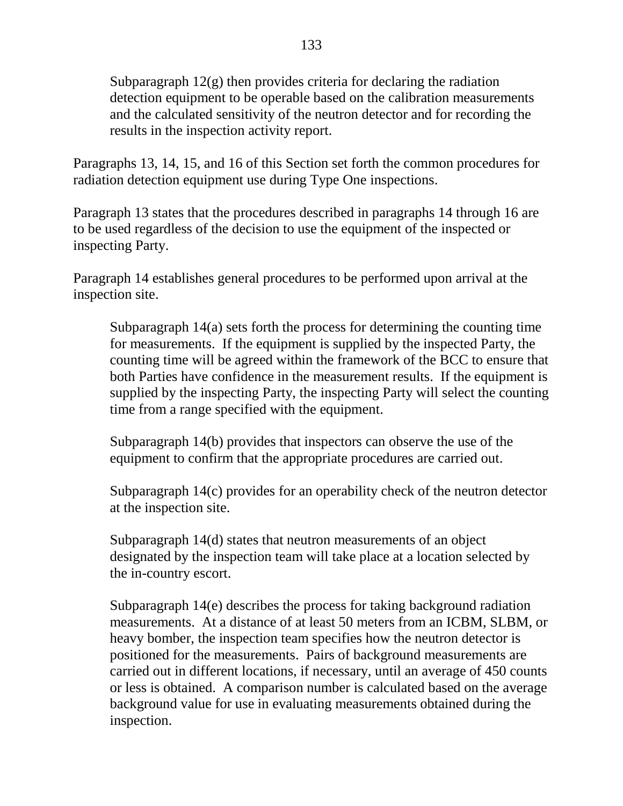Subparagraph  $12(g)$  then provides criteria for declaring the radiation detection equipment to be operable based on the calibration measurements and the calculated sensitivity of the neutron detector and for recording the results in the inspection activity report.

Paragraphs 13, 14, 15, and 16 of this Section set forth the common procedures for radiation detection equipment use during Type One inspections.

Paragraph 13 states that the procedures described in paragraphs 14 through 16 are to be used regardless of the decision to use the equipment of the inspected or inspecting Party.

Paragraph 14 establishes general procedures to be performed upon arrival at the inspection site.

Subparagraph 14(a) sets forth the process for determining the counting time for measurements. If the equipment is supplied by the inspected Party, the counting time will be agreed within the framework of the BCC to ensure that both Parties have confidence in the measurement results. If the equipment is supplied by the inspecting Party, the inspecting Party will select the counting time from a range specified with the equipment.

Subparagraph 14(b) provides that inspectors can observe the use of the equipment to confirm that the appropriate procedures are carried out.

Subparagraph 14(c) provides for an operability check of the neutron detector at the inspection site.

Subparagraph 14(d) states that neutron measurements of an object designated by the inspection team will take place at a location selected by the in-country escort.

Subparagraph 14(e) describes the process for taking background radiation measurements. At a distance of at least 50 meters from an ICBM, SLBM, or heavy bomber, the inspection team specifies how the neutron detector is positioned for the measurements. Pairs of background measurements are carried out in different locations, if necessary, until an average of 450 counts or less is obtained. A comparison number is calculated based on the average background value for use in evaluating measurements obtained during the inspection.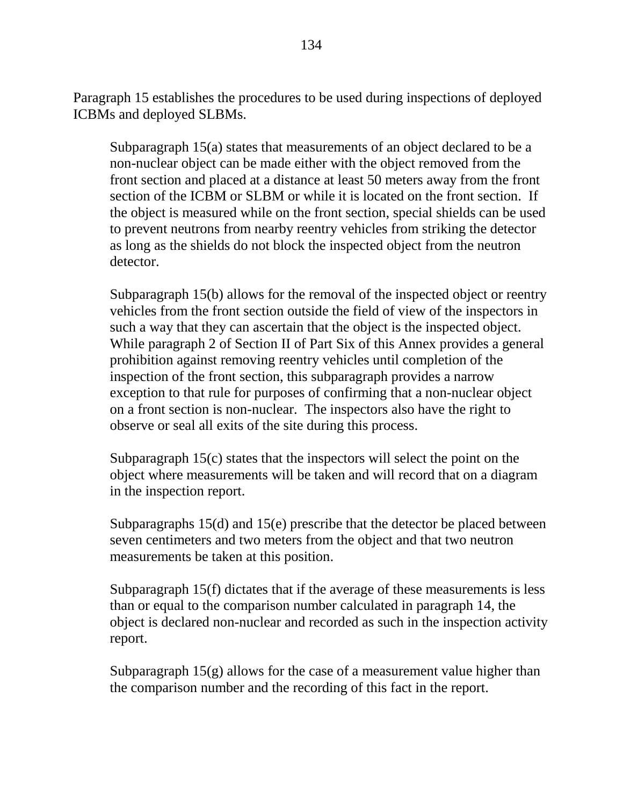Paragraph 15 establishes the procedures to be used during inspections of deployed ICBMs and deployed SLBMs.

Subparagraph 15(a) states that measurements of an object declared to be a non-nuclear object can be made either with the object removed from the front section and placed at a distance at least 50 meters away from the front section of the ICBM or SLBM or while it is located on the front section. If the object is measured while on the front section, special shields can be used to prevent neutrons from nearby reentry vehicles from striking the detector as long as the shields do not block the inspected object from the neutron detector.

Subparagraph 15(b) allows for the removal of the inspected object or reentry vehicles from the front section outside the field of view of the inspectors in such a way that they can ascertain that the object is the inspected object. While paragraph 2 of Section II of Part Six of this Annex provides a general prohibition against removing reentry vehicles until completion of the inspection of the front section, this subparagraph provides a narrow exception to that rule for purposes of confirming that a non-nuclear object on a front section is non-nuclear. The inspectors also have the right to observe or seal all exits of the site during this process.

Subparagraph 15(c) states that the inspectors will select the point on the object where measurements will be taken and will record that on a diagram in the inspection report.

Subparagraphs 15(d) and 15(e) prescribe that the detector be placed between seven centimeters and two meters from the object and that two neutron measurements be taken at this position.

Subparagraph 15(f) dictates that if the average of these measurements is less than or equal to the comparison number calculated in paragraph 14, the object is declared non-nuclear and recorded as such in the inspection activity report.

Subparagraph  $15(g)$  allows for the case of a measurement value higher than the comparison number and the recording of this fact in the report.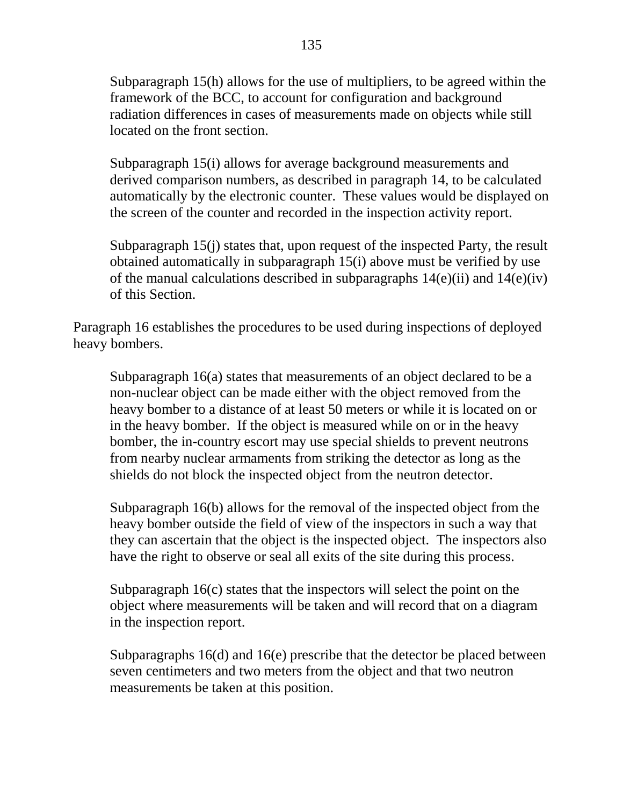Subparagraph 15(h) allows for the use of multipliers, to be agreed within the framework of the BCC, to account for configuration and background radiation differences in cases of measurements made on objects while still located on the front section.

Subparagraph 15(i) allows for average background measurements and derived comparison numbers, as described in paragraph 14, to be calculated automatically by the electronic counter. These values would be displayed on the screen of the counter and recorded in the inspection activity report.

Subparagraph 15(j) states that, upon request of the inspected Party, the result obtained automatically in subparagraph 15(i) above must be verified by use of the manual calculations described in subparagraphs  $14(e)(ii)$  and  $14(e)(iv)$ of this Section.

Paragraph 16 establishes the procedures to be used during inspections of deployed heavy bombers.

Subparagraph 16(a) states that measurements of an object declared to be a non-nuclear object can be made either with the object removed from the heavy bomber to a distance of at least 50 meters or while it is located on or in the heavy bomber. If the object is measured while on or in the heavy bomber, the in-country escort may use special shields to prevent neutrons from nearby nuclear armaments from striking the detector as long as the shields do not block the inspected object from the neutron detector.

Subparagraph 16(b) allows for the removal of the inspected object from the heavy bomber outside the field of view of the inspectors in such a way that they can ascertain that the object is the inspected object. The inspectors also have the right to observe or seal all exits of the site during this process.

Subparagraph 16(c) states that the inspectors will select the point on the object where measurements will be taken and will record that on a diagram in the inspection report.

Subparagraphs 16(d) and 16(e) prescribe that the detector be placed between seven centimeters and two meters from the object and that two neutron measurements be taken at this position.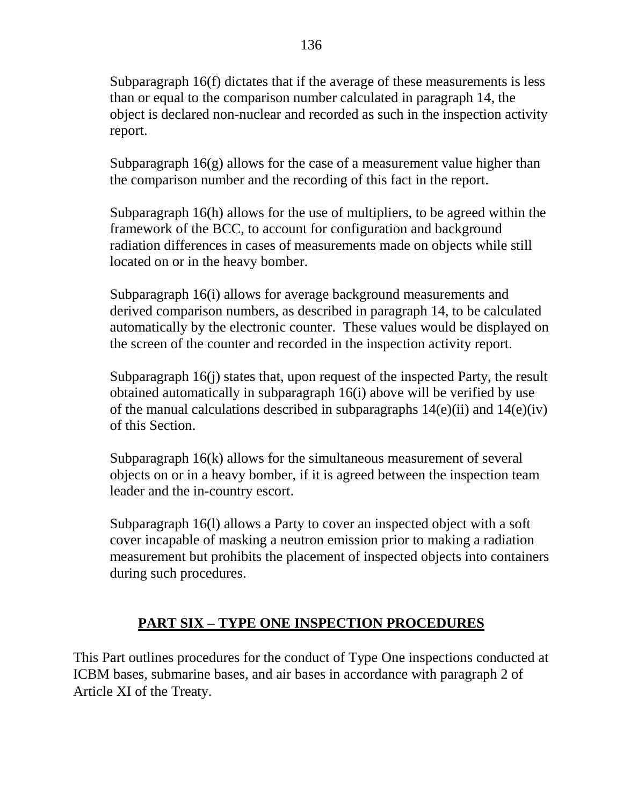Subparagraph 16(f) dictates that if the average of these measurements is less than or equal to the comparison number calculated in paragraph 14, the object is declared non-nuclear and recorded as such in the inspection activity report.

Subparagraph  $16(g)$  allows for the case of a measurement value higher than the comparison number and the recording of this fact in the report.

Subparagraph 16(h) allows for the use of multipliers, to be agreed within the framework of the BCC, to account for configuration and background radiation differences in cases of measurements made on objects while still located on or in the heavy bomber.

Subparagraph 16(i) allows for average background measurements and derived comparison numbers, as described in paragraph 14, to be calculated automatically by the electronic counter. These values would be displayed on the screen of the counter and recorded in the inspection activity report.

Subparagraph 16(j) states that, upon request of the inspected Party, the result obtained automatically in subparagraph 16(i) above will be verified by use of the manual calculations described in subparagraphs  $14(e)(ii)$  and  $14(e)(iv)$ of this Section.

Subparagraph 16(k) allows for the simultaneous measurement of several objects on or in a heavy bomber, if it is agreed between the inspection team leader and the in-country escort.

Subparagraph 16(l) allows a Party to cover an inspected object with a soft cover incapable of masking a neutron emission prior to making a radiation measurement but prohibits the placement of inspected objects into containers during such procedures.

# **PART SIX – TYPE ONE INSPECTION PROCEDURES**

This Part outlines procedures for the conduct of Type One inspections conducted at ICBM bases, submarine bases, and air bases in accordance with paragraph 2 of Article XI of the Treaty.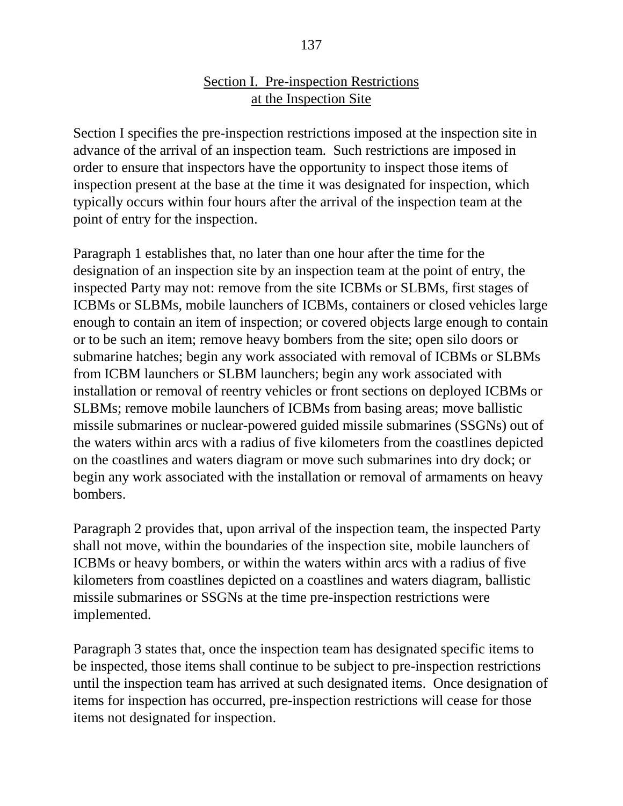#### 137

#### Section I. Pre-inspection Restrictions at the Inspection Site

Section I specifies the pre-inspection restrictions imposed at the inspection site in advance of the arrival of an inspection team. Such restrictions are imposed in order to ensure that inspectors have the opportunity to inspect those items of inspection present at the base at the time it was designated for inspection, which typically occurs within four hours after the arrival of the inspection team at the point of entry for the inspection.

Paragraph 1 establishes that, no later than one hour after the time for the designation of an inspection site by an inspection team at the point of entry, the inspected Party may not: remove from the site ICBMs or SLBMs, first stages of ICBMs or SLBMs, mobile launchers of ICBMs, containers or closed vehicles large enough to contain an item of inspection; or covered objects large enough to contain or to be such an item; remove heavy bombers from the site; open silo doors or submarine hatches; begin any work associated with removal of ICBMs or SLBMs from ICBM launchers or SLBM launchers; begin any work associated with installation or removal of reentry vehicles or front sections on deployed ICBMs or SLBMs; remove mobile launchers of ICBMs from basing areas; move ballistic missile submarines or nuclear-powered guided missile submarines (SSGNs) out of the waters within arcs with a radius of five kilometers from the coastlines depicted on the coastlines and waters diagram or move such submarines into dry dock; or begin any work associated with the installation or removal of armaments on heavy bombers.

Paragraph 2 provides that, upon arrival of the inspection team, the inspected Party shall not move, within the boundaries of the inspection site, mobile launchers of ICBMs or heavy bombers, or within the waters within arcs with a radius of five kilometers from coastlines depicted on a coastlines and waters diagram, ballistic missile submarines or SSGNs at the time pre-inspection restrictions were implemented.

Paragraph 3 states that, once the inspection team has designated specific items to be inspected, those items shall continue to be subject to pre-inspection restrictions until the inspection team has arrived at such designated items. Once designation of items for inspection has occurred, pre-inspection restrictions will cease for those items not designated for inspection.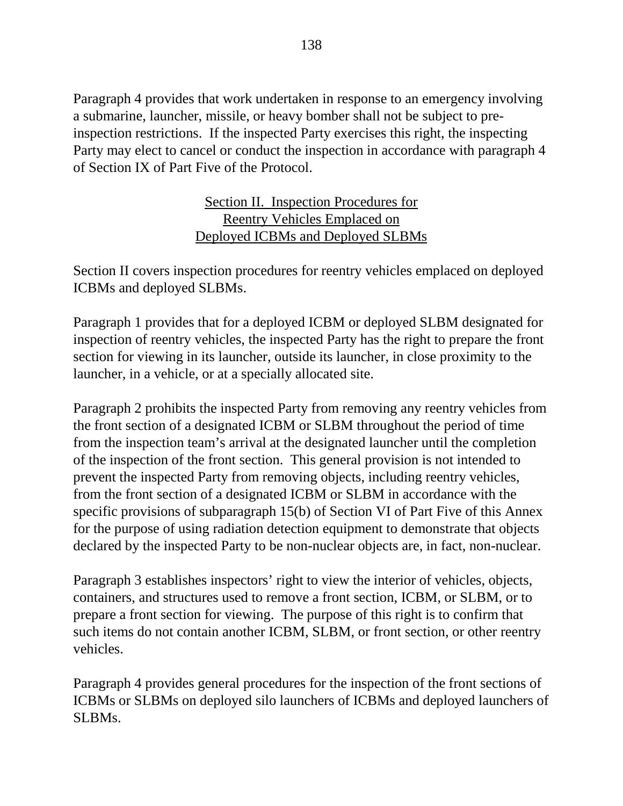Paragraph 4 provides that work undertaken in response to an emergency involving a submarine, launcher, missile, or heavy bomber shall not be subject to preinspection restrictions. If the inspected Party exercises this right, the inspecting Party may elect to cancel or conduct the inspection in accordance with paragraph 4 of Section IX of Part Five of the Protocol.

## Section II. Inspection Procedures for Reentry Vehicles Emplaced on Deployed ICBMs and Deployed SLBMs

Section II covers inspection procedures for reentry vehicles emplaced on deployed ICBMs and deployed SLBMs.

Paragraph 1 provides that for a deployed ICBM or deployed SLBM designated for inspection of reentry vehicles, the inspected Party has the right to prepare the front section for viewing in its launcher, outside its launcher, in close proximity to the launcher, in a vehicle, or at a specially allocated site.

Paragraph 2 prohibits the inspected Party from removing any reentry vehicles from the front section of a designated ICBM or SLBM throughout the period of time from the inspection team's arrival at the designated launcher until the completion of the inspection of the front section. This general provision is not intended to prevent the inspected Party from removing objects, including reentry vehicles, from the front section of a designated ICBM or SLBM in accordance with the specific provisions of subparagraph 15(b) of Section VI of Part Five of this Annex for the purpose of using radiation detection equipment to demonstrate that objects declared by the inspected Party to be non-nuclear objects are, in fact, non-nuclear.

Paragraph 3 establishes inspectors' right to view the interior of vehicles, objects, containers, and structures used to remove a front section, ICBM, or SLBM, or to prepare a front section for viewing. The purpose of this right is to confirm that such items do not contain another ICBM, SLBM, or front section, or other reentry vehicles.

Paragraph 4 provides general procedures for the inspection of the front sections of ICBMs or SLBMs on deployed silo launchers of ICBMs and deployed launchers of SLBMs.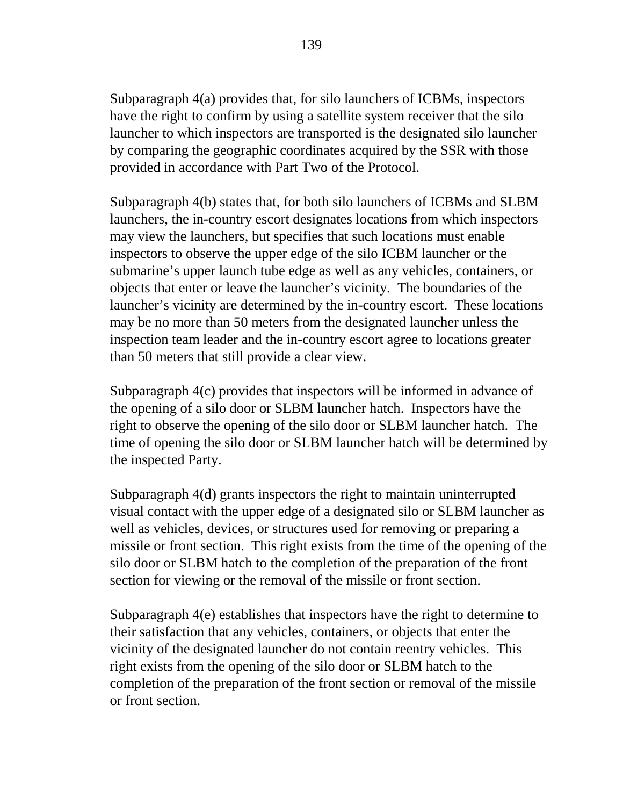Subparagraph 4(a) provides that, for silo launchers of ICBMs, inspectors have the right to confirm by using a satellite system receiver that the silo launcher to which inspectors are transported is the designated silo launcher by comparing the geographic coordinates acquired by the SSR with those provided in accordance with Part Two of the Protocol.

Subparagraph 4(b) states that, for both silo launchers of ICBMs and SLBM launchers, the in-country escort designates locations from which inspectors may view the launchers, but specifies that such locations must enable inspectors to observe the upper edge of the silo ICBM launcher or the submarine's upper launch tube edge as well as any vehicles, containers, or objects that enter or leave the launcher's vicinity. The boundaries of the launcher's vicinity are determined by the in-country escort. These locations may be no more than 50 meters from the designated launcher unless the inspection team leader and the in-country escort agree to locations greater than 50 meters that still provide a clear view.

Subparagraph 4(c) provides that inspectors will be informed in advance of the opening of a silo door or SLBM launcher hatch. Inspectors have the right to observe the opening of the silo door or SLBM launcher hatch. The time of opening the silo door or SLBM launcher hatch will be determined by the inspected Party.

Subparagraph 4(d) grants inspectors the right to maintain uninterrupted visual contact with the upper edge of a designated silo or SLBM launcher as well as vehicles, devices, or structures used for removing or preparing a missile or front section. This right exists from the time of the opening of the silo door or SLBM hatch to the completion of the preparation of the front section for viewing or the removal of the missile or front section.

Subparagraph 4(e) establishes that inspectors have the right to determine to their satisfaction that any vehicles, containers, or objects that enter the vicinity of the designated launcher do not contain reentry vehicles. This right exists from the opening of the silo door or SLBM hatch to the completion of the preparation of the front section or removal of the missile or front section.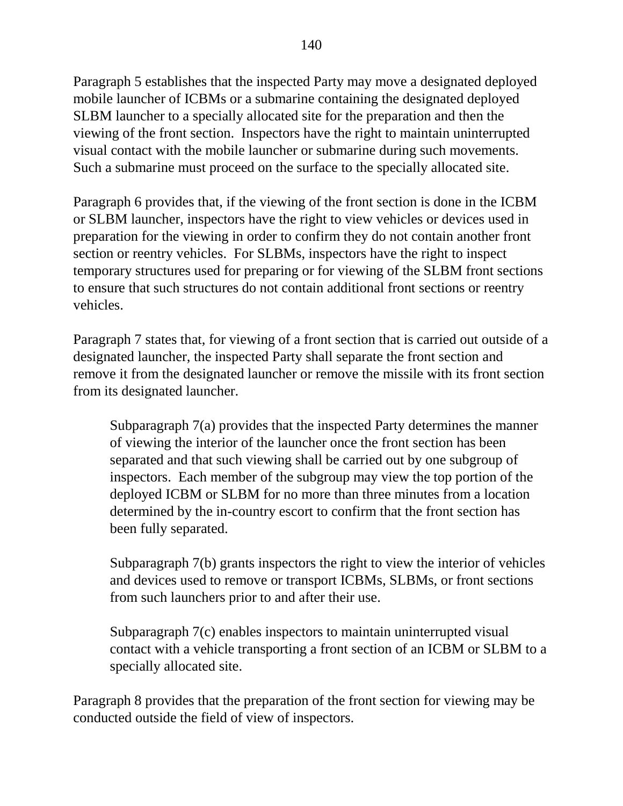Paragraph 5 establishes that the inspected Party may move a designated deployed mobile launcher of ICBMs or a submarine containing the designated deployed SLBM launcher to a specially allocated site for the preparation and then the viewing of the front section. Inspectors have the right to maintain uninterrupted visual contact with the mobile launcher or submarine during such movements. Such a submarine must proceed on the surface to the specially allocated site.

Paragraph 6 provides that, if the viewing of the front section is done in the ICBM or SLBM launcher, inspectors have the right to view vehicles or devices used in preparation for the viewing in order to confirm they do not contain another front section or reentry vehicles. For SLBMs, inspectors have the right to inspect temporary structures used for preparing or for viewing of the SLBM front sections to ensure that such structures do not contain additional front sections or reentry vehicles.

Paragraph 7 states that, for viewing of a front section that is carried out outside of a designated launcher, the inspected Party shall separate the front section and remove it from the designated launcher or remove the missile with its front section from its designated launcher.

Subparagraph 7(a) provides that the inspected Party determines the manner of viewing the interior of the launcher once the front section has been separated and that such viewing shall be carried out by one subgroup of inspectors. Each member of the subgroup may view the top portion of the deployed ICBM or SLBM for no more than three minutes from a location determined by the in-country escort to confirm that the front section has been fully separated.

Subparagraph 7(b) grants inspectors the right to view the interior of vehicles and devices used to remove or transport ICBMs, SLBMs, or front sections from such launchers prior to and after their use.

Subparagraph 7(c) enables inspectors to maintain uninterrupted visual contact with a vehicle transporting a front section of an ICBM or SLBM to a specially allocated site.

Paragraph 8 provides that the preparation of the front section for viewing may be conducted outside the field of view of inspectors.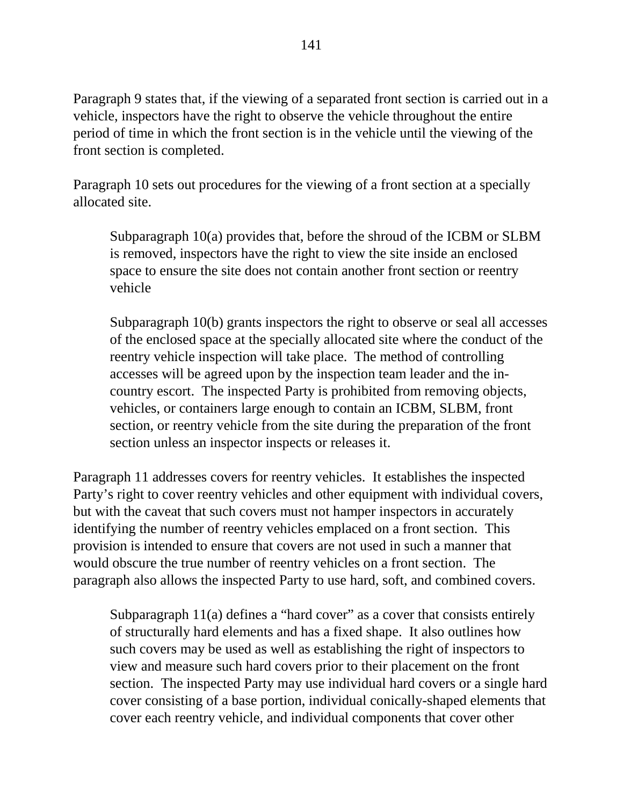Paragraph 9 states that, if the viewing of a separated front section is carried out in a vehicle, inspectors have the right to observe the vehicle throughout the entire period of time in which the front section is in the vehicle until the viewing of the front section is completed.

Paragraph 10 sets out procedures for the viewing of a front section at a specially allocated site.

Subparagraph 10(a) provides that, before the shroud of the ICBM or SLBM is removed, inspectors have the right to view the site inside an enclosed space to ensure the site does not contain another front section or reentry vehicle

Subparagraph 10(b) grants inspectors the right to observe or seal all accesses of the enclosed space at the specially allocated site where the conduct of the reentry vehicle inspection will take place. The method of controlling accesses will be agreed upon by the inspection team leader and the incountry escort. The inspected Party is prohibited from removing objects, vehicles, or containers large enough to contain an ICBM, SLBM, front section, or reentry vehicle from the site during the preparation of the front section unless an inspector inspects or releases it.

Paragraph 11 addresses covers for reentry vehicles. It establishes the inspected Party's right to cover reentry vehicles and other equipment with individual covers, but with the caveat that such covers must not hamper inspectors in accurately identifying the number of reentry vehicles emplaced on a front section. This provision is intended to ensure that covers are not used in such a manner that would obscure the true number of reentry vehicles on a front section. The paragraph also allows the inspected Party to use hard, soft, and combined covers.

Subparagraph 11(a) defines a "hard cover" as a cover that consists entirely of structurally hard elements and has a fixed shape. It also outlines how such covers may be used as well as establishing the right of inspectors to view and measure such hard covers prior to their placement on the front section. The inspected Party may use individual hard covers or a single hard cover consisting of a base portion, individual conically-shaped elements that cover each reentry vehicle, and individual components that cover other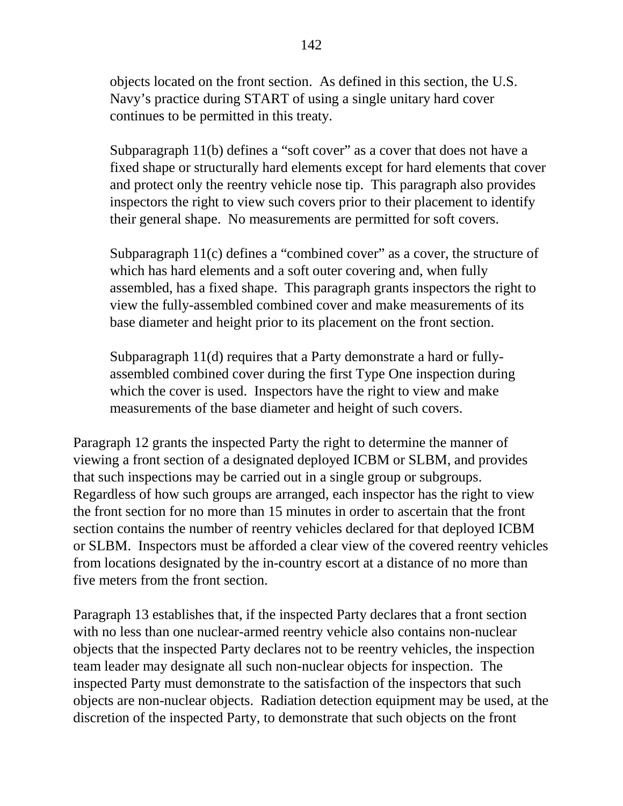objects located on the front section. As defined in this section, the U.S. Navy's practice during START of using a single unitary hard cover continues to be permitted in this treaty.

Subparagraph 11(b) defines a "soft cover" as a cover that does not have a fixed shape or structurally hard elements except for hard elements that cover and protect only the reentry vehicle nose tip. This paragraph also provides inspectors the right to view such covers prior to their placement to identify their general shape. No measurements are permitted for soft covers.

Subparagraph 11(c) defines a "combined cover" as a cover, the structure of which has hard elements and a soft outer covering and, when fully assembled, has a fixed shape. This paragraph grants inspectors the right to view the fully-assembled combined cover and make measurements of its base diameter and height prior to its placement on the front section.

Subparagraph 11(d) requires that a Party demonstrate a hard or fullyassembled combined cover during the first Type One inspection during which the cover is used. Inspectors have the right to view and make measurements of the base diameter and height of such covers.

Paragraph 12 grants the inspected Party the right to determine the manner of viewing a front section of a designated deployed ICBM or SLBM, and provides that such inspections may be carried out in a single group or subgroups. Regardless of how such groups are arranged, each inspector has the right to view the front section for no more than 15 minutes in order to ascertain that the front section contains the number of reentry vehicles declared for that deployed ICBM or SLBM. Inspectors must be afforded a clear view of the covered reentry vehicles from locations designated by the in-country escort at a distance of no more than five meters from the front section.

Paragraph 13 establishes that, if the inspected Party declares that a front section with no less than one nuclear-armed reentry vehicle also contains non-nuclear objects that the inspected Party declares not to be reentry vehicles, the inspection team leader may designate all such non-nuclear objects for inspection. The inspected Party must demonstrate to the satisfaction of the inspectors that such objects are non-nuclear objects. Radiation detection equipment may be used, at the discretion of the inspected Party, to demonstrate that such objects on the front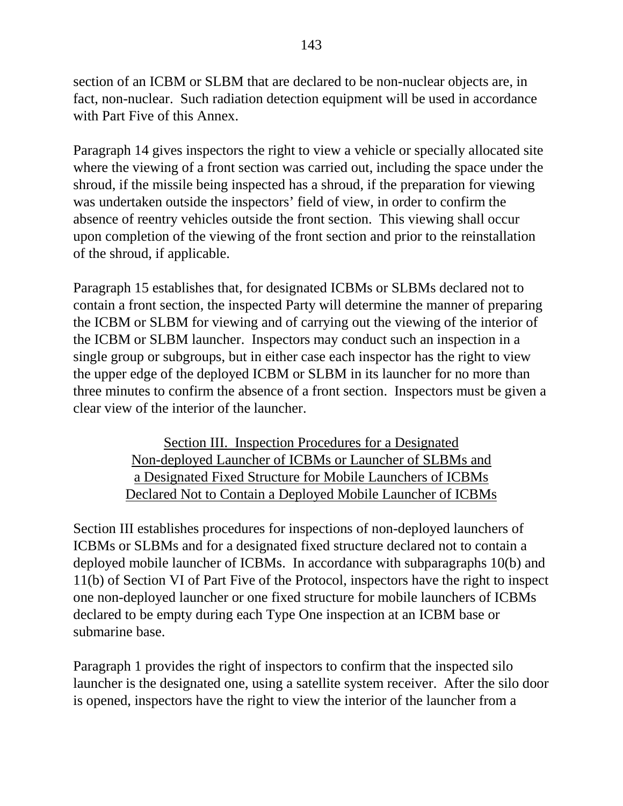section of an ICBM or SLBM that are declared to be non-nuclear objects are, in fact, non-nuclear. Such radiation detection equipment will be used in accordance with Part Five of this Annex.

Paragraph 14 gives inspectors the right to view a vehicle or specially allocated site where the viewing of a front section was carried out, including the space under the shroud, if the missile being inspected has a shroud, if the preparation for viewing was undertaken outside the inspectors' field of view, in order to confirm the absence of reentry vehicles outside the front section. This viewing shall occur upon completion of the viewing of the front section and prior to the reinstallation of the shroud, if applicable.

Paragraph 15 establishes that, for designated ICBMs or SLBMs declared not to contain a front section, the inspected Party will determine the manner of preparing the ICBM or SLBM for viewing and of carrying out the viewing of the interior of the ICBM or SLBM launcher. Inspectors may conduct such an inspection in a single group or subgroups, but in either case each inspector has the right to view the upper edge of the deployed ICBM or SLBM in its launcher for no more than three minutes to confirm the absence of a front section. Inspectors must be given a clear view of the interior of the launcher.

> Section III. Inspection Procedures for a Designated Non-deployed Launcher of ICBMs or Launcher of SLBMs and a Designated Fixed Structure for Mobile Launchers of ICBMs Declared Not to Contain a Deployed Mobile Launcher of ICBMs

Section III establishes procedures for inspections of non-deployed launchers of ICBMs or SLBMs and for a designated fixed structure declared not to contain a deployed mobile launcher of ICBMs. In accordance with subparagraphs 10(b) and 11(b) of Section VI of Part Five of the Protocol, inspectors have the right to inspect one non-deployed launcher or one fixed structure for mobile launchers of ICBMs declared to be empty during each Type One inspection at an ICBM base or submarine base.

Paragraph 1 provides the right of inspectors to confirm that the inspected silo launcher is the designated one, using a satellite system receiver. After the silo door is opened, inspectors have the right to view the interior of the launcher from a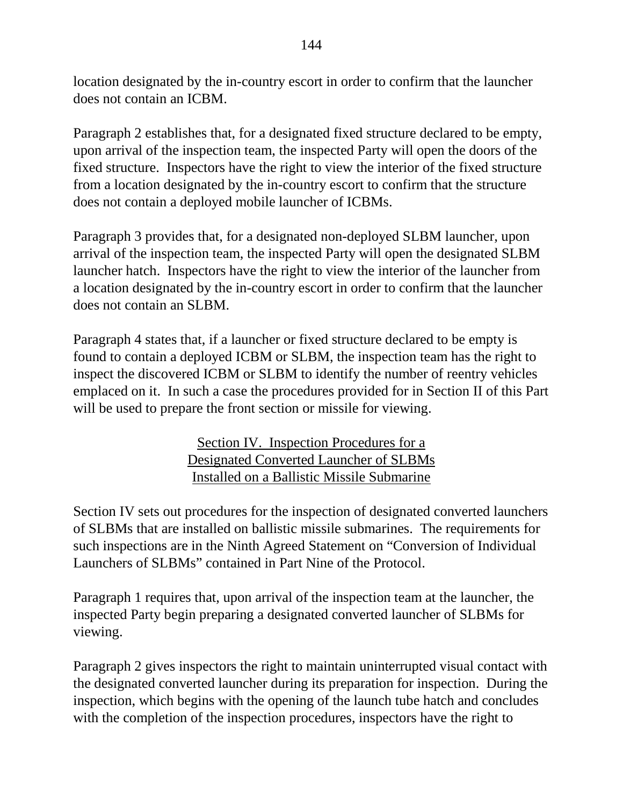location designated by the in-country escort in order to confirm that the launcher does not contain an ICBM.

Paragraph 2 establishes that, for a designated fixed structure declared to be empty, upon arrival of the inspection team, the inspected Party will open the doors of the fixed structure. Inspectors have the right to view the interior of the fixed structure from a location designated by the in-country escort to confirm that the structure does not contain a deployed mobile launcher of ICBMs.

Paragraph 3 provides that, for a designated non-deployed SLBM launcher, upon arrival of the inspection team, the inspected Party will open the designated SLBM launcher hatch. Inspectors have the right to view the interior of the launcher from a location designated by the in-country escort in order to confirm that the launcher does not contain an SLBM.

Paragraph 4 states that, if a launcher or fixed structure declared to be empty is found to contain a deployed ICBM or SLBM, the inspection team has the right to inspect the discovered ICBM or SLBM to identify the number of reentry vehicles emplaced on it. In such a case the procedures provided for in Section II of this Part will be used to prepare the front section or missile for viewing.

> Section IV. Inspection Procedures for a Designated Converted Launcher of SLBMs Installed on a Ballistic Missile Submarine

Section IV sets out procedures for the inspection of designated converted launchers of SLBMs that are installed on ballistic missile submarines. The requirements for such inspections are in the Ninth Agreed Statement on "Conversion of Individual Launchers of SLBMs" contained in Part Nine of the Protocol.

Paragraph 1 requires that, upon arrival of the inspection team at the launcher, the inspected Party begin preparing a designated converted launcher of SLBMs for viewing.

Paragraph 2 gives inspectors the right to maintain uninterrupted visual contact with the designated converted launcher during its preparation for inspection. During the inspection, which begins with the opening of the launch tube hatch and concludes with the completion of the inspection procedures, inspectors have the right to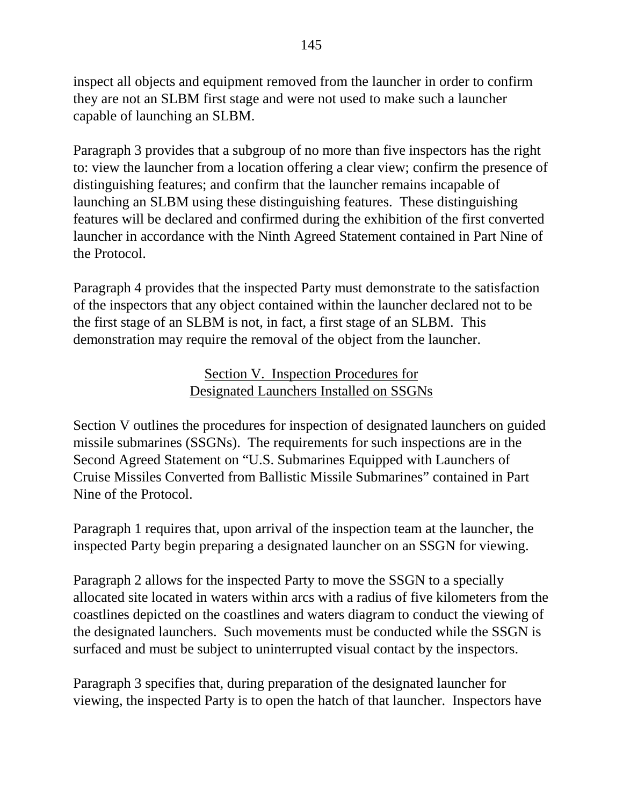inspect all objects and equipment removed from the launcher in order to confirm they are not an SLBM first stage and were not used to make such a launcher capable of launching an SLBM.

Paragraph 3 provides that a subgroup of no more than five inspectors has the right to: view the launcher from a location offering a clear view; confirm the presence of distinguishing features; and confirm that the launcher remains incapable of launching an SLBM using these distinguishing features. These distinguishing features will be declared and confirmed during the exhibition of the first converted launcher in accordance with the Ninth Agreed Statement contained in Part Nine of the Protocol.

Paragraph 4 provides that the inspected Party must demonstrate to the satisfaction of the inspectors that any object contained within the launcher declared not to be the first stage of an SLBM is not, in fact, a first stage of an SLBM. This demonstration may require the removal of the object from the launcher.

### Section V. Inspection Procedures for Designated Launchers Installed on SSGNs

Section V outlines the procedures for inspection of designated launchers on guided missile submarines (SSGNs). The requirements for such inspections are in the Second Agreed Statement on "U.S. Submarines Equipped with Launchers of Cruise Missiles Converted from Ballistic Missile Submarines" contained in Part Nine of the Protocol.

Paragraph 1 requires that, upon arrival of the inspection team at the launcher, the inspected Party begin preparing a designated launcher on an SSGN for viewing.

Paragraph 2 allows for the inspected Party to move the SSGN to a specially allocated site located in waters within arcs with a radius of five kilometers from the coastlines depicted on the coastlines and waters diagram to conduct the viewing of the designated launchers. Such movements must be conducted while the SSGN is surfaced and must be subject to uninterrupted visual contact by the inspectors.

Paragraph 3 specifies that, during preparation of the designated launcher for viewing, the inspected Party is to open the hatch of that launcher. Inspectors have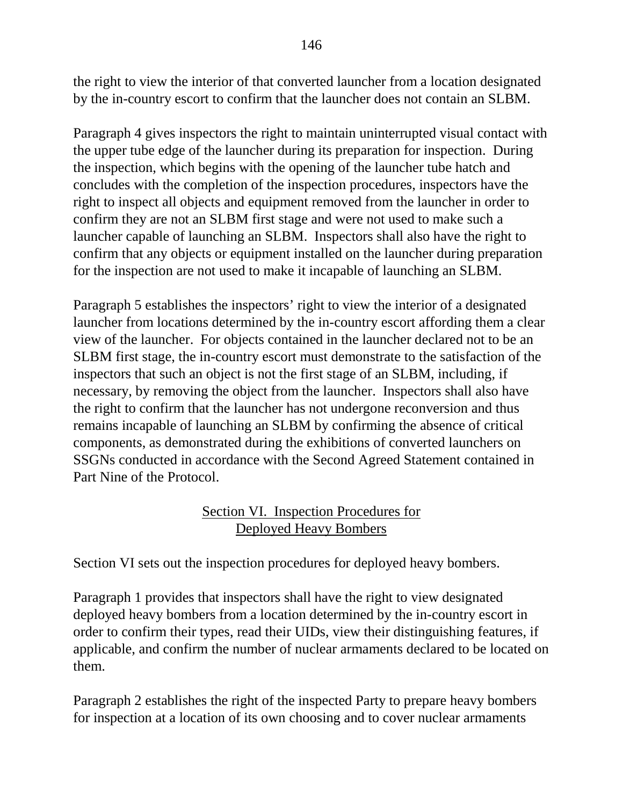the right to view the interior of that converted launcher from a location designated by the in-country escort to confirm that the launcher does not contain an SLBM.

Paragraph 4 gives inspectors the right to maintain uninterrupted visual contact with the upper tube edge of the launcher during its preparation for inspection. During the inspection, which begins with the opening of the launcher tube hatch and concludes with the completion of the inspection procedures, inspectors have the right to inspect all objects and equipment removed from the launcher in order to confirm they are not an SLBM first stage and were not used to make such a launcher capable of launching an SLBM. Inspectors shall also have the right to confirm that any objects or equipment installed on the launcher during preparation for the inspection are not used to make it incapable of launching an SLBM.

Paragraph 5 establishes the inspectors' right to view the interior of a designated launcher from locations determined by the in-country escort affording them a clear view of the launcher. For objects contained in the launcher declared not to be an SLBM first stage, the in-country escort must demonstrate to the satisfaction of the inspectors that such an object is not the first stage of an SLBM, including, if necessary, by removing the object from the launcher. Inspectors shall also have the right to confirm that the launcher has not undergone reconversion and thus remains incapable of launching an SLBM by confirming the absence of critical components, as demonstrated during the exhibitions of converted launchers on SSGNs conducted in accordance with the Second Agreed Statement contained in Part Nine of the Protocol.

## Section VI. Inspection Procedures for Deployed Heavy Bombers

Section VI sets out the inspection procedures for deployed heavy bombers.

Paragraph 1 provides that inspectors shall have the right to view designated deployed heavy bombers from a location determined by the in-country escort in order to confirm their types, read their UIDs, view their distinguishing features, if applicable, and confirm the number of nuclear armaments declared to be located on them.

Paragraph 2 establishes the right of the inspected Party to prepare heavy bombers for inspection at a location of its own choosing and to cover nuclear armaments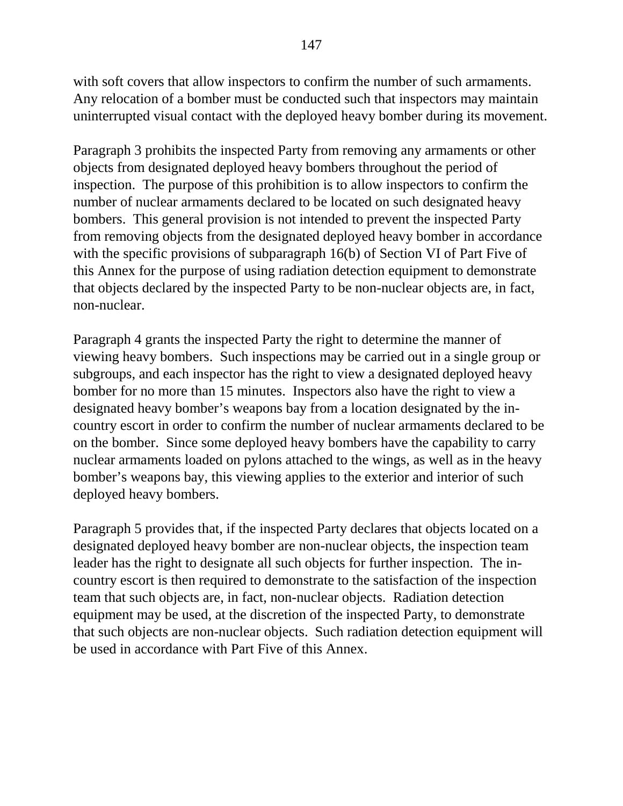with soft covers that allow inspectors to confirm the number of such armaments. Any relocation of a bomber must be conducted such that inspectors may maintain uninterrupted visual contact with the deployed heavy bomber during its movement.

Paragraph 3 prohibits the inspected Party from removing any armaments or other objects from designated deployed heavy bombers throughout the period of inspection. The purpose of this prohibition is to allow inspectors to confirm the number of nuclear armaments declared to be located on such designated heavy bombers. This general provision is not intended to prevent the inspected Party from removing objects from the designated deployed heavy bomber in accordance with the specific provisions of subparagraph 16(b) of Section VI of Part Five of this Annex for the purpose of using radiation detection equipment to demonstrate that objects declared by the inspected Party to be non-nuclear objects are, in fact, non-nuclear.

Paragraph 4 grants the inspected Party the right to determine the manner of viewing heavy bombers. Such inspections may be carried out in a single group or subgroups, and each inspector has the right to view a designated deployed heavy bomber for no more than 15 minutes. Inspectors also have the right to view a designated heavy bomber's weapons bay from a location designated by the incountry escort in order to confirm the number of nuclear armaments declared to be on the bomber. Since some deployed heavy bombers have the capability to carry nuclear armaments loaded on pylons attached to the wings, as well as in the heavy bomber's weapons bay, this viewing applies to the exterior and interior of such deployed heavy bombers.

Paragraph 5 provides that, if the inspected Party declares that objects located on a designated deployed heavy bomber are non-nuclear objects, the inspection team leader has the right to designate all such objects for further inspection. The incountry escort is then required to demonstrate to the satisfaction of the inspection team that such objects are, in fact, non-nuclear objects. Radiation detection equipment may be used, at the discretion of the inspected Party, to demonstrate that such objects are non-nuclear objects. Such radiation detection equipment will be used in accordance with Part Five of this Annex.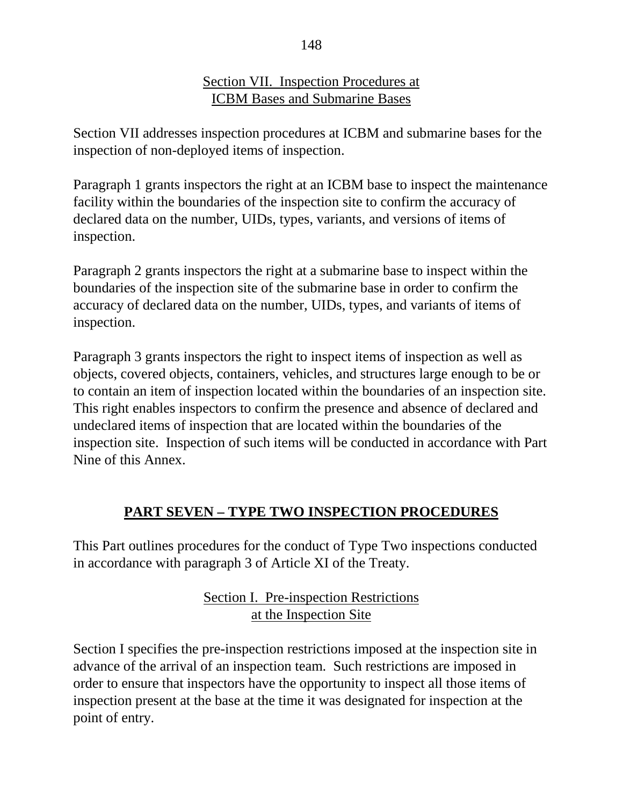### Section VII. Inspection Procedures at ICBM Bases and Submarine Bases

Section VII addresses inspection procedures at ICBM and submarine bases for the inspection of non-deployed items of inspection.

Paragraph 1 grants inspectors the right at an ICBM base to inspect the maintenance facility within the boundaries of the inspection site to confirm the accuracy of declared data on the number, UIDs, types, variants, and versions of items of inspection.

Paragraph 2 grants inspectors the right at a submarine base to inspect within the boundaries of the inspection site of the submarine base in order to confirm the accuracy of declared data on the number, UIDs, types, and variants of items of inspection.

Paragraph 3 grants inspectors the right to inspect items of inspection as well as objects, covered objects, containers, vehicles, and structures large enough to be or to contain an item of inspection located within the boundaries of an inspection site. This right enables inspectors to confirm the presence and absence of declared and undeclared items of inspection that are located within the boundaries of the inspection site. Inspection of such items will be conducted in accordance with Part Nine of this Annex.

# **PART SEVEN – TYPE TWO INSPECTION PROCEDURES**

This Part outlines procedures for the conduct of Type Two inspections conducted in accordance with paragraph 3 of Article XI of the Treaty.

> Section I. Pre-inspection Restrictions at the Inspection Site

Section I specifies the pre-inspection restrictions imposed at the inspection site in advance of the arrival of an inspection team. Such restrictions are imposed in order to ensure that inspectors have the opportunity to inspect all those items of inspection present at the base at the time it was designated for inspection at the point of entry.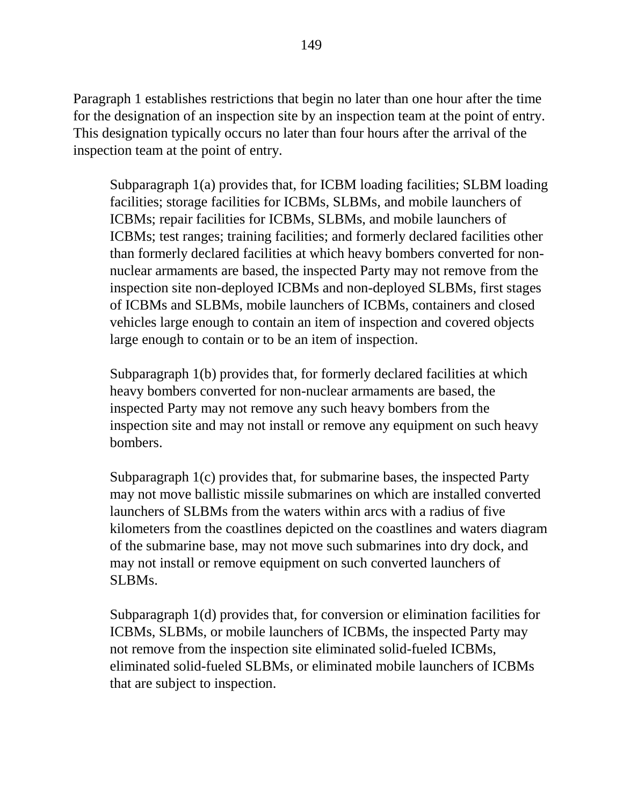Paragraph 1 establishes restrictions that begin no later than one hour after the time for the designation of an inspection site by an inspection team at the point of entry. This designation typically occurs no later than four hours after the arrival of the inspection team at the point of entry.

Subparagraph 1(a) provides that, for ICBM loading facilities; SLBM loading facilities; storage facilities for ICBMs, SLBMs, and mobile launchers of ICBMs; repair facilities for ICBMs, SLBMs, and mobile launchers of ICBMs; test ranges; training facilities; and formerly declared facilities other than formerly declared facilities at which heavy bombers converted for nonnuclear armaments are based, the inspected Party may not remove from the inspection site non-deployed ICBMs and non-deployed SLBMs, first stages of ICBMs and SLBMs, mobile launchers of ICBMs, containers and closed vehicles large enough to contain an item of inspection and covered objects large enough to contain or to be an item of inspection.

Subparagraph 1(b) provides that, for formerly declared facilities at which heavy bombers converted for non-nuclear armaments are based, the inspected Party may not remove any such heavy bombers from the inspection site and may not install or remove any equipment on such heavy bombers.

Subparagraph 1(c) provides that, for submarine bases, the inspected Party may not move ballistic missile submarines on which are installed converted launchers of SLBMs from the waters within arcs with a radius of five kilometers from the coastlines depicted on the coastlines and waters diagram of the submarine base, may not move such submarines into dry dock, and may not install or remove equipment on such converted launchers of SLBMs.

Subparagraph 1(d) provides that, for conversion or elimination facilities for ICBMs, SLBMs, or mobile launchers of ICBMs, the inspected Party may not remove from the inspection site eliminated solid-fueled ICBMs, eliminated solid-fueled SLBMs, or eliminated mobile launchers of ICBMs that are subject to inspection.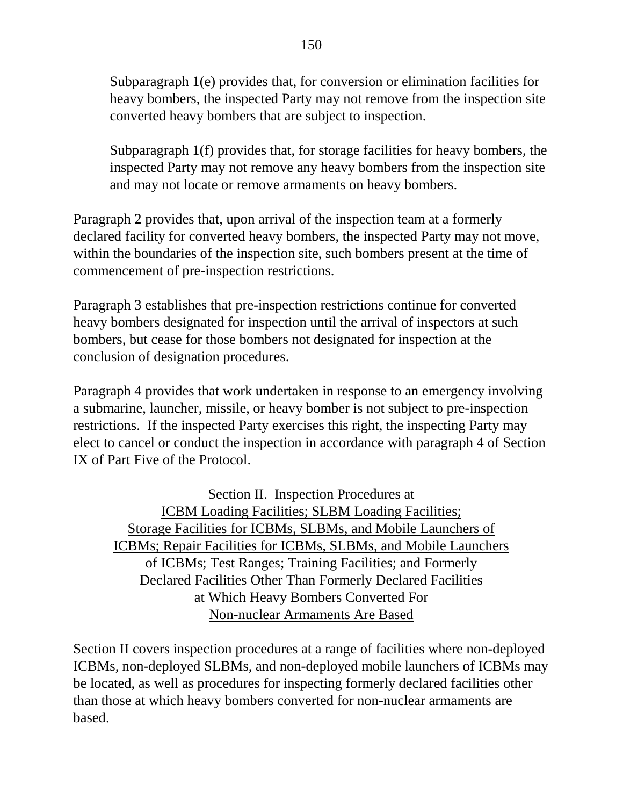Subparagraph 1(e) provides that, for conversion or elimination facilities for heavy bombers, the inspected Party may not remove from the inspection site converted heavy bombers that are subject to inspection.

Subparagraph 1(f) provides that, for storage facilities for heavy bombers, the inspected Party may not remove any heavy bombers from the inspection site and may not locate or remove armaments on heavy bombers.

Paragraph 2 provides that, upon arrival of the inspection team at a formerly declared facility for converted heavy bombers, the inspected Party may not move, within the boundaries of the inspection site, such bombers present at the time of commencement of pre-inspection restrictions.

Paragraph 3 establishes that pre-inspection restrictions continue for converted heavy bombers designated for inspection until the arrival of inspectors at such bombers, but cease for those bombers not designated for inspection at the conclusion of designation procedures.

Paragraph 4 provides that work undertaken in response to an emergency involving a submarine, launcher, missile, or heavy bomber is not subject to pre-inspection restrictions. If the inspected Party exercises this right, the inspecting Party may elect to cancel or conduct the inspection in accordance with paragraph 4 of Section IX of Part Five of the Protocol.

Section II. Inspection Procedures at ICBM Loading Facilities; SLBM Loading Facilities; Storage Facilities for ICBMs, SLBMs, and Mobile Launchers of ICBMs; Repair Facilities for ICBMs, SLBMs, and Mobile Launchers of ICBMs; Test Ranges; Training Facilities; and Formerly Declared Facilities Other Than Formerly Declared Facilities at Which Heavy Bombers Converted For Non-nuclear Armaments Are Based

Section II covers inspection procedures at a range of facilities where non-deployed ICBMs, non-deployed SLBMs, and non-deployed mobile launchers of ICBMs may be located, as well as procedures for inspecting formerly declared facilities other than those at which heavy bombers converted for non-nuclear armaments are based.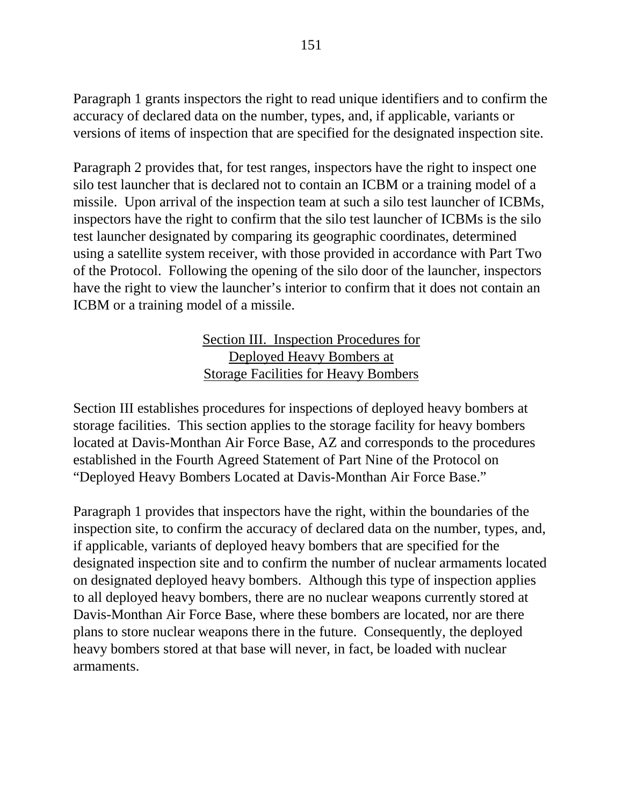Paragraph 1 grants inspectors the right to read unique identifiers and to confirm the accuracy of declared data on the number, types, and, if applicable, variants or versions of items of inspection that are specified for the designated inspection site.

Paragraph 2 provides that, for test ranges, inspectors have the right to inspect one silo test launcher that is declared not to contain an ICBM or a training model of a missile. Upon arrival of the inspection team at such a silo test launcher of ICBMs, inspectors have the right to confirm that the silo test launcher of ICBMs is the silo test launcher designated by comparing its geographic coordinates, determined using a satellite system receiver, with those provided in accordance with Part Two of the Protocol. Following the opening of the silo door of the launcher, inspectors have the right to view the launcher's interior to confirm that it does not contain an ICBM or a training model of a missile.

### Section III. Inspection Procedures for Deployed Heavy Bombers at Storage Facilities for Heavy Bombers

Section III establishes procedures for inspections of deployed heavy bombers at storage facilities. This section applies to the storage facility for heavy bombers located at Davis-Monthan Air Force Base, AZ and corresponds to the procedures established in the Fourth Agreed Statement of Part Nine of the Protocol on "Deployed Heavy Bombers Located at Davis-Monthan Air Force Base."

Paragraph 1 provides that inspectors have the right, within the boundaries of the inspection site, to confirm the accuracy of declared data on the number, types, and, if applicable, variants of deployed heavy bombers that are specified for the designated inspection site and to confirm the number of nuclear armaments located on designated deployed heavy bombers. Although this type of inspection applies to all deployed heavy bombers, there are no nuclear weapons currently stored at Davis-Monthan Air Force Base, where these bombers are located, nor are there plans to store nuclear weapons there in the future. Consequently, the deployed heavy bombers stored at that base will never, in fact, be loaded with nuclear armaments.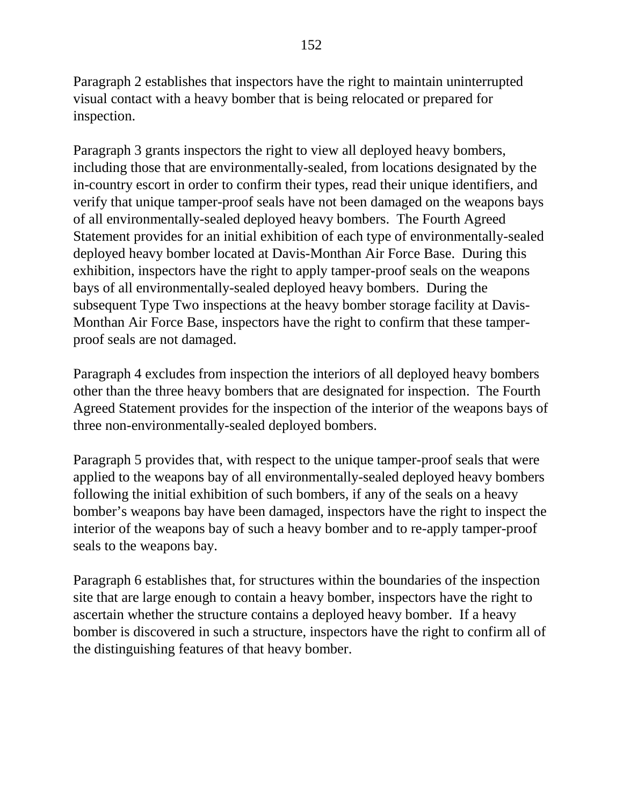Paragraph 2 establishes that inspectors have the right to maintain uninterrupted visual contact with a heavy bomber that is being relocated or prepared for inspection.

Paragraph 3 grants inspectors the right to view all deployed heavy bombers, including those that are environmentally-sealed, from locations designated by the in-country escort in order to confirm their types, read their unique identifiers, and verify that unique tamper-proof seals have not been damaged on the weapons bays of all environmentally-sealed deployed heavy bombers. The Fourth Agreed Statement provides for an initial exhibition of each type of environmentally-sealed deployed heavy bomber located at Davis-Monthan Air Force Base. During this exhibition, inspectors have the right to apply tamper-proof seals on the weapons bays of all environmentally-sealed deployed heavy bombers. During the subsequent Type Two inspections at the heavy bomber storage facility at Davis-Monthan Air Force Base, inspectors have the right to confirm that these tamperproof seals are not damaged.

Paragraph 4 excludes from inspection the interiors of all deployed heavy bombers other than the three heavy bombers that are designated for inspection. The Fourth Agreed Statement provides for the inspection of the interior of the weapons bays of three non-environmentally-sealed deployed bombers.

Paragraph 5 provides that, with respect to the unique tamper-proof seals that were applied to the weapons bay of all environmentally-sealed deployed heavy bombers following the initial exhibition of such bombers, if any of the seals on a heavy bomber's weapons bay have been damaged, inspectors have the right to inspect the interior of the weapons bay of such a heavy bomber and to re-apply tamper-proof seals to the weapons bay.

Paragraph 6 establishes that, for structures within the boundaries of the inspection site that are large enough to contain a heavy bomber, inspectors have the right to ascertain whether the structure contains a deployed heavy bomber. If a heavy bomber is discovered in such a structure, inspectors have the right to confirm all of the distinguishing features of that heavy bomber.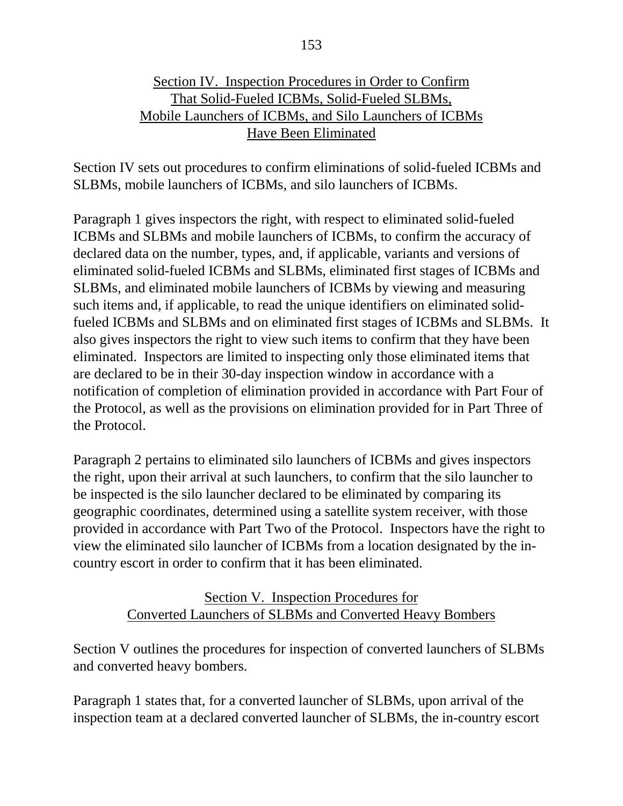### Section IV. Inspection Procedures in Order to Confirm That Solid-Fueled ICBMs, Solid-Fueled SLBMs, Mobile Launchers of ICBMs, and Silo Launchers of ICBMs Have Been Eliminated

Section IV sets out procedures to confirm eliminations of solid-fueled ICBMs and SLBMs, mobile launchers of ICBMs, and silo launchers of ICBMs.

Paragraph 1 gives inspectors the right, with respect to eliminated solid-fueled ICBMs and SLBMs and mobile launchers of ICBMs, to confirm the accuracy of declared data on the number, types, and, if applicable, variants and versions of eliminated solid-fueled ICBMs and SLBMs, eliminated first stages of ICBMs and SLBMs, and eliminated mobile launchers of ICBMs by viewing and measuring such items and, if applicable, to read the unique identifiers on eliminated solidfueled ICBMs and SLBMs and on eliminated first stages of ICBMs and SLBMs. It also gives inspectors the right to view such items to confirm that they have been eliminated. Inspectors are limited to inspecting only those eliminated items that are declared to be in their 30-day inspection window in accordance with a notification of completion of elimination provided in accordance with Part Four of the Protocol, as well as the provisions on elimination provided for in Part Three of the Protocol.

Paragraph 2 pertains to eliminated silo launchers of ICBMs and gives inspectors the right, upon their arrival at such launchers, to confirm that the silo launcher to be inspected is the silo launcher declared to be eliminated by comparing its geographic coordinates, determined using a satellite system receiver, with those provided in accordance with Part Two of the Protocol. Inspectors have the right to view the eliminated silo launcher of ICBMs from a location designated by the incountry escort in order to confirm that it has been eliminated.

## Section V. Inspection Procedures for Converted Launchers of SLBMs and Converted Heavy Bombers

Section V outlines the procedures for inspection of converted launchers of SLBMs and converted heavy bombers.

Paragraph 1 states that, for a converted launcher of SLBMs, upon arrival of the inspection team at a declared converted launcher of SLBMs, the in-country escort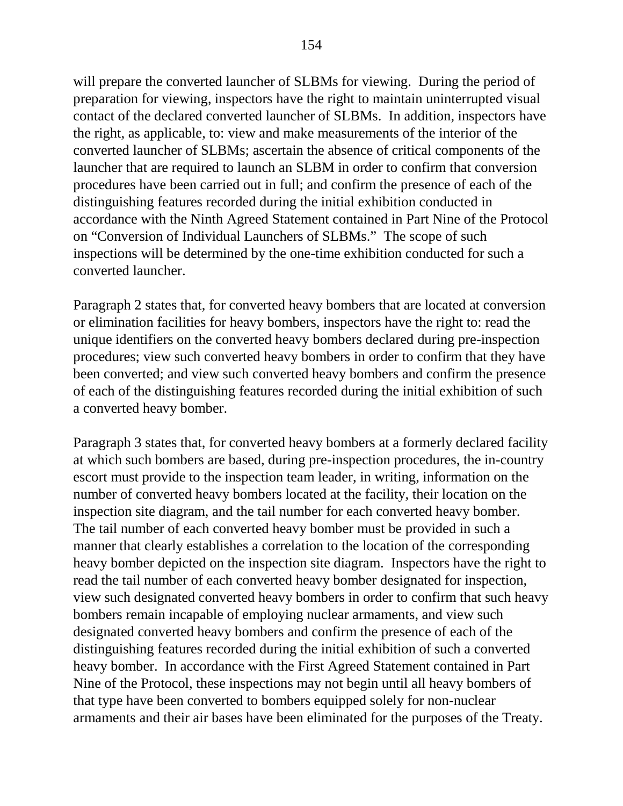will prepare the converted launcher of SLBMs for viewing. During the period of preparation for viewing, inspectors have the right to maintain uninterrupted visual contact of the declared converted launcher of SLBMs. In addition, inspectors have the right, as applicable, to: view and make measurements of the interior of the converted launcher of SLBMs; ascertain the absence of critical components of the launcher that are required to launch an SLBM in order to confirm that conversion procedures have been carried out in full; and confirm the presence of each of the distinguishing features recorded during the initial exhibition conducted in accordance with the Ninth Agreed Statement contained in Part Nine of the Protocol on "Conversion of Individual Launchers of SLBMs." The scope of such inspections will be determined by the one-time exhibition conducted for such a converted launcher.

Paragraph 2 states that, for converted heavy bombers that are located at conversion or elimination facilities for heavy bombers, inspectors have the right to: read the unique identifiers on the converted heavy bombers declared during pre-inspection procedures; view such converted heavy bombers in order to confirm that they have been converted; and view such converted heavy bombers and confirm the presence of each of the distinguishing features recorded during the initial exhibition of such a converted heavy bomber.

Paragraph 3 states that, for converted heavy bombers at a formerly declared facility at which such bombers are based, during pre-inspection procedures, the in-country escort must provide to the inspection team leader, in writing, information on the number of converted heavy bombers located at the facility, their location on the inspection site diagram, and the tail number for each converted heavy bomber. The tail number of each converted heavy bomber must be provided in such a manner that clearly establishes a correlation to the location of the corresponding heavy bomber depicted on the inspection site diagram. Inspectors have the right to read the tail number of each converted heavy bomber designated for inspection, view such designated converted heavy bombers in order to confirm that such heavy bombers remain incapable of employing nuclear armaments, and view such designated converted heavy bombers and confirm the presence of each of the distinguishing features recorded during the initial exhibition of such a converted heavy bomber. In accordance with the First Agreed Statement contained in Part Nine of the Protocol, these inspections may not begin until all heavy bombers of that type have been converted to bombers equipped solely for non-nuclear armaments and their air bases have been eliminated for the purposes of the Treaty.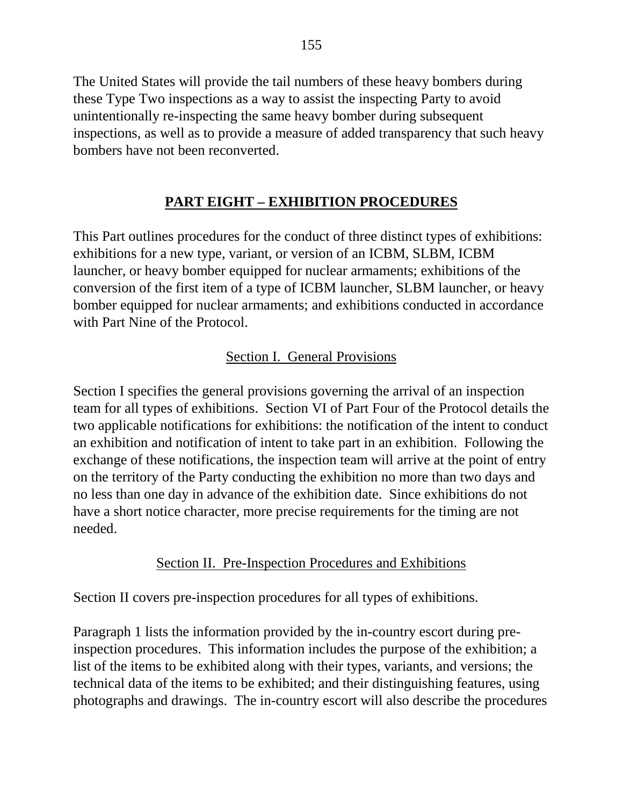The United States will provide the tail numbers of these heavy bombers during these Type Two inspections as a way to assist the inspecting Party to avoid unintentionally re-inspecting the same heavy bomber during subsequent inspections, as well as to provide a measure of added transparency that such heavy bombers have not been reconverted.

## **PART EIGHT – EXHIBITION PROCEDURES**

This Part outlines procedures for the conduct of three distinct types of exhibitions: exhibitions for a new type, variant, or version of an ICBM, SLBM, ICBM launcher, or heavy bomber equipped for nuclear armaments; exhibitions of the conversion of the first item of a type of ICBM launcher, SLBM launcher, or heavy bomber equipped for nuclear armaments; and exhibitions conducted in accordance with Part Nine of the Protocol.

## Section I. General Provisions

Section I specifies the general provisions governing the arrival of an inspection team for all types of exhibitions. Section VI of Part Four of the Protocol details the two applicable notifications for exhibitions: the notification of the intent to conduct an exhibition and notification of intent to take part in an exhibition. Following the exchange of these notifications, the inspection team will arrive at the point of entry on the territory of the Party conducting the exhibition no more than two days and no less than one day in advance of the exhibition date. Since exhibitions do not have a short notice character, more precise requirements for the timing are not needed.

## Section II. Pre-Inspection Procedures and Exhibitions

Section II covers pre-inspection procedures for all types of exhibitions.

Paragraph 1 lists the information provided by the in-country escort during preinspection procedures. This information includes the purpose of the exhibition; a list of the items to be exhibited along with their types, variants, and versions; the technical data of the items to be exhibited; and their distinguishing features, using photographs and drawings. The in-country escort will also describe the procedures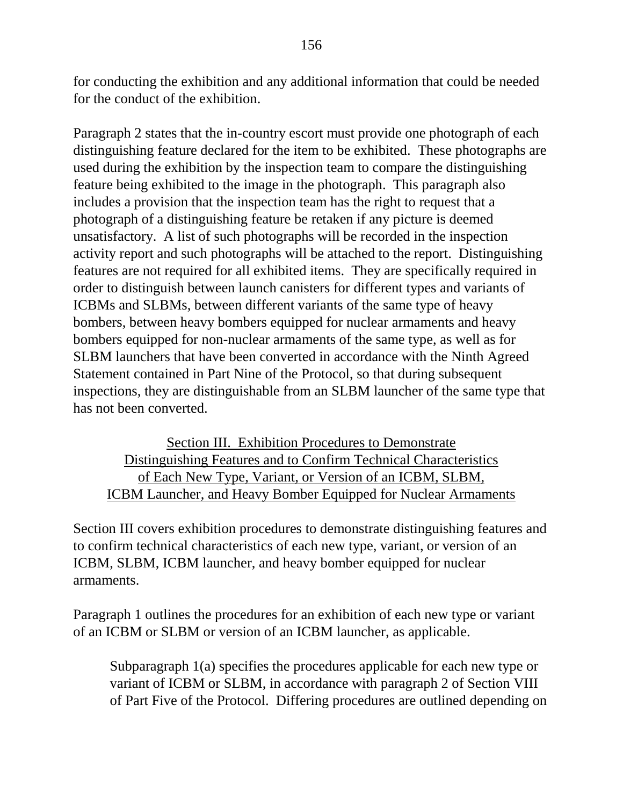for conducting the exhibition and any additional information that could be needed for the conduct of the exhibition.

Paragraph 2 states that the in-country escort must provide one photograph of each distinguishing feature declared for the item to be exhibited. These photographs are used during the exhibition by the inspection team to compare the distinguishing feature being exhibited to the image in the photograph. This paragraph also includes a provision that the inspection team has the right to request that a photograph of a distinguishing feature be retaken if any picture is deemed unsatisfactory. A list of such photographs will be recorded in the inspection activity report and such photographs will be attached to the report. Distinguishing features are not required for all exhibited items. They are specifically required in order to distinguish between launch canisters for different types and variants of ICBMs and SLBMs, between different variants of the same type of heavy bombers, between heavy bombers equipped for nuclear armaments and heavy bombers equipped for non-nuclear armaments of the same type, as well as for SLBM launchers that have been converted in accordance with the Ninth Agreed Statement contained in Part Nine of the Protocol, so that during subsequent inspections, they are distinguishable from an SLBM launcher of the same type that has not been converted.

Section III. Exhibition Procedures to Demonstrate Distinguishing Features and to Confirm Technical Characteristics of Each New Type, Variant, or Version of an ICBM, SLBM, ICBM Launcher, and Heavy Bomber Equipped for Nuclear Armaments

Section III covers exhibition procedures to demonstrate distinguishing features and to confirm technical characteristics of each new type, variant, or version of an ICBM, SLBM, ICBM launcher, and heavy bomber equipped for nuclear armaments.

Paragraph 1 outlines the procedures for an exhibition of each new type or variant of an ICBM or SLBM or version of an ICBM launcher, as applicable.

Subparagraph 1(a) specifies the procedures applicable for each new type or variant of ICBM or SLBM, in accordance with paragraph 2 of Section VIII of Part Five of the Protocol. Differing procedures are outlined depending on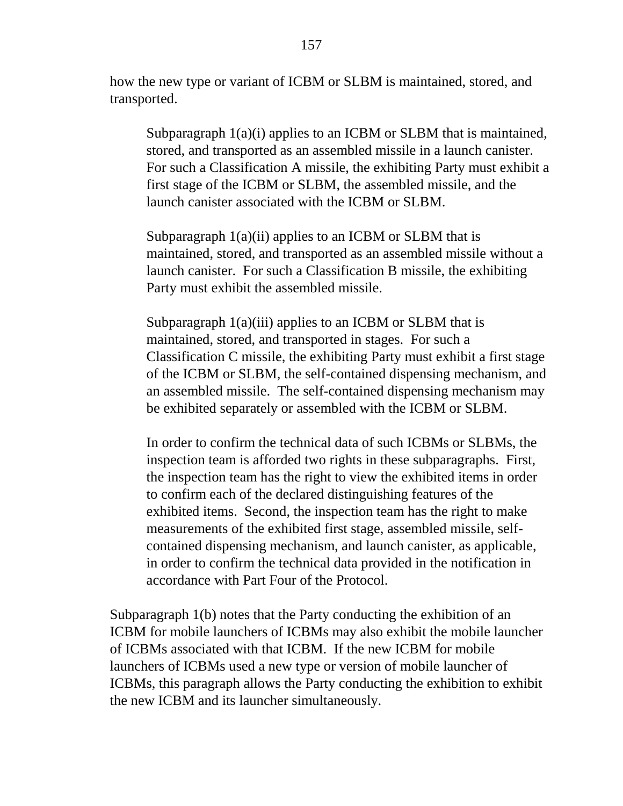how the new type or variant of ICBM or SLBM is maintained, stored, and transported.

Subparagraph  $1(a)(i)$  applies to an ICBM or SLBM that is maintained, stored, and transported as an assembled missile in a launch canister. For such a Classification A missile, the exhibiting Party must exhibit a first stage of the ICBM or SLBM, the assembled missile, and the launch canister associated with the ICBM or SLBM.

Subparagraph 1(a)(ii) applies to an ICBM or SLBM that is maintained, stored, and transported as an assembled missile without a launch canister. For such a Classification B missile, the exhibiting Party must exhibit the assembled missile.

Subparagraph 1(a)(iii) applies to an ICBM or SLBM that is maintained, stored, and transported in stages. For such a Classification C missile, the exhibiting Party must exhibit a first stage of the ICBM or SLBM, the self-contained dispensing mechanism, and an assembled missile. The self-contained dispensing mechanism may be exhibited separately or assembled with the ICBM or SLBM.

In order to confirm the technical data of such ICBMs or SLBMs, the inspection team is afforded two rights in these subparagraphs. First, the inspection team has the right to view the exhibited items in order to confirm each of the declared distinguishing features of the exhibited items. Second, the inspection team has the right to make measurements of the exhibited first stage, assembled missile, selfcontained dispensing mechanism, and launch canister, as applicable, in order to confirm the technical data provided in the notification in accordance with Part Four of the Protocol.

Subparagraph 1(b) notes that the Party conducting the exhibition of an ICBM for mobile launchers of ICBMs may also exhibit the mobile launcher of ICBMs associated with that ICBM. If the new ICBM for mobile launchers of ICBMs used a new type or version of mobile launcher of ICBMs, this paragraph allows the Party conducting the exhibition to exhibit the new ICBM and its launcher simultaneously.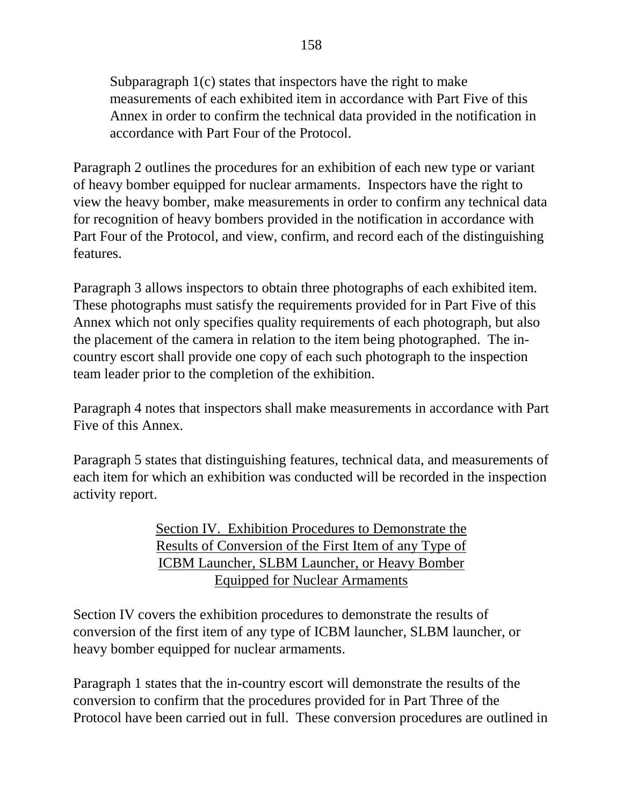Subparagraph 1(c) states that inspectors have the right to make measurements of each exhibited item in accordance with Part Five of this Annex in order to confirm the technical data provided in the notification in accordance with Part Four of the Protocol.

Paragraph 2 outlines the procedures for an exhibition of each new type or variant of heavy bomber equipped for nuclear armaments. Inspectors have the right to view the heavy bomber, make measurements in order to confirm any technical data for recognition of heavy bombers provided in the notification in accordance with Part Four of the Protocol, and view, confirm, and record each of the distinguishing features.

Paragraph 3 allows inspectors to obtain three photographs of each exhibited item. These photographs must satisfy the requirements provided for in Part Five of this Annex which not only specifies quality requirements of each photograph, but also the placement of the camera in relation to the item being photographed. The incountry escort shall provide one copy of each such photograph to the inspection team leader prior to the completion of the exhibition.

Paragraph 4 notes that inspectors shall make measurements in accordance with Part Five of this Annex.

Paragraph 5 states that distinguishing features, technical data, and measurements of each item for which an exhibition was conducted will be recorded in the inspection activity report.

> Section IV. Exhibition Procedures to Demonstrate the Results of Conversion of the First Item of any Type of ICBM Launcher, SLBM Launcher, or Heavy Bomber Equipped for Nuclear Armaments

Section IV covers the exhibition procedures to demonstrate the results of conversion of the first item of any type of ICBM launcher, SLBM launcher, or heavy bomber equipped for nuclear armaments.

Paragraph 1 states that the in-country escort will demonstrate the results of the conversion to confirm that the procedures provided for in Part Three of the Protocol have been carried out in full. These conversion procedures are outlined in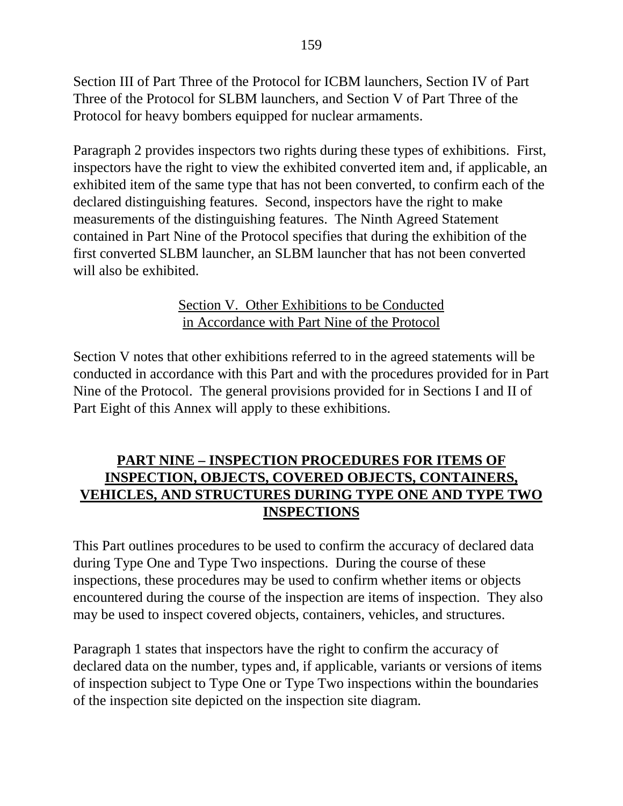Section III of Part Three of the Protocol for ICBM launchers, Section IV of Part Three of the Protocol for SLBM launchers, and Section V of Part Three of the Protocol for heavy bombers equipped for nuclear armaments.

Paragraph 2 provides inspectors two rights during these types of exhibitions. First, inspectors have the right to view the exhibited converted item and, if applicable, an exhibited item of the same type that has not been converted, to confirm each of the declared distinguishing features. Second, inspectors have the right to make measurements of the distinguishing features. The Ninth Agreed Statement contained in Part Nine of the Protocol specifies that during the exhibition of the first converted SLBM launcher, an SLBM launcher that has not been converted will also be exhibited.

### Section V. Other Exhibitions to be Conducted in Accordance with Part Nine of the Protocol

Section V notes that other exhibitions referred to in the agreed statements will be conducted in accordance with this Part and with the procedures provided for in Part Nine of the Protocol. The general provisions provided for in Sections I and II of Part Eight of this Annex will apply to these exhibitions.

## **PART NINE – INSPECTION PROCEDURES FOR ITEMS OF INSPECTION, OBJECTS, COVERED OBJECTS, CONTAINERS, VEHICLES, AND STRUCTURES DURING TYPE ONE AND TYPE TWO INSPECTIONS**

This Part outlines procedures to be used to confirm the accuracy of declared data during Type One and Type Two inspections. During the course of these inspections, these procedures may be used to confirm whether items or objects encountered during the course of the inspection are items of inspection. They also may be used to inspect covered objects, containers, vehicles, and structures.

Paragraph 1 states that inspectors have the right to confirm the accuracy of declared data on the number, types and, if applicable, variants or versions of items of inspection subject to Type One or Type Two inspections within the boundaries of the inspection site depicted on the inspection site diagram.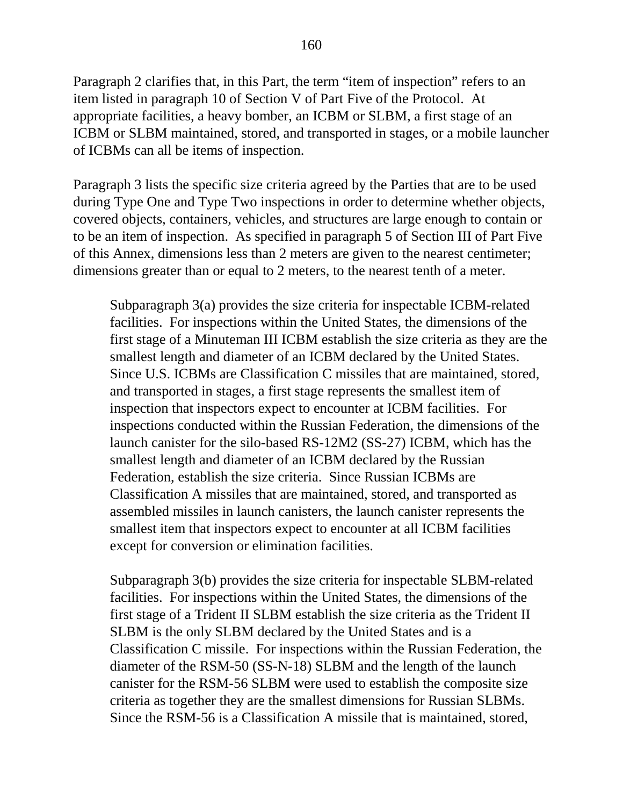Paragraph 2 clarifies that, in this Part, the term "item of inspection" refers to an item listed in paragraph 10 of Section V of Part Five of the Protocol. At appropriate facilities, a heavy bomber, an ICBM or SLBM, a first stage of an ICBM or SLBM maintained, stored, and transported in stages, or a mobile launcher of ICBMs can all be items of inspection.

Paragraph 3 lists the specific size criteria agreed by the Parties that are to be used during Type One and Type Two inspections in order to determine whether objects, covered objects, containers, vehicles, and structures are large enough to contain or to be an item of inspection. As specified in paragraph 5 of Section III of Part Five of this Annex, dimensions less than 2 meters are given to the nearest centimeter; dimensions greater than or equal to 2 meters, to the nearest tenth of a meter.

Subparagraph 3(a) provides the size criteria for inspectable ICBM-related facilities. For inspections within the United States, the dimensions of the first stage of a Minuteman III ICBM establish the size criteria as they are the smallest length and diameter of an ICBM declared by the United States. Since U.S. ICBMs are Classification C missiles that are maintained, stored, and transported in stages, a first stage represents the smallest item of inspection that inspectors expect to encounter at ICBM facilities. For inspections conducted within the Russian Federation, the dimensions of the launch canister for the silo-based RS-12M2 (SS-27) ICBM, which has the smallest length and diameter of an ICBM declared by the Russian Federation, establish the size criteria. Since Russian ICBMs are Classification A missiles that are maintained, stored, and transported as assembled missiles in launch canisters, the launch canister represents the smallest item that inspectors expect to encounter at all ICBM facilities except for conversion or elimination facilities.

Subparagraph 3(b) provides the size criteria for inspectable SLBM-related facilities. For inspections within the United States, the dimensions of the first stage of a Trident II SLBM establish the size criteria as the Trident II SLBM is the only SLBM declared by the United States and is a Classification C missile. For inspections within the Russian Federation, the diameter of the RSM-50 (SS-N-18) SLBM and the length of the launch canister for the RSM-56 SLBM were used to establish the composite size criteria as together they are the smallest dimensions for Russian SLBMs. Since the RSM-56 is a Classification A missile that is maintained, stored,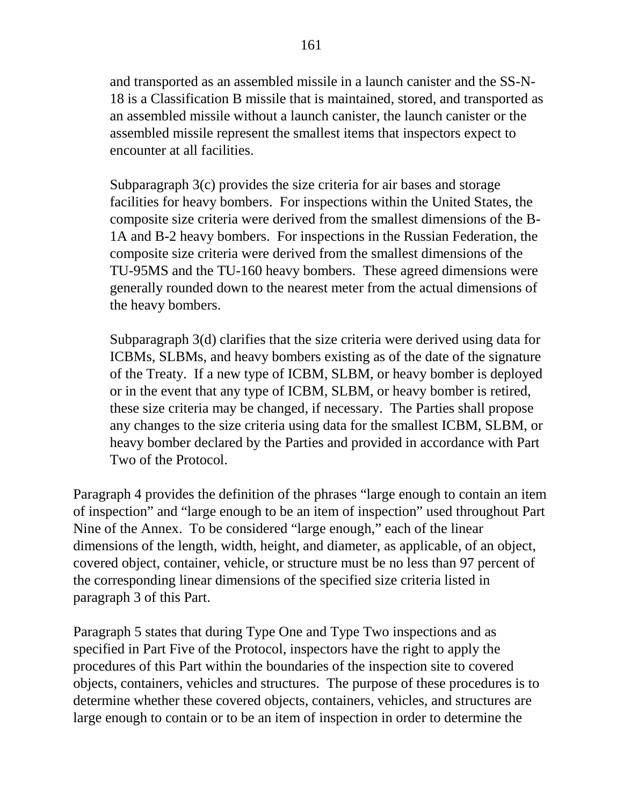and transported as an assembled missile in a launch canister and the SS-N-18 is a Classification B missile that is maintained, stored, and transported as an assembled missile without a launch canister, the launch canister or the assembled missile represent the smallest items that inspectors expect to encounter at all facilities.

Subparagraph 3(c) provides the size criteria for air bases and storage facilities for heavy bombers. For inspections within the United States, the composite size criteria were derived from the smallest dimensions of the B-1A and B-2 heavy bombers. For inspections in the Russian Federation, the composite size criteria were derived from the smallest dimensions of the TU-95MS and the TU-160 heavy bombers. These agreed dimensions were generally rounded down to the nearest meter from the actual dimensions of the heavy bombers.

Subparagraph 3(d) clarifies that the size criteria were derived using data for ICBMs, SLBMs, and heavy bombers existing as of the date of the signature of the Treaty. If a new type of ICBM, SLBM, or heavy bomber is deployed or in the event that any type of ICBM, SLBM, or heavy bomber is retired, these size criteria may be changed, if necessary. The Parties shall propose any changes to the size criteria using data for the smallest ICBM, SLBM, or heavy bomber declared by the Parties and provided in accordance with Part Two of the Protocol.

Paragraph 4 provides the definition of the phrases "large enough to contain an item of inspection" and "large enough to be an item of inspection" used throughout Part Nine of the Annex. To be considered "large enough," each of the linear dimensions of the length, width, height, and diameter, as applicable, of an object, covered object, container, vehicle, or structure must be no less than 97 percent of the corresponding linear dimensions of the specified size criteria listed in paragraph 3 of this Part.

Paragraph 5 states that during Type One and Type Two inspections and as specified in Part Five of the Protocol, inspectors have the right to apply the procedures of this Part within the boundaries of the inspection site to covered objects, containers, vehicles and structures. The purpose of these procedures is to determine whether these covered objects, containers, vehicles, and structures are large enough to contain or to be an item of inspection in order to determine the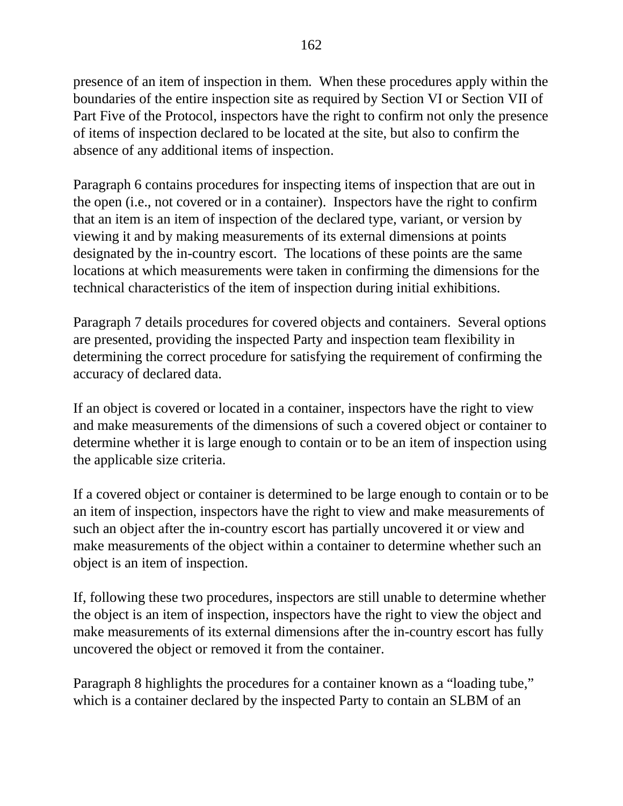presence of an item of inspection in them. When these procedures apply within the boundaries of the entire inspection site as required by Section VI or Section VII of Part Five of the Protocol, inspectors have the right to confirm not only the presence of items of inspection declared to be located at the site, but also to confirm the absence of any additional items of inspection.

Paragraph 6 contains procedures for inspecting items of inspection that are out in the open (i.e., not covered or in a container). Inspectors have the right to confirm that an item is an item of inspection of the declared type, variant, or version by viewing it and by making measurements of its external dimensions at points designated by the in-country escort. The locations of these points are the same locations at which measurements were taken in confirming the dimensions for the technical characteristics of the item of inspection during initial exhibitions.

Paragraph 7 details procedures for covered objects and containers. Several options are presented, providing the inspected Party and inspection team flexibility in determining the correct procedure for satisfying the requirement of confirming the accuracy of declared data.

If an object is covered or located in a container, inspectors have the right to view and make measurements of the dimensions of such a covered object or container to determine whether it is large enough to contain or to be an item of inspection using the applicable size criteria.

If a covered object or container is determined to be large enough to contain or to be an item of inspection, inspectors have the right to view and make measurements of such an object after the in-country escort has partially uncovered it or view and make measurements of the object within a container to determine whether such an object is an item of inspection.

If, following these two procedures, inspectors are still unable to determine whether the object is an item of inspection, inspectors have the right to view the object and make measurements of its external dimensions after the in-country escort has fully uncovered the object or removed it from the container.

Paragraph 8 highlights the procedures for a container known as a "loading tube," which is a container declared by the inspected Party to contain an SLBM of an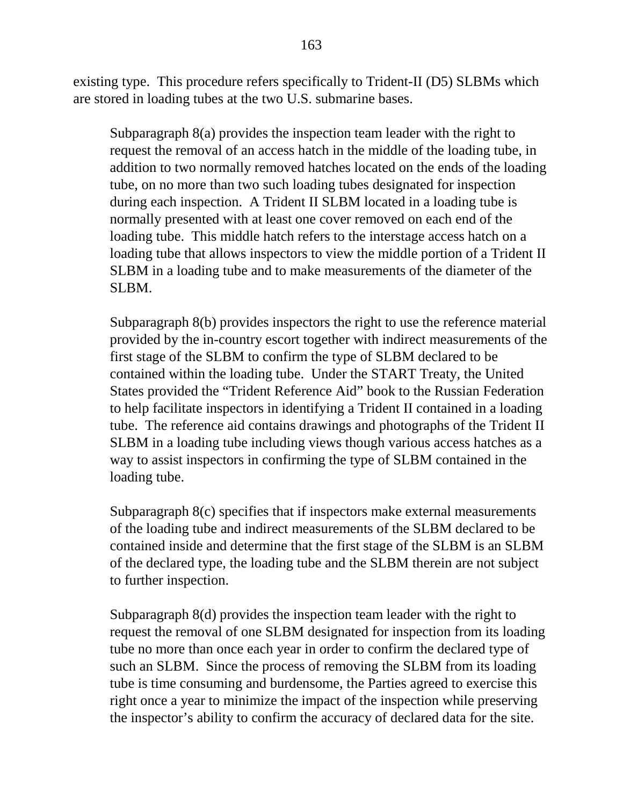existing type. This procedure refers specifically to Trident-II (D5) SLBMs which are stored in loading tubes at the two U.S. submarine bases.

Subparagraph 8(a) provides the inspection team leader with the right to request the removal of an access hatch in the middle of the loading tube, in addition to two normally removed hatches located on the ends of the loading tube, on no more than two such loading tubes designated for inspection during each inspection. A Trident II SLBM located in a loading tube is normally presented with at least one cover removed on each end of the loading tube. This middle hatch refers to the interstage access hatch on a loading tube that allows inspectors to view the middle portion of a Trident II SLBM in a loading tube and to make measurements of the diameter of the SLBM.

Subparagraph 8(b) provides inspectors the right to use the reference material provided by the in-country escort together with indirect measurements of the first stage of the SLBM to confirm the type of SLBM declared to be contained within the loading tube. Under the START Treaty, the United States provided the "Trident Reference Aid" book to the Russian Federation to help facilitate inspectors in identifying a Trident II contained in a loading tube. The reference aid contains drawings and photographs of the Trident II SLBM in a loading tube including views though various access hatches as a way to assist inspectors in confirming the type of SLBM contained in the loading tube.

Subparagraph 8(c) specifies that if inspectors make external measurements of the loading tube and indirect measurements of the SLBM declared to be contained inside and determine that the first stage of the SLBM is an SLBM of the declared type, the loading tube and the SLBM therein are not subject to further inspection.

Subparagraph 8(d) provides the inspection team leader with the right to request the removal of one SLBM designated for inspection from its loading tube no more than once each year in order to confirm the declared type of such an SLBM. Since the process of removing the SLBM from its loading tube is time consuming and burdensome, the Parties agreed to exercise this right once a year to minimize the impact of the inspection while preserving the inspector's ability to confirm the accuracy of declared data for the site.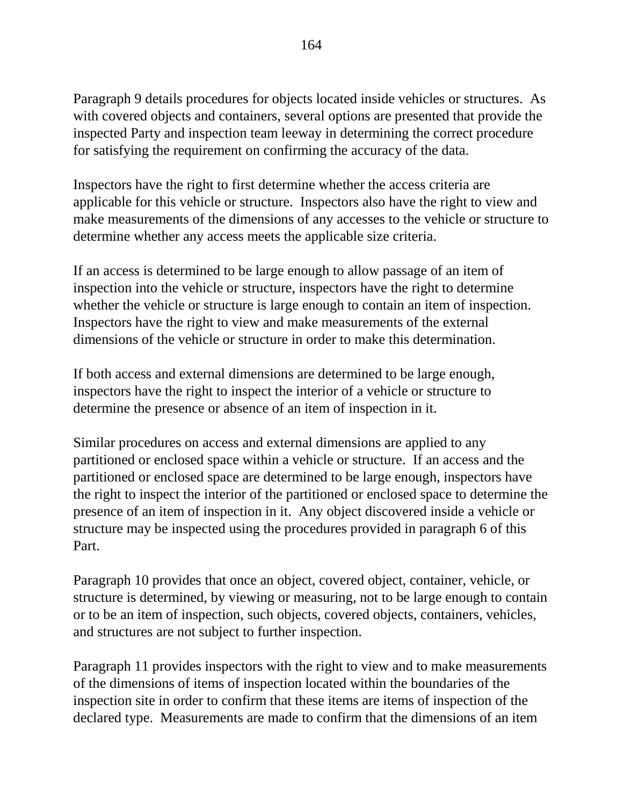Paragraph 9 details procedures for objects located inside vehicles or structures. As with covered objects and containers, several options are presented that provide the inspected Party and inspection team leeway in determining the correct procedure for satisfying the requirement on confirming the accuracy of the data.

Inspectors have the right to first determine whether the access criteria are applicable for this vehicle or structure. Inspectors also have the right to view and make measurements of the dimensions of any accesses to the vehicle or structure to determine whether any access meets the applicable size criteria.

If an access is determined to be large enough to allow passage of an item of inspection into the vehicle or structure, inspectors have the right to determine whether the vehicle or structure is large enough to contain an item of inspection. Inspectors have the right to view and make measurements of the external dimensions of the vehicle or structure in order to make this determination.

If both access and external dimensions are determined to be large enough, inspectors have the right to inspect the interior of a vehicle or structure to determine the presence or absence of an item of inspection in it.

Similar procedures on access and external dimensions are applied to any partitioned or enclosed space within a vehicle or structure. If an access and the partitioned or enclosed space are determined to be large enough, inspectors have the right to inspect the interior of the partitioned or enclosed space to determine the presence of an item of inspection in it. Any object discovered inside a vehicle or structure may be inspected using the procedures provided in paragraph 6 of this Part.

Paragraph 10 provides that once an object, covered object, container, vehicle, or structure is determined, by viewing or measuring, not to be large enough to contain or to be an item of inspection, such objects, covered objects, containers, vehicles, and structures are not subject to further inspection.

Paragraph 11 provides inspectors with the right to view and to make measurements of the dimensions of items of inspection located within the boundaries of the inspection site in order to confirm that these items are items of inspection of the declared type. Measurements are made to confirm that the dimensions of an item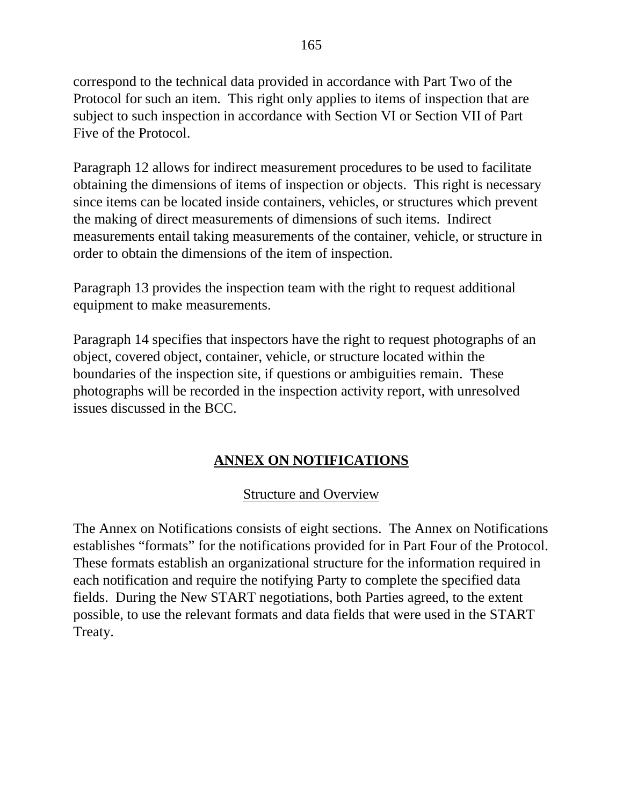correspond to the technical data provided in accordance with Part Two of the Protocol for such an item. This right only applies to items of inspection that are subject to such inspection in accordance with Section VI or Section VII of Part Five of the Protocol.

Paragraph 12 allows for indirect measurement procedures to be used to facilitate obtaining the dimensions of items of inspection or objects. This right is necessary since items can be located inside containers, vehicles, or structures which prevent the making of direct measurements of dimensions of such items. Indirect measurements entail taking measurements of the container, vehicle, or structure in order to obtain the dimensions of the item of inspection.

Paragraph 13 provides the inspection team with the right to request additional equipment to make measurements.

Paragraph 14 specifies that inspectors have the right to request photographs of an object, covered object, container, vehicle, or structure located within the boundaries of the inspection site, if questions or ambiguities remain. These photographs will be recorded in the inspection activity report, with unresolved issues discussed in the BCC.

# **ANNEX ON NOTIFICATIONS**

### Structure and Overview

The Annex on Notifications consists of eight sections. The Annex on Notifications establishes "formats" for the notifications provided for in Part Four of the Protocol. These formats establish an organizational structure for the information required in each notification and require the notifying Party to complete the specified data fields. During the New START negotiations, both Parties agreed, to the extent possible, to use the relevant formats and data fields that were used in the START Treaty.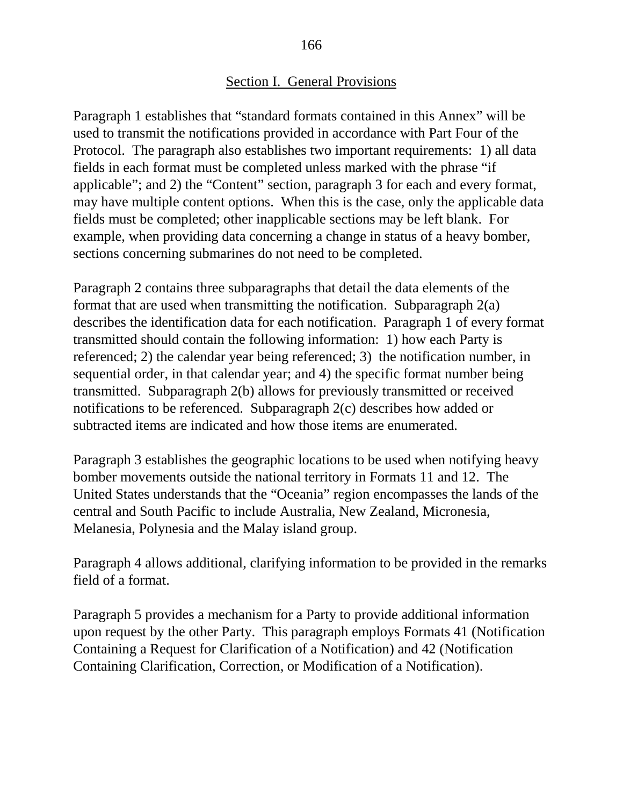#### Section I. General Provisions

Paragraph 1 establishes that "standard formats contained in this Annex" will be used to transmit the notifications provided in accordance with Part Four of the Protocol. The paragraph also establishes two important requirements: 1) all data fields in each format must be completed unless marked with the phrase "if applicable"; and 2) the "Content" section, paragraph 3 for each and every format, may have multiple content options. When this is the case, only the applicable data fields must be completed; other inapplicable sections may be left blank. For example, when providing data concerning a change in status of a heavy bomber, sections concerning submarines do not need to be completed.

Paragraph 2 contains three subparagraphs that detail the data elements of the format that are used when transmitting the notification. Subparagraph 2(a) describes the identification data for each notification. Paragraph 1 of every format transmitted should contain the following information: 1) how each Party is referenced; 2) the calendar year being referenced; 3) the notification number, in sequential order, in that calendar year; and 4) the specific format number being transmitted. Subparagraph 2(b) allows for previously transmitted or received notifications to be referenced. Subparagraph 2(c) describes how added or subtracted items are indicated and how those items are enumerated.

Paragraph 3 establishes the geographic locations to be used when notifying heavy bomber movements outside the national territory in Formats 11 and 12. The United States understands that the "Oceania" region encompasses the lands of the central and South Pacific to include Australia, New Zealand, Micronesia, Melanesia, Polynesia and the Malay island group.

Paragraph 4 allows additional, clarifying information to be provided in the remarks field of a format.

Paragraph 5 provides a mechanism for a Party to provide additional information upon request by the other Party. This paragraph employs Formats 41 (Notification Containing a Request for Clarification of a Notification) and 42 (Notification Containing Clarification, Correction, or Modification of a Notification).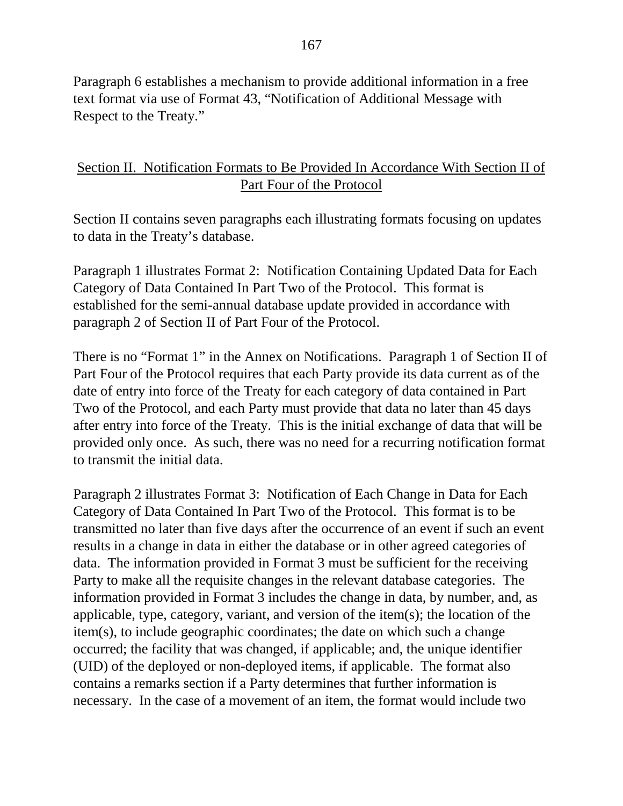Paragraph 6 establishes a mechanism to provide additional information in a free text format via use of Format 43, "Notification of Additional Message with Respect to the Treaty."

### Section II. Notification Formats to Be Provided In Accordance With Section II of Part Four of the Protocol

Section II contains seven paragraphs each illustrating formats focusing on updates to data in the Treaty's database.

Paragraph 1 illustrates Format 2: Notification Containing Updated Data for Each Category of Data Contained In Part Two of the Protocol. This format is established for the semi-annual database update provided in accordance with paragraph 2 of Section II of Part Four of the Protocol.

There is no "Format 1" in the Annex on Notifications. Paragraph 1 of Section II of Part Four of the Protocol requires that each Party provide its data current as of the date of entry into force of the Treaty for each category of data contained in Part Two of the Protocol, and each Party must provide that data no later than 45 days after entry into force of the Treaty. This is the initial exchange of data that will be provided only once. As such, there was no need for a recurring notification format to transmit the initial data.

Paragraph 2 illustrates Format 3: Notification of Each Change in Data for Each Category of Data Contained In Part Two of the Protocol. This format is to be transmitted no later than five days after the occurrence of an event if such an event results in a change in data in either the database or in other agreed categories of data. The information provided in Format 3 must be sufficient for the receiving Party to make all the requisite changes in the relevant database categories. The information provided in Format 3 includes the change in data, by number, and, as applicable, type, category, variant, and version of the item(s); the location of the item(s), to include geographic coordinates; the date on which such a change occurred; the facility that was changed, if applicable; and, the unique identifier (UID) of the deployed or non-deployed items, if applicable. The format also contains a remarks section if a Party determines that further information is necessary. In the case of a movement of an item, the format would include two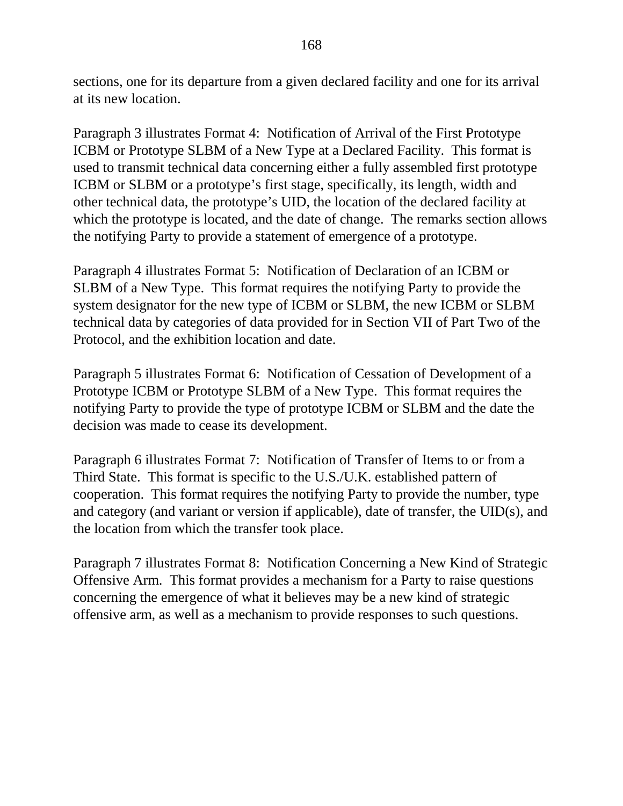sections, one for its departure from a given declared facility and one for its arrival at its new location.

Paragraph 3 illustrates Format 4: Notification of Arrival of the First Prototype ICBM or Prototype SLBM of a New Type at a Declared Facility. This format is used to transmit technical data concerning either a fully assembled first prototype ICBM or SLBM or a prototype's first stage, specifically, its length, width and other technical data, the prototype's UID, the location of the declared facility at which the prototype is located, and the date of change. The remarks section allows the notifying Party to provide a statement of emergence of a prototype.

Paragraph 4 illustrates Format 5: Notification of Declaration of an ICBM or SLBM of a New Type. This format requires the notifying Party to provide the system designator for the new type of ICBM or SLBM, the new ICBM or SLBM technical data by categories of data provided for in Section VII of Part Two of the Protocol, and the exhibition location and date.

Paragraph 5 illustrates Format 6: Notification of Cessation of Development of a Prototype ICBM or Prototype SLBM of a New Type. This format requires the notifying Party to provide the type of prototype ICBM or SLBM and the date the decision was made to cease its development.

Paragraph 6 illustrates Format 7: Notification of Transfer of Items to or from a Third State. This format is specific to the U.S./U.K. established pattern of cooperation. This format requires the notifying Party to provide the number, type and category (and variant or version if applicable), date of transfer, the UID(s), and the location from which the transfer took place.

Paragraph 7 illustrates Format 8: Notification Concerning a New Kind of Strategic Offensive Arm. This format provides a mechanism for a Party to raise questions concerning the emergence of what it believes may be a new kind of strategic offensive arm, as well as a mechanism to provide responses to such questions.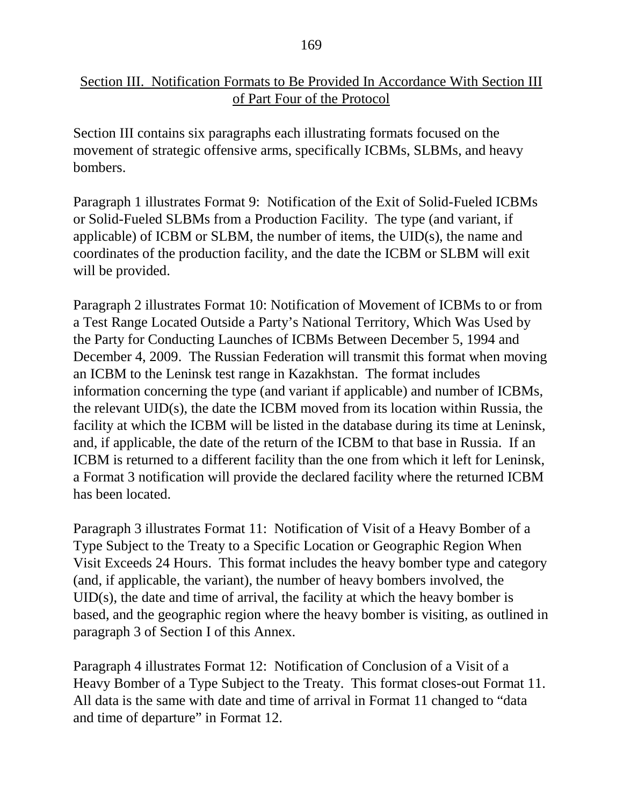### Section III. Notification Formats to Be Provided In Accordance With Section III of Part Four of the Protocol

Section III contains six paragraphs each illustrating formats focused on the movement of strategic offensive arms, specifically ICBMs, SLBMs, and heavy bombers.

Paragraph 1 illustrates Format 9: Notification of the Exit of Solid-Fueled ICBMs or Solid-Fueled SLBMs from a Production Facility. The type (and variant, if applicable) of ICBM or SLBM, the number of items, the UID(s), the name and coordinates of the production facility, and the date the ICBM or SLBM will exit will be provided.

Paragraph 2 illustrates Format 10: Notification of Movement of ICBMs to or from a Test Range Located Outside a Party's National Territory, Which Was Used by the Party for Conducting Launches of ICBMs Between December 5, 1994 and December 4, 2009. The Russian Federation will transmit this format when moving an ICBM to the Leninsk test range in Kazakhstan. The format includes information concerning the type (and variant if applicable) and number of ICBMs, the relevant UID(s), the date the ICBM moved from its location within Russia, the facility at which the ICBM will be listed in the database during its time at Leninsk, and, if applicable, the date of the return of the ICBM to that base in Russia. If an ICBM is returned to a different facility than the one from which it left for Leninsk, a Format 3 notification will provide the declared facility where the returned ICBM has been located.

Paragraph 3 illustrates Format 11: Notification of Visit of a Heavy Bomber of a Type Subject to the Treaty to a Specific Location or Geographic Region When Visit Exceeds 24 Hours. This format includes the heavy bomber type and category (and, if applicable, the variant), the number of heavy bombers involved, the UID(s), the date and time of arrival, the facility at which the heavy bomber is based, and the geographic region where the heavy bomber is visiting, as outlined in paragraph 3 of Section I of this Annex.

Paragraph 4 illustrates Format 12: Notification of Conclusion of a Visit of a Heavy Bomber of a Type Subject to the Treaty. This format closes-out Format 11. All data is the same with date and time of arrival in Format 11 changed to "data and time of departure" in Format 12.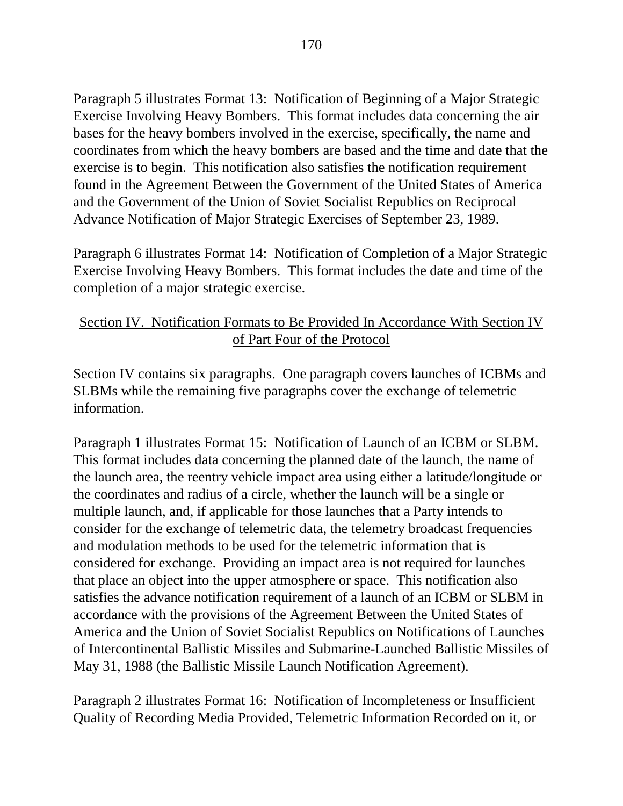Paragraph 5 illustrates Format 13: Notification of Beginning of a Major Strategic Exercise Involving Heavy Bombers. This format includes data concerning the air bases for the heavy bombers involved in the exercise, specifically, the name and coordinates from which the heavy bombers are based and the time and date that the exercise is to begin. This notification also satisfies the notification requirement found in the Agreement Between the Government of the United States of America and the Government of the Union of Soviet Socialist Republics on Reciprocal Advance Notification of Major Strategic Exercises of September 23, 1989.

Paragraph 6 illustrates Format 14: Notification of Completion of a Major Strategic Exercise Involving Heavy Bombers. This format includes the date and time of the completion of a major strategic exercise.

### Section IV. Notification Formats to Be Provided In Accordance With Section IV of Part Four of the Protocol

Section IV contains six paragraphs. One paragraph covers launches of ICBMs and SLBMs while the remaining five paragraphs cover the exchange of telemetric information.

Paragraph 1 illustrates Format 15: Notification of Launch of an ICBM or SLBM. This format includes data concerning the planned date of the launch, the name of the launch area, the reentry vehicle impact area using either a latitude/longitude or the coordinates and radius of a circle, whether the launch will be a single or multiple launch, and, if applicable for those launches that a Party intends to consider for the exchange of telemetric data, the telemetry broadcast frequencies and modulation methods to be used for the telemetric information that is considered for exchange. Providing an impact area is not required for launches that place an object into the upper atmosphere or space. This notification also satisfies the advance notification requirement of a launch of an ICBM or SLBM in accordance with the provisions of the Agreement Between the United States of America and the Union of Soviet Socialist Republics on Notifications of Launches of Intercontinental Ballistic Missiles and Submarine-Launched Ballistic Missiles of May 31, 1988 (the Ballistic Missile Launch Notification Agreement).

Paragraph 2 illustrates Format 16: Notification of Incompleteness or Insufficient Quality of Recording Media Provided, Telemetric Information Recorded on it, or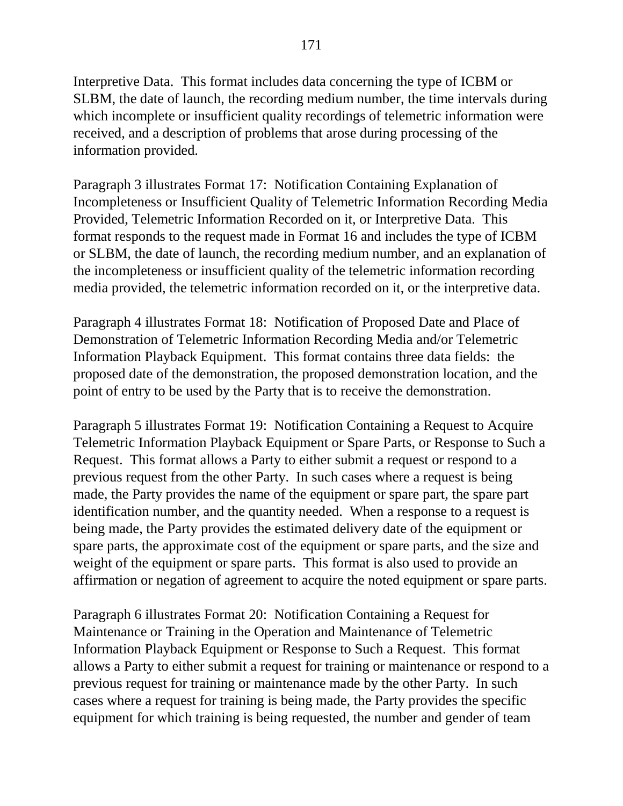Interpretive Data. This format includes data concerning the type of ICBM or SLBM, the date of launch, the recording medium number, the time intervals during which incomplete or insufficient quality recordings of telemetric information were received, and a description of problems that arose during processing of the information provided.

Paragraph 3 illustrates Format 17: Notification Containing Explanation of Incompleteness or Insufficient Quality of Telemetric Information Recording Media Provided, Telemetric Information Recorded on it, or Interpretive Data. This format responds to the request made in Format 16 and includes the type of ICBM or SLBM, the date of launch, the recording medium number, and an explanation of the incompleteness or insufficient quality of the telemetric information recording media provided, the telemetric information recorded on it, or the interpretive data.

Paragraph 4 illustrates Format 18: Notification of Proposed Date and Place of Demonstration of Telemetric Information Recording Media and/or Telemetric Information Playback Equipment. This format contains three data fields: the proposed date of the demonstration, the proposed demonstration location, and the point of entry to be used by the Party that is to receive the demonstration.

Paragraph 5 illustrates Format 19: Notification Containing a Request to Acquire Telemetric Information Playback Equipment or Spare Parts, or Response to Such a Request. This format allows a Party to either submit a request or respond to a previous request from the other Party. In such cases where a request is being made, the Party provides the name of the equipment or spare part, the spare part identification number, and the quantity needed. When a response to a request is being made, the Party provides the estimated delivery date of the equipment or spare parts, the approximate cost of the equipment or spare parts, and the size and weight of the equipment or spare parts. This format is also used to provide an affirmation or negation of agreement to acquire the noted equipment or spare parts.

Paragraph 6 illustrates Format 20: Notification Containing a Request for Maintenance or Training in the Operation and Maintenance of Telemetric Information Playback Equipment or Response to Such a Request. This format allows a Party to either submit a request for training or maintenance or respond to a previous request for training or maintenance made by the other Party. In such cases where a request for training is being made, the Party provides the specific equipment for which training is being requested, the number and gender of team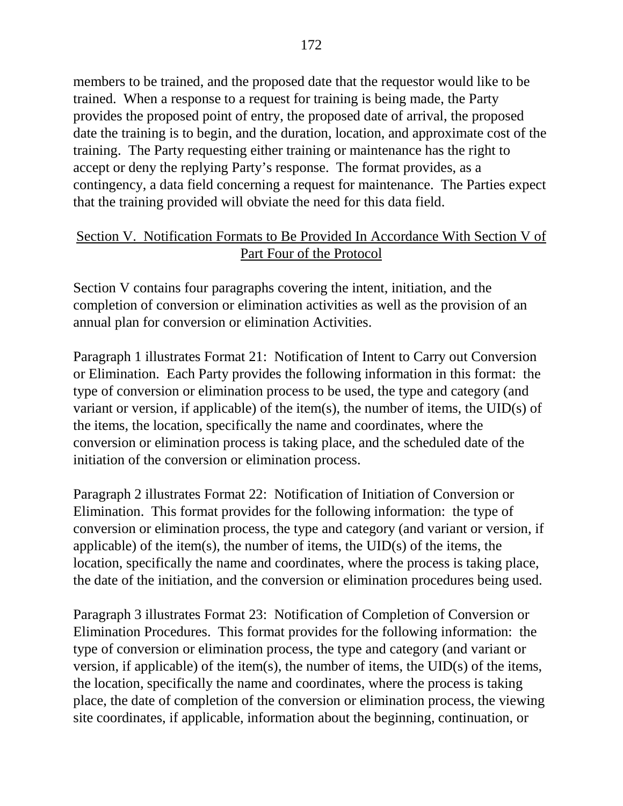members to be trained, and the proposed date that the requestor would like to be trained. When a response to a request for training is being made, the Party provides the proposed point of entry, the proposed date of arrival, the proposed date the training is to begin, and the duration, location, and approximate cost of the training. The Party requesting either training or maintenance has the right to accept or deny the replying Party's response. The format provides, as a contingency, a data field concerning a request for maintenance. The Parties expect that the training provided will obviate the need for this data field.

### Section V. Notification Formats to Be Provided In Accordance With Section V of Part Four of the Protocol

Section V contains four paragraphs covering the intent, initiation, and the completion of conversion or elimination activities as well as the provision of an annual plan for conversion or elimination Activities.

Paragraph 1 illustrates Format 21: Notification of Intent to Carry out Conversion or Elimination. Each Party provides the following information in this format: the type of conversion or elimination process to be used, the type and category (and variant or version, if applicable) of the item(s), the number of items, the UID(s) of the items, the location, specifically the name and coordinates, where the conversion or elimination process is taking place, and the scheduled date of the initiation of the conversion or elimination process.

Paragraph 2 illustrates Format 22: Notification of Initiation of Conversion or Elimination. This format provides for the following information: the type of conversion or elimination process, the type and category (and variant or version, if applicable) of the item(s), the number of items, the UID(s) of the items, the location, specifically the name and coordinates, where the process is taking place, the date of the initiation, and the conversion or elimination procedures being used.

Paragraph 3 illustrates Format 23: Notification of Completion of Conversion or Elimination Procedures. This format provides for the following information: the type of conversion or elimination process, the type and category (and variant or version, if applicable) of the item(s), the number of items, the UID(s) of the items, the location, specifically the name and coordinates, where the process is taking place, the date of completion of the conversion or elimination process, the viewing site coordinates, if applicable, information about the beginning, continuation, or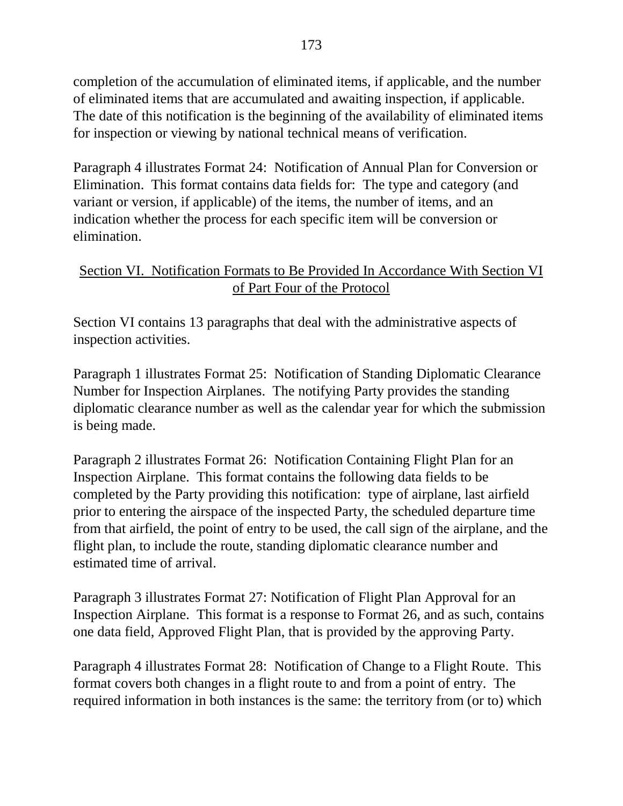completion of the accumulation of eliminated items, if applicable, and the number of eliminated items that are accumulated and awaiting inspection, if applicable. The date of this notification is the beginning of the availability of eliminated items for inspection or viewing by national technical means of verification.

Paragraph 4 illustrates Format 24: Notification of Annual Plan for Conversion or Elimination. This format contains data fields for: The type and category (and variant or version, if applicable) of the items, the number of items, and an indication whether the process for each specific item will be conversion or elimination.

### Section VI. Notification Formats to Be Provided In Accordance With Section VI of Part Four of the Protocol

Section VI contains 13 paragraphs that deal with the administrative aspects of inspection activities.

Paragraph 1 illustrates Format 25: Notification of Standing Diplomatic Clearance Number for Inspection Airplanes. The notifying Party provides the standing diplomatic clearance number as well as the calendar year for which the submission is being made.

Paragraph 2 illustrates Format 26: Notification Containing Flight Plan for an Inspection Airplane. This format contains the following data fields to be completed by the Party providing this notification: type of airplane, last airfield prior to entering the airspace of the inspected Party, the scheduled departure time from that airfield, the point of entry to be used, the call sign of the airplane, and the flight plan, to include the route, standing diplomatic clearance number and estimated time of arrival.

Paragraph 3 illustrates Format 27: Notification of Flight Plan Approval for an Inspection Airplane. This format is a response to Format 26, and as such, contains one data field, Approved Flight Plan, that is provided by the approving Party.

Paragraph 4 illustrates Format 28: Notification of Change to a Flight Route. This format covers both changes in a flight route to and from a point of entry. The required information in both instances is the same: the territory from (or to) which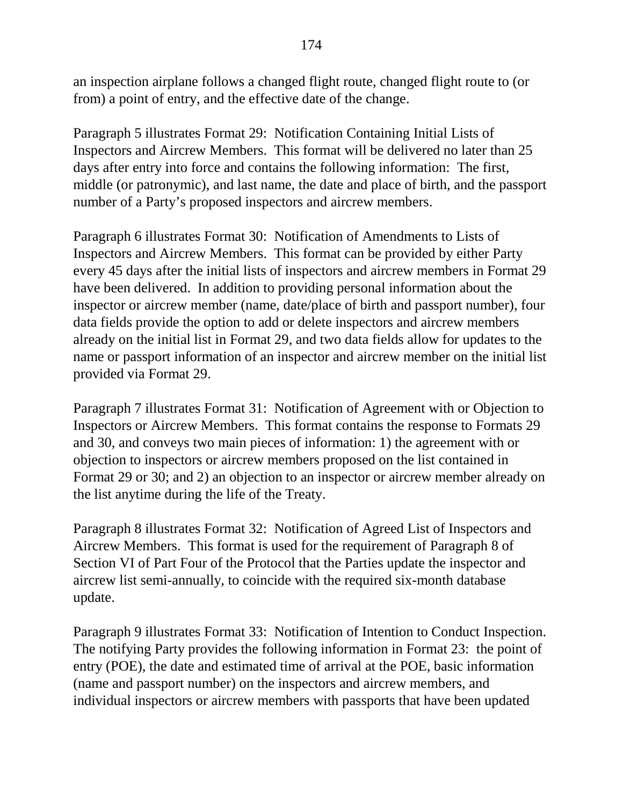an inspection airplane follows a changed flight route, changed flight route to (or from) a point of entry, and the effective date of the change.

Paragraph 5 illustrates Format 29: Notification Containing Initial Lists of Inspectors and Aircrew Members. This format will be delivered no later than 25 days after entry into force and contains the following information: The first, middle (or patronymic), and last name, the date and place of birth, and the passport number of a Party's proposed inspectors and aircrew members.

Paragraph 6 illustrates Format 30: Notification of Amendments to Lists of Inspectors and Aircrew Members. This format can be provided by either Party every 45 days after the initial lists of inspectors and aircrew members in Format 29 have been delivered. In addition to providing personal information about the inspector or aircrew member (name, date/place of birth and passport number), four data fields provide the option to add or delete inspectors and aircrew members already on the initial list in Format 29, and two data fields allow for updates to the name or passport information of an inspector and aircrew member on the initial list provided via Format 29.

Paragraph 7 illustrates Format 31: Notification of Agreement with or Objection to Inspectors or Aircrew Members. This format contains the response to Formats 29 and 30, and conveys two main pieces of information: 1) the agreement with or objection to inspectors or aircrew members proposed on the list contained in Format 29 or 30; and 2) an objection to an inspector or aircrew member already on the list anytime during the life of the Treaty.

Paragraph 8 illustrates Format 32: Notification of Agreed List of Inspectors and Aircrew Members. This format is used for the requirement of Paragraph 8 of Section VI of Part Four of the Protocol that the Parties update the inspector and aircrew list semi-annually, to coincide with the required six-month database update.

Paragraph 9 illustrates Format 33: Notification of Intention to Conduct Inspection. The notifying Party provides the following information in Format 23: the point of entry (POE), the date and estimated time of arrival at the POE, basic information (name and passport number) on the inspectors and aircrew members, and individual inspectors or aircrew members with passports that have been updated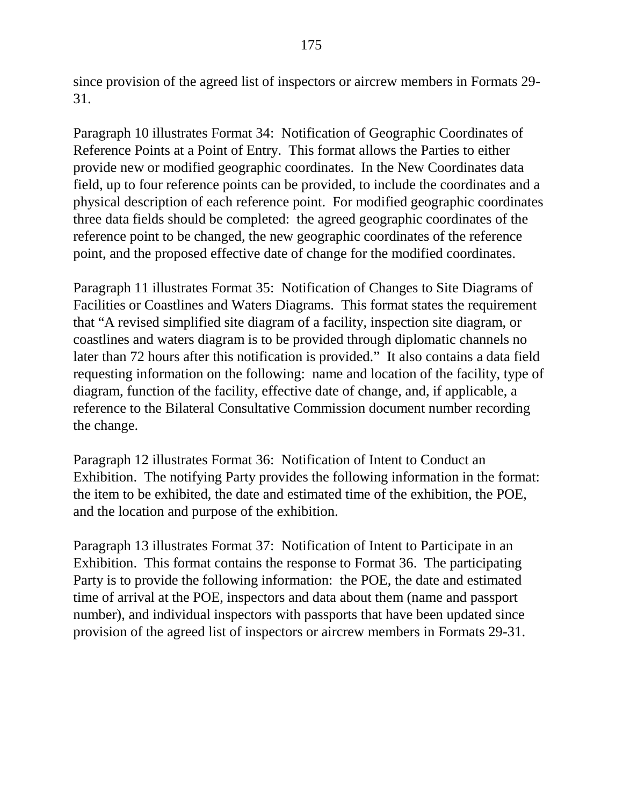since provision of the agreed list of inspectors or aircrew members in Formats 29- 31.

Paragraph 10 illustrates Format 34: Notification of Geographic Coordinates of Reference Points at a Point of Entry. This format allows the Parties to either provide new or modified geographic coordinates. In the New Coordinates data field, up to four reference points can be provided, to include the coordinates and a physical description of each reference point. For modified geographic coordinates three data fields should be completed: the agreed geographic coordinates of the reference point to be changed, the new geographic coordinates of the reference point, and the proposed effective date of change for the modified coordinates.

Paragraph 11 illustrates Format 35: Notification of Changes to Site Diagrams of Facilities or Coastlines and Waters Diagrams. This format states the requirement that "A revised simplified site diagram of a facility, inspection site diagram, or coastlines and waters diagram is to be provided through diplomatic channels no later than 72 hours after this notification is provided." It also contains a data field requesting information on the following: name and location of the facility, type of diagram, function of the facility, effective date of change, and, if applicable, a reference to the Bilateral Consultative Commission document number recording the change.

Paragraph 12 illustrates Format 36: Notification of Intent to Conduct an Exhibition. The notifying Party provides the following information in the format: the item to be exhibited, the date and estimated time of the exhibition, the POE, and the location and purpose of the exhibition.

Paragraph 13 illustrates Format 37: Notification of Intent to Participate in an Exhibition. This format contains the response to Format 36. The participating Party is to provide the following information: the POE, the date and estimated time of arrival at the POE, inspectors and data about them (name and passport number), and individual inspectors with passports that have been updated since provision of the agreed list of inspectors or aircrew members in Formats 29-31.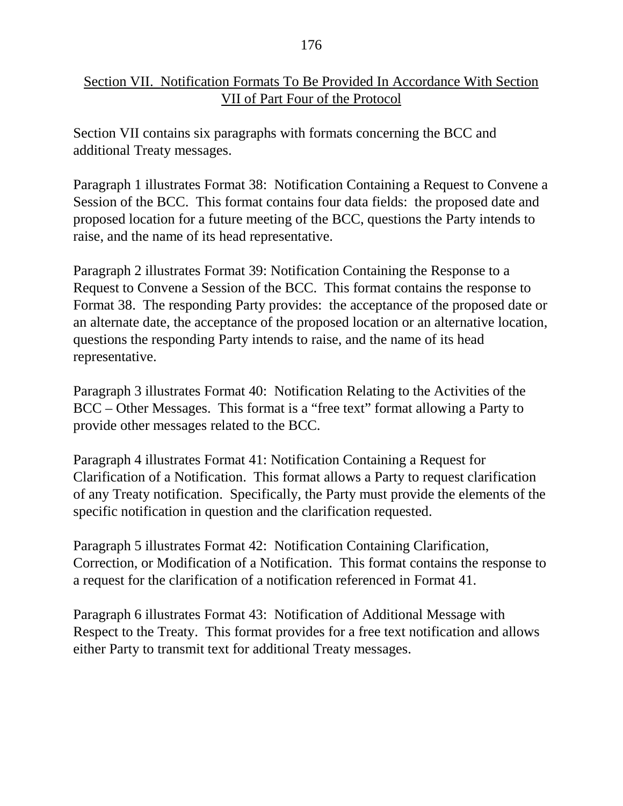### Section VII. Notification Formats To Be Provided In Accordance With Section VII of Part Four of the Protocol

Section VII contains six paragraphs with formats concerning the BCC and additional Treaty messages.

Paragraph 1 illustrates Format 38: Notification Containing a Request to Convene a Session of the BCC. This format contains four data fields: the proposed date and proposed location for a future meeting of the BCC, questions the Party intends to raise, and the name of its head representative.

Paragraph 2 illustrates Format 39: Notification Containing the Response to a Request to Convene a Session of the BCC. This format contains the response to Format 38. The responding Party provides: the acceptance of the proposed date or an alternate date, the acceptance of the proposed location or an alternative location, questions the responding Party intends to raise, and the name of its head representative.

Paragraph 3 illustrates Format 40: Notification Relating to the Activities of the BCC – Other Messages. This format is a "free text" format allowing a Party to provide other messages related to the BCC.

Paragraph 4 illustrates Format 41: Notification Containing a Request for Clarification of a Notification. This format allows a Party to request clarification of any Treaty notification. Specifically, the Party must provide the elements of the specific notification in question and the clarification requested.

Paragraph 5 illustrates Format 42: Notification Containing Clarification, Correction, or Modification of a Notification. This format contains the response to a request for the clarification of a notification referenced in Format 41.

Paragraph 6 illustrates Format 43: Notification of Additional Message with Respect to the Treaty. This format provides for a free text notification and allows either Party to transmit text for additional Treaty messages.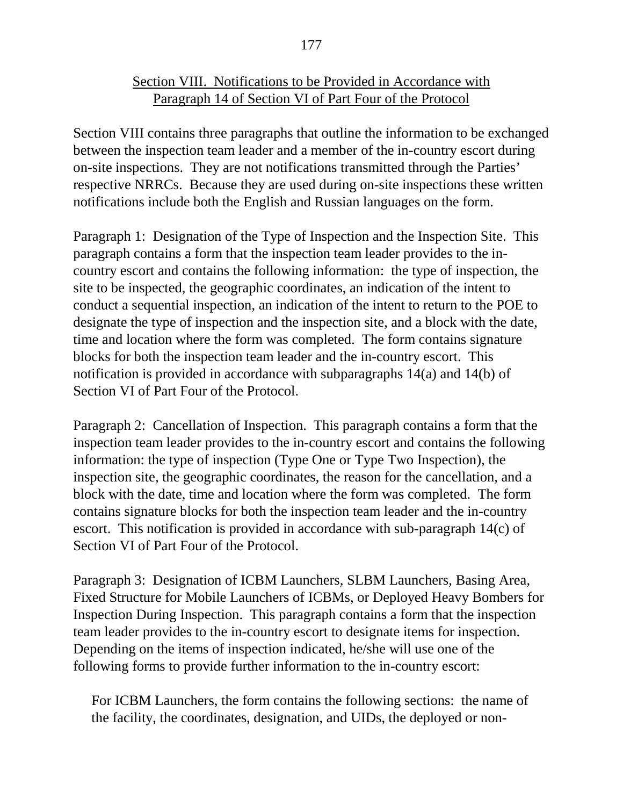### Section VIII. Notifications to be Provided in Accordance with Paragraph 14 of Section VI of Part Four of the Protocol

Section VIII contains three paragraphs that outline the information to be exchanged between the inspection team leader and a member of the in-country escort during on-site inspections. They are not notifications transmitted through the Parties' respective NRRCs. Because they are used during on-site inspections these written notifications include both the English and Russian languages on the form.

Paragraph 1: Designation of the Type of Inspection and the Inspection Site. This paragraph contains a form that the inspection team leader provides to the incountry escort and contains the following information: the type of inspection, the site to be inspected, the geographic coordinates, an indication of the intent to conduct a sequential inspection, an indication of the intent to return to the POE to designate the type of inspection and the inspection site, and a block with the date, time and location where the form was completed. The form contains signature blocks for both the inspection team leader and the in-country escort. This notification is provided in accordance with subparagraphs 14(a) and 14(b) of Section VI of Part Four of the Protocol.

Paragraph 2: Cancellation of Inspection. This paragraph contains a form that the inspection team leader provides to the in-country escort and contains the following information: the type of inspection (Type One or Type Two Inspection), the inspection site, the geographic coordinates, the reason for the cancellation, and a block with the date, time and location where the form was completed. The form contains signature blocks for both the inspection team leader and the in-country escort. This notification is provided in accordance with sub-paragraph 14(c) of Section VI of Part Four of the Protocol.

Paragraph 3: Designation of ICBM Launchers, SLBM Launchers, Basing Area, Fixed Structure for Mobile Launchers of ICBMs, or Deployed Heavy Bombers for Inspection During Inspection. This paragraph contains a form that the inspection team leader provides to the in-country escort to designate items for inspection. Depending on the items of inspection indicated, he/she will use one of the following forms to provide further information to the in-country escort:

For ICBM Launchers, the form contains the following sections: the name of the facility, the coordinates, designation, and UIDs, the deployed or non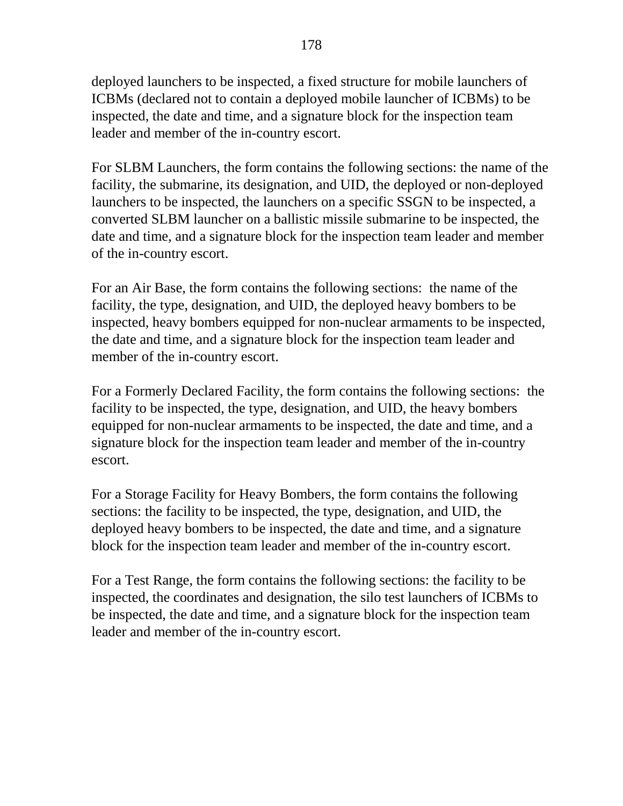deployed launchers to be inspected, a fixed structure for mobile launchers of ICBMs (declared not to contain a deployed mobile launcher of ICBMs) to be inspected, the date and time, and a signature block for the inspection team leader and member of the in-country escort.

For SLBM Launchers, the form contains the following sections: the name of the facility, the submarine, its designation, and UID, the deployed or non-deployed launchers to be inspected, the launchers on a specific SSGN to be inspected, a converted SLBM launcher on a ballistic missile submarine to be inspected, the date and time, and a signature block for the inspection team leader and member of the in-country escort.

For an Air Base, the form contains the following sections: the name of the facility, the type, designation, and UID, the deployed heavy bombers to be inspected, heavy bombers equipped for non-nuclear armaments to be inspected, the date and time, and a signature block for the inspection team leader and member of the in-country escort.

For a Formerly Declared Facility, the form contains the following sections: the facility to be inspected, the type, designation, and UID, the heavy bombers equipped for non-nuclear armaments to be inspected, the date and time, and a signature block for the inspection team leader and member of the in-country escort.

For a Storage Facility for Heavy Bombers, the form contains the following sections: the facility to be inspected, the type, designation, and UID, the deployed heavy bombers to be inspected, the date and time, and a signature block for the inspection team leader and member of the in-country escort.

For a Test Range, the form contains the following sections: the facility to be inspected, the coordinates and designation, the silo test launchers of ICBMs to be inspected, the date and time, and a signature block for the inspection team leader and member of the in-country escort.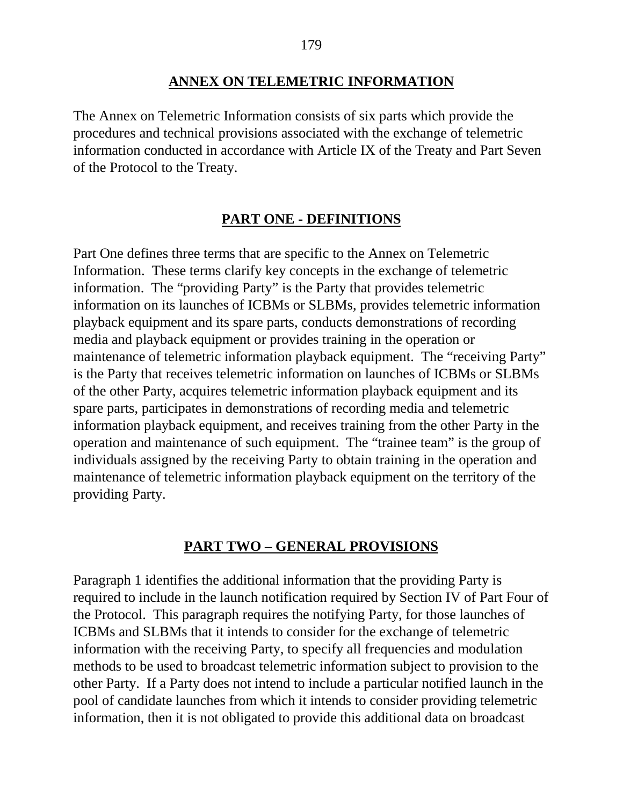#### **ANNEX ON TELEMETRIC INFORMATION**

The Annex on Telemetric Information consists of six parts which provide the procedures and technical provisions associated with the exchange of telemetric information conducted in accordance with Article IX of the Treaty and Part Seven of the Protocol to the Treaty.

#### **PART ONE - DEFINITIONS**

Part One defines three terms that are specific to the Annex on Telemetric Information. These terms clarify key concepts in the exchange of telemetric information. The "providing Party" is the Party that provides telemetric information on its launches of ICBMs or SLBMs, provides telemetric information playback equipment and its spare parts, conducts demonstrations of recording media and playback equipment or provides training in the operation or maintenance of telemetric information playback equipment. The "receiving Party" is the Party that receives telemetric information on launches of ICBMs or SLBMs of the other Party, acquires telemetric information playback equipment and its spare parts, participates in demonstrations of recording media and telemetric information playback equipment, and receives training from the other Party in the operation and maintenance of such equipment. The "trainee team" is the group of individuals assigned by the receiving Party to obtain training in the operation and maintenance of telemetric information playback equipment on the territory of the providing Party.

#### **PART TWO – GENERAL PROVISIONS**

Paragraph 1 identifies the additional information that the providing Party is required to include in the launch notification required by Section IV of Part Four of the Protocol. This paragraph requires the notifying Party, for those launches of ICBMs and SLBMs that it intends to consider for the exchange of telemetric information with the receiving Party, to specify all frequencies and modulation methods to be used to broadcast telemetric information subject to provision to the other Party. If a Party does not intend to include a particular notified launch in the pool of candidate launches from which it intends to consider providing telemetric information, then it is not obligated to provide this additional data on broadcast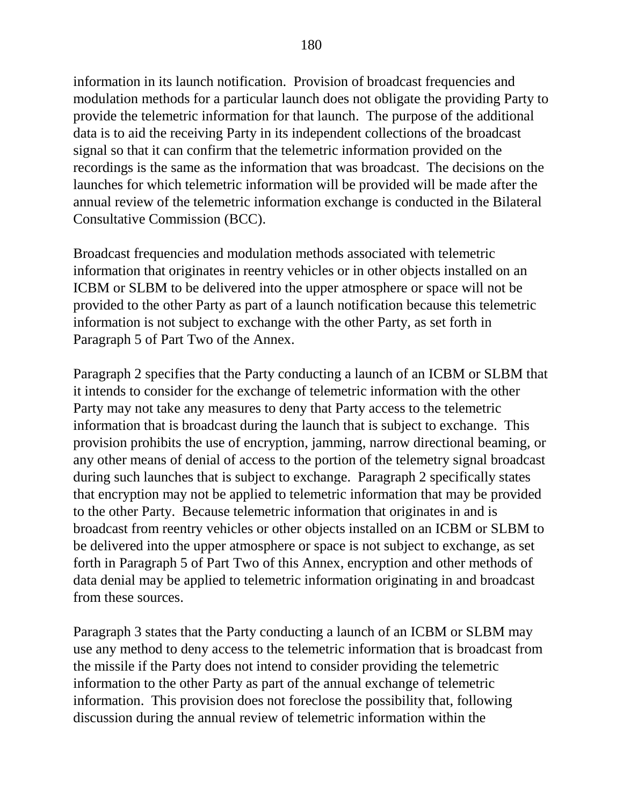information in its launch notification. Provision of broadcast frequencies and modulation methods for a particular launch does not obligate the providing Party to provide the telemetric information for that launch. The purpose of the additional data is to aid the receiving Party in its independent collections of the broadcast signal so that it can confirm that the telemetric information provided on the recordings is the same as the information that was broadcast. The decisions on the launches for which telemetric information will be provided will be made after the annual review of the telemetric information exchange is conducted in the Bilateral Consultative Commission (BCC).

Broadcast frequencies and modulation methods associated with telemetric information that originates in reentry vehicles or in other objects installed on an ICBM or SLBM to be delivered into the upper atmosphere or space will not be provided to the other Party as part of a launch notification because this telemetric information is not subject to exchange with the other Party, as set forth in Paragraph 5 of Part Two of the Annex.

Paragraph 2 specifies that the Party conducting a launch of an ICBM or SLBM that it intends to consider for the exchange of telemetric information with the other Party may not take any measures to deny that Party access to the telemetric information that is broadcast during the launch that is subject to exchange. This provision prohibits the use of encryption, jamming, narrow directional beaming, or any other means of denial of access to the portion of the telemetry signal broadcast during such launches that is subject to exchange. Paragraph 2 specifically states that encryption may not be applied to telemetric information that may be provided to the other Party. Because telemetric information that originates in and is broadcast from reentry vehicles or other objects installed on an ICBM or SLBM to be delivered into the upper atmosphere or space is not subject to exchange, as set forth in Paragraph 5 of Part Two of this Annex, encryption and other methods of data denial may be applied to telemetric information originating in and broadcast from these sources.

Paragraph 3 states that the Party conducting a launch of an ICBM or SLBM may use any method to deny access to the telemetric information that is broadcast from the missile if the Party does not intend to consider providing the telemetric information to the other Party as part of the annual exchange of telemetric information. This provision does not foreclose the possibility that, following discussion during the annual review of telemetric information within the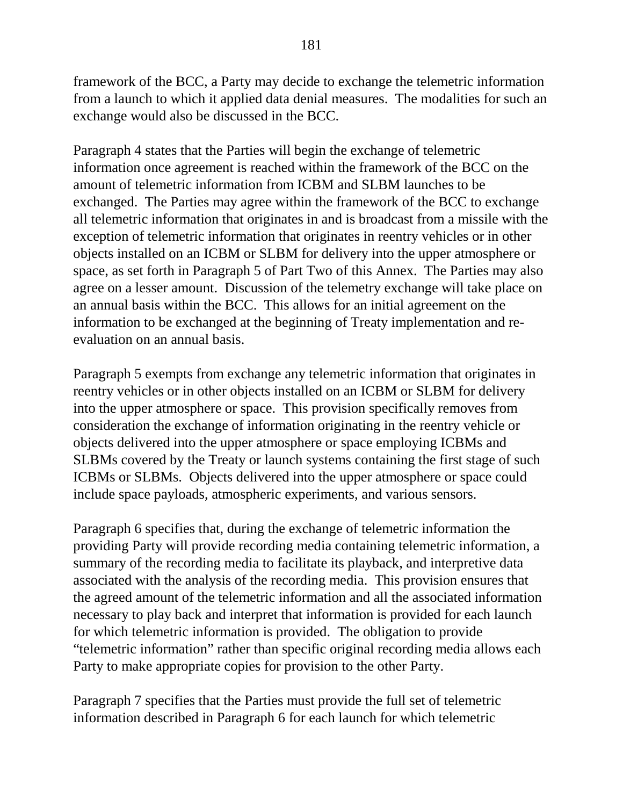framework of the BCC, a Party may decide to exchange the telemetric information from a launch to which it applied data denial measures. The modalities for such an exchange would also be discussed in the BCC.

Paragraph 4 states that the Parties will begin the exchange of telemetric information once agreement is reached within the framework of the BCC on the amount of telemetric information from ICBM and SLBM launches to be exchanged. The Parties may agree within the framework of the BCC to exchange all telemetric information that originates in and is broadcast from a missile with the exception of telemetric information that originates in reentry vehicles or in other objects installed on an ICBM or SLBM for delivery into the upper atmosphere or space, as set forth in Paragraph 5 of Part Two of this Annex. The Parties may also agree on a lesser amount. Discussion of the telemetry exchange will take place on an annual basis within the BCC. This allows for an initial agreement on the information to be exchanged at the beginning of Treaty implementation and reevaluation on an annual basis.

Paragraph 5 exempts from exchange any telemetric information that originates in reentry vehicles or in other objects installed on an ICBM or SLBM for delivery into the upper atmosphere or space. This provision specifically removes from consideration the exchange of information originating in the reentry vehicle or objects delivered into the upper atmosphere or space employing ICBMs and SLBMs covered by the Treaty or launch systems containing the first stage of such ICBMs or SLBMs. Objects delivered into the upper atmosphere or space could include space payloads, atmospheric experiments, and various sensors.

Paragraph 6 specifies that, during the exchange of telemetric information the providing Party will provide recording media containing telemetric information, a summary of the recording media to facilitate its playback, and interpretive data associated with the analysis of the recording media. This provision ensures that the agreed amount of the telemetric information and all the associated information necessary to play back and interpret that information is provided for each launch for which telemetric information is provided. The obligation to provide "telemetric information" rather than specific original recording media allows each Party to make appropriate copies for provision to the other Party.

Paragraph 7 specifies that the Parties must provide the full set of telemetric information described in Paragraph 6 for each launch for which telemetric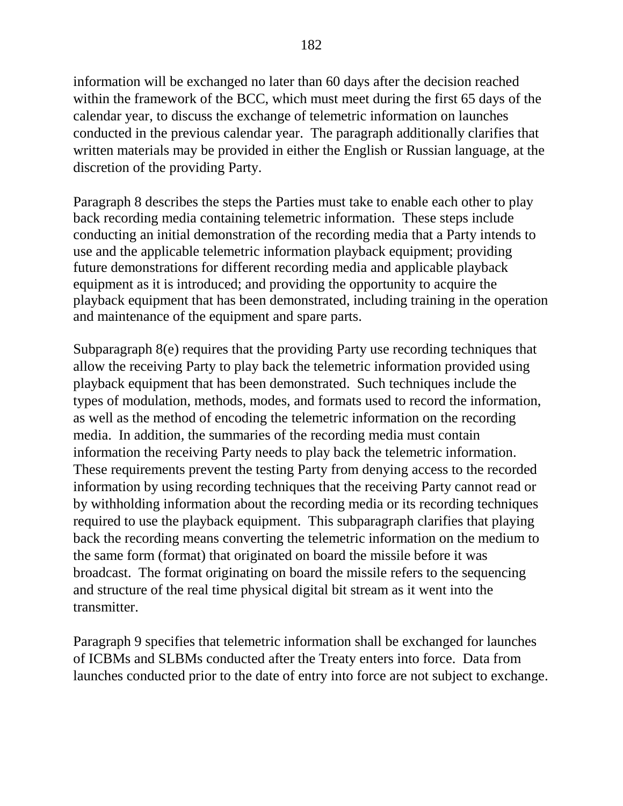information will be exchanged no later than 60 days after the decision reached within the framework of the BCC, which must meet during the first 65 days of the calendar year, to discuss the exchange of telemetric information on launches conducted in the previous calendar year. The paragraph additionally clarifies that written materials may be provided in either the English or Russian language, at the discretion of the providing Party.

Paragraph 8 describes the steps the Parties must take to enable each other to play back recording media containing telemetric information. These steps include conducting an initial demonstration of the recording media that a Party intends to use and the applicable telemetric information playback equipment; providing future demonstrations for different recording media and applicable playback equipment as it is introduced; and providing the opportunity to acquire the playback equipment that has been demonstrated, including training in the operation and maintenance of the equipment and spare parts.

Subparagraph 8(e) requires that the providing Party use recording techniques that allow the receiving Party to play back the telemetric information provided using playback equipment that has been demonstrated. Such techniques include the types of modulation, methods, modes, and formats used to record the information, as well as the method of encoding the telemetric information on the recording media. In addition, the summaries of the recording media must contain information the receiving Party needs to play back the telemetric information. These requirements prevent the testing Party from denying access to the recorded information by using recording techniques that the receiving Party cannot read or by withholding information about the recording media or its recording techniques required to use the playback equipment. This subparagraph clarifies that playing back the recording means converting the telemetric information on the medium to the same form (format) that originated on board the missile before it was broadcast. The format originating on board the missile refers to the sequencing and structure of the real time physical digital bit stream as it went into the transmitter.

Paragraph 9 specifies that telemetric information shall be exchanged for launches of ICBMs and SLBMs conducted after the Treaty enters into force. Data from launches conducted prior to the date of entry into force are not subject to exchange.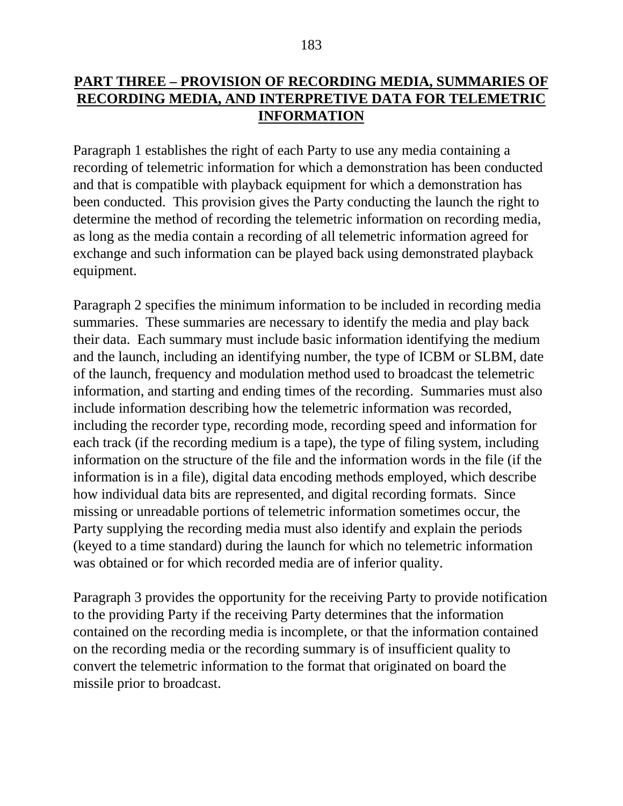# **PART THREE – PROVISION OF RECORDING MEDIA, SUMMARIES OF RECORDING MEDIA, AND INTERPRETIVE DATA FOR TELEMETRIC INFORMATION**

Paragraph 1 establishes the right of each Party to use any media containing a recording of telemetric information for which a demonstration has been conducted and that is compatible with playback equipment for which a demonstration has been conducted. This provision gives the Party conducting the launch the right to determine the method of recording the telemetric information on recording media, as long as the media contain a recording of all telemetric information agreed for exchange and such information can be played back using demonstrated playback equipment.

Paragraph 2 specifies the minimum information to be included in recording media summaries. These summaries are necessary to identify the media and play back their data. Each summary must include basic information identifying the medium and the launch, including an identifying number, the type of ICBM or SLBM, date of the launch, frequency and modulation method used to broadcast the telemetric information, and starting and ending times of the recording. Summaries must also include information describing how the telemetric information was recorded, including the recorder type, recording mode, recording speed and information for each track (if the recording medium is a tape), the type of filing system, including information on the structure of the file and the information words in the file (if the information is in a file), digital data encoding methods employed, which describe how individual data bits are represented, and digital recording formats. Since missing or unreadable portions of telemetric information sometimes occur, the Party supplying the recording media must also identify and explain the periods (keyed to a time standard) during the launch for which no telemetric information was obtained or for which recorded media are of inferior quality.

Paragraph 3 provides the opportunity for the receiving Party to provide notification to the providing Party if the receiving Party determines that the information contained on the recording media is incomplete, or that the information contained on the recording media or the recording summary is of insufficient quality to convert the telemetric information to the format that originated on board the missile prior to broadcast.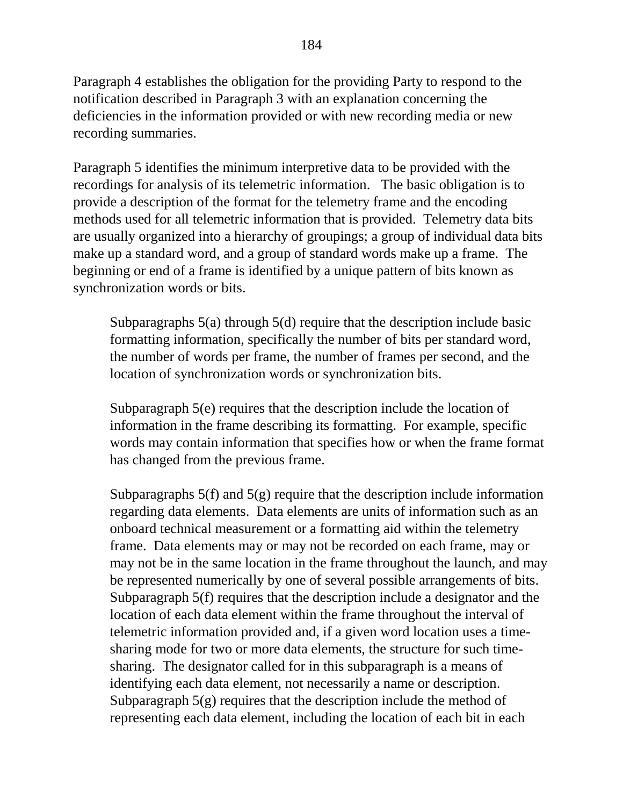Paragraph 4 establishes the obligation for the providing Party to respond to the notification described in Paragraph 3 with an explanation concerning the deficiencies in the information provided or with new recording media or new recording summaries.

Paragraph 5 identifies the minimum interpretive data to be provided with the recordings for analysis of its telemetric information. The basic obligation is to provide a description of the format for the telemetry frame and the encoding methods used for all telemetric information that is provided. Telemetry data bits are usually organized into a hierarchy of groupings; a group of individual data bits make up a standard word, and a group of standard words make up a frame. The beginning or end of a frame is identified by a unique pattern of bits known as synchronization words or bits.

Subparagraphs 5(a) through 5(d) require that the description include basic formatting information, specifically the number of bits per standard word, the number of words per frame, the number of frames per second, and the location of synchronization words or synchronization bits.

Subparagraph 5(e) requires that the description include the location of information in the frame describing its formatting. For example, specific words may contain information that specifies how or when the frame format has changed from the previous frame.

Subparagraphs 5(f) and 5(g) require that the description include information regarding data elements. Data elements are units of information such as an onboard technical measurement or a formatting aid within the telemetry frame. Data elements may or may not be recorded on each frame, may or may not be in the same location in the frame throughout the launch, and may be represented numerically by one of several possible arrangements of bits. Subparagraph 5(f) requires that the description include a designator and the location of each data element within the frame throughout the interval of telemetric information provided and, if a given word location uses a timesharing mode for two or more data elements, the structure for such timesharing. The designator called for in this subparagraph is a means of identifying each data element, not necessarily a name or description. Subparagraph  $5(g)$  requires that the description include the method of representing each data element, including the location of each bit in each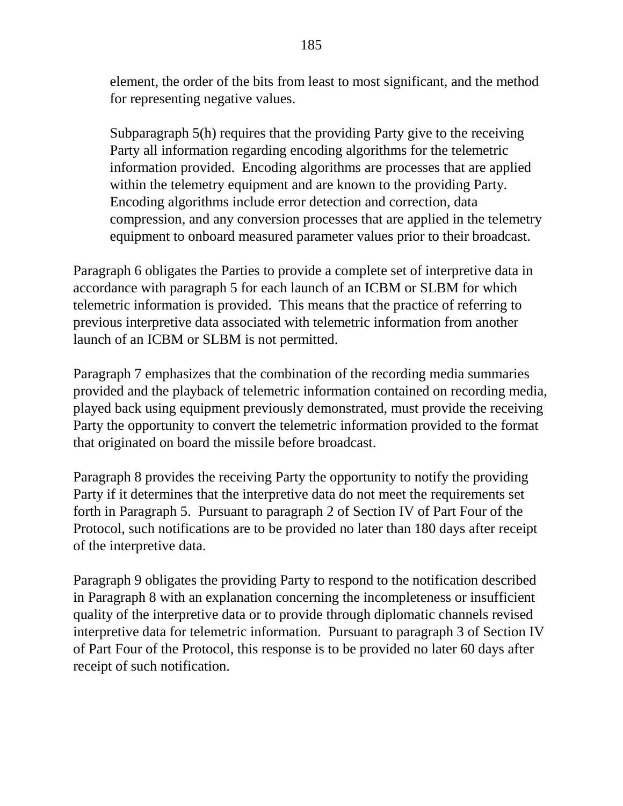element, the order of the bits from least to most significant, and the method for representing negative values.

Subparagraph 5(h) requires that the providing Party give to the receiving Party all information regarding encoding algorithms for the telemetric information provided. Encoding algorithms are processes that are applied within the telemetry equipment and are known to the providing Party. Encoding algorithms include error detection and correction, data compression, and any conversion processes that are applied in the telemetry equipment to onboard measured parameter values prior to their broadcast.

Paragraph 6 obligates the Parties to provide a complete set of interpretive data in accordance with paragraph 5 for each launch of an ICBM or SLBM for which telemetric information is provided. This means that the practice of referring to previous interpretive data associated with telemetric information from another launch of an ICBM or SLBM is not permitted.

Paragraph 7 emphasizes that the combination of the recording media summaries provided and the playback of telemetric information contained on recording media, played back using equipment previously demonstrated, must provide the receiving Party the opportunity to convert the telemetric information provided to the format that originated on board the missile before broadcast.

Paragraph 8 provides the receiving Party the opportunity to notify the providing Party if it determines that the interpretive data do not meet the requirements set forth in Paragraph 5. Pursuant to paragraph 2 of Section IV of Part Four of the Protocol, such notifications are to be provided no later than 180 days after receipt of the interpretive data.

Paragraph 9 obligates the providing Party to respond to the notification described in Paragraph 8 with an explanation concerning the incompleteness or insufficient quality of the interpretive data or to provide through diplomatic channels revised interpretive data for telemetric information. Pursuant to paragraph 3 of Section IV of Part Four of the Protocol, this response is to be provided no later 60 days after receipt of such notification.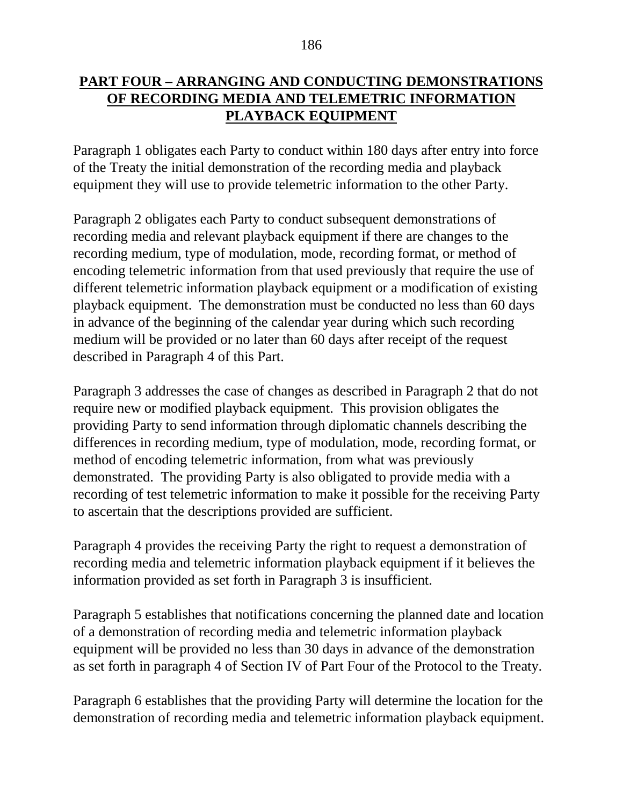# **PART FOUR – ARRANGING AND CONDUCTING DEMONSTRATIONS OF RECORDING MEDIA AND TELEMETRIC INFORMATION PLAYBACK EQUIPMENT**

Paragraph 1 obligates each Party to conduct within 180 days after entry into force of the Treaty the initial demonstration of the recording media and playback equipment they will use to provide telemetric information to the other Party.

Paragraph 2 obligates each Party to conduct subsequent demonstrations of recording media and relevant playback equipment if there are changes to the recording medium, type of modulation, mode, recording format, or method of encoding telemetric information from that used previously that require the use of different telemetric information playback equipment or a modification of existing playback equipment. The demonstration must be conducted no less than 60 days in advance of the beginning of the calendar year during which such recording medium will be provided or no later than 60 days after receipt of the request described in Paragraph 4 of this Part.

Paragraph 3 addresses the case of changes as described in Paragraph 2 that do not require new or modified playback equipment. This provision obligates the providing Party to send information through diplomatic channels describing the differences in recording medium, type of modulation, mode, recording format, or method of encoding telemetric information, from what was previously demonstrated. The providing Party is also obligated to provide media with a recording of test telemetric information to make it possible for the receiving Party to ascertain that the descriptions provided are sufficient.

Paragraph 4 provides the receiving Party the right to request a demonstration of recording media and telemetric information playback equipment if it believes the information provided as set forth in Paragraph 3 is insufficient.

Paragraph 5 establishes that notifications concerning the planned date and location of a demonstration of recording media and telemetric information playback equipment will be provided no less than 30 days in advance of the demonstration as set forth in paragraph 4 of Section IV of Part Four of the Protocol to the Treaty.

Paragraph 6 establishes that the providing Party will determine the location for the demonstration of recording media and telemetric information playback equipment.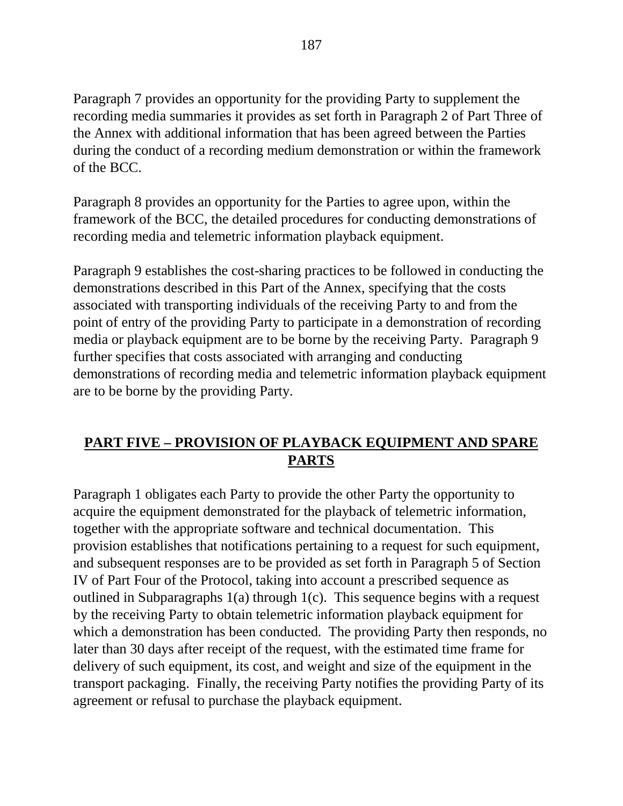Paragraph 7 provides an opportunity for the providing Party to supplement the recording media summaries it provides as set forth in Paragraph 2 of Part Three of the Annex with additional information that has been agreed between the Parties during the conduct of a recording medium demonstration or within the framework of the BCC.

Paragraph 8 provides an opportunity for the Parties to agree upon, within the framework of the BCC, the detailed procedures for conducting demonstrations of recording media and telemetric information playback equipment.

Paragraph 9 establishes the cost-sharing practices to be followed in conducting the demonstrations described in this Part of the Annex, specifying that the costs associated with transporting individuals of the receiving Party to and from the point of entry of the providing Party to participate in a demonstration of recording media or playback equipment are to be borne by the receiving Party. Paragraph 9 further specifies that costs associated with arranging and conducting demonstrations of recording media and telemetric information playback equipment are to be borne by the providing Party.

# **PART FIVE – PROVISION OF PLAYBACK EQUIPMENT AND SPARE PARTS**

Paragraph 1 obligates each Party to provide the other Party the opportunity to acquire the equipment demonstrated for the playback of telemetric information, together with the appropriate software and technical documentation. This provision establishes that notifications pertaining to a request for such equipment, and subsequent responses are to be provided as set forth in Paragraph 5 of Section IV of Part Four of the Protocol, taking into account a prescribed sequence as outlined in Subparagraphs 1(a) through 1(c). This sequence begins with a request by the receiving Party to obtain telemetric information playback equipment for which a demonstration has been conducted. The providing Party then responds, no later than 30 days after receipt of the request, with the estimated time frame for delivery of such equipment, its cost, and weight and size of the equipment in the transport packaging. Finally, the receiving Party notifies the providing Party of its agreement or refusal to purchase the playback equipment.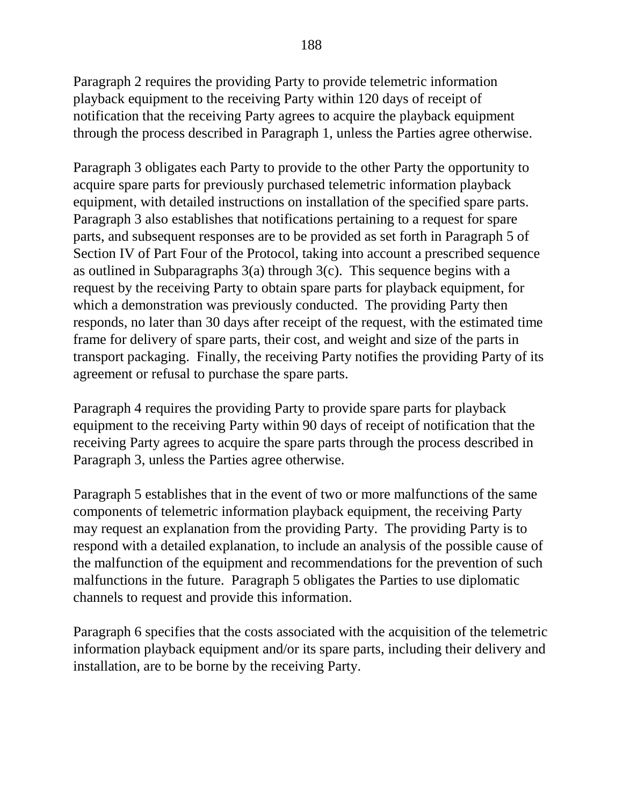Paragraph 2 requires the providing Party to provide telemetric information playback equipment to the receiving Party within 120 days of receipt of notification that the receiving Party agrees to acquire the playback equipment through the process described in Paragraph 1, unless the Parties agree otherwise.

Paragraph 3 obligates each Party to provide to the other Party the opportunity to acquire spare parts for previously purchased telemetric information playback equipment, with detailed instructions on installation of the specified spare parts. Paragraph 3 also establishes that notifications pertaining to a request for spare parts, and subsequent responses are to be provided as set forth in Paragraph 5 of Section IV of Part Four of the Protocol, taking into account a prescribed sequence as outlined in Subparagraphs 3(a) through 3(c). This sequence begins with a request by the receiving Party to obtain spare parts for playback equipment, for which a demonstration was previously conducted. The providing Party then responds, no later than 30 days after receipt of the request, with the estimated time frame for delivery of spare parts, their cost, and weight and size of the parts in transport packaging. Finally, the receiving Party notifies the providing Party of its agreement or refusal to purchase the spare parts.

Paragraph 4 requires the providing Party to provide spare parts for playback equipment to the receiving Party within 90 days of receipt of notification that the receiving Party agrees to acquire the spare parts through the process described in Paragraph 3, unless the Parties agree otherwise.

Paragraph 5 establishes that in the event of two or more malfunctions of the same components of telemetric information playback equipment, the receiving Party may request an explanation from the providing Party. The providing Party is to respond with a detailed explanation, to include an analysis of the possible cause of the malfunction of the equipment and recommendations for the prevention of such malfunctions in the future. Paragraph 5 obligates the Parties to use diplomatic channels to request and provide this information.

Paragraph 6 specifies that the costs associated with the acquisition of the telemetric information playback equipment and/or its spare parts, including their delivery and installation, are to be borne by the receiving Party.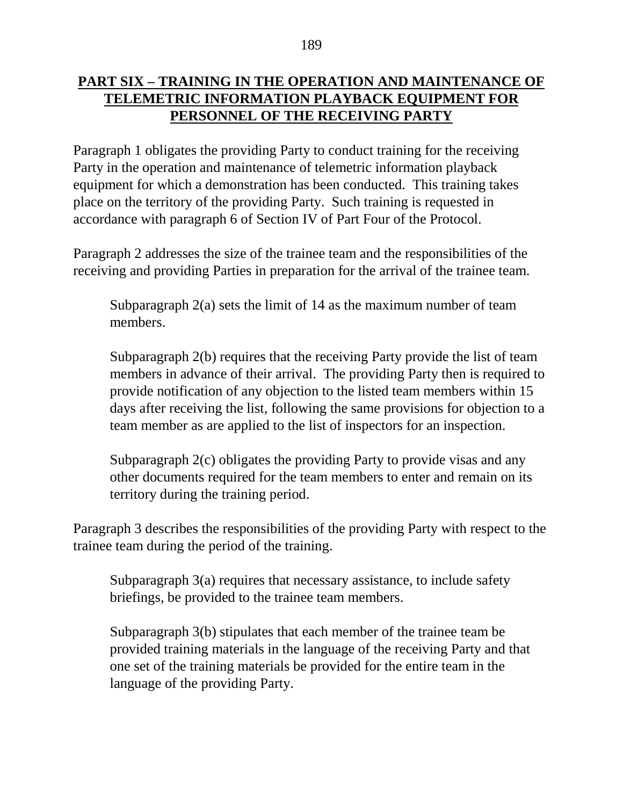## **PART SIX – TRAINING IN THE OPERATION AND MAINTENANCE OF TELEMETRIC INFORMATION PLAYBACK EQUIPMENT FOR PERSONNEL OF THE RECEIVING PARTY**

Paragraph 1 obligates the providing Party to conduct training for the receiving Party in the operation and maintenance of telemetric information playback equipment for which a demonstration has been conducted. This training takes place on the territory of the providing Party. Such training is requested in accordance with paragraph 6 of Section IV of Part Four of the Protocol.

Paragraph 2 addresses the size of the trainee team and the responsibilities of the receiving and providing Parties in preparation for the arrival of the trainee team.

Subparagraph 2(a) sets the limit of 14 as the maximum number of team members.

Subparagraph 2(b) requires that the receiving Party provide the list of team members in advance of their arrival. The providing Party then is required to provide notification of any objection to the listed team members within 15 days after receiving the list, following the same provisions for objection to a team member as are applied to the list of inspectors for an inspection.

Subparagraph 2(c) obligates the providing Party to provide visas and any other documents required for the team members to enter and remain on its territory during the training period.

Paragraph 3 describes the responsibilities of the providing Party with respect to the trainee team during the period of the training.

Subparagraph 3(a) requires that necessary assistance, to include safety briefings, be provided to the trainee team members.

Subparagraph 3(b) stipulates that each member of the trainee team be provided training materials in the language of the receiving Party and that one set of the training materials be provided for the entire team in the language of the providing Party.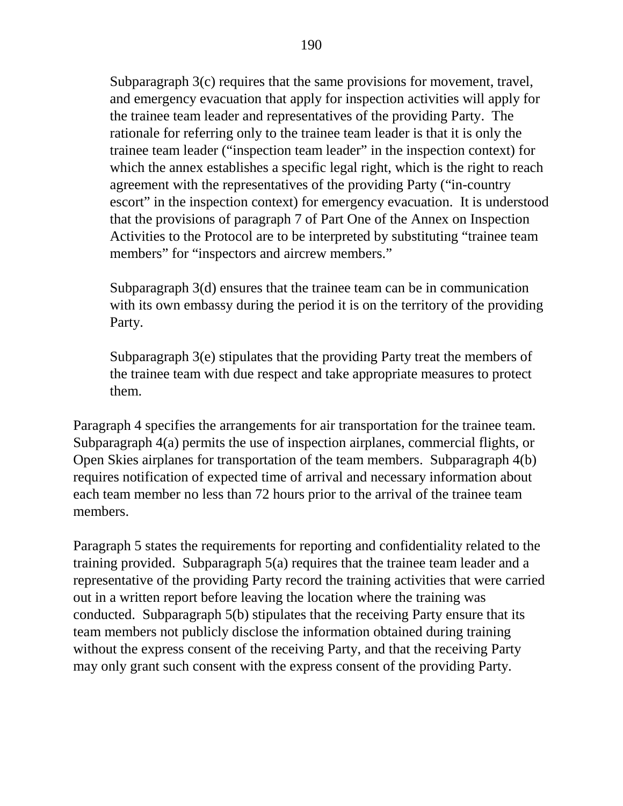Subparagraph 3(c) requires that the same provisions for movement, travel, and emergency evacuation that apply for inspection activities will apply for the trainee team leader and representatives of the providing Party. The rationale for referring only to the trainee team leader is that it is only the trainee team leader ("inspection team leader" in the inspection context) for which the annex establishes a specific legal right, which is the right to reach agreement with the representatives of the providing Party ("in-country escort" in the inspection context) for emergency evacuation. It is understood that the provisions of paragraph 7 of Part One of the Annex on Inspection Activities to the Protocol are to be interpreted by substituting "trainee team members" for "inspectors and aircrew members."

Subparagraph 3(d) ensures that the trainee team can be in communication with its own embassy during the period it is on the territory of the providing Party.

Subparagraph 3(e) stipulates that the providing Party treat the members of the trainee team with due respect and take appropriate measures to protect them.

Paragraph 4 specifies the arrangements for air transportation for the trainee team. Subparagraph 4(a) permits the use of inspection airplanes, commercial flights, or Open Skies airplanes for transportation of the team members. Subparagraph 4(b) requires notification of expected time of arrival and necessary information about each team member no less than 72 hours prior to the arrival of the trainee team members.

Paragraph 5 states the requirements for reporting and confidentiality related to the training provided. Subparagraph 5(a) requires that the trainee team leader and a representative of the providing Party record the training activities that were carried out in a written report before leaving the location where the training was conducted. Subparagraph 5(b) stipulates that the receiving Party ensure that its team members not publicly disclose the information obtained during training without the express consent of the receiving Party, and that the receiving Party may only grant such consent with the express consent of the providing Party.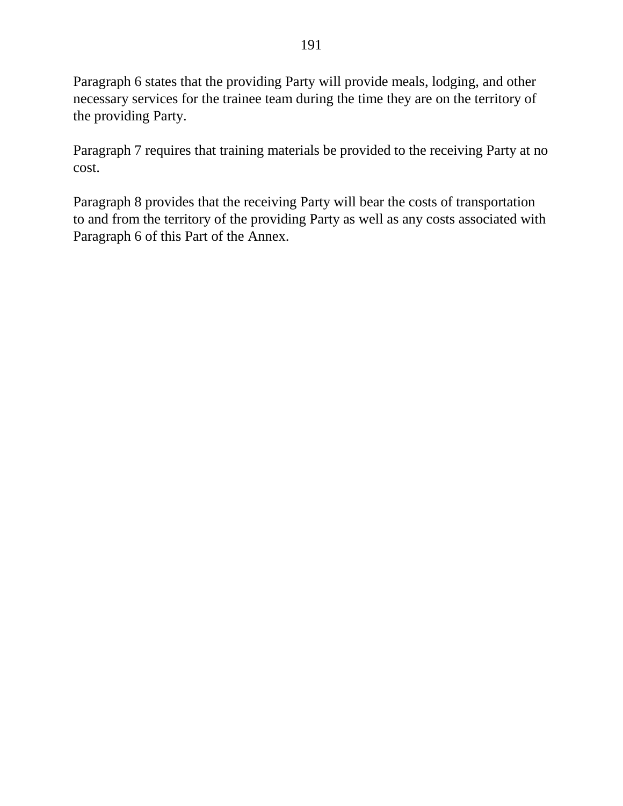Paragraph 6 states that the providing Party will provide meals, lodging, and other necessary services for the trainee team during the time they are on the territory of the providing Party.

Paragraph 7 requires that training materials be provided to the receiving Party at no cost.

Paragraph 8 provides that the receiving Party will bear the costs of transportation to and from the territory of the providing Party as well as any costs associated with Paragraph 6 of this Part of the Annex.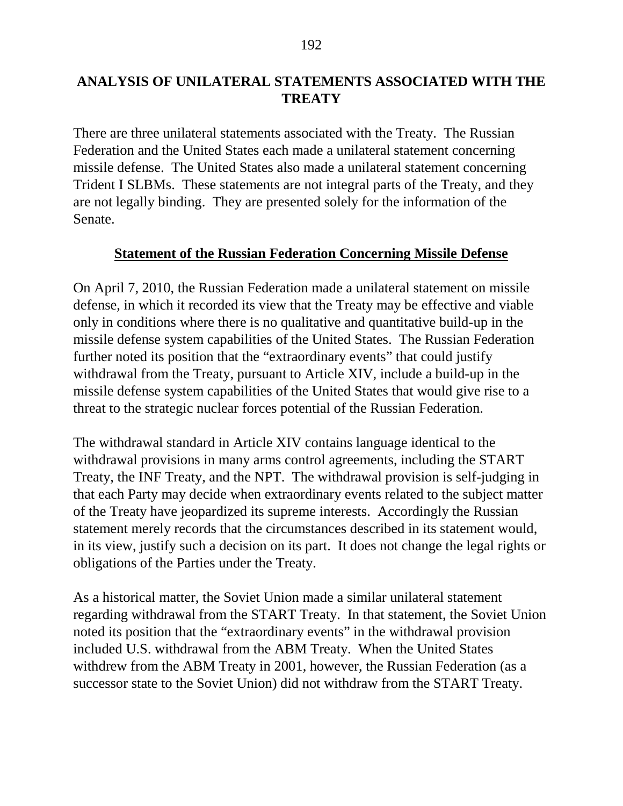## **ANALYSIS OF UNILATERAL STATEMENTS ASSOCIATED WITH THE TREATY**

There are three unilateral statements associated with the Treaty. The Russian Federation and the United States each made a unilateral statement concerning missile defense. The United States also made a unilateral statement concerning Trident I SLBMs. These statements are not integral parts of the Treaty, and they are not legally binding. They are presented solely for the information of the Senate.

#### **Statement of the Russian Federation Concerning Missile Defense**

On April 7, 2010, the Russian Federation made a unilateral statement on missile defense, in which it recorded its view that the Treaty may be effective and viable only in conditions where there is no qualitative and quantitative build-up in the missile defense system capabilities of the United States. The Russian Federation further noted its position that the "extraordinary events" that could justify withdrawal from the Treaty, pursuant to Article XIV, include a build-up in the missile defense system capabilities of the United States that would give rise to a threat to the strategic nuclear forces potential of the Russian Federation.

The withdrawal standard in Article XIV contains language identical to the withdrawal provisions in many arms control agreements, including the START Treaty, the INF Treaty, and the NPT. The withdrawal provision is self-judging in that each Party may decide when extraordinary events related to the subject matter of the Treaty have jeopardized its supreme interests. Accordingly the Russian statement merely records that the circumstances described in its statement would, in its view, justify such a decision on its part. It does not change the legal rights or obligations of the Parties under the Treaty.

As a historical matter, the Soviet Union made a similar unilateral statement regarding withdrawal from the START Treaty. In that statement, the Soviet Union noted its position that the "extraordinary events" in the withdrawal provision included U.S. withdrawal from the ABM Treaty. When the United States withdrew from the ABM Treaty in 2001, however, the Russian Federation (as a successor state to the Soviet Union) did not withdraw from the START Treaty.